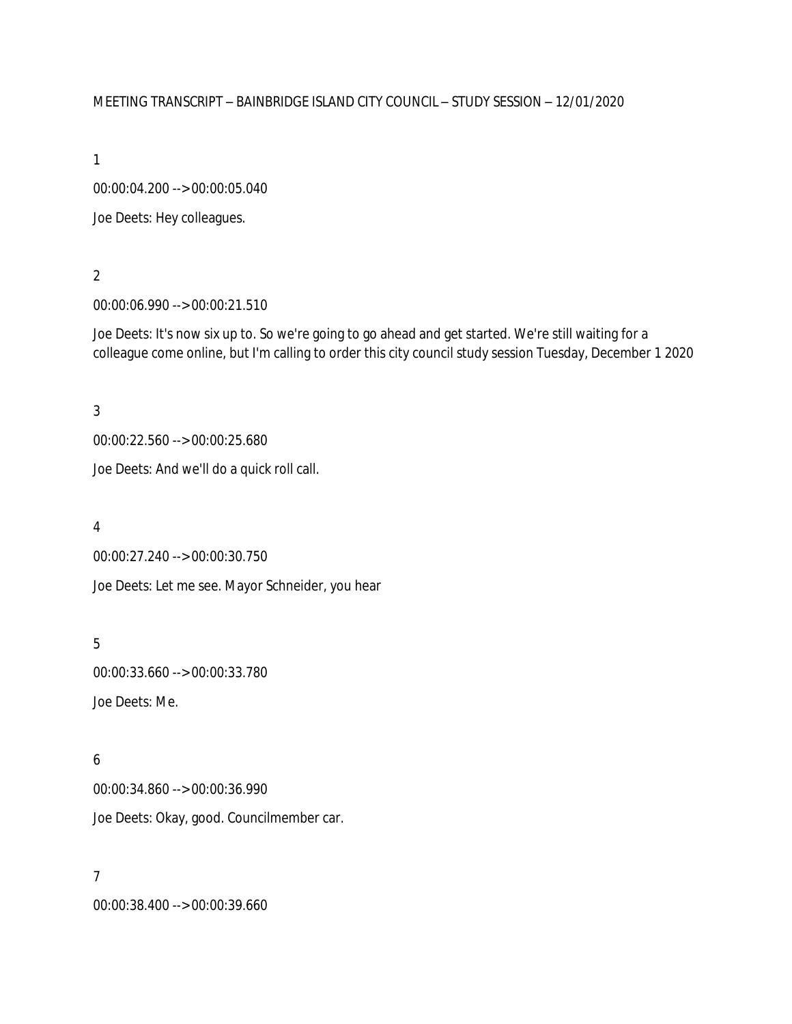#### MEETING TRANSCRIPT – BAINBRIDGE ISLAND CITY COUNCIL – STUDY SESSION – 12/01/2020

1

00:00:04.200 --> 00:00:05.040

Joe Deets: Hey colleagues.

## 2

00:00:06.990 --> 00:00:21.510

Joe Deets: It's now six up to. So we're going to go ahead and get started. We're still waiting for a colleague come online, but I'm calling to order this city council study session Tuesday, December 1 2020

3

00:00:22.560 --> 00:00:25.680

Joe Deets: And we'll do a quick roll call.

4

00:00:27.240 --> 00:00:30.750

Joe Deets: Let me see. Mayor Schneider, you hear

5 00:00:33.660 --> 00:00:33.780 Joe Deets: Me.

## 6

00:00:34.860 --> 00:00:36.990 Joe Deets: Okay, good. Councilmember car.

#### 7

00:00:38.400 --> 00:00:39.660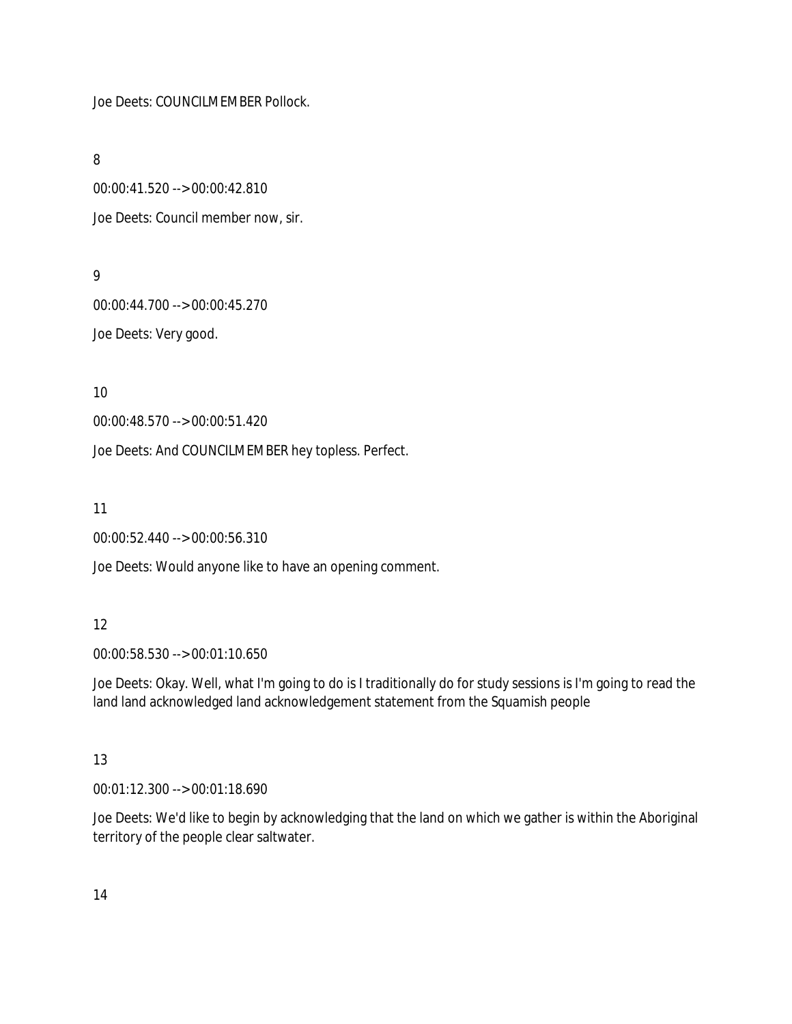Joe Deets: COUNCILMEMBER Pollock.

8

00:00:41.520 --> 00:00:42.810 Joe Deets: Council member now, sir.

### 9

00:00:44.700 --> 00:00:45.270 Joe Deets: Very good.

10

00:00:48.570 --> 00:00:51.420

Joe Deets: And COUNCILMEMBER hey topless. Perfect.

11

00:00:52.440 --> 00:00:56.310

Joe Deets: Would anyone like to have an opening comment.

## 12

00:00:58.530 --> 00:01:10.650

Joe Deets: Okay. Well, what I'm going to do is I traditionally do for study sessions is I'm going to read the land land acknowledged land acknowledgement statement from the Squamish people

## 13

00:01:12.300 --> 00:01:18.690

Joe Deets: We'd like to begin by acknowledging that the land on which we gather is within the Aboriginal territory of the people clear saltwater.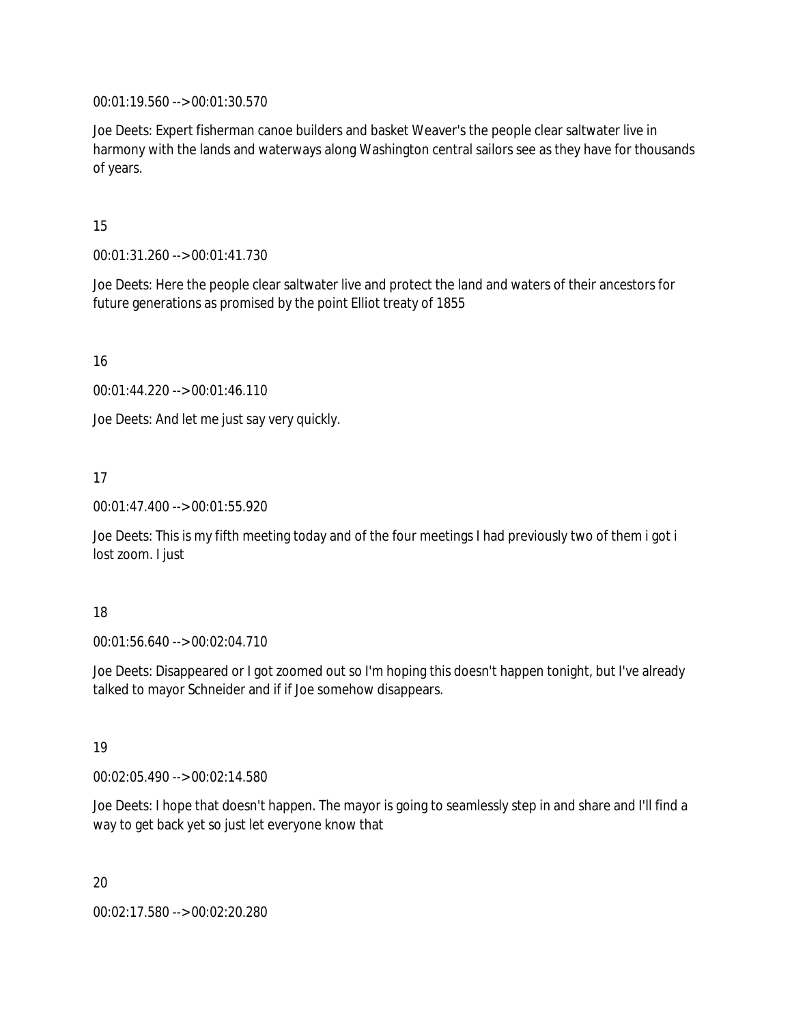00:01:19.560 --> 00:01:30.570

Joe Deets: Expert fisherman canoe builders and basket Weaver's the people clear saltwater live in harmony with the lands and waterways along Washington central sailors see as they have for thousands of years.

### 15

00:01:31.260 --> 00:01:41.730

Joe Deets: Here the people clear saltwater live and protect the land and waters of their ancestors for future generations as promised by the point Elliot treaty of 1855

16

00:01:44.220 --> 00:01:46.110

Joe Deets: And let me just say very quickly.

17

00:01:47.400 --> 00:01:55.920

Joe Deets: This is my fifth meeting today and of the four meetings I had previously two of them i got i lost zoom. I just

#### 18

00:01:56.640 --> 00:02:04.710

Joe Deets: Disappeared or I got zoomed out so I'm hoping this doesn't happen tonight, but I've already talked to mayor Schneider and if if Joe somehow disappears.

## 19

00:02:05.490 --> 00:02:14.580

Joe Deets: I hope that doesn't happen. The mayor is going to seamlessly step in and share and I'll find a way to get back yet so just let everyone know that

20

00:02:17.580 --> 00:02:20.280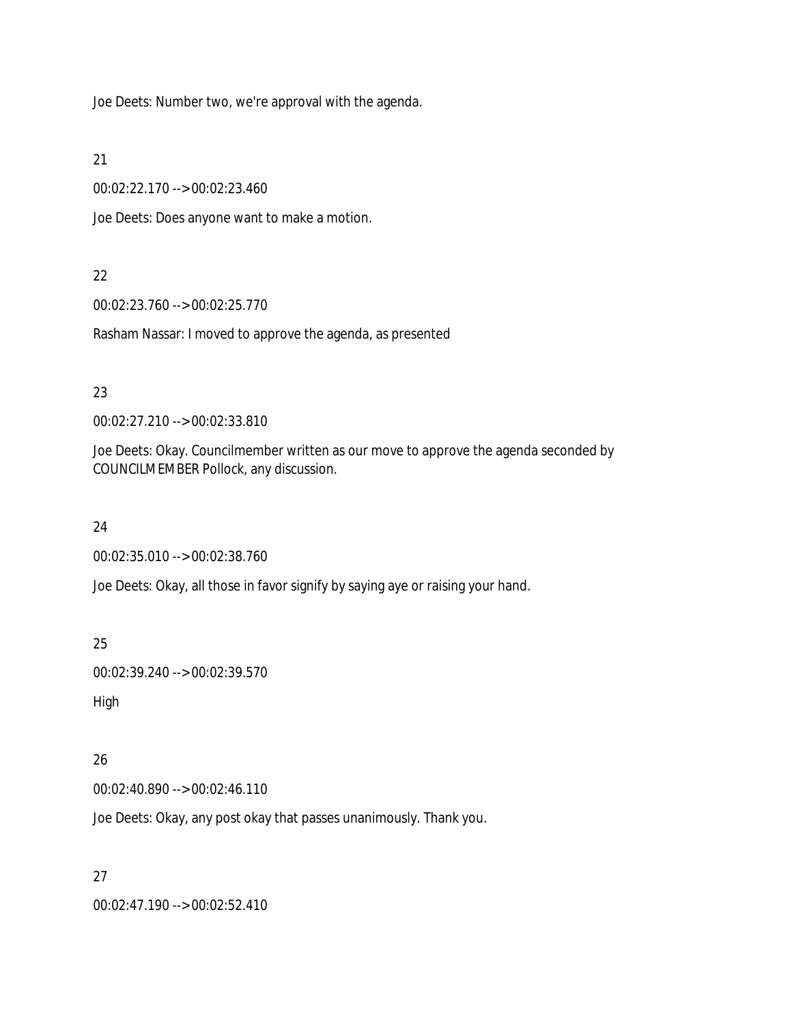Joe Deets: Number two, we're approval with the agenda.

21

00:02:22.170 --> 00:02:23.460

Joe Deets: Does anyone want to make a motion.

# 22

00:02:23.760 --> 00:02:25.770

Rasham Nassar: I moved to approve the agenda, as presented

# 23

00:02:27.210 --> 00:02:33.810

Joe Deets: Okay. Councilmember written as our move to approve the agenda seconded by COUNCILMEMBER Pollock, any discussion.

## 24

00:02:35.010 --> 00:02:38.760

Joe Deets: Okay, all those in favor signify by saying aye or raising your hand.

25

00:02:39.240 --> 00:02:39.570

High

# 26

00:02:40.890 --> 00:02:46.110

Joe Deets: Okay, any post okay that passes unanimously. Thank you.

27

00:02:47.190 --> 00:02:52.410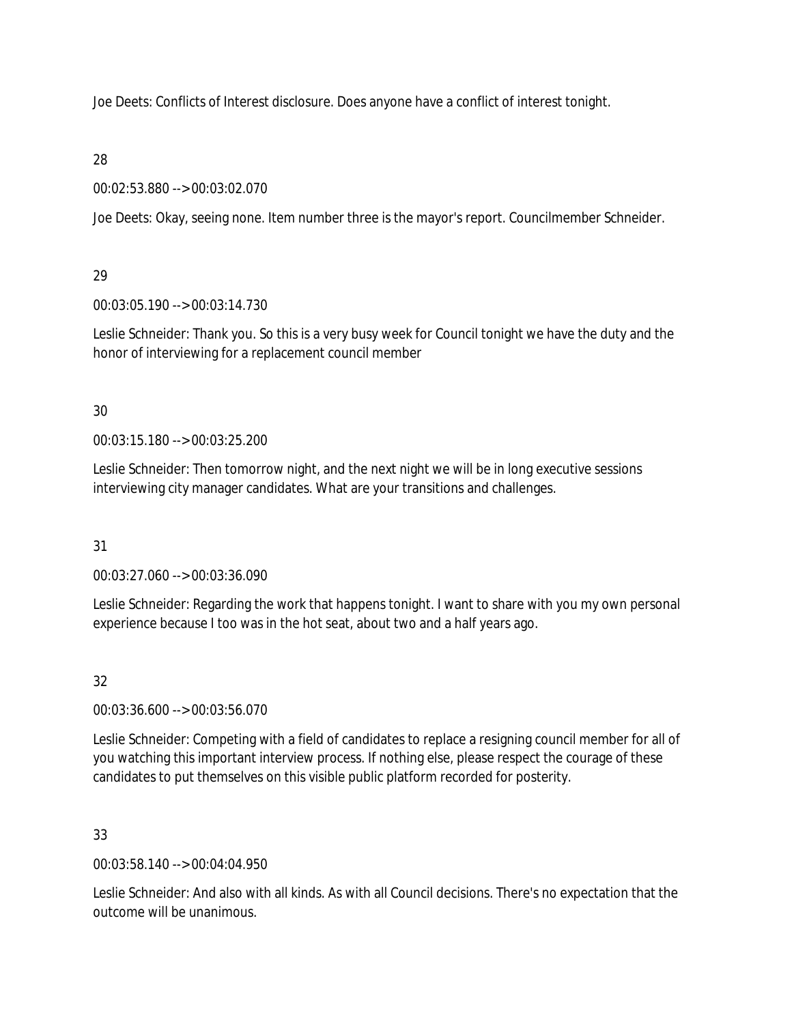Joe Deets: Conflicts of Interest disclosure. Does anyone have a conflict of interest tonight.

28

00:02:53.880 --> 00:03:02.070

Joe Deets: Okay, seeing none. Item number three is the mayor's report. Councilmember Schneider.

## 29

00:03:05.190 --> 00:03:14.730

Leslie Schneider: Thank you. So this is a very busy week for Council tonight we have the duty and the honor of interviewing for a replacement council member

## 30

00:03:15.180 --> 00:03:25.200

Leslie Schneider: Then tomorrow night, and the next night we will be in long executive sessions interviewing city manager candidates. What are your transitions and challenges.

## 31

00:03:27.060 --> 00:03:36.090

Leslie Schneider: Regarding the work that happens tonight. I want to share with you my own personal experience because I too was in the hot seat, about two and a half years ago.

# 32

00:03:36.600 --> 00:03:56.070

Leslie Schneider: Competing with a field of candidates to replace a resigning council member for all of you watching this important interview process. If nothing else, please respect the courage of these candidates to put themselves on this visible public platform recorded for posterity.

## 33

00:03:58.140 --> 00:04:04.950

Leslie Schneider: And also with all kinds. As with all Council decisions. There's no expectation that the outcome will be unanimous.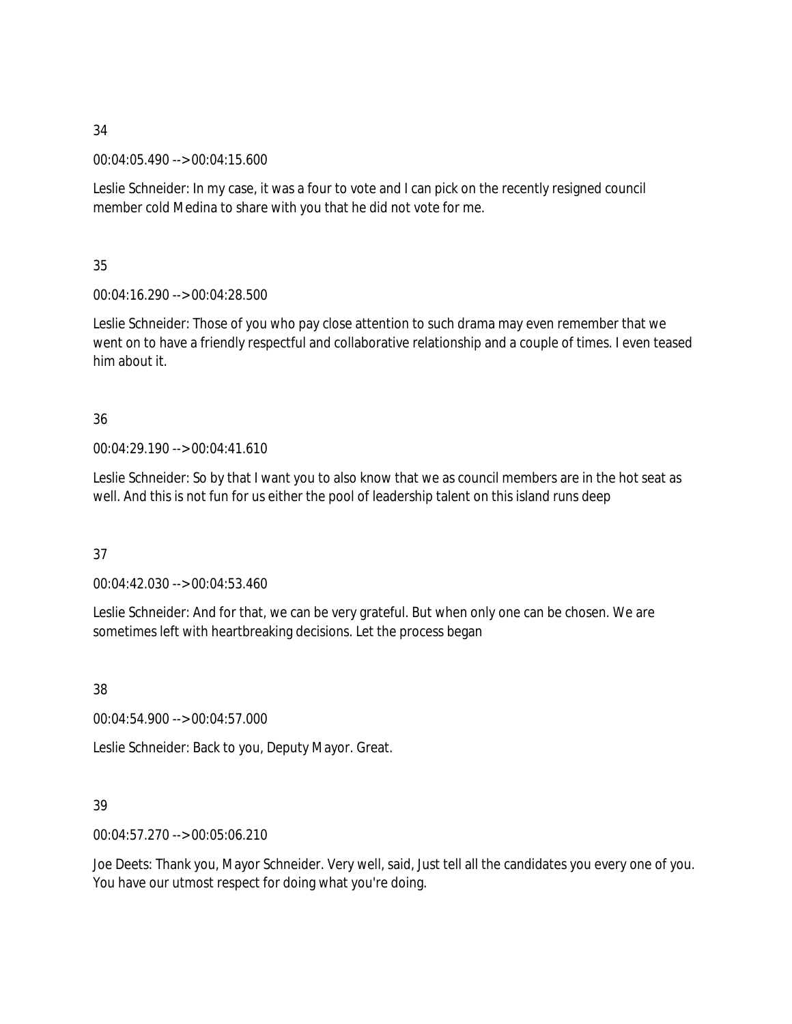00:04:05.490 --> 00:04:15.600

Leslie Schneider: In my case, it was a four to vote and I can pick on the recently resigned council member cold Medina to share with you that he did not vote for me.

35

00:04:16.290 --> 00:04:28.500

Leslie Schneider: Those of you who pay close attention to such drama may even remember that we went on to have a friendly respectful and collaborative relationship and a couple of times. I even teased him about it.

# 36

00:04:29.190 --> 00:04:41.610

Leslie Schneider: So by that I want you to also know that we as council members are in the hot seat as well. And this is not fun for us either the pool of leadership talent on this island runs deep

37

00:04:42.030 --> 00:04:53.460

Leslie Schneider: And for that, we can be very grateful. But when only one can be chosen. We are sometimes left with heartbreaking decisions. Let the process began

38

00:04:54.900 --> 00:04:57.000

Leslie Schneider: Back to you, Deputy Mayor. Great.

## 39

00:04:57.270 --> 00:05:06.210

Joe Deets: Thank you, Mayor Schneider. Very well, said, Just tell all the candidates you every one of you. You have our utmost respect for doing what you're doing.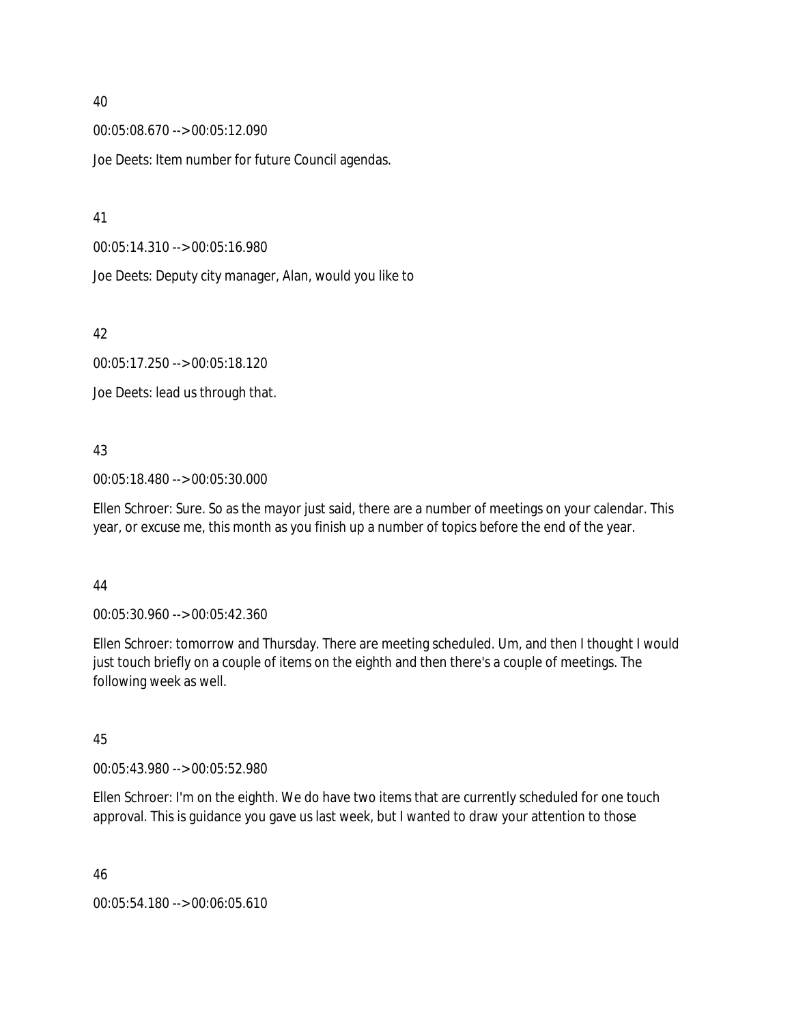00:05:08.670 --> 00:05:12.090

Joe Deets: Item number for future Council agendas.

41

00:05:14.310 --> 00:05:16.980

Joe Deets: Deputy city manager, Alan, would you like to

42

00:05:17.250 --> 00:05:18.120

Joe Deets: lead us through that.

#### 43

00:05:18.480 --> 00:05:30.000

Ellen Schroer: Sure. So as the mayor just said, there are a number of meetings on your calendar. This year, or excuse me, this month as you finish up a number of topics before the end of the year.

#### 44

00:05:30.960 --> 00:05:42.360

Ellen Schroer: tomorrow and Thursday. There are meeting scheduled. Um, and then I thought I would just touch briefly on a couple of items on the eighth and then there's a couple of meetings. The following week as well.

#### 45

00:05:43.980 --> 00:05:52.980

Ellen Schroer: I'm on the eighth. We do have two items that are currently scheduled for one touch approval. This is guidance you gave us last week, but I wanted to draw your attention to those

46

00:05:54.180 --> 00:06:05.610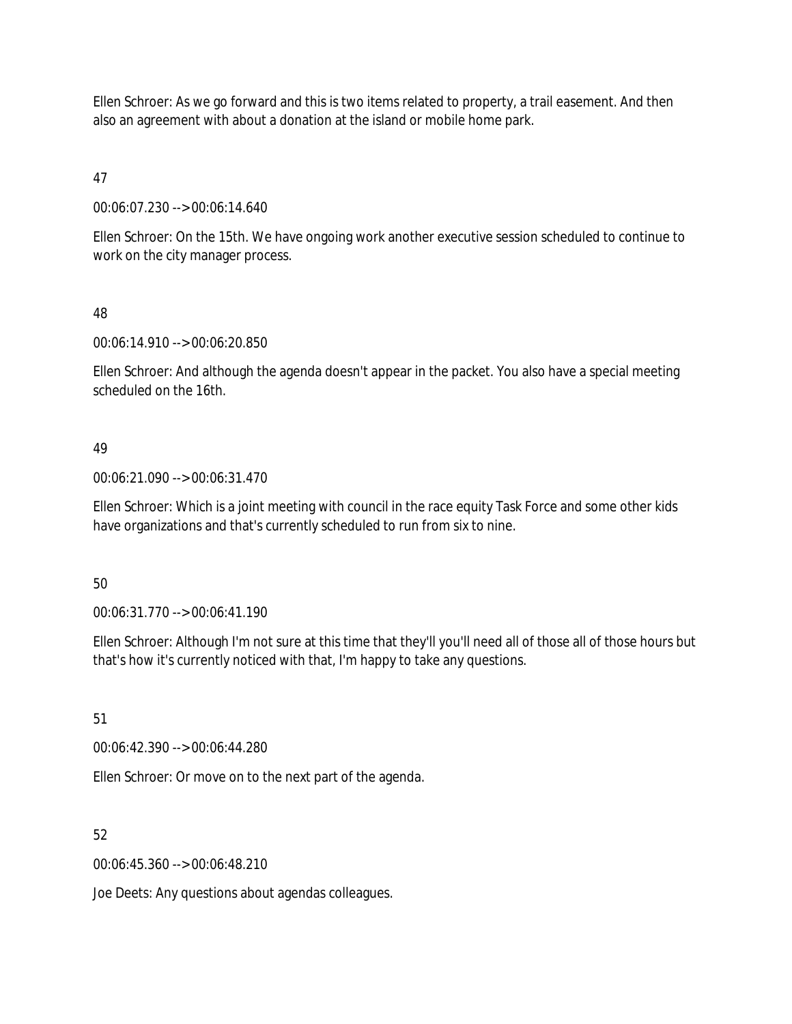Ellen Schroer: As we go forward and this is two items related to property, a trail easement. And then also an agreement with about a donation at the island or mobile home park.

47

00:06:07.230 --> 00:06:14.640

Ellen Schroer: On the 15th. We have ongoing work another executive session scheduled to continue to work on the city manager process.

### 48

00:06:14.910 --> 00:06:20.850

Ellen Schroer: And although the agenda doesn't appear in the packet. You also have a special meeting scheduled on the 16th.

## 49

00:06:21.090 --> 00:06:31.470

Ellen Schroer: Which is a joint meeting with council in the race equity Task Force and some other kids have organizations and that's currently scheduled to run from six to nine.

#### 50

00:06:31.770 --> 00:06:41.190

Ellen Schroer: Although I'm not sure at this time that they'll you'll need all of those all of those hours but that's how it's currently noticed with that, I'm happy to take any questions.

#### 51

00:06:42.390 --> 00:06:44.280

Ellen Schroer: Or move on to the next part of the agenda.

## 52

00:06:45.360 --> 00:06:48.210

Joe Deets: Any questions about agendas colleagues.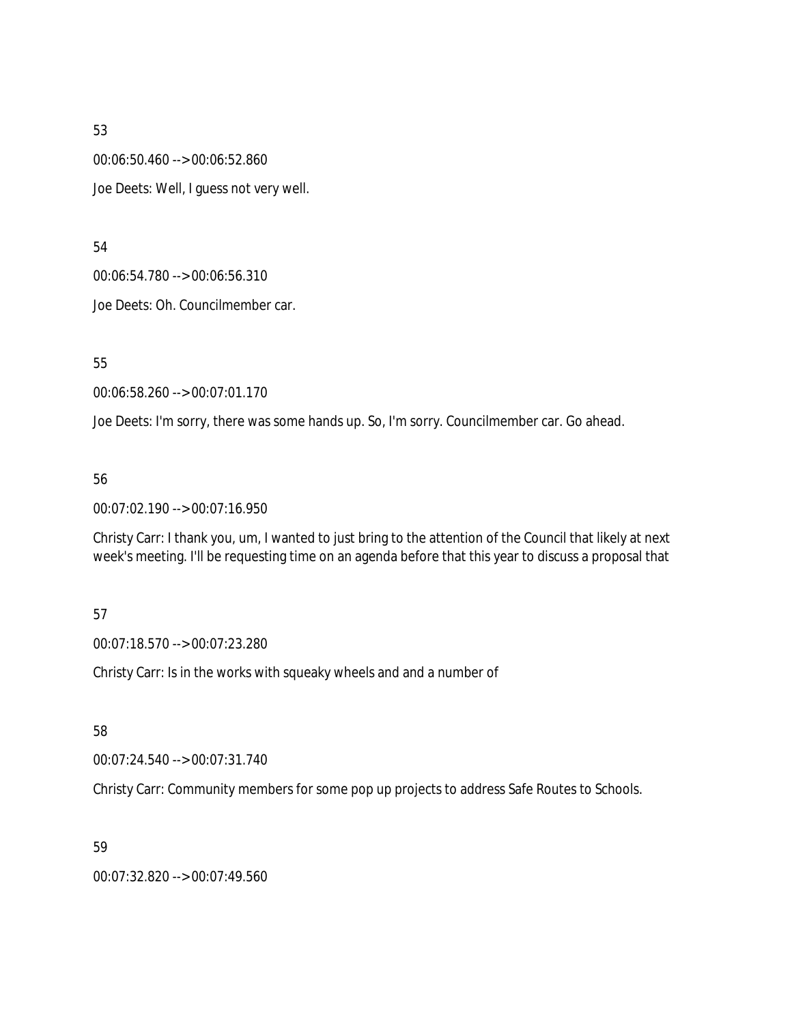00:06:50.460 --> 00:06:52.860 Joe Deets: Well, I guess not very well.

54

00:06:54.780 --> 00:06:56.310

Joe Deets: Oh. Councilmember car.

55

00:06:58.260 --> 00:07:01.170

Joe Deets: I'm sorry, there was some hands up. So, I'm sorry. Councilmember car. Go ahead.

### 56

00:07:02.190 --> 00:07:16.950

Christy Carr: I thank you, um, I wanted to just bring to the attention of the Council that likely at next week's meeting. I'll be requesting time on an agenda before that this year to discuss a proposal that

## 57

00:07:18.570 --> 00:07:23.280

Christy Carr: Is in the works with squeaky wheels and and a number of

58

00:07:24.540 --> 00:07:31.740

Christy Carr: Community members for some pop up projects to address Safe Routes to Schools.

#### 59

00:07:32.820 --> 00:07:49.560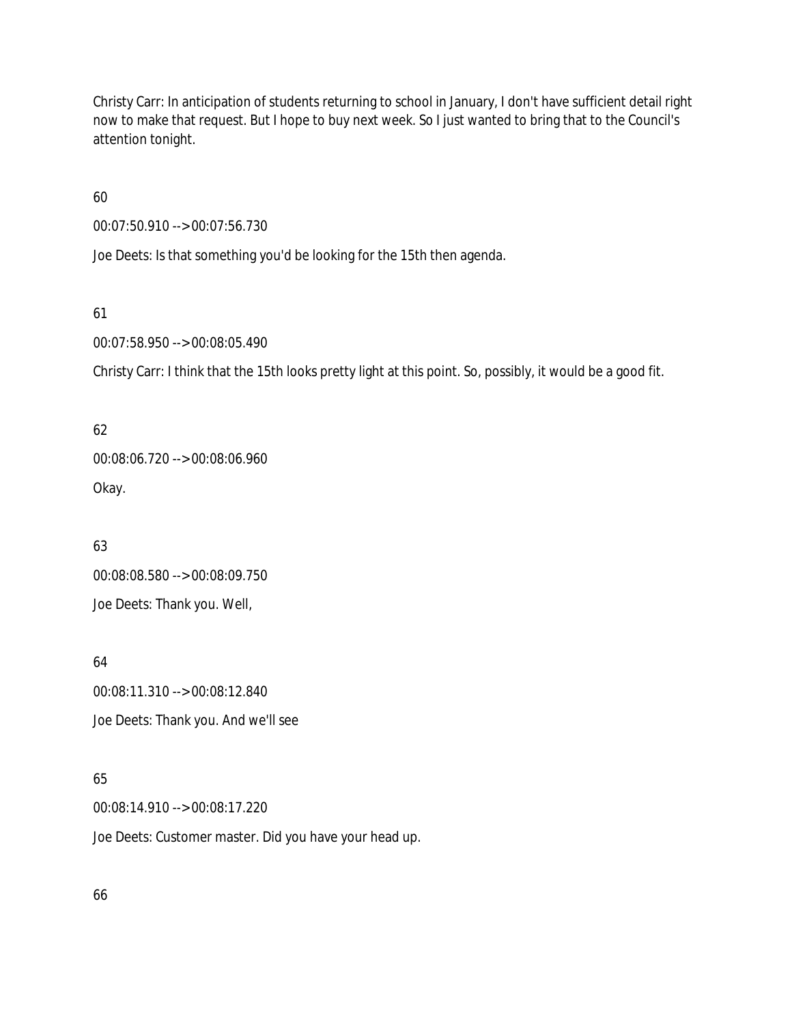Christy Carr: In anticipation of students returning to school in January, I don't have sufficient detail right now to make that request. But I hope to buy next week. So I just wanted to bring that to the Council's attention tonight.

60

00:07:50.910 --> 00:07:56.730

Joe Deets: Is that something you'd be looking for the 15th then agenda.

61

00:07:58.950 --> 00:08:05.490

Christy Carr: I think that the 15th looks pretty light at this point. So, possibly, it would be a good fit.

62 00:08:06.720 --> 00:08:06.960 Okay.

63 00:08:08.580 --> 00:08:09.750 Joe Deets: Thank you. Well,

64 00:08:11.310 --> 00:08:12.840 Joe Deets: Thank you. And we'll see

65

00:08:14.910 --> 00:08:17.220

Joe Deets: Customer master. Did you have your head up.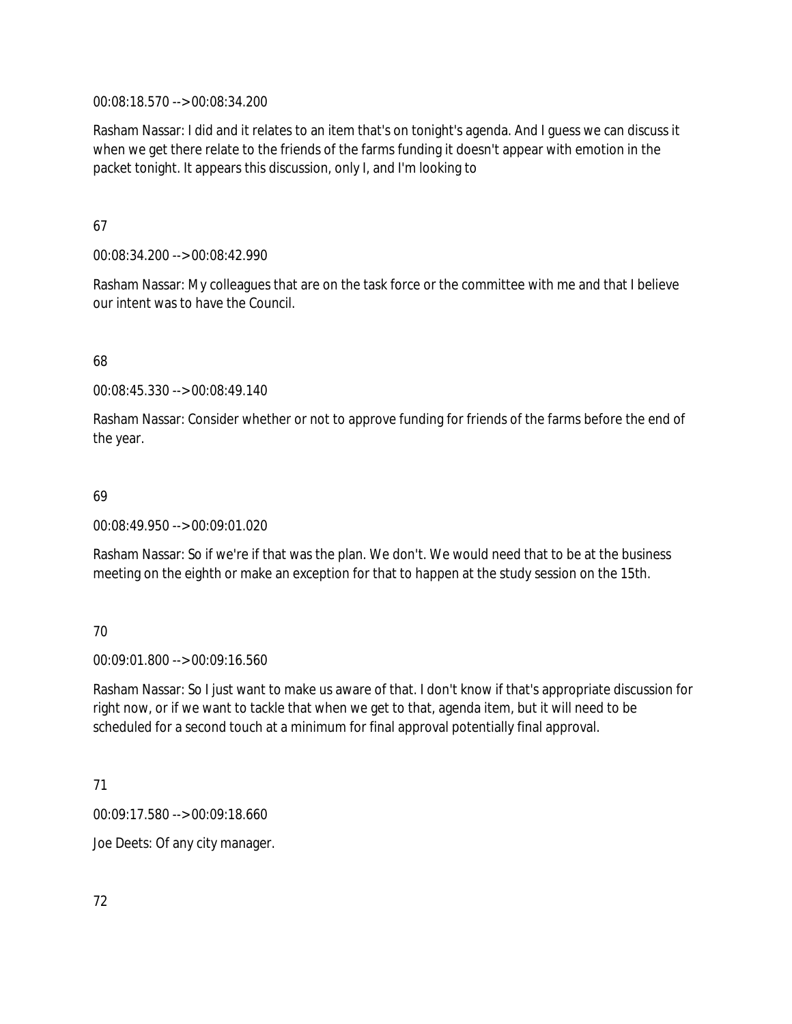00:08:18.570 --> 00:08:34.200

Rasham Nassar: I did and it relates to an item that's on tonight's agenda. And I guess we can discuss it when we get there relate to the friends of the farms funding it doesn't appear with emotion in the packet tonight. It appears this discussion, only I, and I'm looking to

67

00:08:34.200 --> 00:08:42.990

Rasham Nassar: My colleagues that are on the task force or the committee with me and that I believe our intent was to have the Council.

### 68

00:08:45.330 --> 00:08:49.140

Rasham Nassar: Consider whether or not to approve funding for friends of the farms before the end of the year.

#### 69

00:08:49.950 --> 00:09:01.020

Rasham Nassar: So if we're if that was the plan. We don't. We would need that to be at the business meeting on the eighth or make an exception for that to happen at the study session on the 15th.

#### 70

00:09:01.800 --> 00:09:16.560

Rasham Nassar: So I just want to make us aware of that. I don't know if that's appropriate discussion for right now, or if we want to tackle that when we get to that, agenda item, but it will need to be scheduled for a second touch at a minimum for final approval potentially final approval.

#### 71

00:09:17.580 --> 00:09:18.660

Joe Deets: Of any city manager.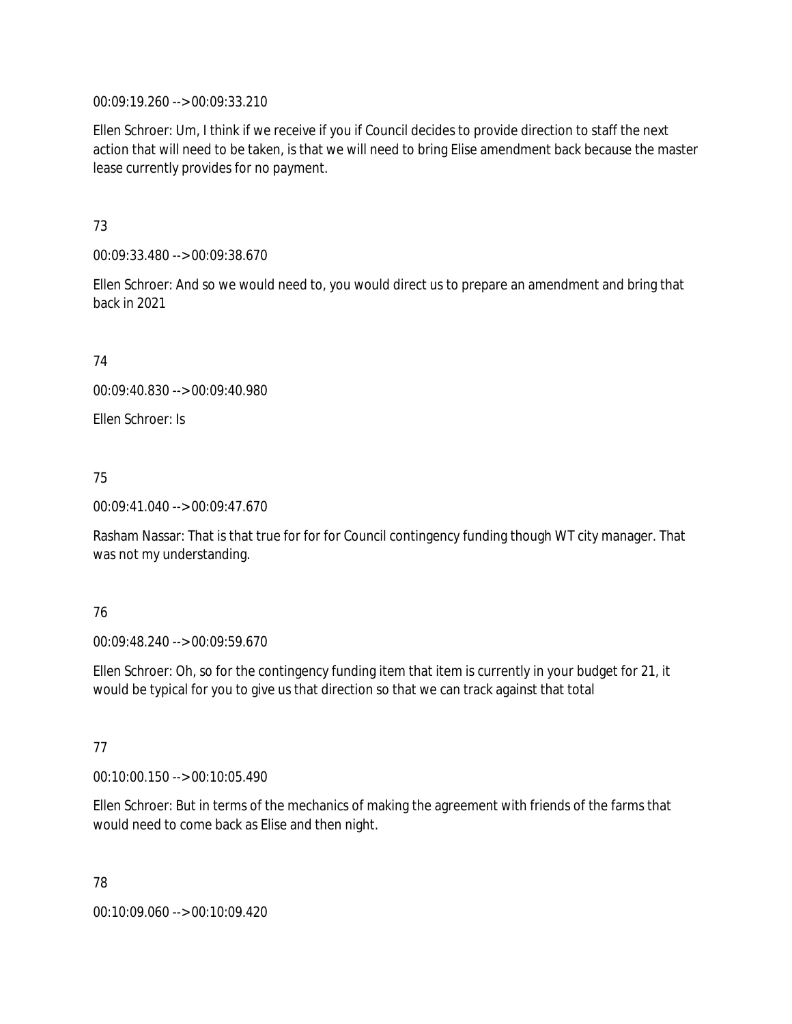00:09:19.260 --> 00:09:33.210

Ellen Schroer: Um, I think if we receive if you if Council decides to provide direction to staff the next action that will need to be taken, is that we will need to bring Elise amendment back because the master lease currently provides for no payment.

73

00:09:33.480 --> 00:09:38.670

Ellen Schroer: And so we would need to, you would direct us to prepare an amendment and bring that back in 2021

74

00:09:40.830 --> 00:09:40.980

Ellen Schroer: Is

75

00:09:41.040 --> 00:09:47.670

Rasham Nassar: That is that true for for for Council contingency funding though WT city manager. That was not my understanding.

## 76

00:09:48.240 --> 00:09:59.670

Ellen Schroer: Oh, so for the contingency funding item that item is currently in your budget for 21, it would be typical for you to give us that direction so that we can track against that total

## 77

00:10:00.150 --> 00:10:05.490

Ellen Schroer: But in terms of the mechanics of making the agreement with friends of the farms that would need to come back as Elise and then night.

78 00:10:09.060 --> 00:10:09.420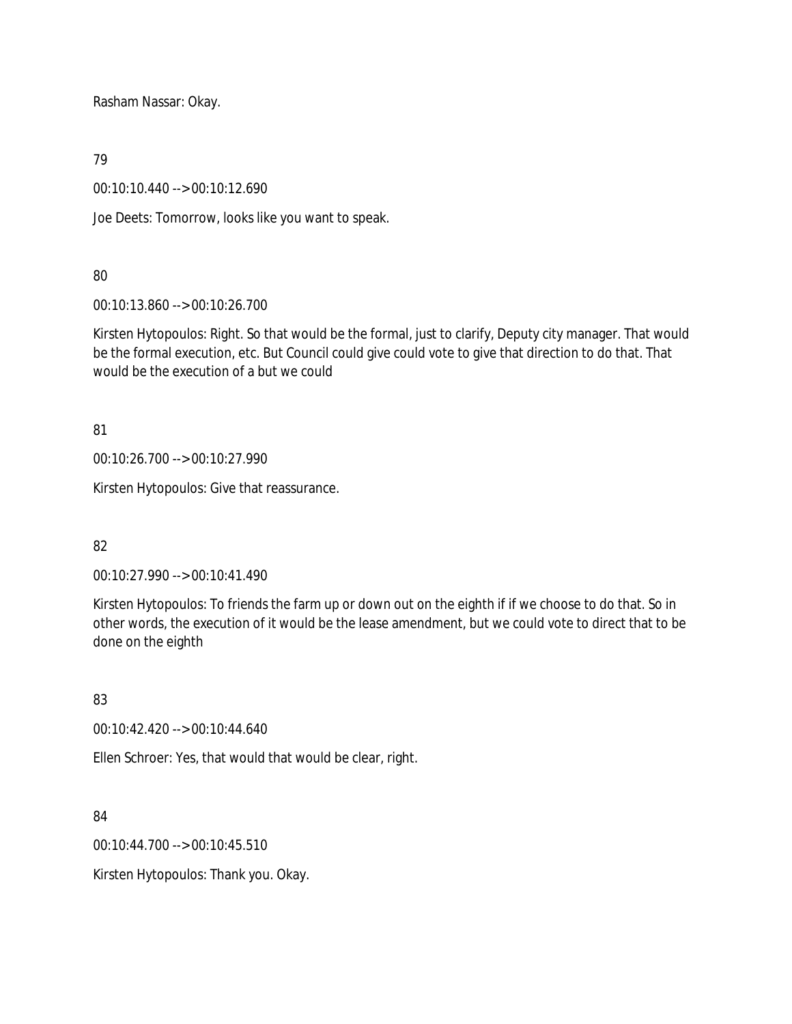Rasham Nassar: Okay.

79

00:10:10.440 --> 00:10:12.690

Joe Deets: Tomorrow, looks like you want to speak.

# 80

00:10:13.860 --> 00:10:26.700

Kirsten Hytopoulos: Right. So that would be the formal, just to clarify, Deputy city manager. That would be the formal execution, etc. But Council could give could vote to give that direction to do that. That would be the execution of a but we could

81

00:10:26.700 --> 00:10:27.990

Kirsten Hytopoulos: Give that reassurance.

## 82

00:10:27.990 --> 00:10:41.490

Kirsten Hytopoulos: To friends the farm up or down out on the eighth if if we choose to do that. So in other words, the execution of it would be the lease amendment, but we could vote to direct that to be done on the eighth

# 83

00:10:42.420 --> 00:10:44.640

Ellen Schroer: Yes, that would that would be clear, right.

84

00:10:44.700 --> 00:10:45.510

Kirsten Hytopoulos: Thank you. Okay.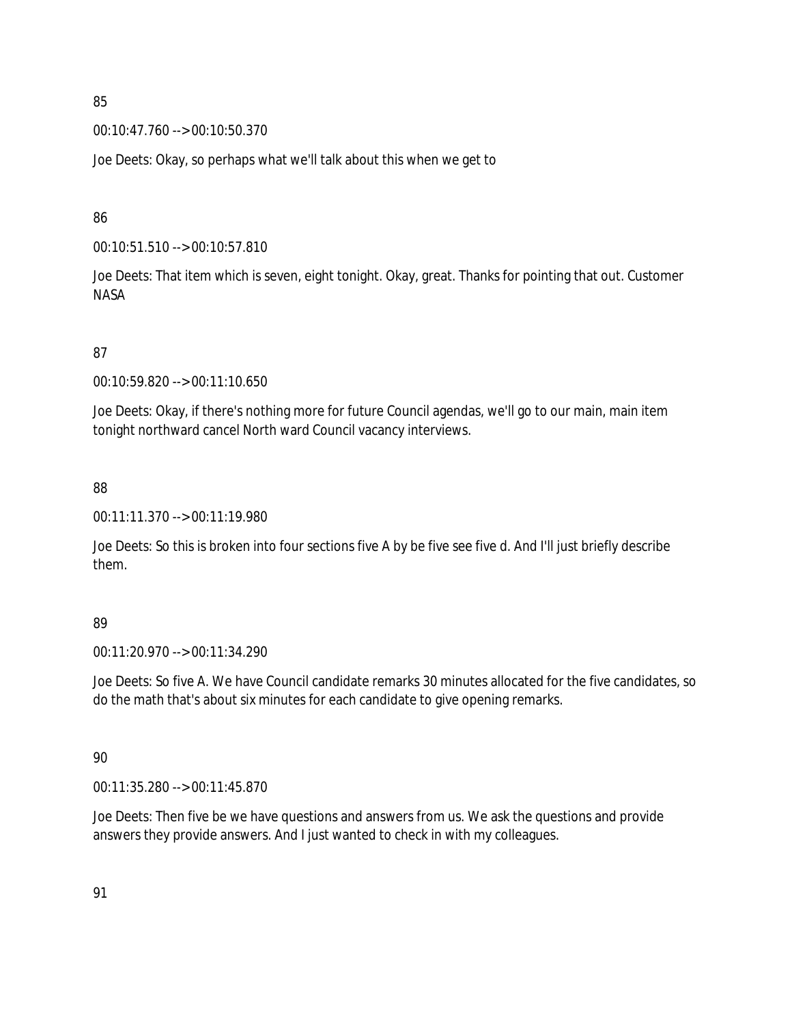00:10:47.760 --> 00:10:50.370

Joe Deets: Okay, so perhaps what we'll talk about this when we get to

86

00:10:51.510 --> 00:10:57.810

Joe Deets: That item which is seven, eight tonight. Okay, great. Thanks for pointing that out. Customer NASA

87

00:10:59.820 --> 00:11:10.650

Joe Deets: Okay, if there's nothing more for future Council agendas, we'll go to our main, main item tonight northward cancel North ward Council vacancy interviews.

88

00:11:11.370 --> 00:11:19.980

Joe Deets: So this is broken into four sections five A by be five see five d. And I'll just briefly describe them.

#### 89

00:11:20.970 --> 00:11:34.290

Joe Deets: So five A. We have Council candidate remarks 30 minutes allocated for the five candidates, so do the math that's about six minutes for each candidate to give opening remarks.

90

00:11:35.280 --> 00:11:45.870

Joe Deets: Then five be we have questions and answers from us. We ask the questions and provide answers they provide answers. And I just wanted to check in with my colleagues.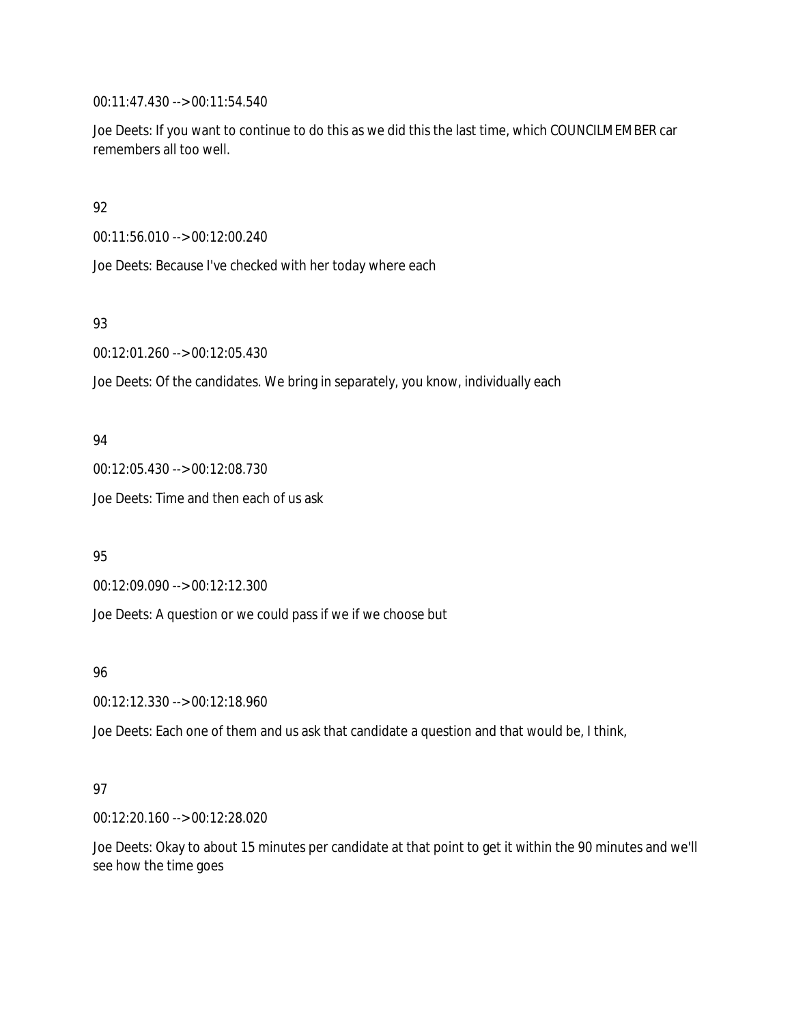00:11:47.430 --> 00:11:54.540

Joe Deets: If you want to continue to do this as we did this the last time, which COUNCILMEMBER car remembers all too well.

92

00:11:56.010 --> 00:12:00.240

Joe Deets: Because I've checked with her today where each

93

00:12:01.260 --> 00:12:05.430

Joe Deets: Of the candidates. We bring in separately, you know, individually each

### 94

00:12:05.430 --> 00:12:08.730

Joe Deets: Time and then each of us ask

95

00:12:09.090 --> 00:12:12.300

Joe Deets: A question or we could pass if we if we choose but

96

00:12:12.330 --> 00:12:18.960

Joe Deets: Each one of them and us ask that candidate a question and that would be, I think,

## 97

00:12:20.160 --> 00:12:28.020

Joe Deets: Okay to about 15 minutes per candidate at that point to get it within the 90 minutes and we'll see how the time goes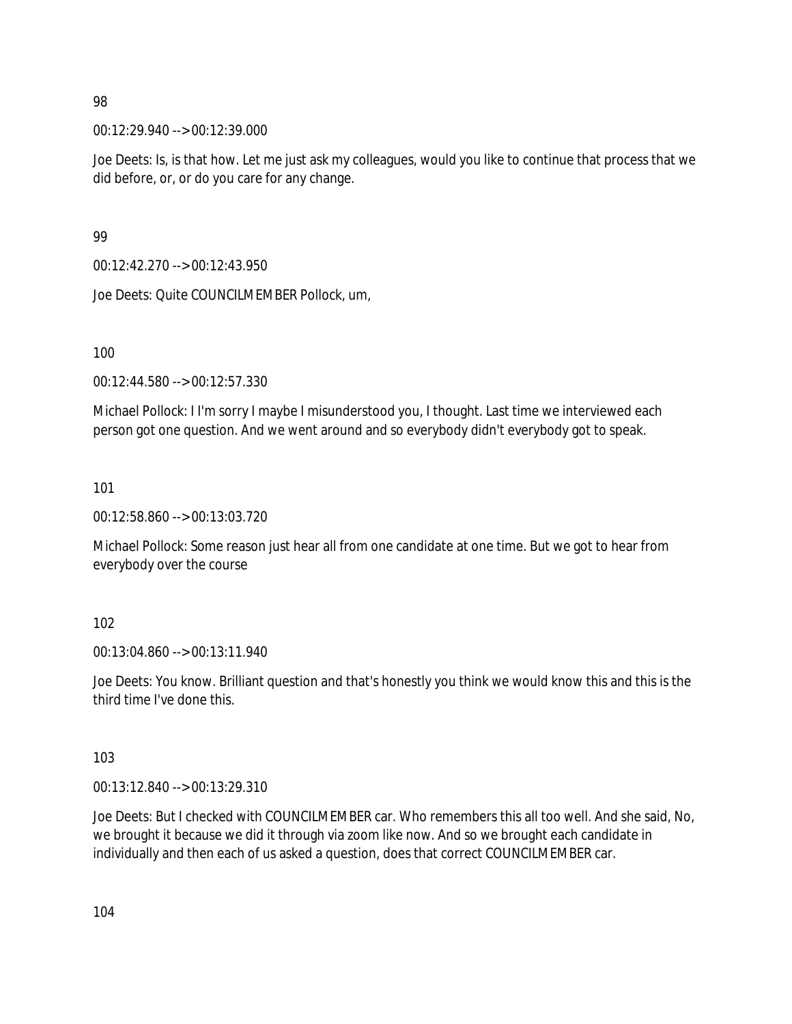00:12:29.940 --> 00:12:39.000

Joe Deets: Is, is that how. Let me just ask my colleagues, would you like to continue that process that we did before, or, or do you care for any change.

99

00:12:42.270 --> 00:12:43.950

Joe Deets: Quite COUNCILMEMBER Pollock, um,

100

00:12:44.580 --> 00:12:57.330

Michael Pollock: I I'm sorry I maybe I misunderstood you, I thought. Last time we interviewed each person got one question. And we went around and so everybody didn't everybody got to speak.

101

00:12:58.860 --> 00:13:03.720

Michael Pollock: Some reason just hear all from one candidate at one time. But we got to hear from everybody over the course

102

00:13:04.860 --> 00:13:11.940

Joe Deets: You know. Brilliant question and that's honestly you think we would know this and this is the third time I've done this.

103

00:13:12.840 --> 00:13:29.310

Joe Deets: But I checked with COUNCILMEMBER car. Who remembers this all too well. And she said, No, we brought it because we did it through via zoom like now. And so we brought each candidate in individually and then each of us asked a question, does that correct COUNCILMEMBER car.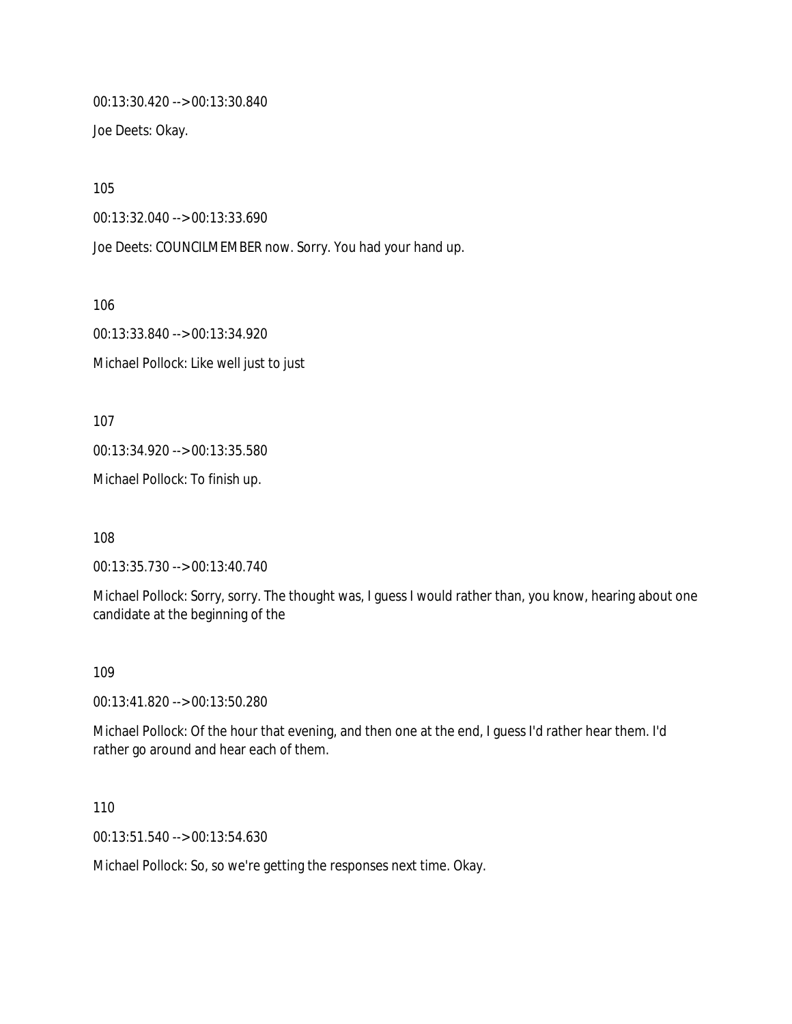00:13:30.420 --> 00:13:30.840

Joe Deets: Okay.

105

00:13:32.040 --> 00:13:33.690

Joe Deets: COUNCILMEMBER now. Sorry. You had your hand up.

106

00:13:33.840 --> 00:13:34.920 Michael Pollock: Like well just to just

107

00:13:34.920 --> 00:13:35.580

Michael Pollock: To finish up.

108

00:13:35.730 --> 00:13:40.740

Michael Pollock: Sorry, sorry. The thought was, I guess I would rather than, you know, hearing about one candidate at the beginning of the

#### 109

00:13:41.820 --> 00:13:50.280

Michael Pollock: Of the hour that evening, and then one at the end, I guess I'd rather hear them. I'd rather go around and hear each of them.

110

00:13:51.540 --> 00:13:54.630

Michael Pollock: So, so we're getting the responses next time. Okay.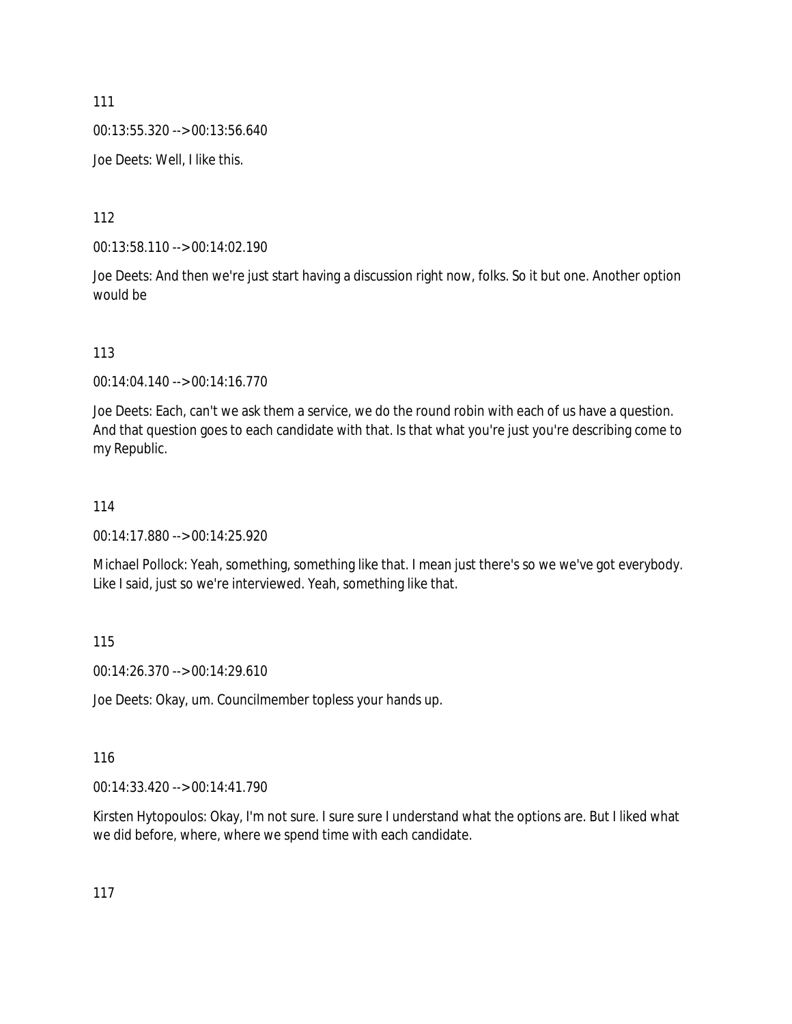00:13:55.320 --> 00:13:56.640

Joe Deets: Well, I like this.

112

00:13:58.110 --> 00:14:02.190

Joe Deets: And then we're just start having a discussion right now, folks. So it but one. Another option would be

113

00:14:04.140 --> 00:14:16.770

Joe Deets: Each, can't we ask them a service, we do the round robin with each of us have a question. And that question goes to each candidate with that. Is that what you're just you're describing come to my Republic.

#### 114

00:14:17.880 --> 00:14:25.920

Michael Pollock: Yeah, something, something like that. I mean just there's so we we've got everybody. Like I said, just so we're interviewed. Yeah, something like that.

115

00:14:26.370 --> 00:14:29.610

Joe Deets: Okay, um. Councilmember topless your hands up.

116

00:14:33.420 --> 00:14:41.790

Kirsten Hytopoulos: Okay, I'm not sure. I sure sure I understand what the options are. But I liked what we did before, where, where we spend time with each candidate.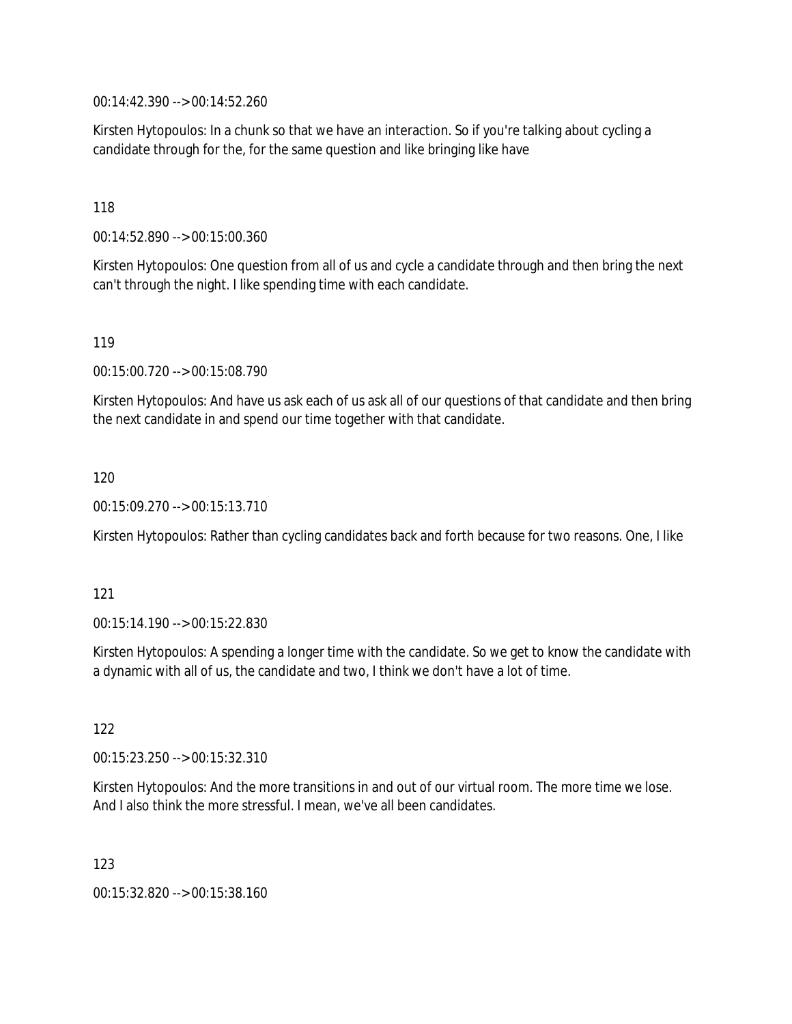00:14:42.390 --> 00:14:52.260

Kirsten Hytopoulos: In a chunk so that we have an interaction. So if you're talking about cycling a candidate through for the, for the same question and like bringing like have

118

00:14:52.890 --> 00:15:00.360

Kirsten Hytopoulos: One question from all of us and cycle a candidate through and then bring the next can't through the night. I like spending time with each candidate.

119

00:15:00.720 --> 00:15:08.790

Kirsten Hytopoulos: And have us ask each of us ask all of our questions of that candidate and then bring the next candidate in and spend our time together with that candidate.

120

00:15:09.270 --> 00:15:13.710

Kirsten Hytopoulos: Rather than cycling candidates back and forth because for two reasons. One, I like

121

00:15:14.190 --> 00:15:22.830

Kirsten Hytopoulos: A spending a longer time with the candidate. So we get to know the candidate with a dynamic with all of us, the candidate and two, I think we don't have a lot of time.

122

00:15:23.250 --> 00:15:32.310

Kirsten Hytopoulos: And the more transitions in and out of our virtual room. The more time we lose. And I also think the more stressful. I mean, we've all been candidates.

123

00:15:32.820 --> 00:15:38.160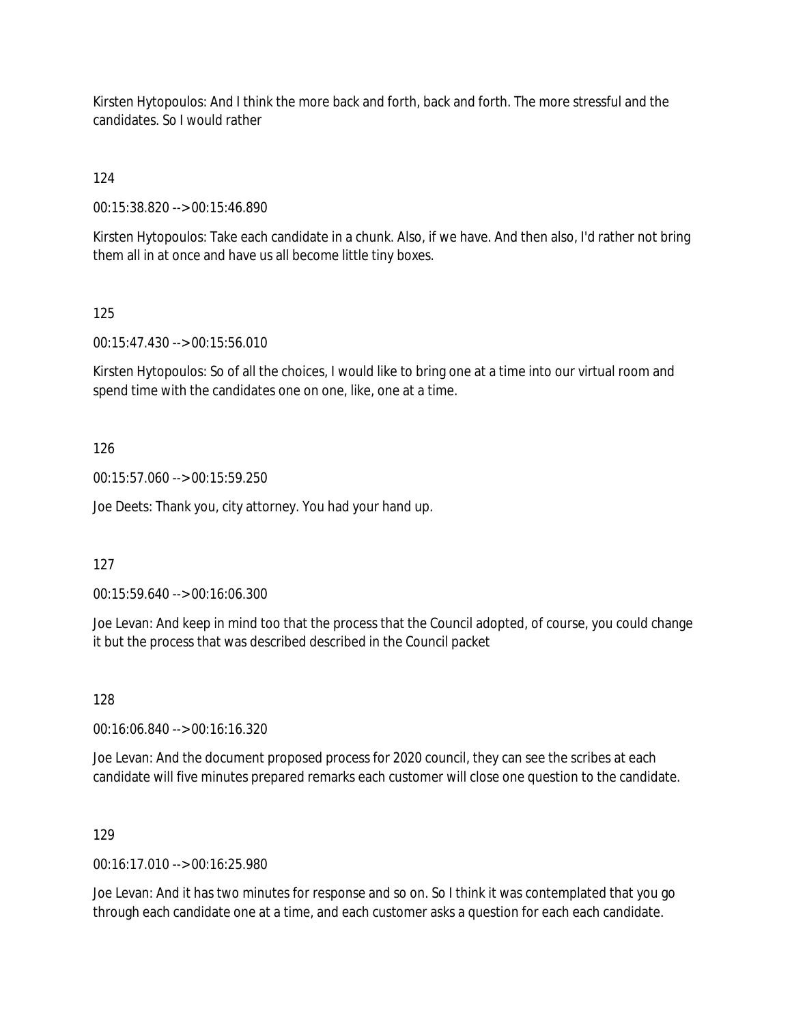Kirsten Hytopoulos: And I think the more back and forth, back and forth. The more stressful and the candidates. So I would rather

124

00:15:38.820 --> 00:15:46.890

Kirsten Hytopoulos: Take each candidate in a chunk. Also, if we have. And then also, I'd rather not bring them all in at once and have us all become little tiny boxes.

125

00:15:47.430 --> 00:15:56.010

Kirsten Hytopoulos: So of all the choices, I would like to bring one at a time into our virtual room and spend time with the candidates one on one, like, one at a time.

126

00:15:57.060 --> 00:15:59.250

Joe Deets: Thank you, city attorney. You had your hand up.

127

00:15:59.640 --> 00:16:06.300

Joe Levan: And keep in mind too that the process that the Council adopted, of course, you could change it but the process that was described described in the Council packet

128

00:16:06.840 --> 00:16:16.320

Joe Levan: And the document proposed process for 2020 council, they can see the scribes at each candidate will five minutes prepared remarks each customer will close one question to the candidate.

129

00:16:17.010 --> 00:16:25.980

Joe Levan: And it has two minutes for response and so on. So I think it was contemplated that you go through each candidate one at a time, and each customer asks a question for each each candidate.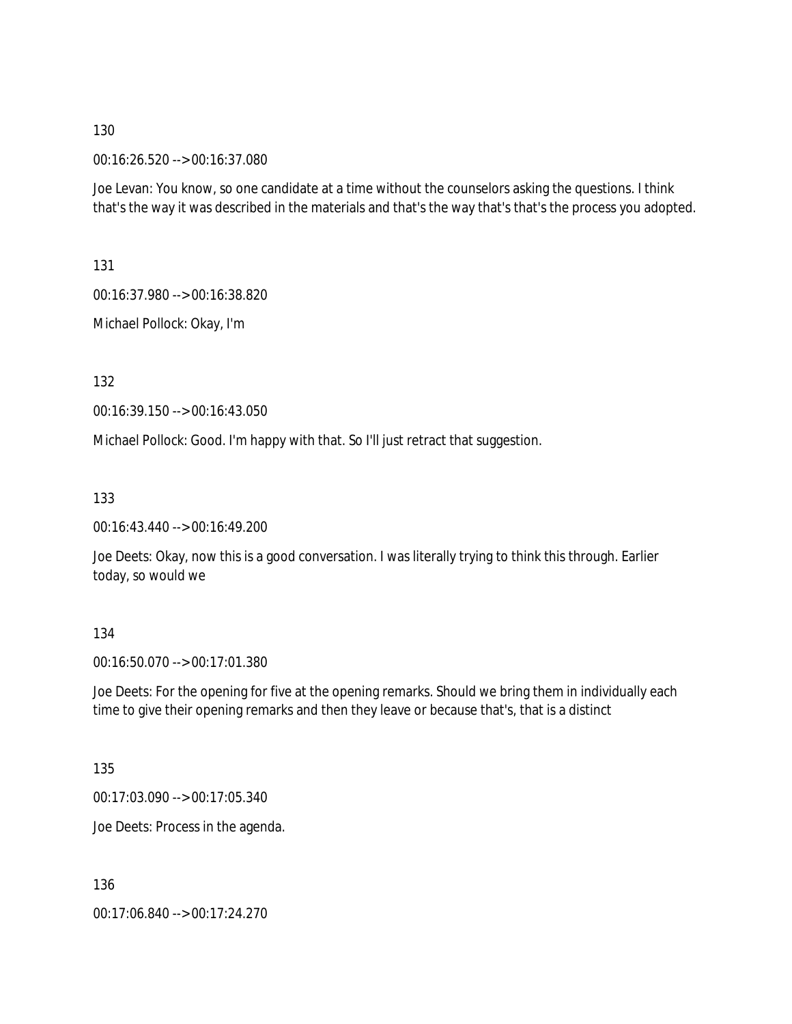#### 00:16:26.520 --> 00:16:37.080

Joe Levan: You know, so one candidate at a time without the counselors asking the questions. I think that's the way it was described in the materials and that's the way that's that's the process you adopted.

131

00:16:37.980 --> 00:16:38.820

Michael Pollock: Okay, I'm

132

00:16:39.150 --> 00:16:43.050

Michael Pollock: Good. I'm happy with that. So I'll just retract that suggestion.

133

00:16:43.440 --> 00:16:49.200

Joe Deets: Okay, now this is a good conversation. I was literally trying to think this through. Earlier today, so would we

#### 134

00:16:50.070 --> 00:17:01.380

Joe Deets: For the opening for five at the opening remarks. Should we bring them in individually each time to give their opening remarks and then they leave or because that's, that is a distinct

135

00:17:03.090 --> 00:17:05.340

Joe Deets: Process in the agenda.

136

00:17:06.840 --> 00:17:24.270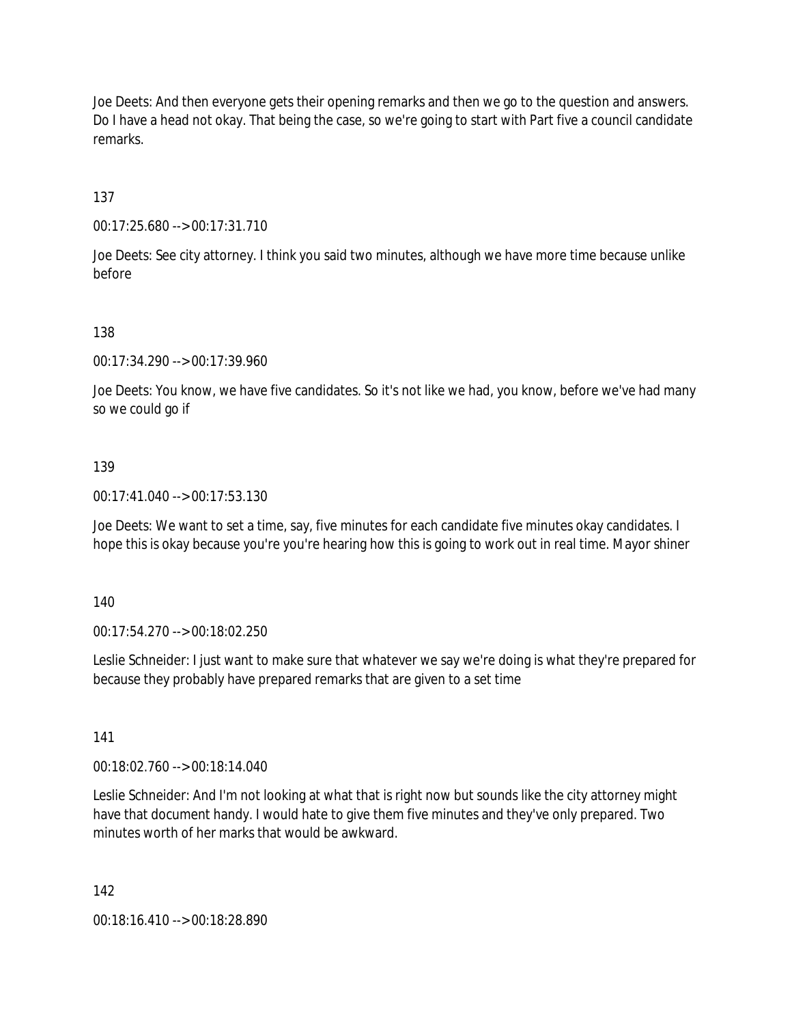Joe Deets: And then everyone gets their opening remarks and then we go to the question and answers. Do I have a head not okay. That being the case, so we're going to start with Part five a council candidate remarks.

137

00:17:25.680 --> 00:17:31.710

Joe Deets: See city attorney. I think you said two minutes, although we have more time because unlike before

138

00:17:34.290 --> 00:17:39.960

Joe Deets: You know, we have five candidates. So it's not like we had, you know, before we've had many so we could go if

139

00:17:41.040 --> 00:17:53.130

Joe Deets: We want to set a time, say, five minutes for each candidate five minutes okay candidates. I hope this is okay because you're you're hearing how this is going to work out in real time. Mayor shiner

140

00:17:54.270 --> 00:18:02.250

Leslie Schneider: I just want to make sure that whatever we say we're doing is what they're prepared for because they probably have prepared remarks that are given to a set time

141

00:18:02.760 --> 00:18:14.040

Leslie Schneider: And I'm not looking at what that is right now but sounds like the city attorney might have that document handy. I would hate to give them five minutes and they've only prepared. Two minutes worth of her marks that would be awkward.

142

00:18:16.410 --> 00:18:28.890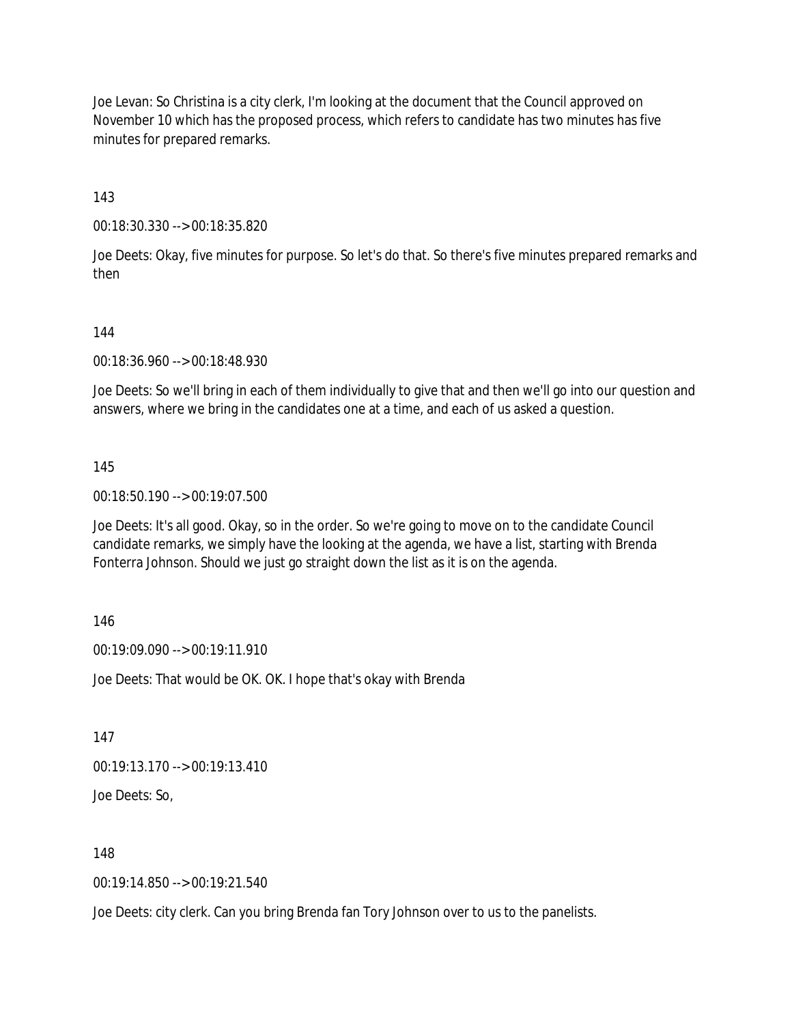Joe Levan: So Christina is a city clerk, I'm looking at the document that the Council approved on November 10 which has the proposed process, which refers to candidate has two minutes has five minutes for prepared remarks.

143

00:18:30.330 --> 00:18:35.820

Joe Deets: Okay, five minutes for purpose. So let's do that. So there's five minutes prepared remarks and then

144

00:18:36.960 --> 00:18:48.930

Joe Deets: So we'll bring in each of them individually to give that and then we'll go into our question and answers, where we bring in the candidates one at a time, and each of us asked a question.

145

00:18:50.190 --> 00:19:07.500

Joe Deets: It's all good. Okay, so in the order. So we're going to move on to the candidate Council candidate remarks, we simply have the looking at the agenda, we have a list, starting with Brenda Fonterra Johnson. Should we just go straight down the list as it is on the agenda.

146

00:19:09.090 --> 00:19:11.910

Joe Deets: That would be OK. OK. I hope that's okay with Brenda

147

00:19:13.170 --> 00:19:13.410

Joe Deets: So,

148

00:19:14.850 --> 00:19:21.540

Joe Deets: city clerk. Can you bring Brenda fan Tory Johnson over to us to the panelists.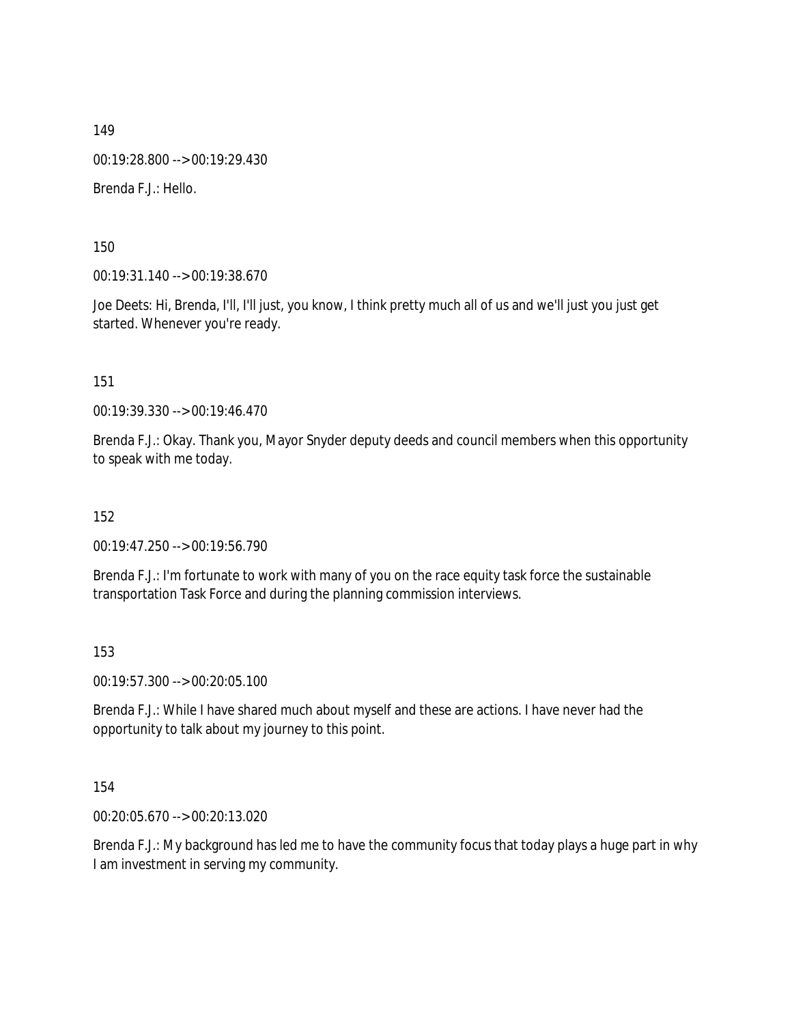149 00:19:28.800 --> 00:19:29.430 Brenda F.J.: Hello.

150

00:19:31.140 --> 00:19:38.670

Joe Deets: Hi, Brenda, I'll, I'll just, you know, I think pretty much all of us and we'll just you just get started. Whenever you're ready.

151

00:19:39.330 --> 00:19:46.470

Brenda F.J.: Okay. Thank you, Mayor Snyder deputy deeds and council members when this opportunity to speak with me today.

152

00:19:47.250 --> 00:19:56.790

Brenda F.J.: I'm fortunate to work with many of you on the race equity task force the sustainable transportation Task Force and during the planning commission interviews.

153

00:19:57.300 --> 00:20:05.100

Brenda F.J.: While I have shared much about myself and these are actions. I have never had the opportunity to talk about my journey to this point.

154

00:20:05.670 --> 00:20:13.020

Brenda F.J.: My background has led me to have the community focus that today plays a huge part in why I am investment in serving my community.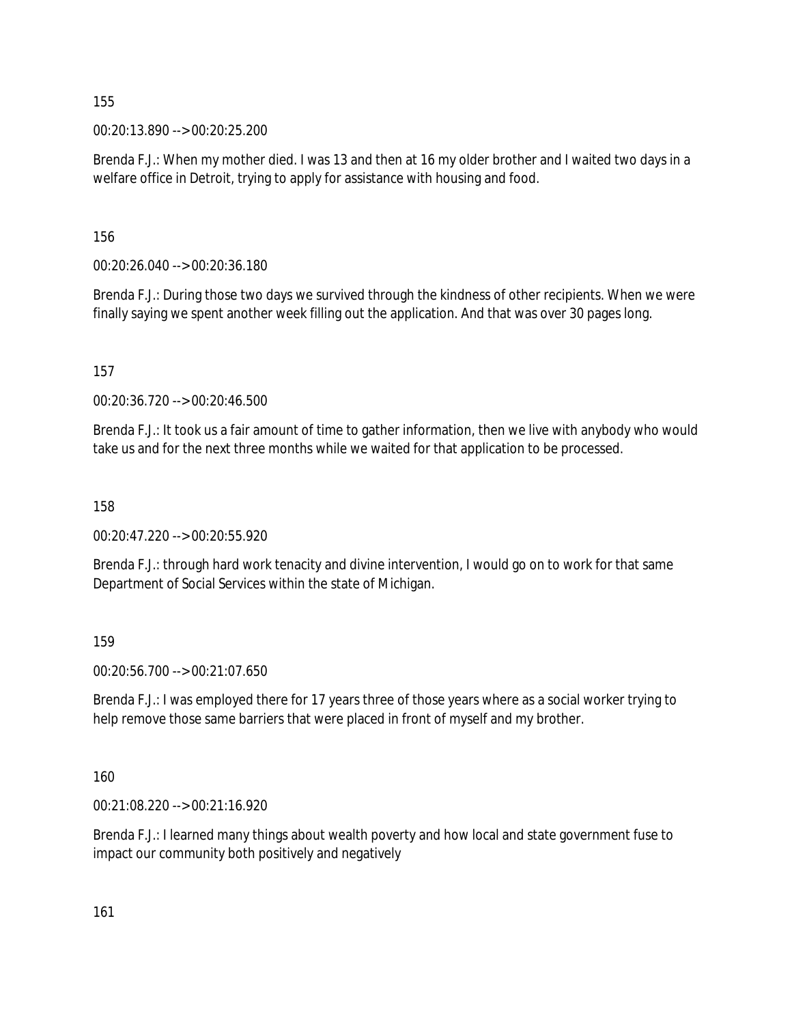00:20:13.890 --> 00:20:25.200

Brenda F.J.: When my mother died. I was 13 and then at 16 my older brother and I waited two days in a welfare office in Detroit, trying to apply for assistance with housing and food.

156

00:20:26.040 --> 00:20:36.180

Brenda F.J.: During those two days we survived through the kindness of other recipients. When we were finally saying we spent another week filling out the application. And that was over 30 pages long.

157

00:20:36.720 --> 00:20:46.500

Brenda F.J.: It took us a fair amount of time to gather information, then we live with anybody who would take us and for the next three months while we waited for that application to be processed.

158

00:20:47.220 --> 00:20:55.920

Brenda F.J.: through hard work tenacity and divine intervention, I would go on to work for that same Department of Social Services within the state of Michigan.

159

00:20:56.700 --> 00:21:07.650

Brenda F.J.: I was employed there for 17 years three of those years where as a social worker trying to help remove those same barriers that were placed in front of myself and my brother.

160

00:21:08.220 --> 00:21:16.920

Brenda F.J.: I learned many things about wealth poverty and how local and state government fuse to impact our community both positively and negatively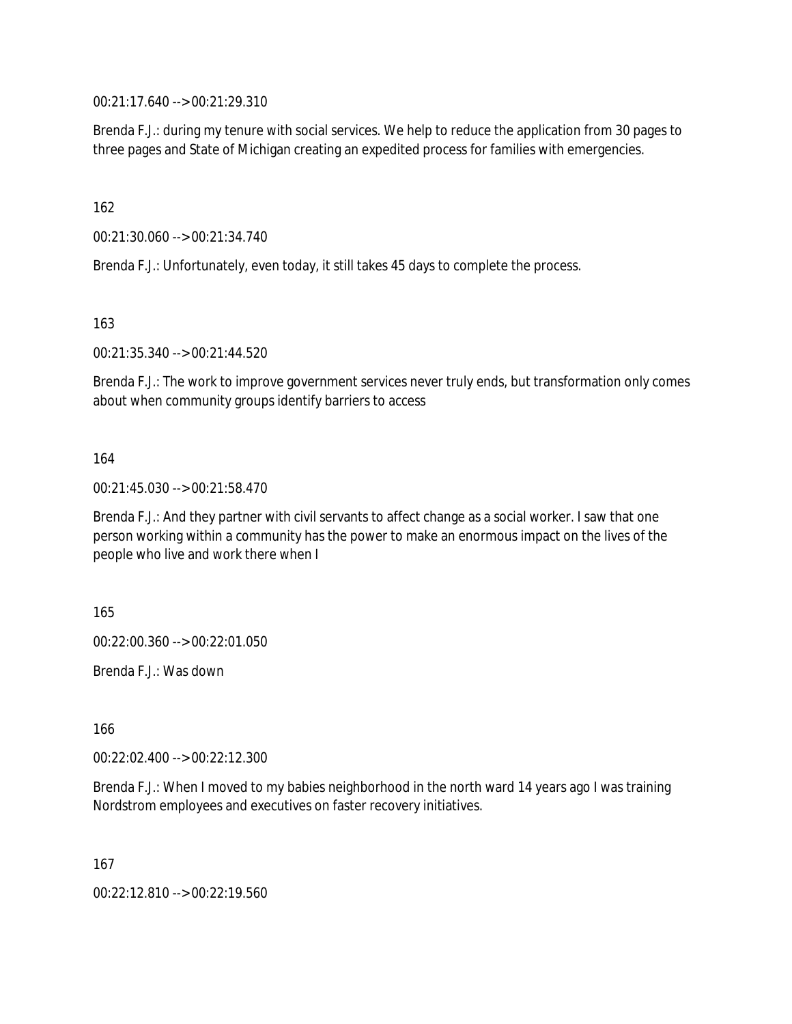00:21:17.640 --> 00:21:29.310

Brenda F.J.: during my tenure with social services. We help to reduce the application from 30 pages to three pages and State of Michigan creating an expedited process for families with emergencies.

162

00:21:30.060 --> 00:21:34.740

Brenda F.J.: Unfortunately, even today, it still takes 45 days to complete the process.

163

00:21:35.340 --> 00:21:44.520

Brenda F.J.: The work to improve government services never truly ends, but transformation only comes about when community groups identify barriers to access

164

00:21:45.030 --> 00:21:58.470

Brenda F.J.: And they partner with civil servants to affect change as a social worker. I saw that one person working within a community has the power to make an enormous impact on the lives of the people who live and work there when I

165

00:22:00.360 --> 00:22:01.050

Brenda F.J.: Was down

166

00:22:02.400 --> 00:22:12.300

Brenda F.J.: When I moved to my babies neighborhood in the north ward 14 years ago I was training Nordstrom employees and executives on faster recovery initiatives.

167

00:22:12.810 --> 00:22:19.560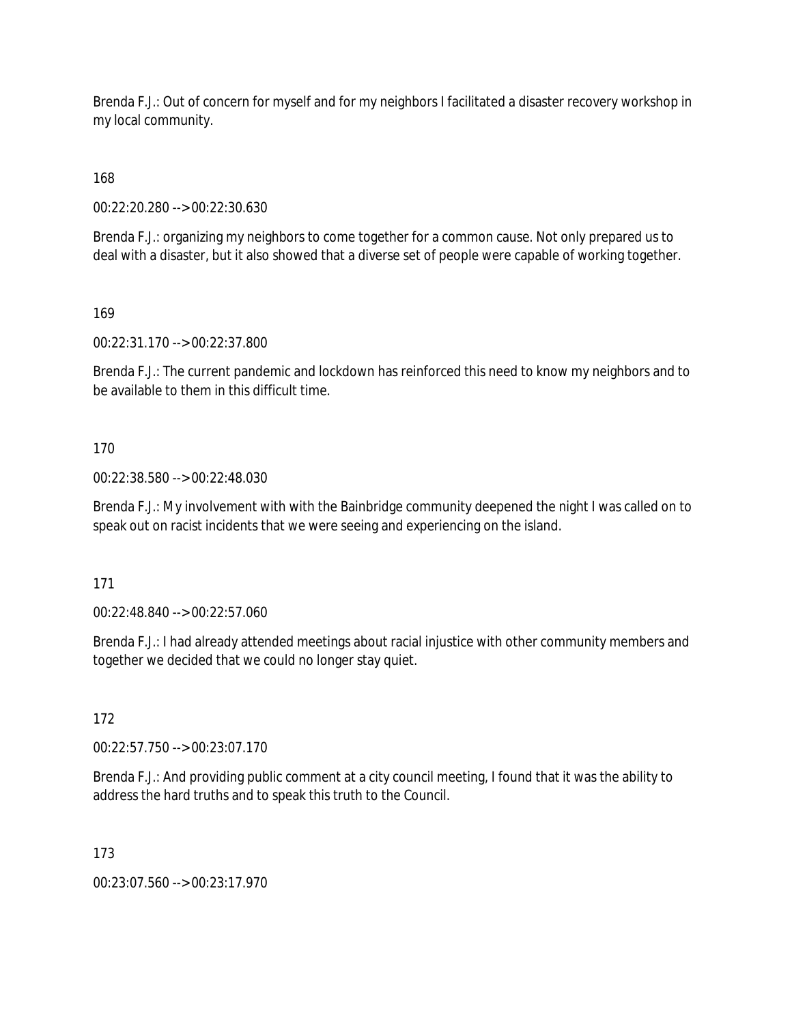Brenda F.J.: Out of concern for myself and for my neighbors I facilitated a disaster recovery workshop in my local community.

168

00:22:20.280 --> 00:22:30.630

Brenda F.J.: organizing my neighbors to come together for a common cause. Not only prepared us to deal with a disaster, but it also showed that a diverse set of people were capable of working together.

169

00:22:31.170 --> 00:22:37.800

Brenda F.J.: The current pandemic and lockdown has reinforced this need to know my neighbors and to be available to them in this difficult time.

170

00:22:38.580 --> 00:22:48.030

Brenda F.J.: My involvement with with the Bainbridge community deepened the night I was called on to speak out on racist incidents that we were seeing and experiencing on the island.

171

00:22:48.840 --> 00:22:57.060

Brenda F.J.: I had already attended meetings about racial injustice with other community members and together we decided that we could no longer stay quiet.

172

00:22:57.750 --> 00:23:07.170

Brenda F.J.: And providing public comment at a city council meeting, I found that it was the ability to address the hard truths and to speak this truth to the Council.

173

00:23:07.560 --> 00:23:17.970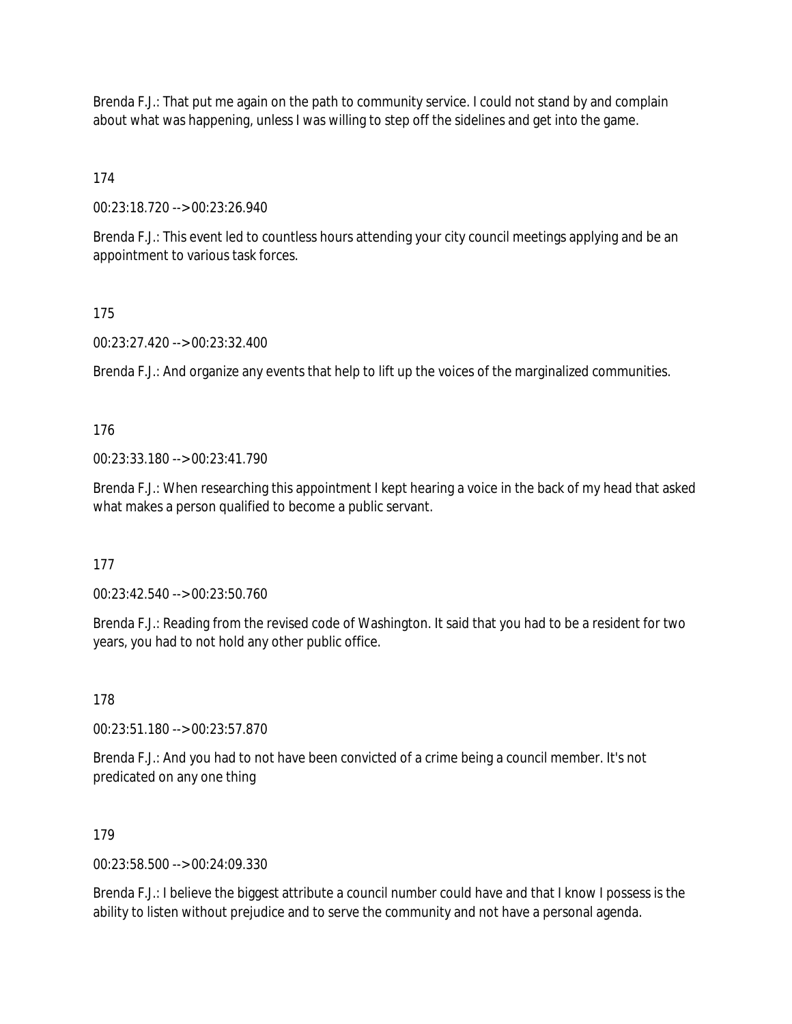Brenda F.J.: That put me again on the path to community service. I could not stand by and complain about what was happening, unless I was willing to step off the sidelines and get into the game.

174

00:23:18.720 --> 00:23:26.940

Brenda F.J.: This event led to countless hours attending your city council meetings applying and be an appointment to various task forces.

### 175

00:23:27.420 --> 00:23:32.400

Brenda F.J.: And organize any events that help to lift up the voices of the marginalized communities.

176

00:23:33.180 --> 00:23:41.790

Brenda F.J.: When researching this appointment I kept hearing a voice in the back of my head that asked what makes a person qualified to become a public servant.

177

00:23:42.540 --> 00:23:50.760

Brenda F.J.: Reading from the revised code of Washington. It said that you had to be a resident for two years, you had to not hold any other public office.

178

00:23:51.180 --> 00:23:57.870

Brenda F.J.: And you had to not have been convicted of a crime being a council member. It's not predicated on any one thing

#### 179

00:23:58.500 --> 00:24:09.330

Brenda F.J.: I believe the biggest attribute a council number could have and that I know I possess is the ability to listen without prejudice and to serve the community and not have a personal agenda.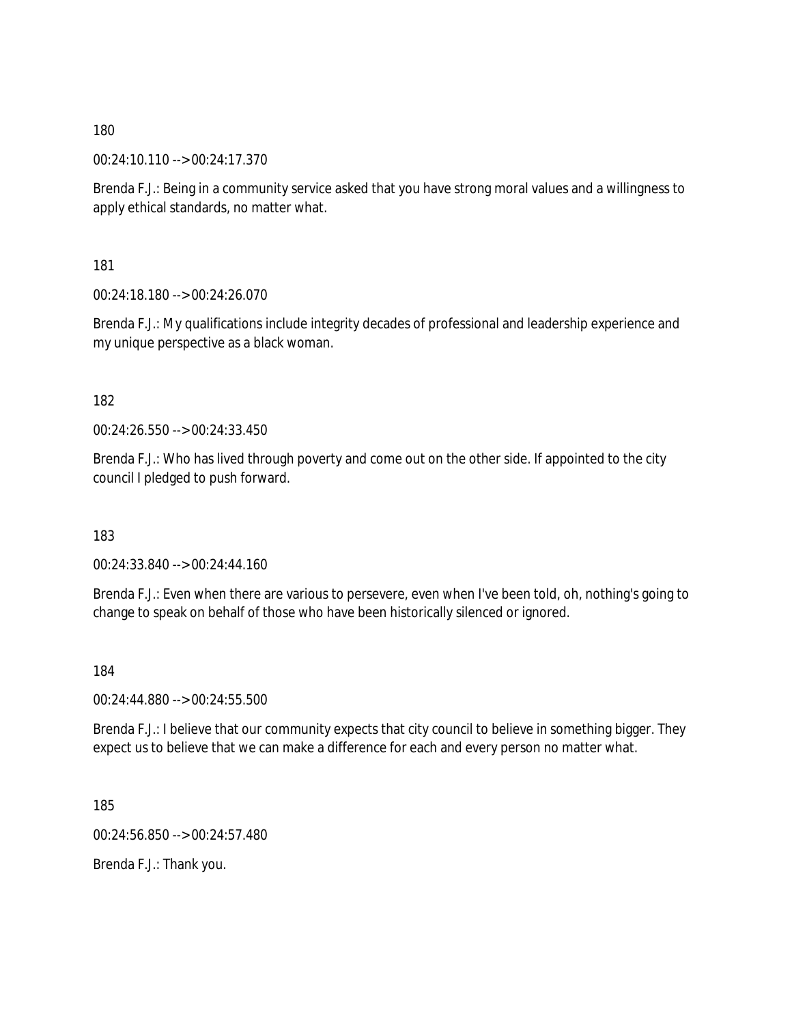00:24:10.110 --> 00:24:17.370

Brenda F.J.: Being in a community service asked that you have strong moral values and a willingness to apply ethical standards, no matter what.

181

00:24:18.180 --> 00:24:26.070

Brenda F.J.: My qualifications include integrity decades of professional and leadership experience and my unique perspective as a black woman.

#### 182

00:24:26.550 --> 00:24:33.450

Brenda F.J.: Who has lived through poverty and come out on the other side. If appointed to the city council I pledged to push forward.

183

00:24:33.840 --> 00:24:44.160

Brenda F.J.: Even when there are various to persevere, even when I've been told, oh, nothing's going to change to speak on behalf of those who have been historically silenced or ignored.

184

00:24:44.880 --> 00:24:55.500

Brenda F.J.: I believe that our community expects that city council to believe in something bigger. They expect us to believe that we can make a difference for each and every person no matter what.

185

00:24:56.850 --> 00:24:57.480

Brenda F.J.: Thank you.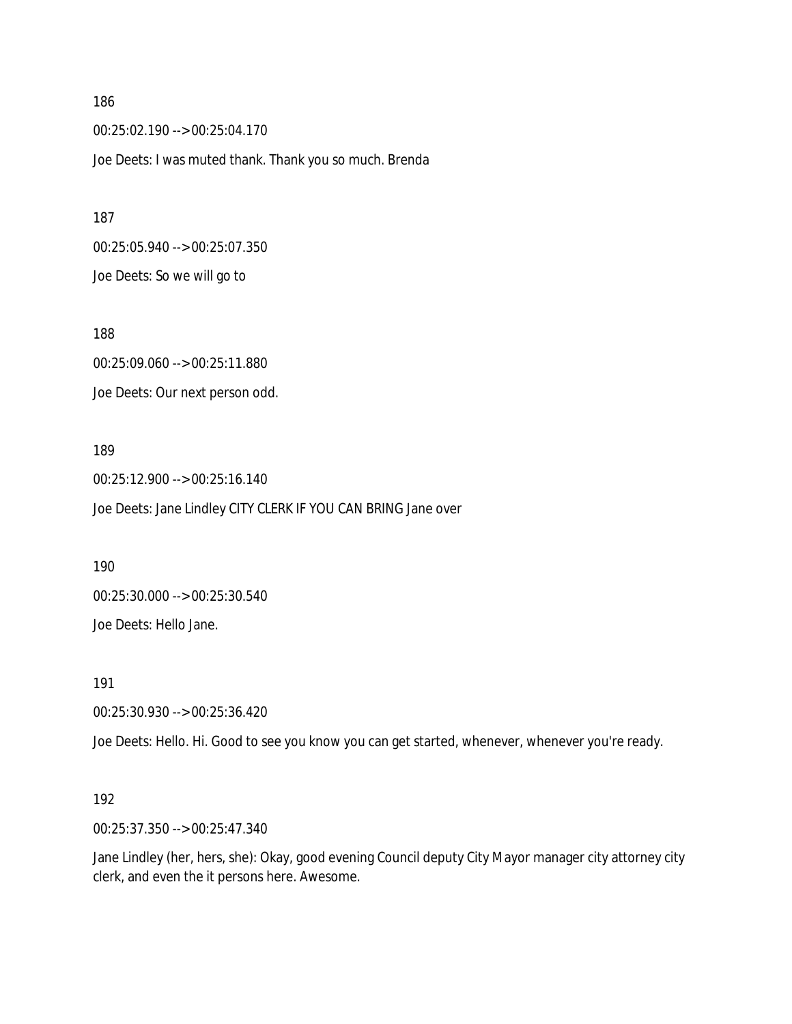00:25:02.190 --> 00:25:04.170 Joe Deets: I was muted thank. Thank you so much. Brenda

00:25:05.940 --> 00:25:07.350 Joe Deets: So we will go to

188 00:25:09.060 --> 00:25:11.880 Joe Deets: Our next person odd.

189 00:25:12.900 --> 00:25:16.140 Joe Deets: Jane Lindley CITY CLERK IF YOU CAN BRING Jane over

190 00:25:30.000 --> 00:25:30.540

Joe Deets: Hello Jane.

191

00:25:30.930 --> 00:25:36.420

Joe Deets: Hello. Hi. Good to see you know you can get started, whenever, whenever you're ready.

#### 192

00:25:37.350 --> 00:25:47.340

Jane Lindley (her, hers, she): Okay, good evening Council deputy City Mayor manager city attorney city clerk, and even the it persons here. Awesome.

186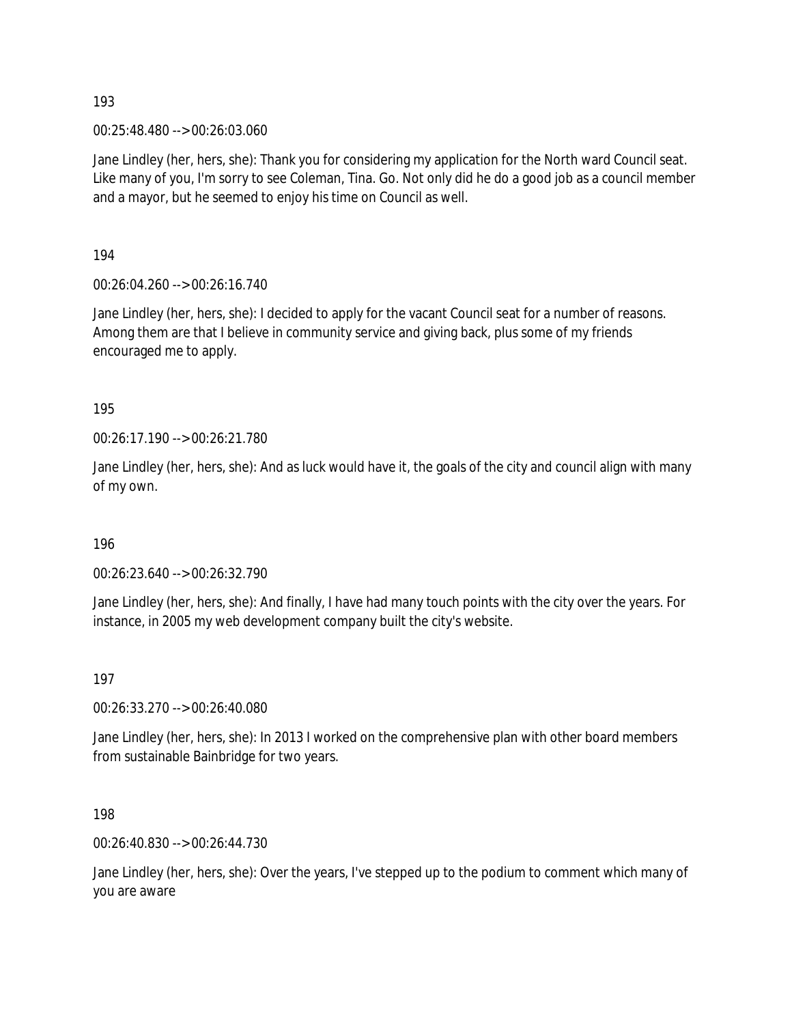00:25:48.480 --> 00:26:03.060

Jane Lindley (her, hers, she): Thank you for considering my application for the North ward Council seat. Like many of you, I'm sorry to see Coleman, Tina. Go. Not only did he do a good job as a council member and a mayor, but he seemed to enjoy his time on Council as well.

194

00:26:04.260 --> 00:26:16.740

Jane Lindley (her, hers, she): I decided to apply for the vacant Council seat for a number of reasons. Among them are that I believe in community service and giving back, plus some of my friends encouraged me to apply.

195

00:26:17.190 --> 00:26:21.780

Jane Lindley (her, hers, she): And as luck would have it, the goals of the city and council align with many of my own.

196

00:26:23.640 --> 00:26:32.790

Jane Lindley (her, hers, she): And finally, I have had many touch points with the city over the years. For instance, in 2005 my web development company built the city's website.

197

00:26:33.270 --> 00:26:40.080

Jane Lindley (her, hers, she): In 2013 I worked on the comprehensive plan with other board members from sustainable Bainbridge for two years.

198

00:26:40.830 --> 00:26:44.730

Jane Lindley (her, hers, she): Over the years, I've stepped up to the podium to comment which many of you are aware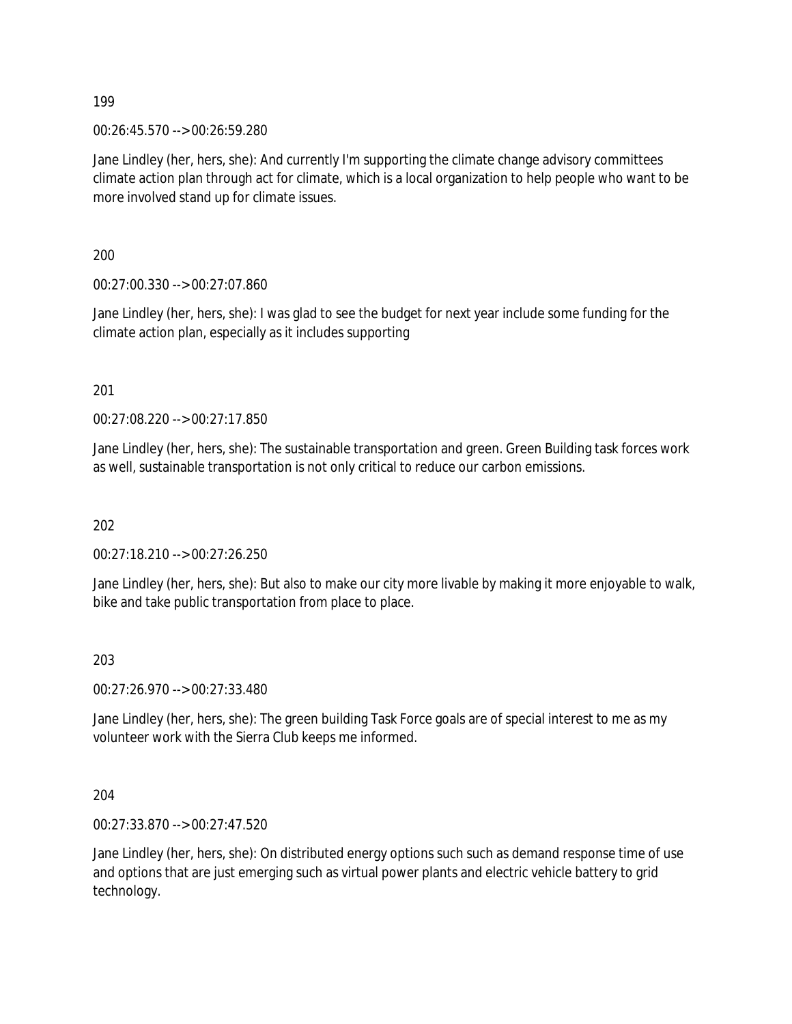00:26:45.570 --> 00:26:59.280

Jane Lindley (her, hers, she): And currently I'm supporting the climate change advisory committees climate action plan through act for climate, which is a local organization to help people who want to be more involved stand up for climate issues.

200

00:27:00.330 --> 00:27:07.860

Jane Lindley (her, hers, she): I was glad to see the budget for next year include some funding for the climate action plan, especially as it includes supporting

201

00:27:08.220 --> 00:27:17.850

Jane Lindley (her, hers, she): The sustainable transportation and green. Green Building task forces work as well, sustainable transportation is not only critical to reduce our carbon emissions.

202

00:27:18.210 --> 00:27:26.250

Jane Lindley (her, hers, she): But also to make our city more livable by making it more enjoyable to walk, bike and take public transportation from place to place.

#### 203

00:27:26.970 --> 00:27:33.480

Jane Lindley (her, hers, she): The green building Task Force goals are of special interest to me as my volunteer work with the Sierra Club keeps me informed.

204

00:27:33.870 --> 00:27:47.520

Jane Lindley (her, hers, she): On distributed energy options such such as demand response time of use and options that are just emerging such as virtual power plants and electric vehicle battery to grid technology.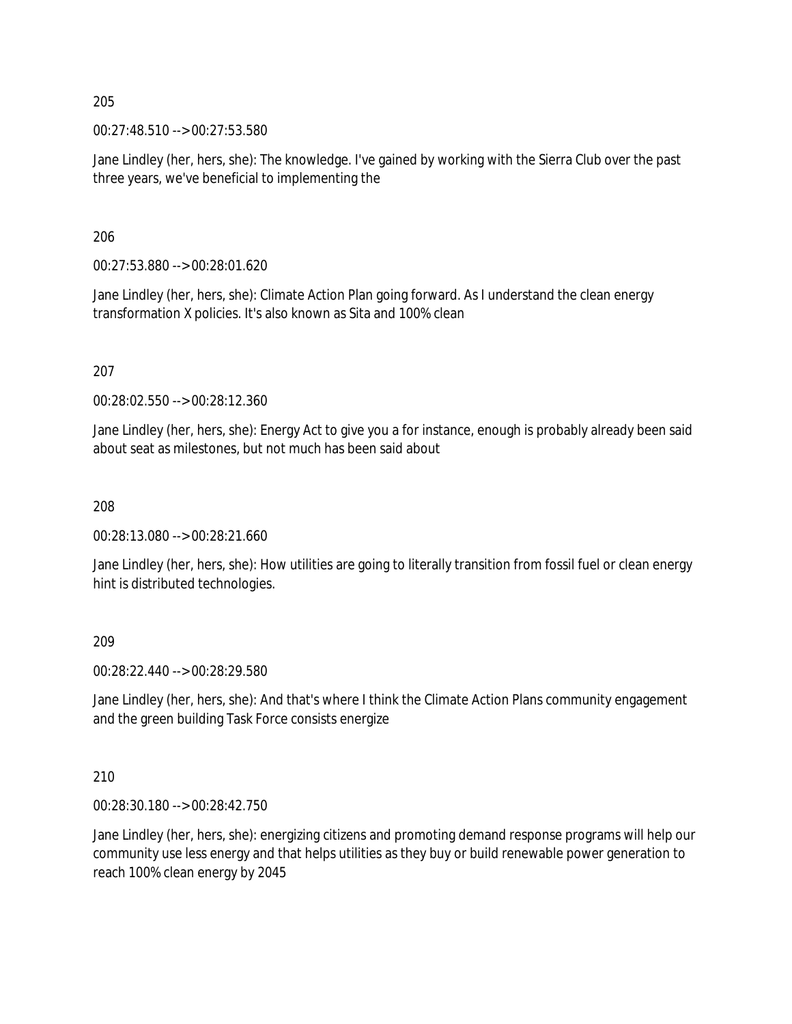00:27:48.510 --> 00:27:53.580

Jane Lindley (her, hers, she): The knowledge. I've gained by working with the Sierra Club over the past three years, we've beneficial to implementing the

206

00:27:53.880 --> 00:28:01.620

Jane Lindley (her, hers, she): Climate Action Plan going forward. As I understand the clean energy transformation X policies. It's also known as Sita and 100% clean

207

00:28:02.550 --> 00:28:12.360

Jane Lindley (her, hers, she): Energy Act to give you a for instance, enough is probably already been said about seat as milestones, but not much has been said about

208

00:28:13.080 --> 00:28:21.660

Jane Lindley (her, hers, she): How utilities are going to literally transition from fossil fuel or clean energy hint is distributed technologies.

209

00:28:22.440 --> 00:28:29.580

Jane Lindley (her, hers, she): And that's where I think the Climate Action Plans community engagement and the green building Task Force consists energize

210

00:28:30.180 --> 00:28:42.750

Jane Lindley (her, hers, she): energizing citizens and promoting demand response programs will help our community use less energy and that helps utilities as they buy or build renewable power generation to reach 100% clean energy by 2045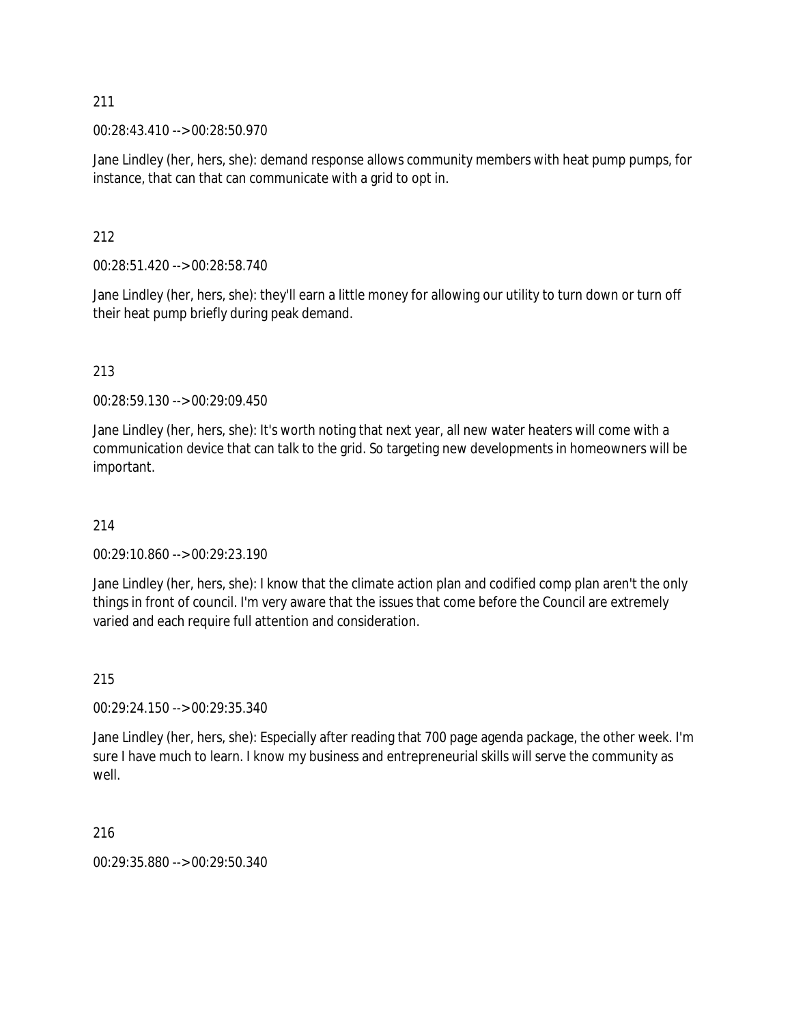00:28:43.410 --> 00:28:50.970

Jane Lindley (her, hers, she): demand response allows community members with heat pump pumps, for instance, that can that can communicate with a grid to opt in.

#### 212

00:28:51.420 --> 00:28:58.740

Jane Lindley (her, hers, she): they'll earn a little money for allowing our utility to turn down or turn off their heat pump briefly during peak demand.

### 213

00:28:59.130 --> 00:29:09.450

Jane Lindley (her, hers, she): It's worth noting that next year, all new water heaters will come with a communication device that can talk to the grid. So targeting new developments in homeowners will be important.

#### 214

00:29:10.860 --> 00:29:23.190

Jane Lindley (her, hers, she): I know that the climate action plan and codified comp plan aren't the only things in front of council. I'm very aware that the issues that come before the Council are extremely varied and each require full attention and consideration.

#### 215

00:29:24.150 --> 00:29:35.340

Jane Lindley (her, hers, she): Especially after reading that 700 page agenda package, the other week. I'm sure I have much to learn. I know my business and entrepreneurial skills will serve the community as well.

#### 216

00:29:35.880 --> 00:29:50.340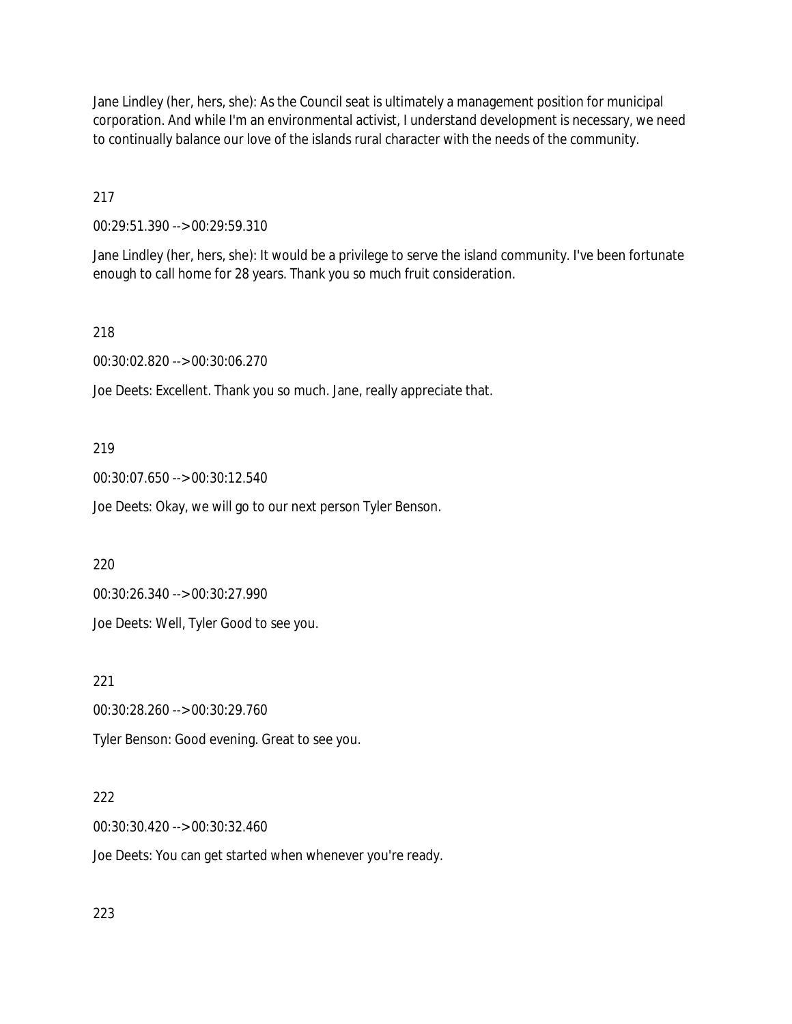Jane Lindley (her, hers, she): As the Council seat is ultimately a management position for municipal corporation. And while I'm an environmental activist, I understand development is necessary, we need to continually balance our love of the islands rural character with the needs of the community.

217

00:29:51.390 --> 00:29:59.310

Jane Lindley (her, hers, she): It would be a privilege to serve the island community. I've been fortunate enough to call home for 28 years. Thank you so much fruit consideration.

218

00:30:02.820 --> 00:30:06.270

Joe Deets: Excellent. Thank you so much. Jane, really appreciate that.

219

00:30:07.650 --> 00:30:12.540

Joe Deets: Okay, we will go to our next person Tyler Benson.

220

00:30:26.340 --> 00:30:27.990

Joe Deets: Well, Tyler Good to see you.

221

00:30:28.260 --> 00:30:29.760

Tyler Benson: Good evening. Great to see you.

#### 222

00:30:30.420 --> 00:30:32.460

Joe Deets: You can get started when whenever you're ready.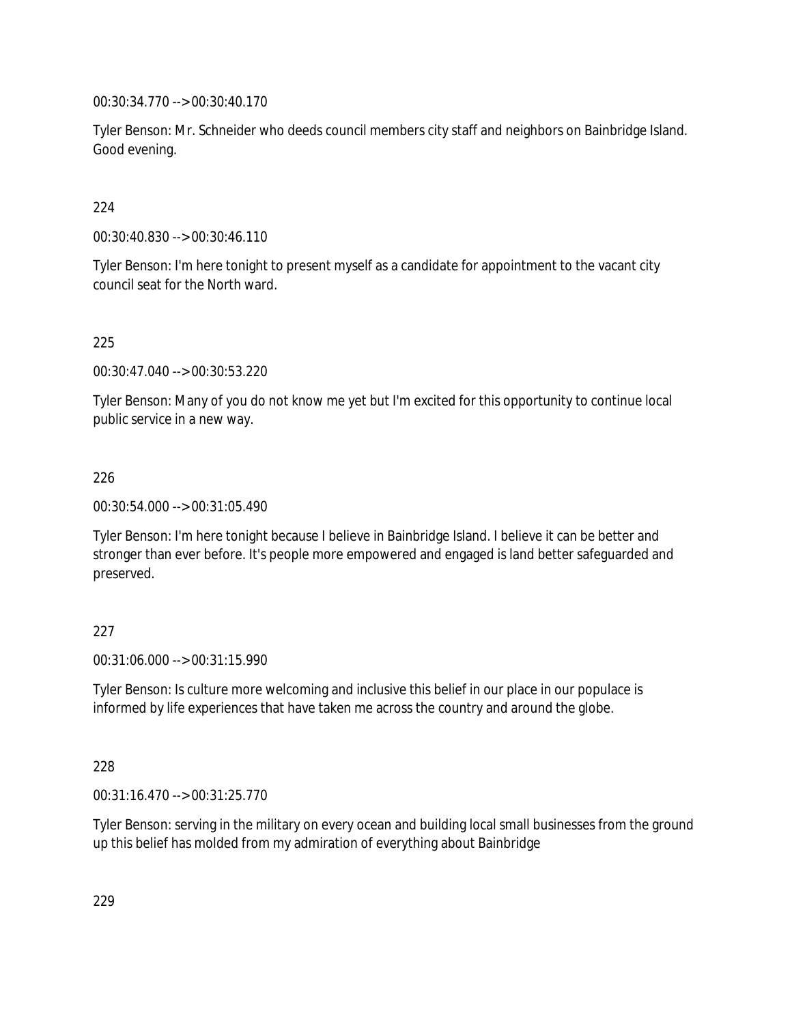00:30:34.770 --> 00:30:40.170

Tyler Benson: Mr. Schneider who deeds council members city staff and neighbors on Bainbridge Island. Good evening.

### 224

00:30:40.830 --> 00:30:46.110

Tyler Benson: I'm here tonight to present myself as a candidate for appointment to the vacant city council seat for the North ward.

### 225

00:30:47.040 --> 00:30:53.220

Tyler Benson: Many of you do not know me yet but I'm excited for this opportunity to continue local public service in a new way.

### 226

00:30:54.000 --> 00:31:05.490

Tyler Benson: I'm here tonight because I believe in Bainbridge Island. I believe it can be better and stronger than ever before. It's people more empowered and engaged is land better safeguarded and preserved.

#### 227

00:31:06.000 --> 00:31:15.990

Tyler Benson: Is culture more welcoming and inclusive this belief in our place in our populace is informed by life experiences that have taken me across the country and around the globe.

#### 228

00:31:16.470 --> 00:31:25.770

Tyler Benson: serving in the military on every ocean and building local small businesses from the ground up this belief has molded from my admiration of everything about Bainbridge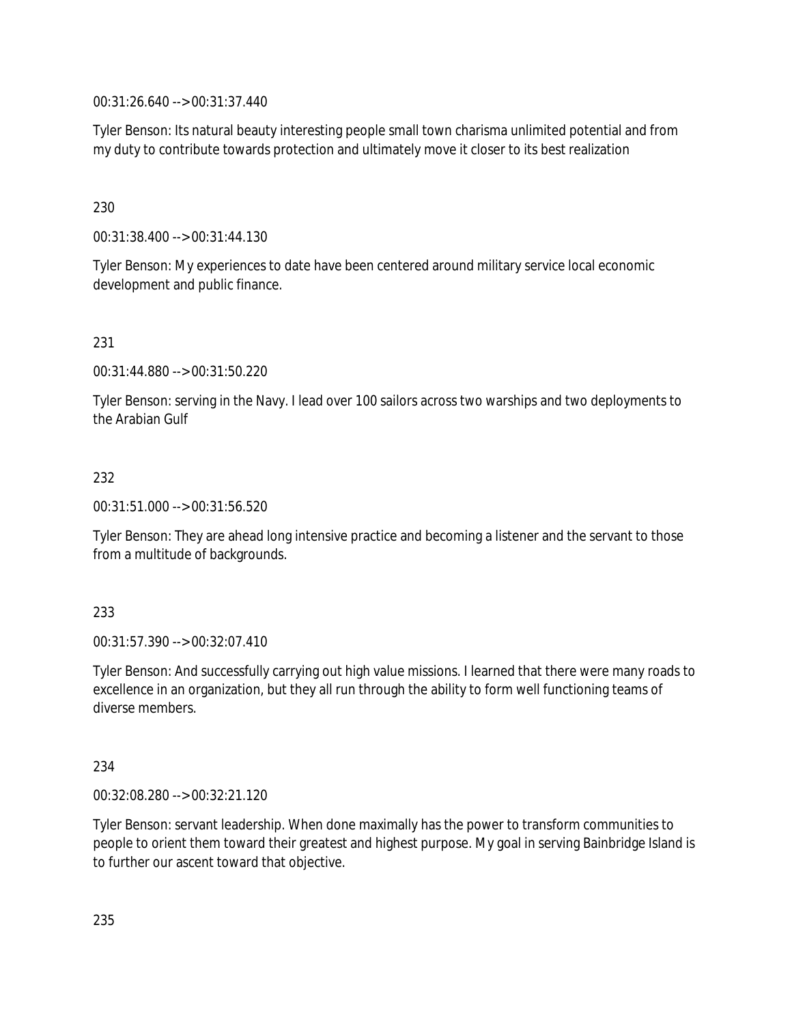00:31:26.640 --> 00:31:37.440

Tyler Benson: Its natural beauty interesting people small town charisma unlimited potential and from my duty to contribute towards protection and ultimately move it closer to its best realization

230

00:31:38.400 --> 00:31:44.130

Tyler Benson: My experiences to date have been centered around military service local economic development and public finance.

231

00:31:44.880 --> 00:31:50.220

Tyler Benson: serving in the Navy. I lead over 100 sailors across two warships and two deployments to the Arabian Gulf

#### 232

00:31:51.000 --> 00:31:56.520

Tyler Benson: They are ahead long intensive practice and becoming a listener and the servant to those from a multitude of backgrounds.

### 233

00:31:57.390 --> 00:32:07.410

Tyler Benson: And successfully carrying out high value missions. I learned that there were many roads to excellence in an organization, but they all run through the ability to form well functioning teams of diverse members.

#### 234

00:32:08.280 --> 00:32:21.120

Tyler Benson: servant leadership. When done maximally has the power to transform communities to people to orient them toward their greatest and highest purpose. My goal in serving Bainbridge Island is to further our ascent toward that objective.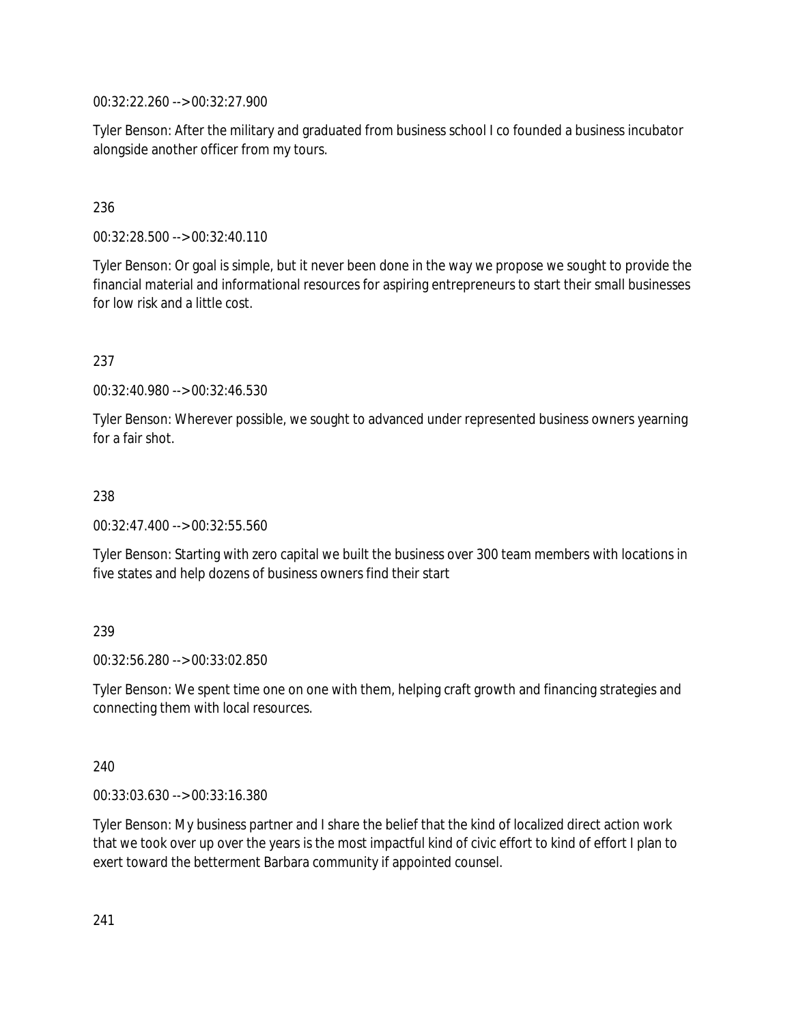00:32:22.260 --> 00:32:27.900

Tyler Benson: After the military and graduated from business school I co founded a business incubator alongside another officer from my tours.

## 236

00:32:28.500 --> 00:32:40.110

Tyler Benson: Or goal is simple, but it never been done in the way we propose we sought to provide the financial material and informational resources for aspiring entrepreneurs to start their small businesses for low risk and a little cost.

### 237

00:32:40.980 --> 00:32:46.530

Tyler Benson: Wherever possible, we sought to advanced under represented business owners yearning for a fair shot.

#### 238

00:32:47.400 --> 00:32:55.560

Tyler Benson: Starting with zero capital we built the business over 300 team members with locations in five states and help dozens of business owners find their start

### 239

00:32:56.280 --> 00:33:02.850

Tyler Benson: We spent time one on one with them, helping craft growth and financing strategies and connecting them with local resources.

#### 240

00:33:03.630 --> 00:33:16.380

Tyler Benson: My business partner and I share the belief that the kind of localized direct action work that we took over up over the years is the most impactful kind of civic effort to kind of effort I plan to exert toward the betterment Barbara community if appointed counsel.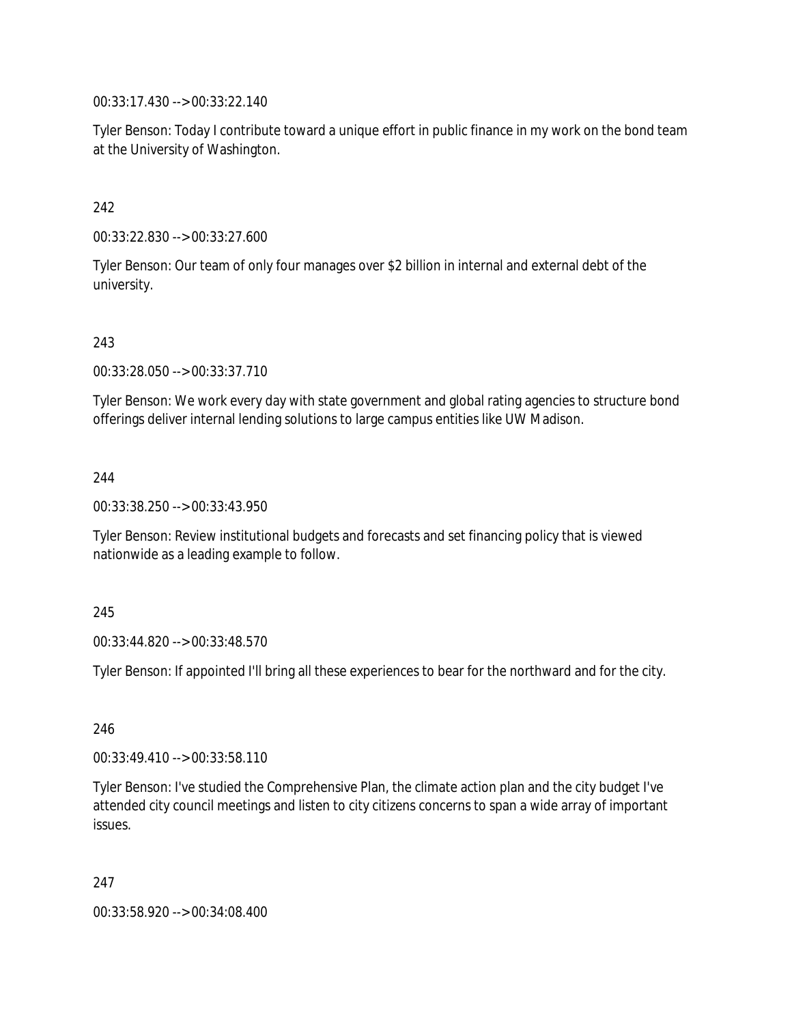00:33:17.430 --> 00:33:22.140

Tyler Benson: Today I contribute toward a unique effort in public finance in my work on the bond team at the University of Washington.

## 242

00:33:22.830 --> 00:33:27.600

Tyler Benson: Our team of only four manages over \$2 billion in internal and external debt of the university.

### 243

00:33:28.050 --> 00:33:37.710

Tyler Benson: We work every day with state government and global rating agencies to structure bond offerings deliver internal lending solutions to large campus entities like UW Madison.

### 244

00:33:38.250 --> 00:33:43.950

Tyler Benson: Review institutional budgets and forecasts and set financing policy that is viewed nationwide as a leading example to follow.

### 245

00:33:44.820 --> 00:33:48.570

Tyler Benson: If appointed I'll bring all these experiences to bear for the northward and for the city.

### 246

00:33:49.410 --> 00:33:58.110

Tyler Benson: I've studied the Comprehensive Plan, the climate action plan and the city budget I've attended city council meetings and listen to city citizens concerns to span a wide array of important issues.

247

00:33:58.920 --> 00:34:08.400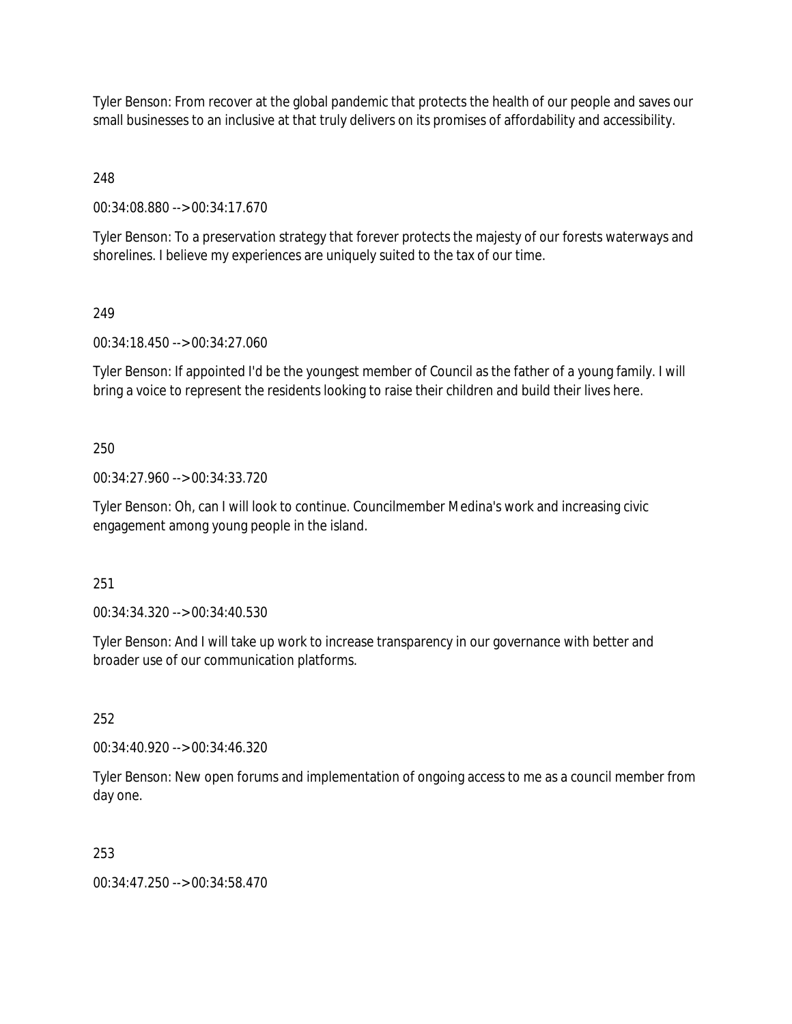Tyler Benson: From recover at the global pandemic that protects the health of our people and saves our small businesses to an inclusive at that truly delivers on its promises of affordability and accessibility.

248

00:34:08.880 --> 00:34:17.670

Tyler Benson: To a preservation strategy that forever protects the majesty of our forests waterways and shorelines. I believe my experiences are uniquely suited to the tax of our time.

## 249

00:34:18.450 --> 00:34:27.060

Tyler Benson: If appointed I'd be the youngest member of Council as the father of a young family. I will bring a voice to represent the residents looking to raise their children and build their lives here.

## 250

00:34:27.960 --> 00:34:33.720

Tyler Benson: Oh, can I will look to continue. Councilmember Medina's work and increasing civic engagement among young people in the island.

251

00:34:34.320 --> 00:34:40.530

Tyler Benson: And I will take up work to increase transparency in our governance with better and broader use of our communication platforms.

252

00:34:40.920 --> 00:34:46.320

Tyler Benson: New open forums and implementation of ongoing access to me as a council member from day one.

# 253

00:34:47.250 --> 00:34:58.470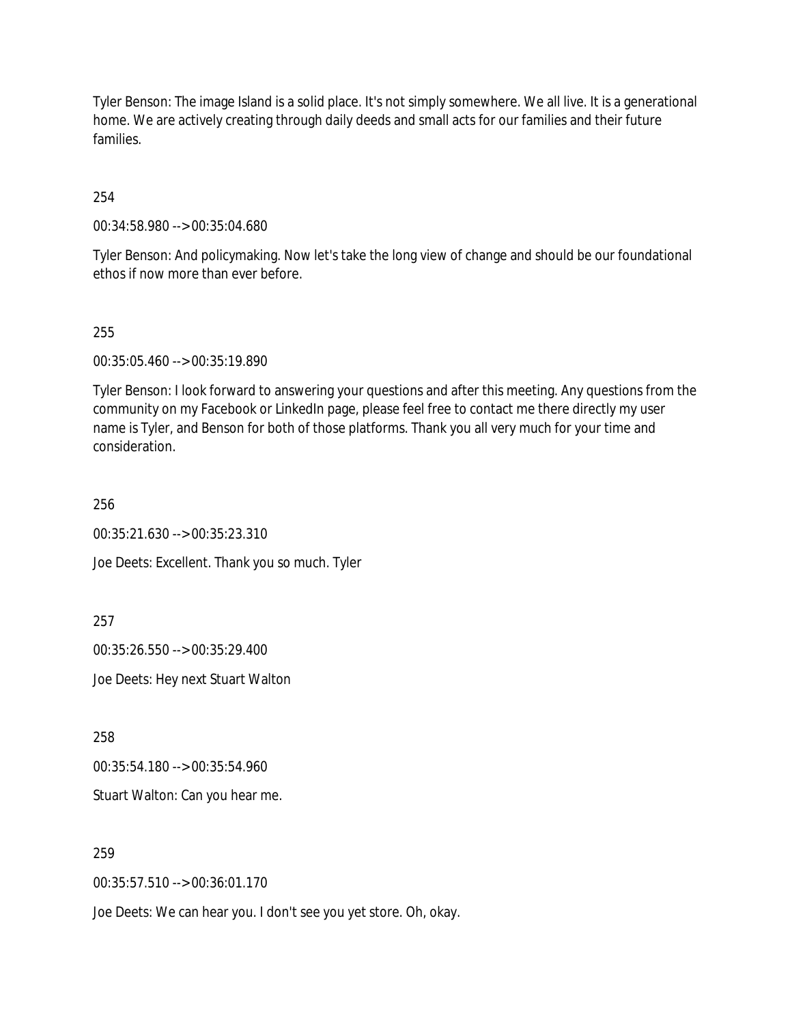Tyler Benson: The image Island is a solid place. It's not simply somewhere. We all live. It is a generational home. We are actively creating through daily deeds and small acts for our families and their future families.

254

00:34:58.980 --> 00:35:04.680

Tyler Benson: And policymaking. Now let's take the long view of change and should be our foundational ethos if now more than ever before.

#### 255

00:35:05.460 --> 00:35:19.890

Tyler Benson: I look forward to answering your questions and after this meeting. Any questions from the community on my Facebook or LinkedIn page, please feel free to contact me there directly my user name is Tyler, and Benson for both of those platforms. Thank you all very much for your time and consideration.

256

00:35:21.630 --> 00:35:23.310

Joe Deets: Excellent. Thank you so much. Tyler

257

00:35:26.550 --> 00:35:29.400

Joe Deets: Hey next Stuart Walton

258

00:35:54.180 --> 00:35:54.960

Stuart Walton: Can you hear me.

## 259

00:35:57.510 --> 00:36:01.170

Joe Deets: We can hear you. I don't see you yet store. Oh, okay.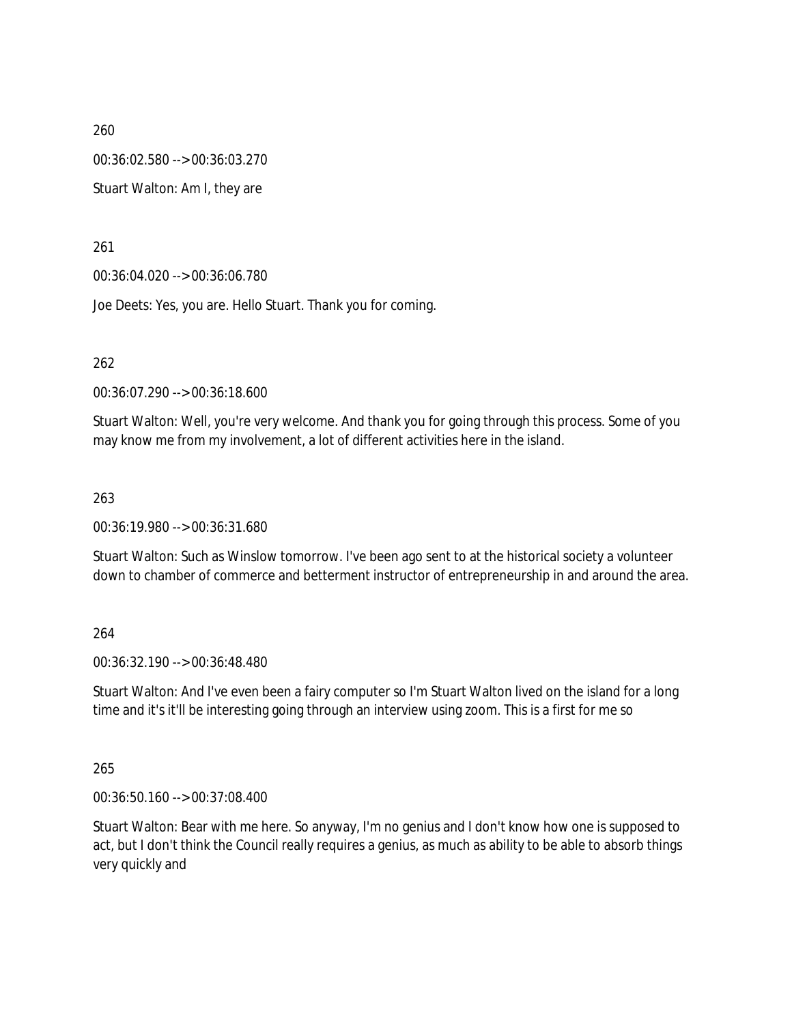260 00:36:02.580 --> 00:36:03.270 Stuart Walton: Am I, they are

261

00:36:04.020 --> 00:36:06.780

Joe Deets: Yes, you are. Hello Stuart. Thank you for coming.

262

00:36:07.290 --> 00:36:18.600

Stuart Walton: Well, you're very welcome. And thank you for going through this process. Some of you may know me from my involvement, a lot of different activities here in the island.

263

00:36:19.980 --> 00:36:31.680

Stuart Walton: Such as Winslow tomorrow. I've been ago sent to at the historical society a volunteer down to chamber of commerce and betterment instructor of entrepreneurship in and around the area.

264

00:36:32.190 --> 00:36:48.480

Stuart Walton: And I've even been a fairy computer so I'm Stuart Walton lived on the island for a long time and it's it'll be interesting going through an interview using zoom. This is a first for me so

265

00:36:50.160 --> 00:37:08.400

Stuart Walton: Bear with me here. So anyway, I'm no genius and I don't know how one is supposed to act, but I don't think the Council really requires a genius, as much as ability to be able to absorb things very quickly and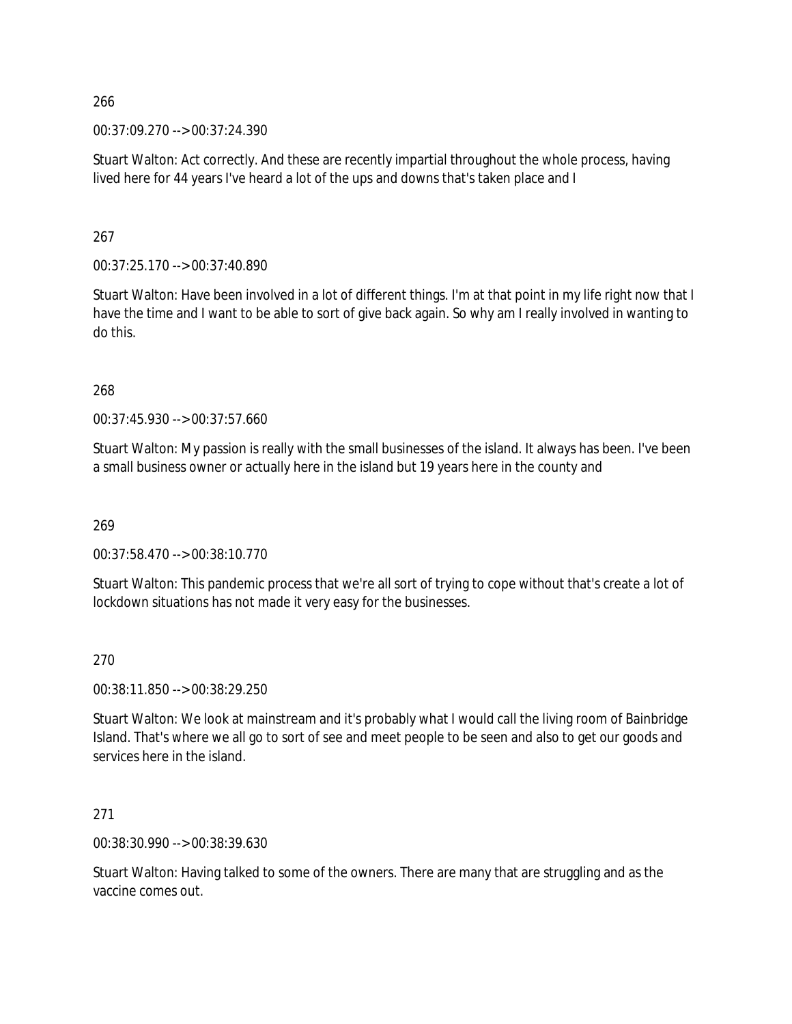00:37:09.270 --> 00:37:24.390

Stuart Walton: Act correctly. And these are recently impartial throughout the whole process, having lived here for 44 years I've heard a lot of the ups and downs that's taken place and I

267

00:37:25.170 --> 00:37:40.890

Stuart Walton: Have been involved in a lot of different things. I'm at that point in my life right now that I have the time and I want to be able to sort of give back again. So why am I really involved in wanting to do this.

268

00:37:45.930 --> 00:37:57.660

Stuart Walton: My passion is really with the small businesses of the island. It always has been. I've been a small business owner or actually here in the island but 19 years here in the county and

269

00:37:58.470 --> 00:38:10.770

Stuart Walton: This pandemic process that we're all sort of trying to cope without that's create a lot of lockdown situations has not made it very easy for the businesses.

270

00:38:11.850 --> 00:38:29.250

Stuart Walton: We look at mainstream and it's probably what I would call the living room of Bainbridge Island. That's where we all go to sort of see and meet people to be seen and also to get our goods and services here in the island.

271

00:38:30.990 --> 00:38:39.630

Stuart Walton: Having talked to some of the owners. There are many that are struggling and as the vaccine comes out.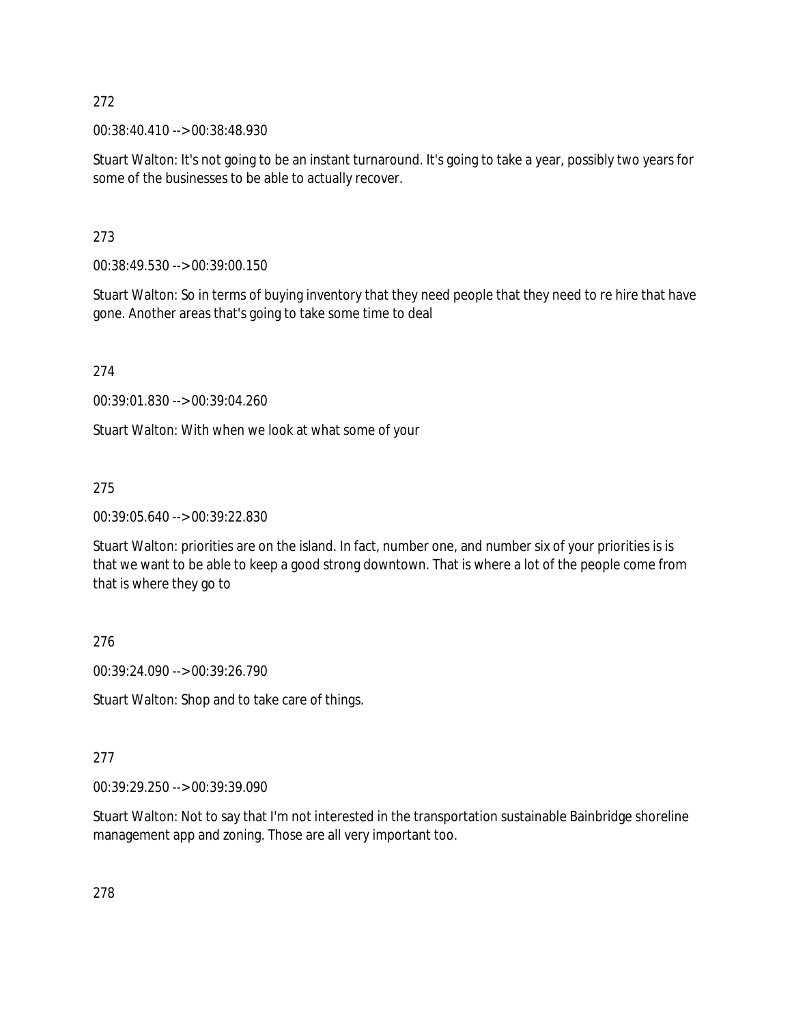00:38:40.410 --> 00:38:48.930

Stuart Walton: It's not going to be an instant turnaround. It's going to take a year, possibly two years for some of the businesses to be able to actually recover.

273

00:38:49.530 --> 00:39:00.150

Stuart Walton: So in terms of buying inventory that they need people that they need to re hire that have gone. Another areas that's going to take some time to deal

274

00:39:01.830 --> 00:39:04.260

Stuart Walton: With when we look at what some of your

275

00:39:05.640 --> 00:39:22.830

Stuart Walton: priorities are on the island. In fact, number one, and number six of your priorities is is that we want to be able to keep a good strong downtown. That is where a lot of the people come from that is where they go to

276

00:39:24.090 --> 00:39:26.790

Stuart Walton: Shop and to take care of things.

### 277

00:39:29.250 --> 00:39:39.090

Stuart Walton: Not to say that I'm not interested in the transportation sustainable Bainbridge shoreline management app and zoning. Those are all very important too.

278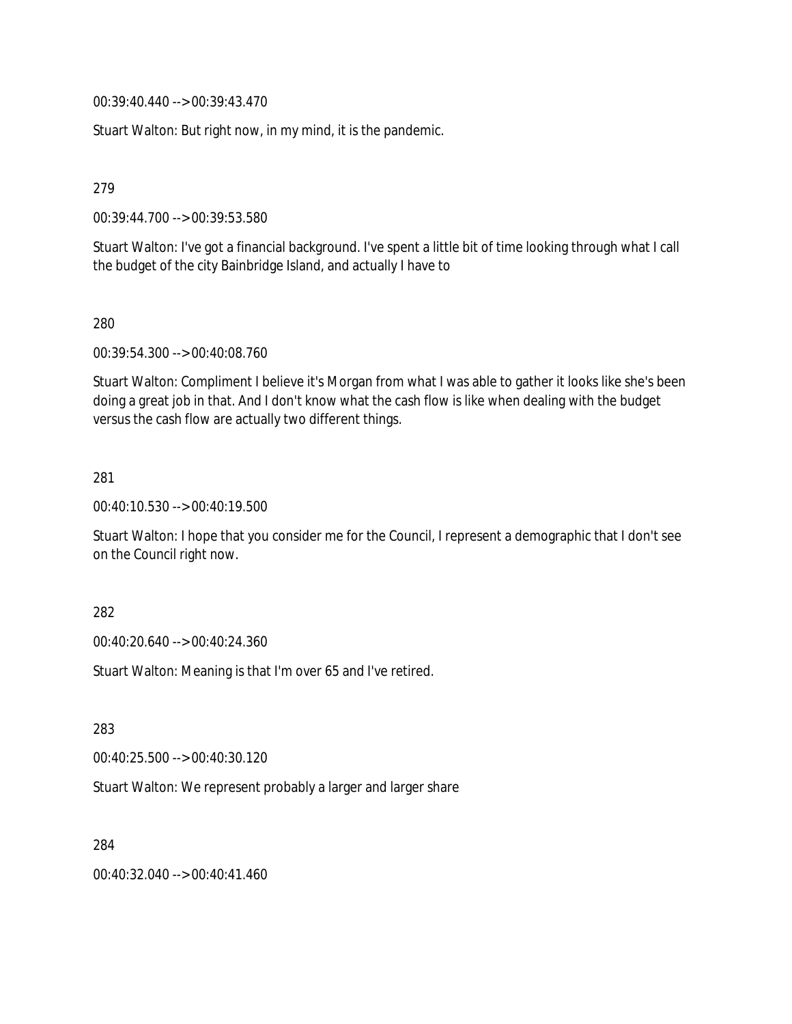00:39:40.440 --> 00:39:43.470

Stuart Walton: But right now, in my mind, it is the pandemic.

279

00:39:44.700 --> 00:39:53.580

Stuart Walton: I've got a financial background. I've spent a little bit of time looking through what I call the budget of the city Bainbridge Island, and actually I have to

280

00:39:54.300 --> 00:40:08.760

Stuart Walton: Compliment I believe it's Morgan from what I was able to gather it looks like she's been doing a great job in that. And I don't know what the cash flow is like when dealing with the budget versus the cash flow are actually two different things.

281

00:40:10.530 --> 00:40:19.500

Stuart Walton: I hope that you consider me for the Council, I represent a demographic that I don't see on the Council right now.

282

00:40:20.640 --> 00:40:24.360

Stuart Walton: Meaning is that I'm over 65 and I've retired.

283

00:40:25.500 --> 00:40:30.120

Stuart Walton: We represent probably a larger and larger share

284

00:40:32.040 --> 00:40:41.460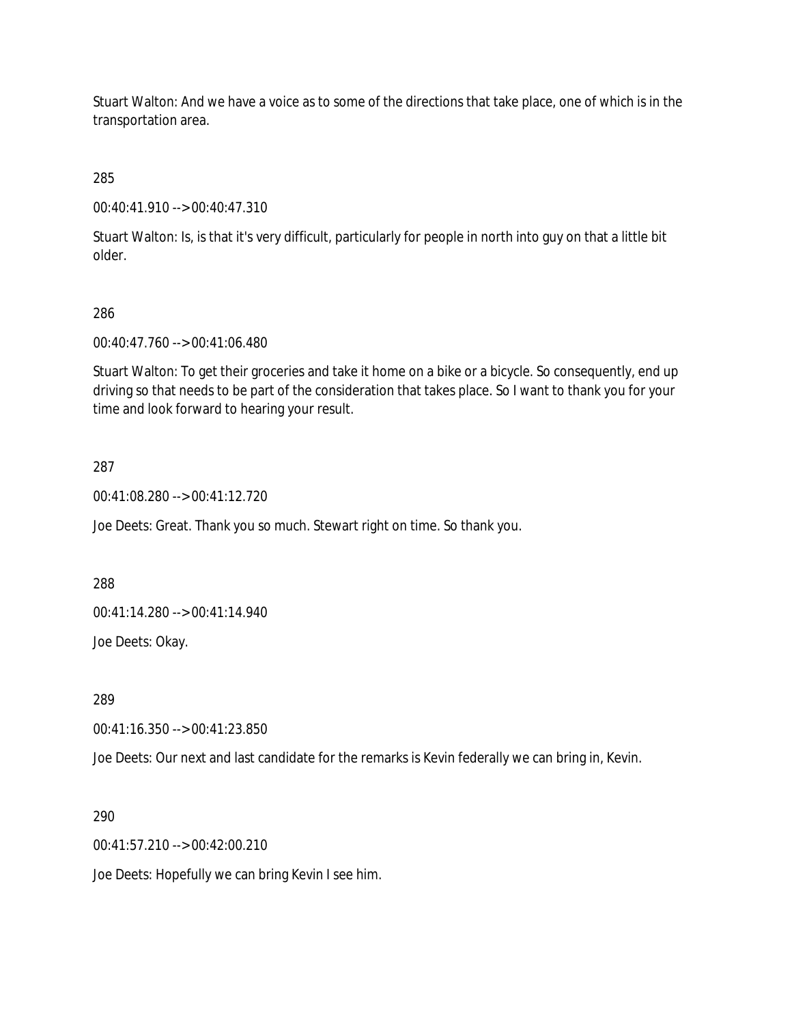Stuart Walton: And we have a voice as to some of the directions that take place, one of which is in the transportation area.

285

00:40:41.910 --> 00:40:47.310

Stuart Walton: Is, is that it's very difficult, particularly for people in north into guy on that a little bit older.

## 286

00:40:47.760 --> 00:41:06.480

Stuart Walton: To get their groceries and take it home on a bike or a bicycle. So consequently, end up driving so that needs to be part of the consideration that takes place. So I want to thank you for your time and look forward to hearing your result.

## 287

00:41:08.280 --> 00:41:12.720

Joe Deets: Great. Thank you so much. Stewart right on time. So thank you.

288

00:41:14.280 --> 00:41:14.940

Joe Deets: Okay.

289

00:41:16.350 --> 00:41:23.850

Joe Deets: Our next and last candidate for the remarks is Kevin federally we can bring in, Kevin.

290

00:41:57.210 --> 00:42:00.210

Joe Deets: Hopefully we can bring Kevin I see him.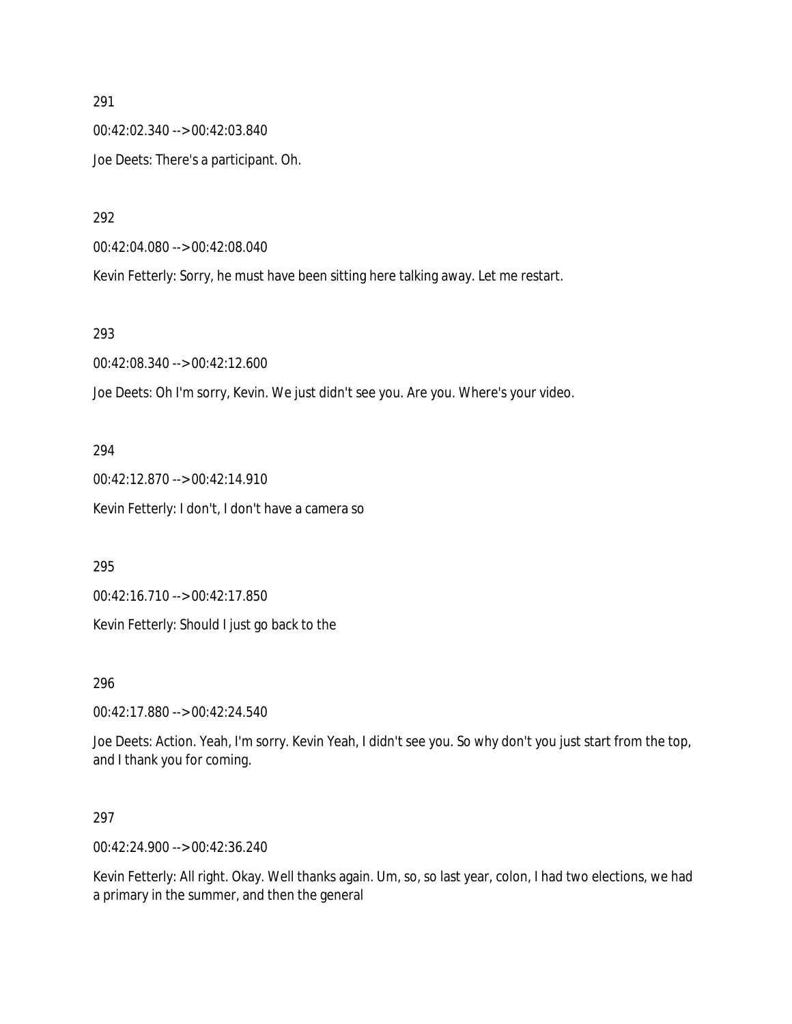00:42:02.340 --> 00:42:03.840 Joe Deets: There's a participant. Oh.

292

00:42:04.080 --> 00:42:08.040

Kevin Fetterly: Sorry, he must have been sitting here talking away. Let me restart.

#### 293

00:42:08.340 --> 00:42:12.600

Joe Deets: Oh I'm sorry, Kevin. We just didn't see you. Are you. Where's your video.

### 294

00:42:12.870 --> 00:42:14.910 Kevin Fetterly: I don't, I don't have a camera so

### 295

00:42:16.710 --> 00:42:17.850

Kevin Fetterly: Should I just go back to the

296

00:42:17.880 --> 00:42:24.540

Joe Deets: Action. Yeah, I'm sorry. Kevin Yeah, I didn't see you. So why don't you just start from the top, and I thank you for coming.

## 297

00:42:24.900 --> 00:42:36.240

Kevin Fetterly: All right. Okay. Well thanks again. Um, so, so last year, colon, I had two elections, we had a primary in the summer, and then the general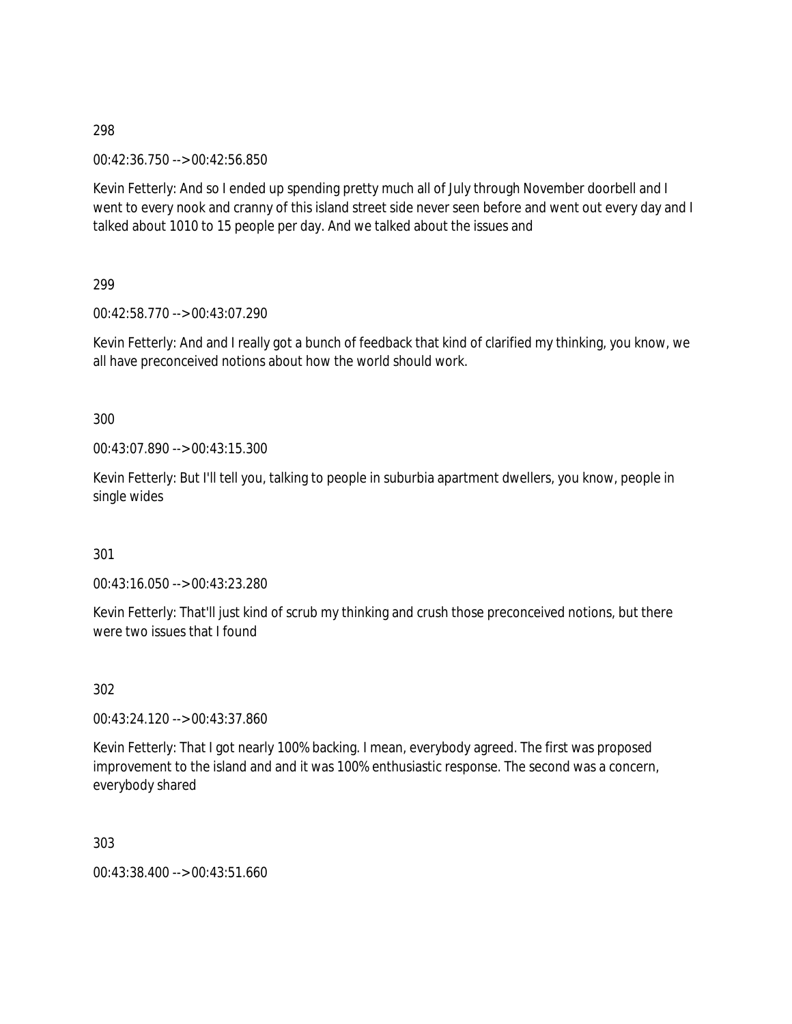00:42:36.750 --> 00:42:56.850

Kevin Fetterly: And so I ended up spending pretty much all of July through November doorbell and I went to every nook and cranny of this island street side never seen before and went out every day and I talked about 1010 to 15 people per day. And we talked about the issues and

299

00:42:58.770 --> 00:43:07.290

Kevin Fetterly: And and I really got a bunch of feedback that kind of clarified my thinking, you know, we all have preconceived notions about how the world should work.

300

00:43:07.890 --> 00:43:15.300

Kevin Fetterly: But I'll tell you, talking to people in suburbia apartment dwellers, you know, people in single wides

301

00:43:16.050 --> 00:43:23.280

Kevin Fetterly: That'll just kind of scrub my thinking and crush those preconceived notions, but there were two issues that I found

302

00:43:24.120 --> 00:43:37.860

Kevin Fetterly: That I got nearly 100% backing. I mean, everybody agreed. The first was proposed improvement to the island and and it was 100% enthusiastic response. The second was a concern, everybody shared

303

00:43:38.400 --> 00:43:51.660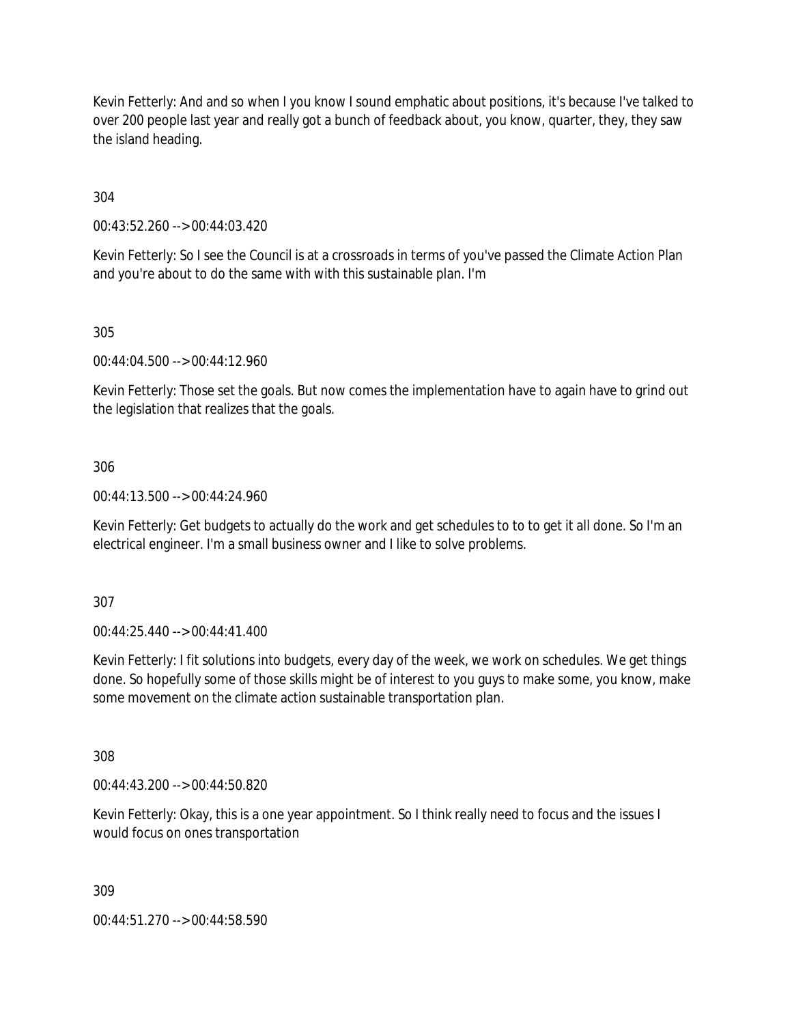Kevin Fetterly: And and so when I you know I sound emphatic about positions, it's because I've talked to over 200 people last year and really got a bunch of feedback about, you know, quarter, they, they saw the island heading.

304

00:43:52.260 --> 00:44:03.420

Kevin Fetterly: So I see the Council is at a crossroads in terms of you've passed the Climate Action Plan and you're about to do the same with with this sustainable plan. I'm

305

00:44:04.500 --> 00:44:12.960

Kevin Fetterly: Those set the goals. But now comes the implementation have to again have to grind out the legislation that realizes that the goals.

306

00:44:13.500 --> 00:44:24.960

Kevin Fetterly: Get budgets to actually do the work and get schedules to to to get it all done. So I'm an electrical engineer. I'm a small business owner and I like to solve problems.

307

00:44:25.440 --> 00:44:41.400

Kevin Fetterly: I fit solutions into budgets, every day of the week, we work on schedules. We get things done. So hopefully some of those skills might be of interest to you guys to make some, you know, make some movement on the climate action sustainable transportation plan.

308

00:44:43.200 --> 00:44:50.820

Kevin Fetterly: Okay, this is a one year appointment. So I think really need to focus and the issues I would focus on ones transportation

309

00:44:51.270 --> 00:44:58.590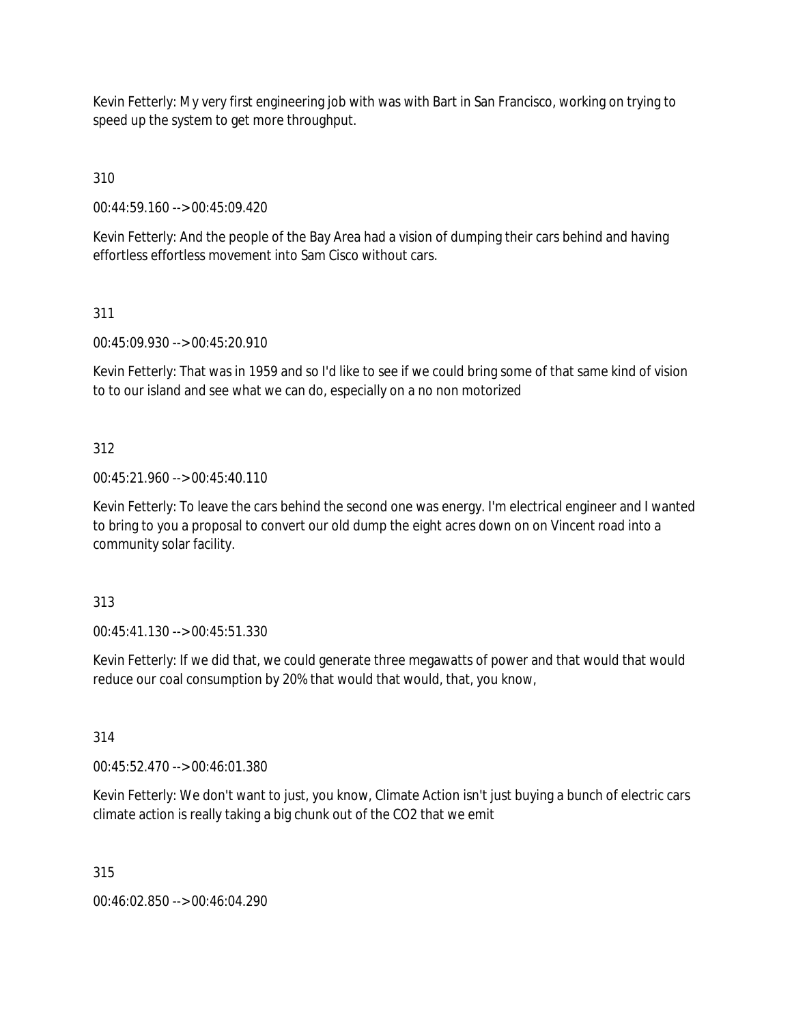Kevin Fetterly: My very first engineering job with was with Bart in San Francisco, working on trying to speed up the system to get more throughput.

310

00:44:59.160 --> 00:45:09.420

Kevin Fetterly: And the people of the Bay Area had a vision of dumping their cars behind and having effortless effortless movement into Sam Cisco without cars.

311

00:45:09.930 --> 00:45:20.910

Kevin Fetterly: That was in 1959 and so I'd like to see if we could bring some of that same kind of vision to to our island and see what we can do, especially on a no non motorized

312

00:45:21.960 --> 00:45:40.110

Kevin Fetterly: To leave the cars behind the second one was energy. I'm electrical engineer and I wanted to bring to you a proposal to convert our old dump the eight acres down on on Vincent road into a community solar facility.

313

00:45:41.130 --> 00:45:51.330

Kevin Fetterly: If we did that, we could generate three megawatts of power and that would that would reduce our coal consumption by 20% that would that would, that, you know,

314

00:45:52.470 --> 00:46:01.380

Kevin Fetterly: We don't want to just, you know, Climate Action isn't just buying a bunch of electric cars climate action is really taking a big chunk out of the CO2 that we emit

315

00:46:02.850 --> 00:46:04.290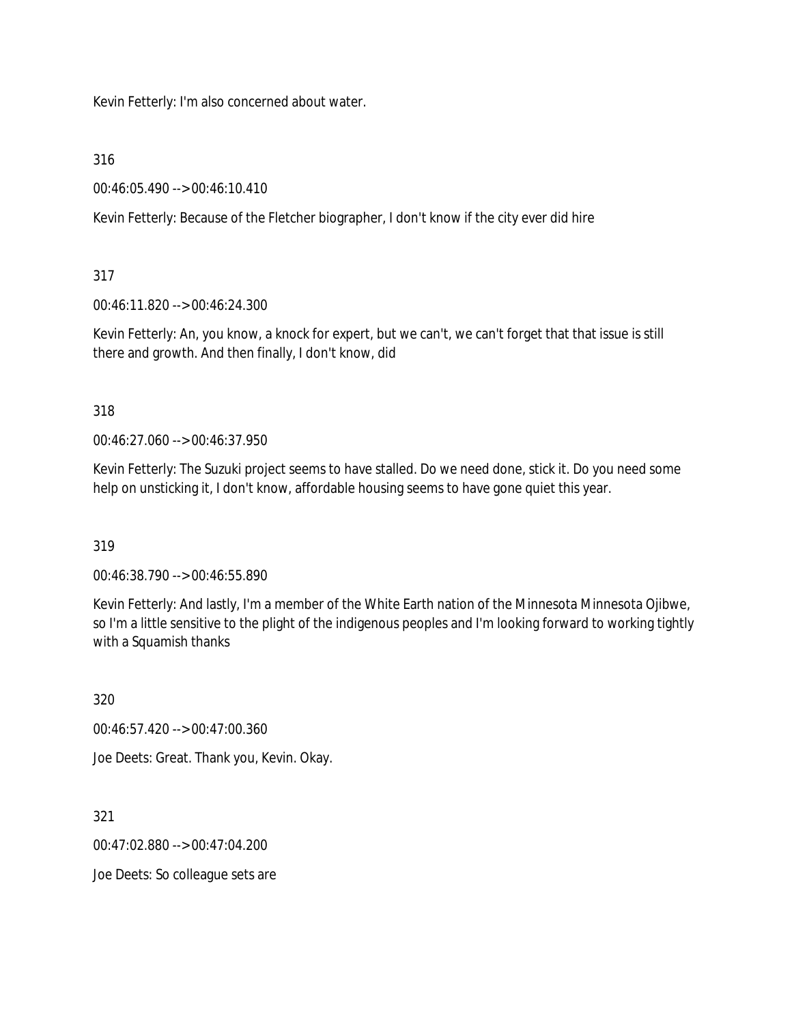Kevin Fetterly: I'm also concerned about water.

316

00:46:05.490 --> 00:46:10.410

Kevin Fetterly: Because of the Fletcher biographer, I don't know if the city ever did hire

317

00:46:11.820 --> 00:46:24.300

Kevin Fetterly: An, you know, a knock for expert, but we can't, we can't forget that that issue is still there and growth. And then finally, I don't know, did

318

00:46:27.060 --> 00:46:37.950

Kevin Fetterly: The Suzuki project seems to have stalled. Do we need done, stick it. Do you need some help on unsticking it, I don't know, affordable housing seems to have gone quiet this year.

319

00:46:38.790 --> 00:46:55.890

Kevin Fetterly: And lastly, I'm a member of the White Earth nation of the Minnesota Minnesota Ojibwe, so I'm a little sensitive to the plight of the indigenous peoples and I'm looking forward to working tightly with a Squamish thanks

320

00:46:57.420 --> 00:47:00.360

Joe Deets: Great. Thank you, Kevin. Okay.

321

00:47:02.880 --> 00:47:04.200

Joe Deets: So colleague sets are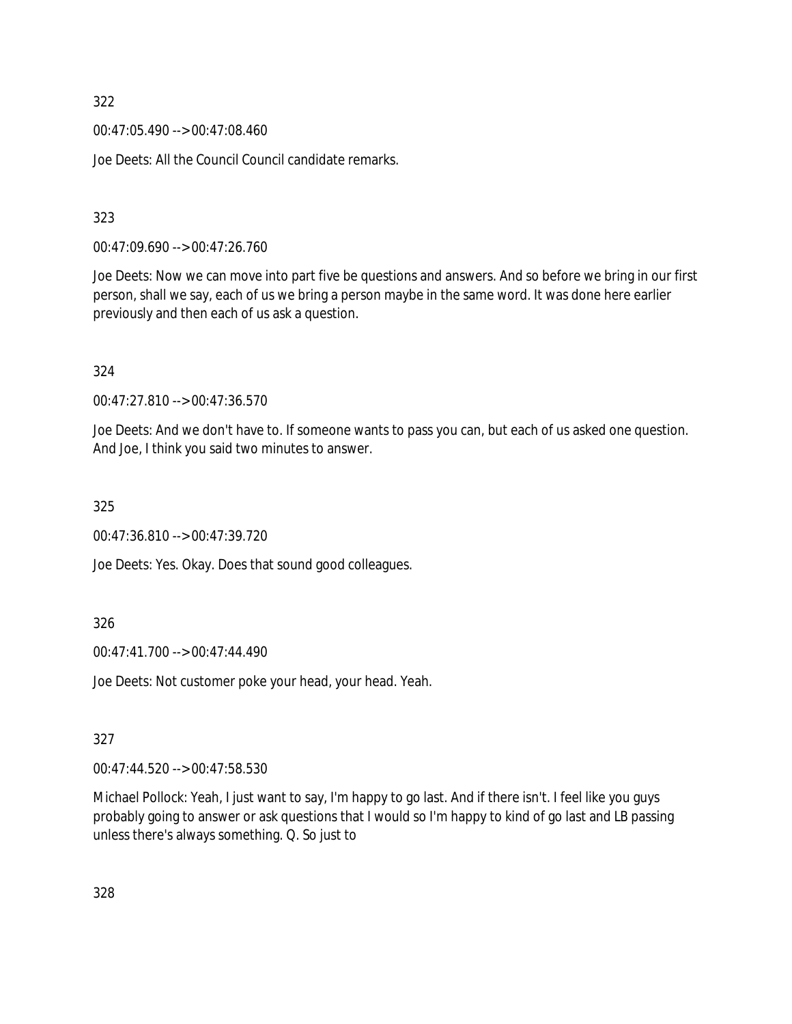00:47:05.490 --> 00:47:08.460

Joe Deets: All the Council Council candidate remarks.

323

00:47:09.690 --> 00:47:26.760

Joe Deets: Now we can move into part five be questions and answers. And so before we bring in our first person, shall we say, each of us we bring a person maybe in the same word. It was done here earlier previously and then each of us ask a question.

324

00:47:27.810 --> 00:47:36.570

Joe Deets: And we don't have to. If someone wants to pass you can, but each of us asked one question. And Joe, I think you said two minutes to answer.

325

00:47:36.810 --> 00:47:39.720

Joe Deets: Yes. Okay. Does that sound good colleagues.

326

00:47:41.700 --> 00:47:44.490

Joe Deets: Not customer poke your head, your head. Yeah.

327

00:47:44.520 --> 00:47:58.530

Michael Pollock: Yeah, I just want to say, I'm happy to go last. And if there isn't. I feel like you guys probably going to answer or ask questions that I would so I'm happy to kind of go last and LB passing unless there's always something. Q. So just to

328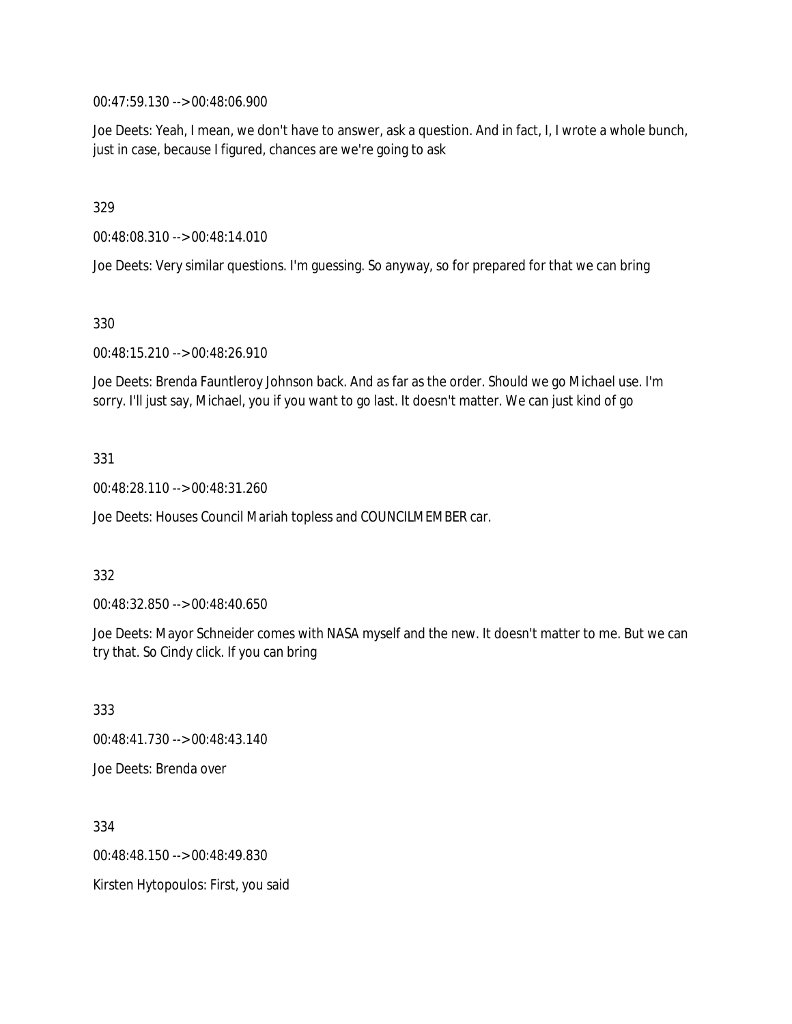00:47:59.130 --> 00:48:06.900

Joe Deets: Yeah, I mean, we don't have to answer, ask a question. And in fact, I, I wrote a whole bunch, just in case, because I figured, chances are we're going to ask

329

00:48:08.310 --> 00:48:14.010

Joe Deets: Very similar questions. I'm guessing. So anyway, so for prepared for that we can bring

330

00:48:15.210 --> 00:48:26.910

Joe Deets: Brenda Fauntleroy Johnson back. And as far as the order. Should we go Michael use. I'm sorry. I'll just say, Michael, you if you want to go last. It doesn't matter. We can just kind of go

331

00:48:28.110 --> 00:48:31.260

Joe Deets: Houses Council Mariah topless and COUNCILMEMBER car.

332

00:48:32.850 --> 00:48:40.650

Joe Deets: Mayor Schneider comes with NASA myself and the new. It doesn't matter to me. But we can try that. So Cindy click. If you can bring

333 00:48:41.730 --> 00:48:43.140 Joe Deets: Brenda over

334 00:48:48.150 --> 00:48:49.830 Kirsten Hytopoulos: First, you said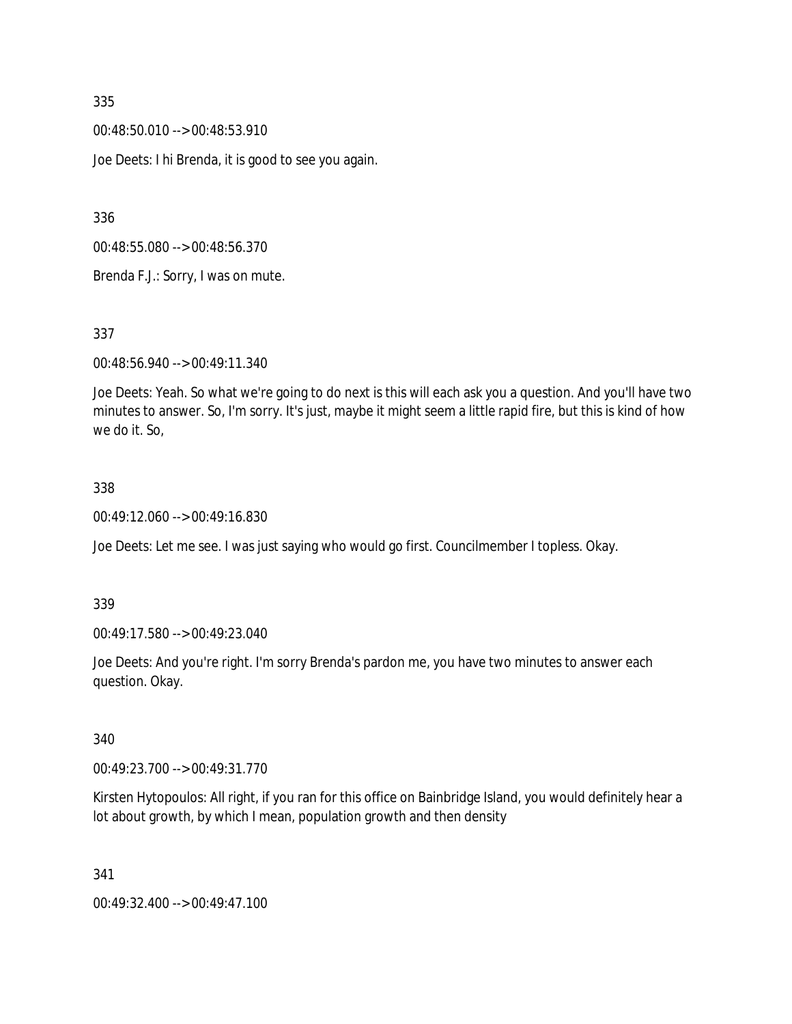00:48:50.010 --> 00:48:53.910

Joe Deets: I hi Brenda, it is good to see you again.

336

00:48:55.080 --> 00:48:56.370

Brenda F.J.: Sorry, I was on mute.

337

00:48:56.940 --> 00:49:11.340

Joe Deets: Yeah. So what we're going to do next is this will each ask you a question. And you'll have two minutes to answer. So, I'm sorry. It's just, maybe it might seem a little rapid fire, but this is kind of how we do it. So,

#### 338

00:49:12.060 --> 00:49:16.830

Joe Deets: Let me see. I was just saying who would go first. Councilmember I topless. Okay.

339

00:49:17.580 --> 00:49:23.040

Joe Deets: And you're right. I'm sorry Brenda's pardon me, you have two minutes to answer each question. Okay.

340

00:49:23.700 --> 00:49:31.770

Kirsten Hytopoulos: All right, if you ran for this office on Bainbridge Island, you would definitely hear a lot about growth, by which I mean, population growth and then density

341

00:49:32.400 --> 00:49:47.100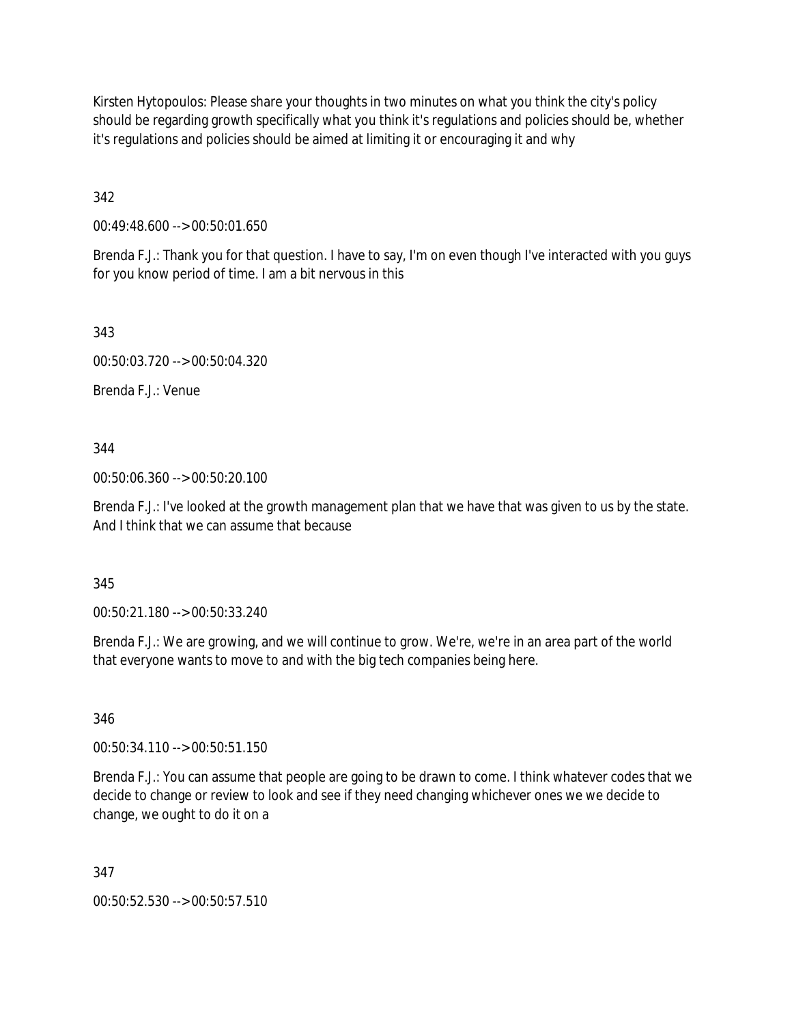Kirsten Hytopoulos: Please share your thoughts in two minutes on what you think the city's policy should be regarding growth specifically what you think it's regulations and policies should be, whether it's regulations and policies should be aimed at limiting it or encouraging it and why

342

00:49:48.600 --> 00:50:01.650

Brenda F.J.: Thank you for that question. I have to say, I'm on even though I've interacted with you guys for you know period of time. I am a bit nervous in this

343

00:50:03.720 --> 00:50:04.320

Brenda F.J.: Venue

344

00:50:06.360 --> 00:50:20.100

Brenda F.J.: I've looked at the growth management plan that we have that was given to us by the state. And I think that we can assume that because

345

00:50:21.180 --> 00:50:33.240

Brenda F.J.: We are growing, and we will continue to grow. We're, we're in an area part of the world that everyone wants to move to and with the big tech companies being here.

346

00:50:34.110 --> 00:50:51.150

Brenda F.J.: You can assume that people are going to be drawn to come. I think whatever codes that we decide to change or review to look and see if they need changing whichever ones we we decide to change, we ought to do it on a

347

00:50:52.530 --> 00:50:57.510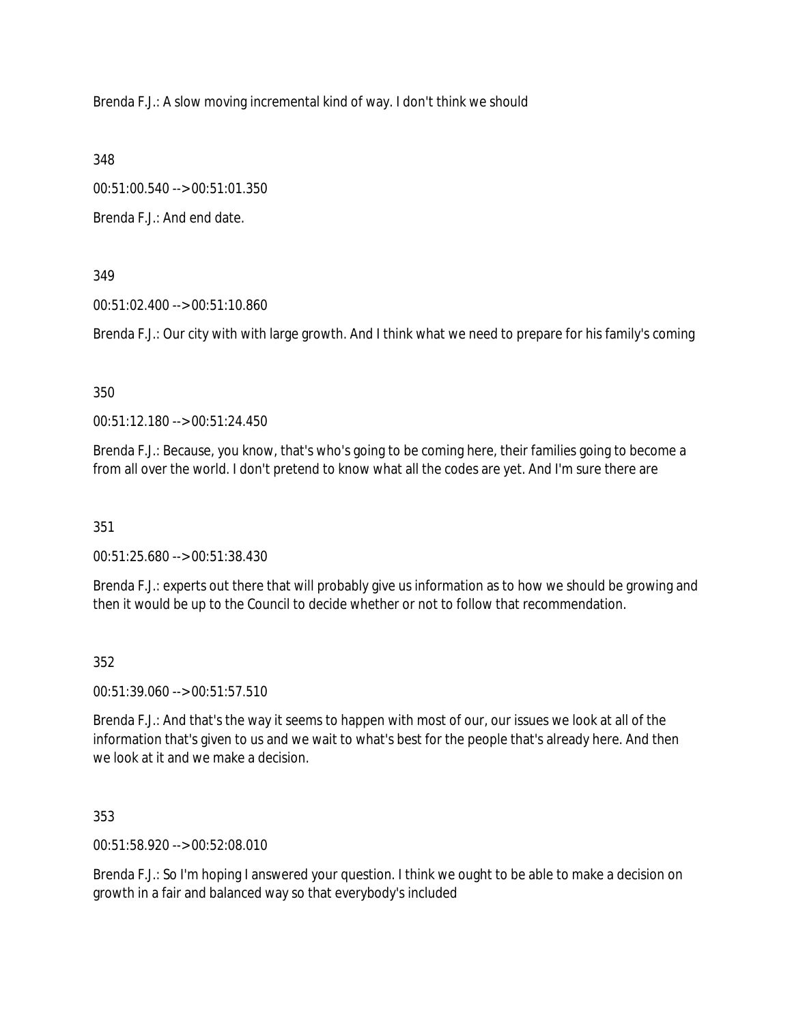Brenda F.J.: A slow moving incremental kind of way. I don't think we should

348

00:51:00.540 --> 00:51:01.350

Brenda F.J.: And end date.

349

00:51:02.400 --> 00:51:10.860

Brenda F.J.: Our city with with large growth. And I think what we need to prepare for his family's coming

350

00:51:12.180 --> 00:51:24.450

Brenda F.J.: Because, you know, that's who's going to be coming here, their families going to become a from all over the world. I don't pretend to know what all the codes are yet. And I'm sure there are

351

00:51:25.680 --> 00:51:38.430

Brenda F.J.: experts out there that will probably give us information as to how we should be growing and then it would be up to the Council to decide whether or not to follow that recommendation.

### 352

00:51:39.060 --> 00:51:57.510

Brenda F.J.: And that's the way it seems to happen with most of our, our issues we look at all of the information that's given to us and we wait to what's best for the people that's already here. And then we look at it and we make a decision.

353

00:51:58.920 --> 00:52:08.010

Brenda F.J.: So I'm hoping I answered your question. I think we ought to be able to make a decision on growth in a fair and balanced way so that everybody's included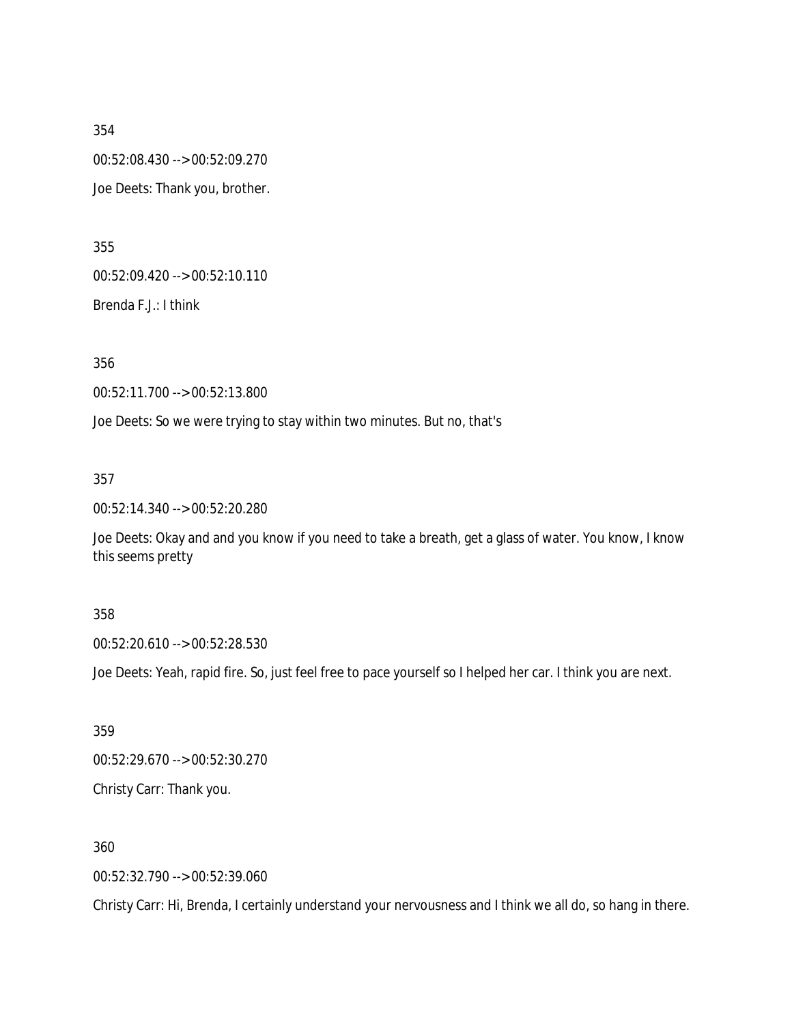354 00:52:08.430 --> 00:52:09.270 Joe Deets: Thank you, brother.

355

00:52:09.420 --> 00:52:10.110

Brenda F.J.: I think

356

00:52:11.700 --> 00:52:13.800

Joe Deets: So we were trying to stay within two minutes. But no, that's

357

00:52:14.340 --> 00:52:20.280

Joe Deets: Okay and and you know if you need to take a breath, get a glass of water. You know, I know this seems pretty

#### 358

00:52:20.610 --> 00:52:28.530

Joe Deets: Yeah, rapid fire. So, just feel free to pace yourself so I helped her car. I think you are next.

359

00:52:29.670 --> 00:52:30.270

Christy Carr: Thank you.

360

00:52:32.790 --> 00:52:39.060

Christy Carr: Hi, Brenda, I certainly understand your nervousness and I think we all do, so hang in there.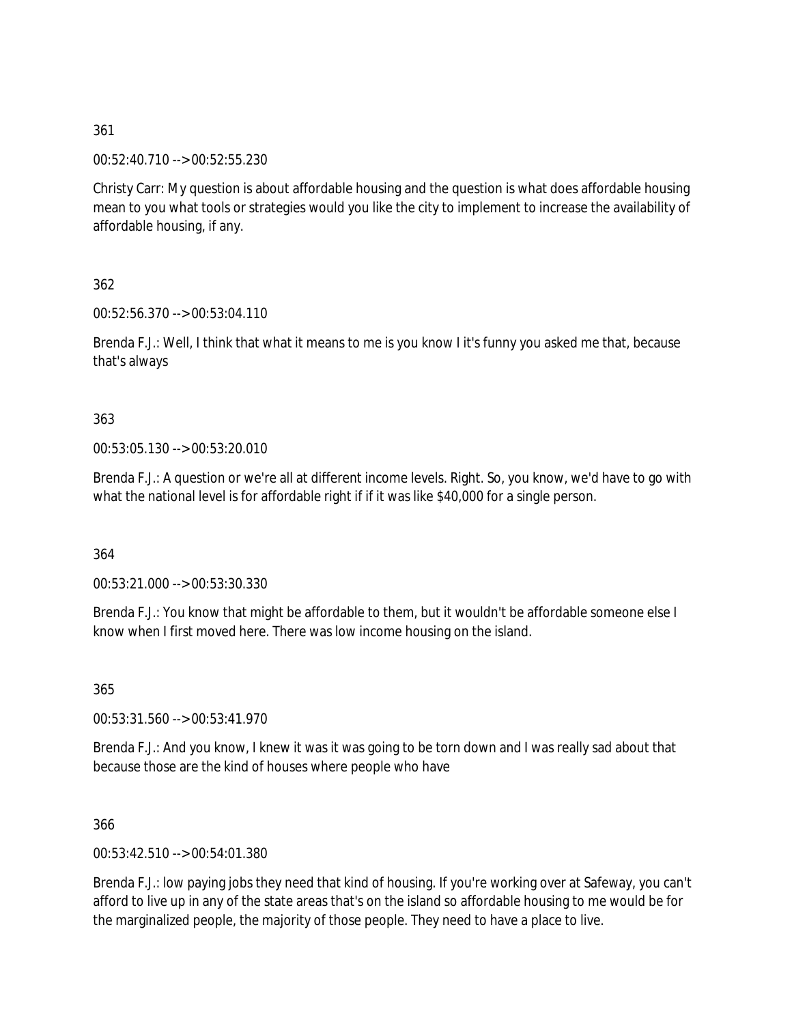00:52:40.710 --> 00:52:55.230

Christy Carr: My question is about affordable housing and the question is what does affordable housing mean to you what tools or strategies would you like the city to implement to increase the availability of affordable housing, if any.

362

00:52:56.370 --> 00:53:04.110

Brenda F.J.: Well, I think that what it means to me is you know I it's funny you asked me that, because that's always

### 363

00:53:05.130 --> 00:53:20.010

Brenda F.J.: A question or we're all at different income levels. Right. So, you know, we'd have to go with what the national level is for affordable right if if it was like \$40,000 for a single person.

364

00:53:21.000 --> 00:53:30.330

Brenda F.J.: You know that might be affordable to them, but it wouldn't be affordable someone else I know when I first moved here. There was low income housing on the island.

365

00:53:31.560 --> 00:53:41.970

Brenda F.J.: And you know, I knew it was it was going to be torn down and I was really sad about that because those are the kind of houses where people who have

366

00:53:42.510 --> 00:54:01.380

Brenda F.J.: low paying jobs they need that kind of housing. If you're working over at Safeway, you can't afford to live up in any of the state areas that's on the island so affordable housing to me would be for the marginalized people, the majority of those people. They need to have a place to live.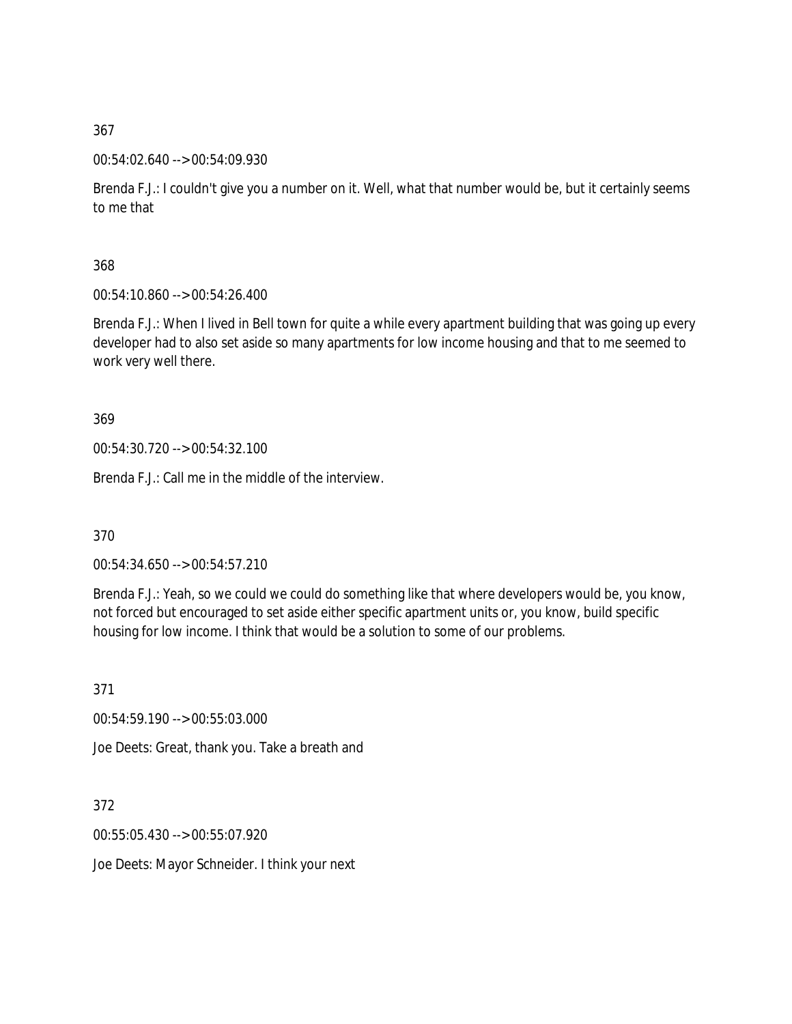### 00:54:02.640 --> 00:54:09.930

Brenda F.J.: I couldn't give you a number on it. Well, what that number would be, but it certainly seems to me that

## 368

00:54:10.860 --> 00:54:26.400

Brenda F.J.: When I lived in Bell town for quite a while every apartment building that was going up every developer had to also set aside so many apartments for low income housing and that to me seemed to work very well there.

## 369

00:54:30.720 --> 00:54:32.100

Brenda F.J.: Call me in the middle of the interview.

370

00:54:34.650 --> 00:54:57.210

Brenda F.J.: Yeah, so we could we could do something like that where developers would be, you know, not forced but encouraged to set aside either specific apartment units or, you know, build specific housing for low income. I think that would be a solution to some of our problems.

371

00:54:59.190 --> 00:55:03.000

Joe Deets: Great, thank you. Take a breath and

372

00:55:05.430 --> 00:55:07.920

Joe Deets: Mayor Schneider. I think your next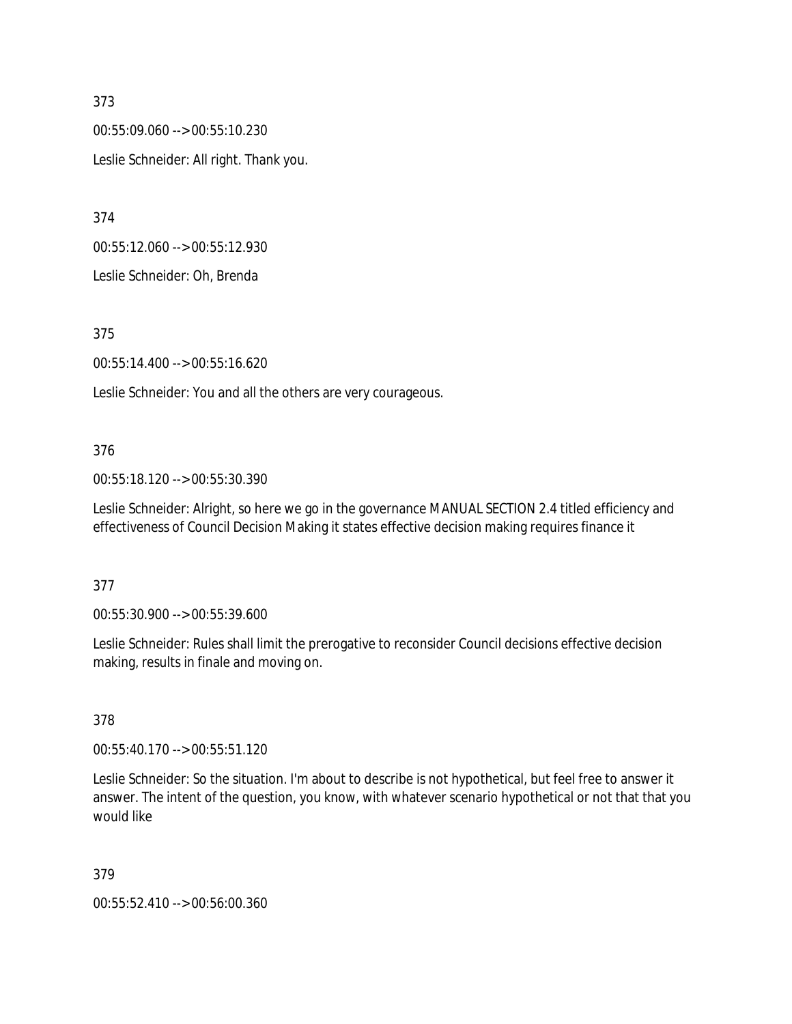00:55:09.060 --> 00:55:10.230 Leslie Schneider: All right. Thank you.

374

00:55:12.060 --> 00:55:12.930

Leslie Schneider: Oh, Brenda

375

00:55:14.400 --> 00:55:16.620

Leslie Schneider: You and all the others are very courageous.

### 376

00:55:18.120 --> 00:55:30.390

Leslie Schneider: Alright, so here we go in the governance MANUAL SECTION 2.4 titled efficiency and effectiveness of Council Decision Making it states effective decision making requires finance it

### 377

00:55:30.900 --> 00:55:39.600

Leslie Schneider: Rules shall limit the prerogative to reconsider Council decisions effective decision making, results in finale and moving on.

### 378

00:55:40.170 --> 00:55:51.120

Leslie Schneider: So the situation. I'm about to describe is not hypothetical, but feel free to answer it answer. The intent of the question, you know, with whatever scenario hypothetical or not that that you would like

### 379

00:55:52.410 --> 00:56:00.360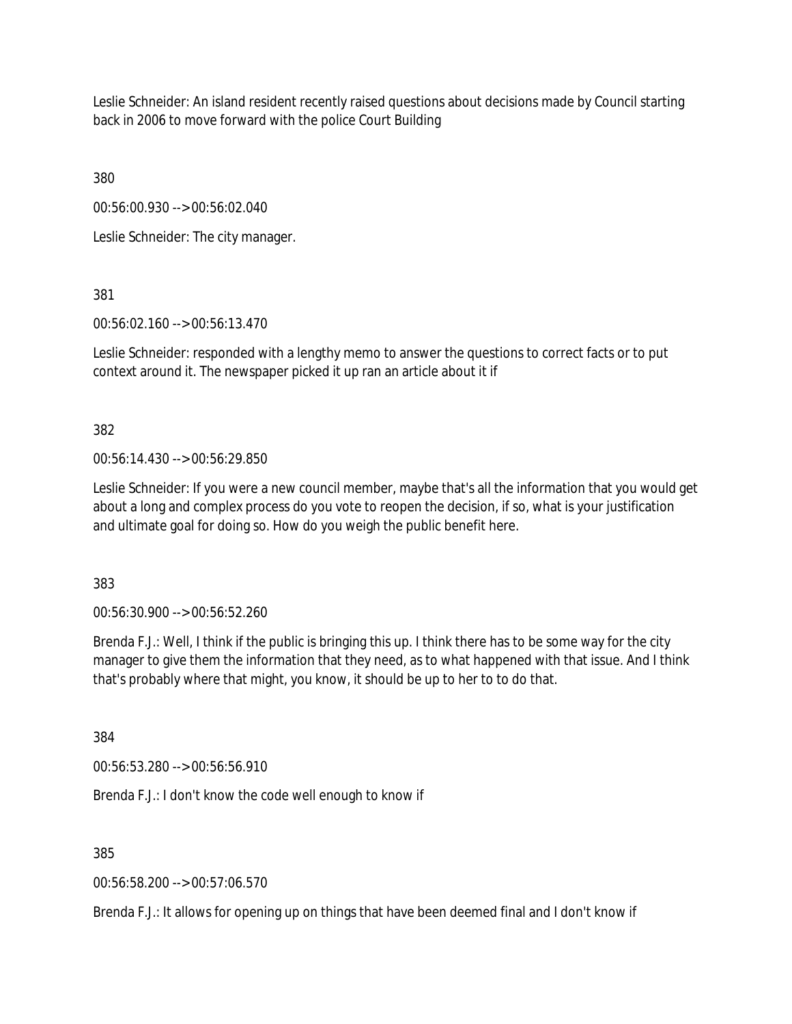Leslie Schneider: An island resident recently raised questions about decisions made by Council starting back in 2006 to move forward with the police Court Building

380

00:56:00.930 --> 00:56:02.040

Leslie Schneider: The city manager.

381

00:56:02.160 --> 00:56:13.470

Leslie Schneider: responded with a lengthy memo to answer the questions to correct facts or to put context around it. The newspaper picked it up ran an article about it if

382

00:56:14.430 --> 00:56:29.850

Leslie Schneider: If you were a new council member, maybe that's all the information that you would get about a long and complex process do you vote to reopen the decision, if so, what is your justification and ultimate goal for doing so. How do you weigh the public benefit here.

383

00:56:30.900 --> 00:56:52.260

Brenda F.J.: Well, I think if the public is bringing this up. I think there has to be some way for the city manager to give them the information that they need, as to what happened with that issue. And I think that's probably where that might, you know, it should be up to her to to do that.

384

00:56:53.280 --> 00:56:56.910

Brenda F.J.: I don't know the code well enough to know if

385

00:56:58.200 --> 00:57:06.570

Brenda F.J.: It allows for opening up on things that have been deemed final and I don't know if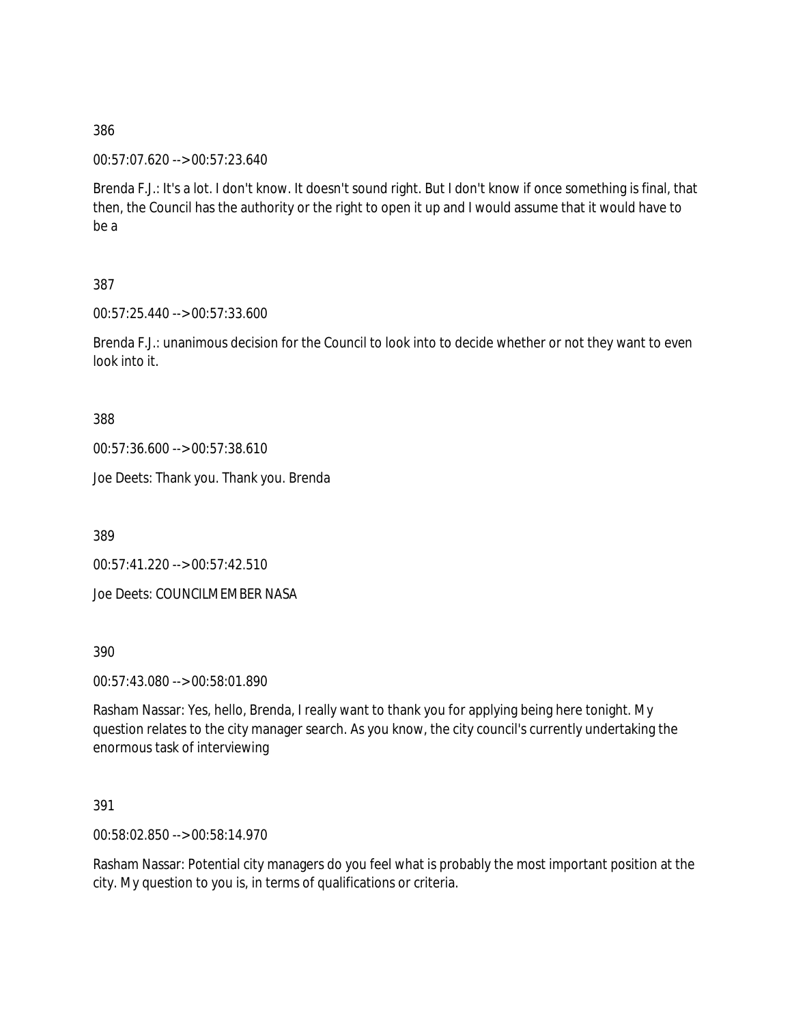00:57:07.620 --> 00:57:23.640

Brenda F.J.: It's a lot. I don't know. It doesn't sound right. But I don't know if once something is final, that then, the Council has the authority or the right to open it up and I would assume that it would have to be a

## 387

00:57:25.440 --> 00:57:33.600

Brenda F.J.: unanimous decision for the Council to look into to decide whether or not they want to even look into it.

388

00:57:36.600 --> 00:57:38.610

Joe Deets: Thank you. Thank you. Brenda

389

00:57:41.220 --> 00:57:42.510

Joe Deets: COUNCILMEMBER NASA

390

00:57:43.080 --> 00:58:01.890

Rasham Nassar: Yes, hello, Brenda, I really want to thank you for applying being here tonight. My question relates to the city manager search. As you know, the city council's currently undertaking the enormous task of interviewing

391

00:58:02.850 --> 00:58:14.970

Rasham Nassar: Potential city managers do you feel what is probably the most important position at the city. My question to you is, in terms of qualifications or criteria.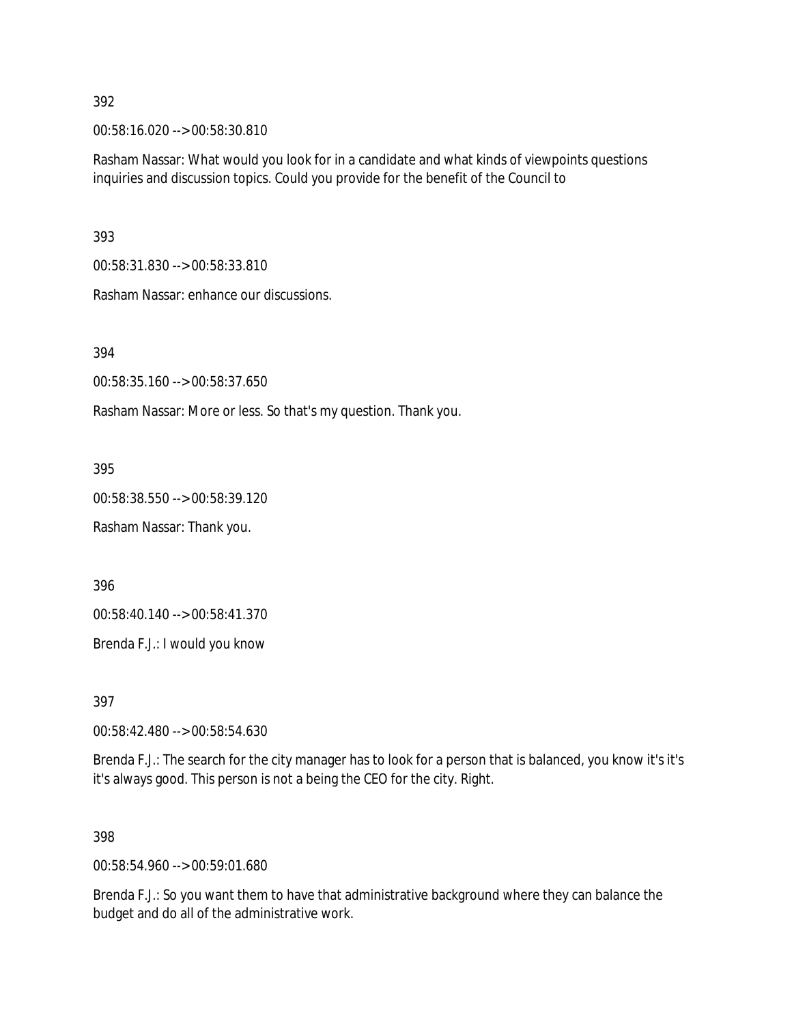00:58:16.020 --> 00:58:30.810

Rasham Nassar: What would you look for in a candidate and what kinds of viewpoints questions inquiries and discussion topics. Could you provide for the benefit of the Council to

393

00:58:31.830 --> 00:58:33.810

Rasham Nassar: enhance our discussions.

394

00:58:35.160 --> 00:58:37.650

Rasham Nassar: More or less. So that's my question. Thank you.

395

00:58:38.550 --> 00:58:39.120

Rasham Nassar: Thank you.

396

00:58:40.140 --> 00:58:41.370

Brenda F.J.: I would you know

397

00:58:42.480 --> 00:58:54.630

Brenda F.J.: The search for the city manager has to look for a person that is balanced, you know it's it's it's always good. This person is not a being the CEO for the city. Right.

398

00:58:54.960 --> 00:59:01.680

Brenda F.J.: So you want them to have that administrative background where they can balance the budget and do all of the administrative work.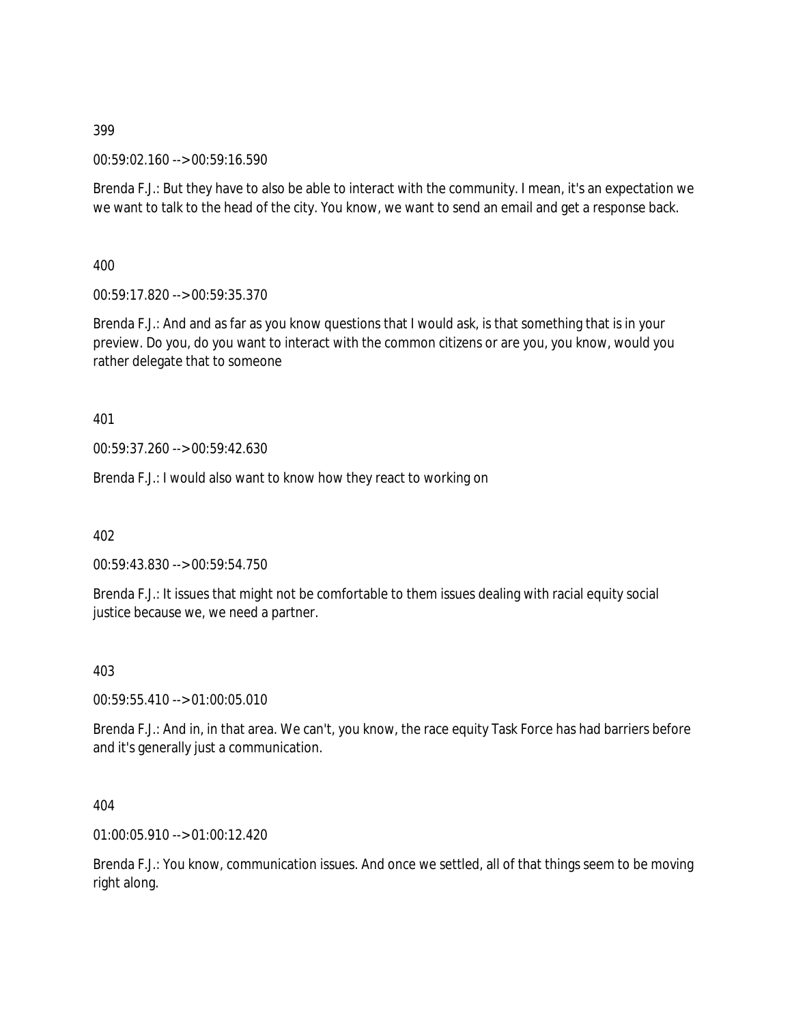00:59:02.160 --> 00:59:16.590

Brenda F.J.: But they have to also be able to interact with the community. I mean, it's an expectation we we want to talk to the head of the city. You know, we want to send an email and get a response back.

400

00:59:17.820 --> 00:59:35.370

Brenda F.J.: And and as far as you know questions that I would ask, is that something that is in your preview. Do you, do you want to interact with the common citizens or are you, you know, would you rather delegate that to someone

401

00:59:37.260 --> 00:59:42.630

Brenda F.J.: I would also want to know how they react to working on

402

00:59:43.830 --> 00:59:54.750

Brenda F.J.: It issues that might not be comfortable to them issues dealing with racial equity social justice because we, we need a partner.

403

00:59:55.410 --> 01:00:05.010

Brenda F.J.: And in, in that area. We can't, you know, the race equity Task Force has had barriers before and it's generally just a communication.

404

01:00:05.910 --> 01:00:12.420

Brenda F.J.: You know, communication issues. And once we settled, all of that things seem to be moving right along.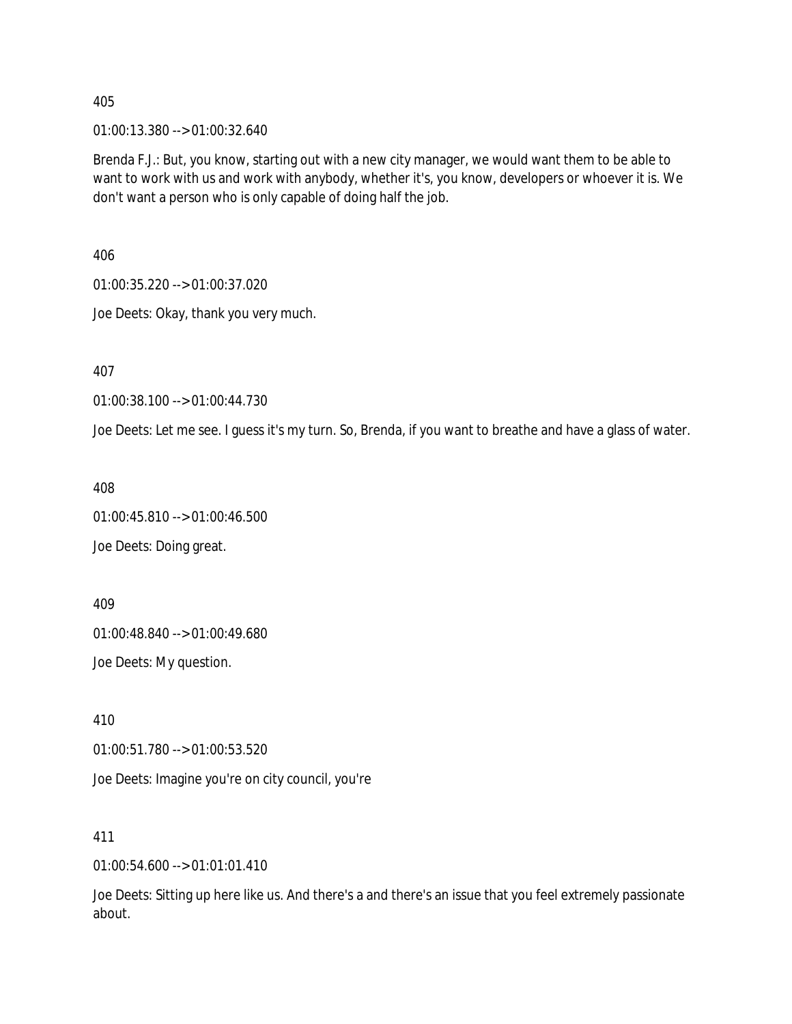01:00:13.380 --> 01:00:32.640

Brenda F.J.: But, you know, starting out with a new city manager, we would want them to be able to want to work with us and work with anybody, whether it's, you know, developers or whoever it is. We don't want a person who is only capable of doing half the job.

406

01:00:35.220 --> 01:00:37.020

Joe Deets: Okay, thank you very much.

407

01:00:38.100 --> 01:00:44.730

Joe Deets: Let me see. I guess it's my turn. So, Brenda, if you want to breathe and have a glass of water.

408

01:00:45.810 --> 01:00:46.500

Joe Deets: Doing great.

409

01:00:48.840 --> 01:00:49.680

Joe Deets: My question.

410

01:00:51.780 --> 01:00:53.520

Joe Deets: Imagine you're on city council, you're

411

01:00:54.600 --> 01:01:01.410

Joe Deets: Sitting up here like us. And there's a and there's an issue that you feel extremely passionate about.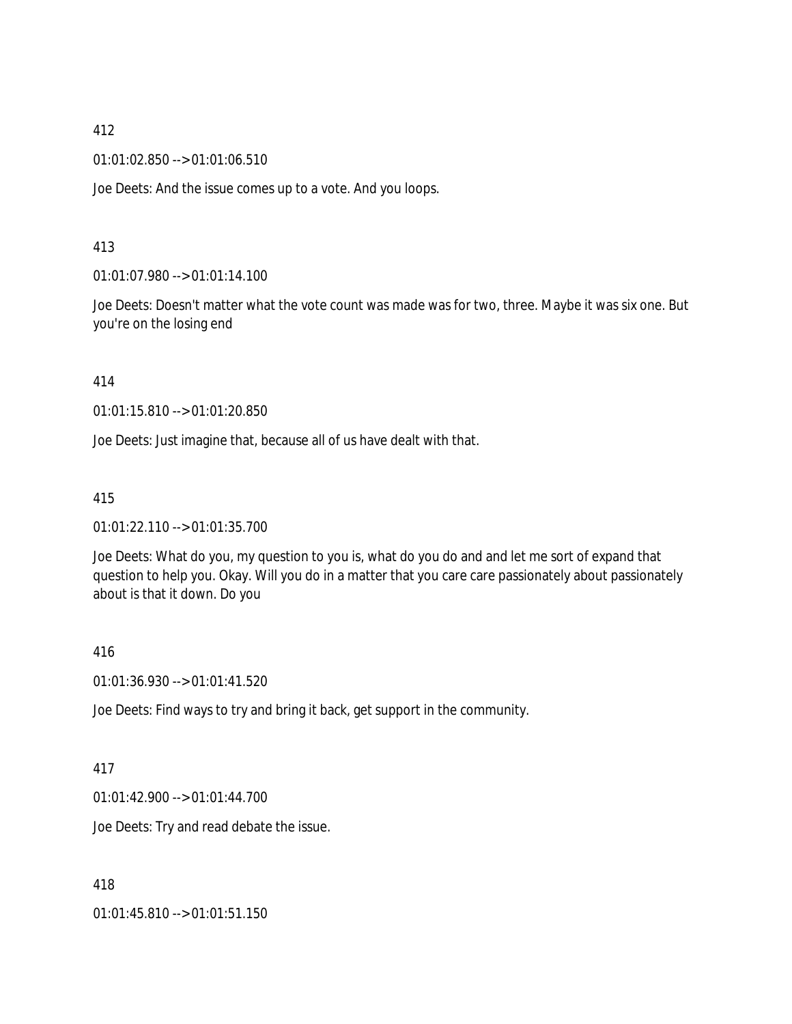01:01:02.850 --> 01:01:06.510

Joe Deets: And the issue comes up to a vote. And you loops.

## 413

01:01:07.980 --> 01:01:14.100

Joe Deets: Doesn't matter what the vote count was made was for two, three. Maybe it was six one. But you're on the losing end

### 414

01:01:15.810 --> 01:01:20.850

Joe Deets: Just imagine that, because all of us have dealt with that.

## 415

01:01:22.110 --> 01:01:35.700

Joe Deets: What do you, my question to you is, what do you do and and let me sort of expand that question to help you. Okay. Will you do in a matter that you care care passionately about passionately about is that it down. Do you

### 416

01:01:36.930 --> 01:01:41.520

Joe Deets: Find ways to try and bring it back, get support in the community.

### 417

01:01:42.900 --> 01:01:44.700

Joe Deets: Try and read debate the issue.

418

01:01:45.810 --> 01:01:51.150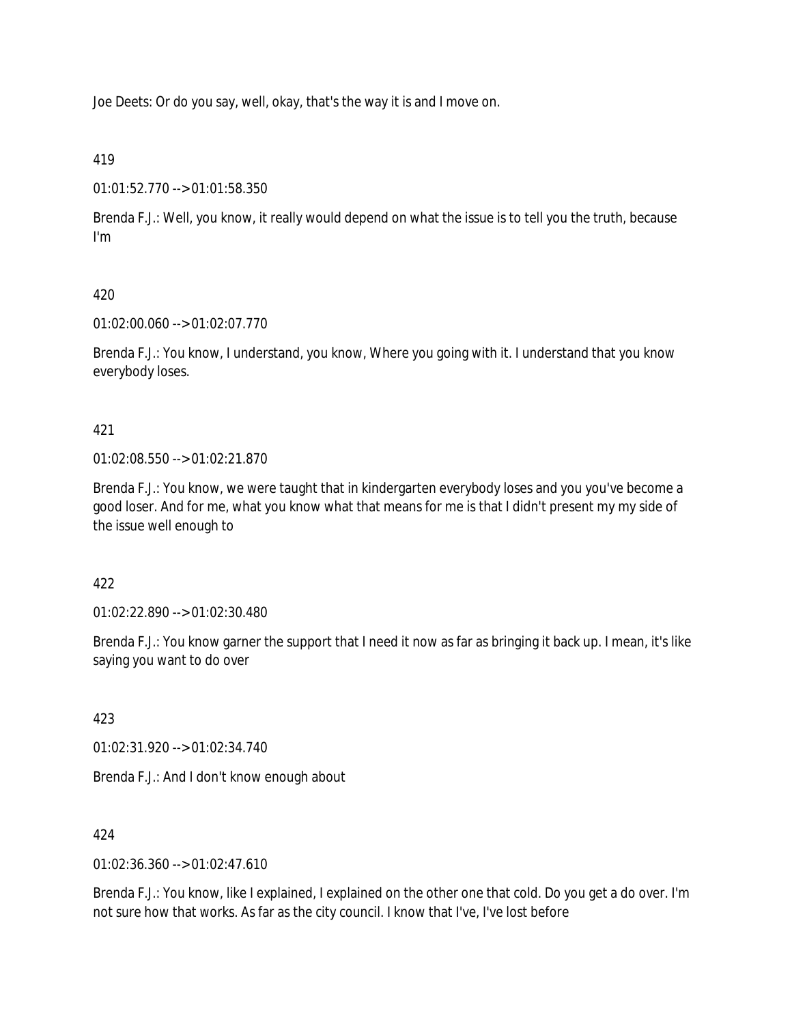Joe Deets: Or do you say, well, okay, that's the way it is and I move on.

419

01:01:52.770 --> 01:01:58.350

Brenda F.J.: Well, you know, it really would depend on what the issue is to tell you the truth, because I'm

# 420

01:02:00.060 --> 01:02:07.770

Brenda F.J.: You know, I understand, you know, Where you going with it. I understand that you know everybody loses.

# 421

01:02:08.550 --> 01:02:21.870

Brenda F.J.: You know, we were taught that in kindergarten everybody loses and you you've become a good loser. And for me, what you know what that means for me is that I didn't present my my side of the issue well enough to

422

01:02:22.890 --> 01:02:30.480

Brenda F.J.: You know garner the support that I need it now as far as bringing it back up. I mean, it's like saying you want to do over

423

01:02:31.920 --> 01:02:34.740

Brenda F.J.: And I don't know enough about

# 424

 $01:02:36.360 \rightarrow 01:02:47.610$ 

Brenda F.J.: You know, like I explained, I explained on the other one that cold. Do you get a do over. I'm not sure how that works. As far as the city council. I know that I've, I've lost before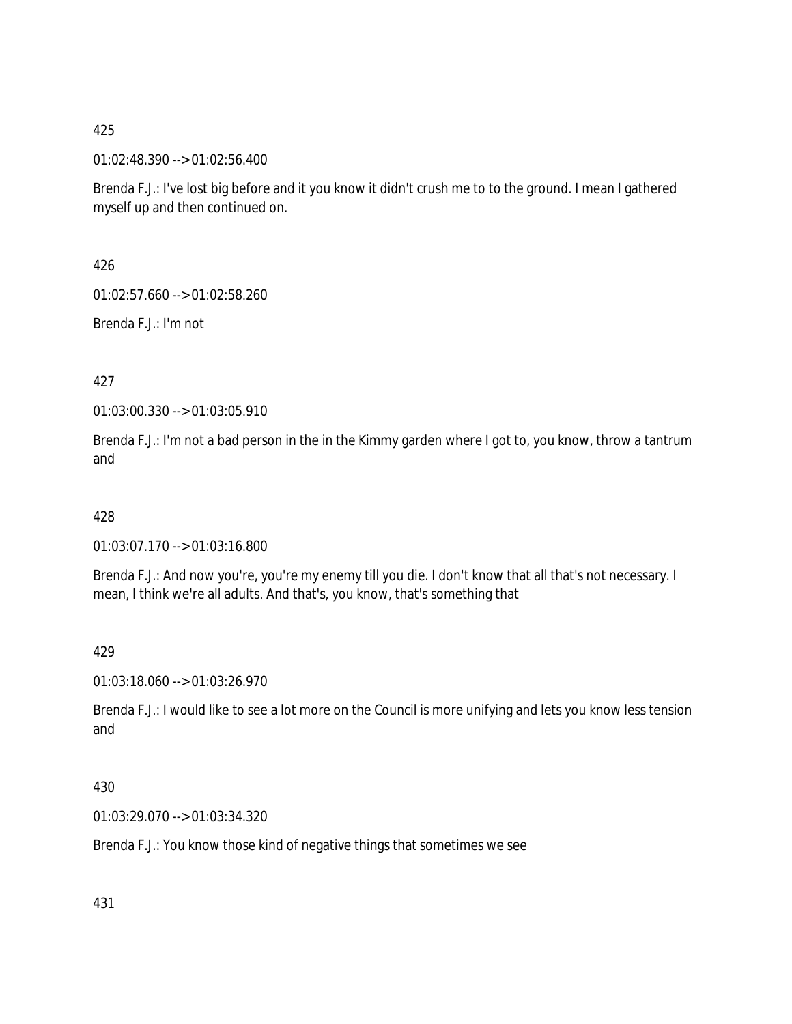01:02:48.390 --> 01:02:56.400

Brenda F.J.: I've lost big before and it you know it didn't crush me to to the ground. I mean I gathered myself up and then continued on.

426

01:02:57.660 --> 01:02:58.260

Brenda F.J.: I'm not

427

01:03:00.330 --> 01:03:05.910

Brenda F.J.: I'm not a bad person in the in the Kimmy garden where I got to, you know, throw a tantrum and

428

01:03:07.170 --> 01:03:16.800

Brenda F.J.: And now you're, you're my enemy till you die. I don't know that all that's not necessary. I mean, I think we're all adults. And that's, you know, that's something that

429

01:03:18.060 --> 01:03:26.970

Brenda F.J.: I would like to see a lot more on the Council is more unifying and lets you know less tension and

430

01:03:29.070 --> 01:03:34.320

Brenda F.J.: You know those kind of negative things that sometimes we see

431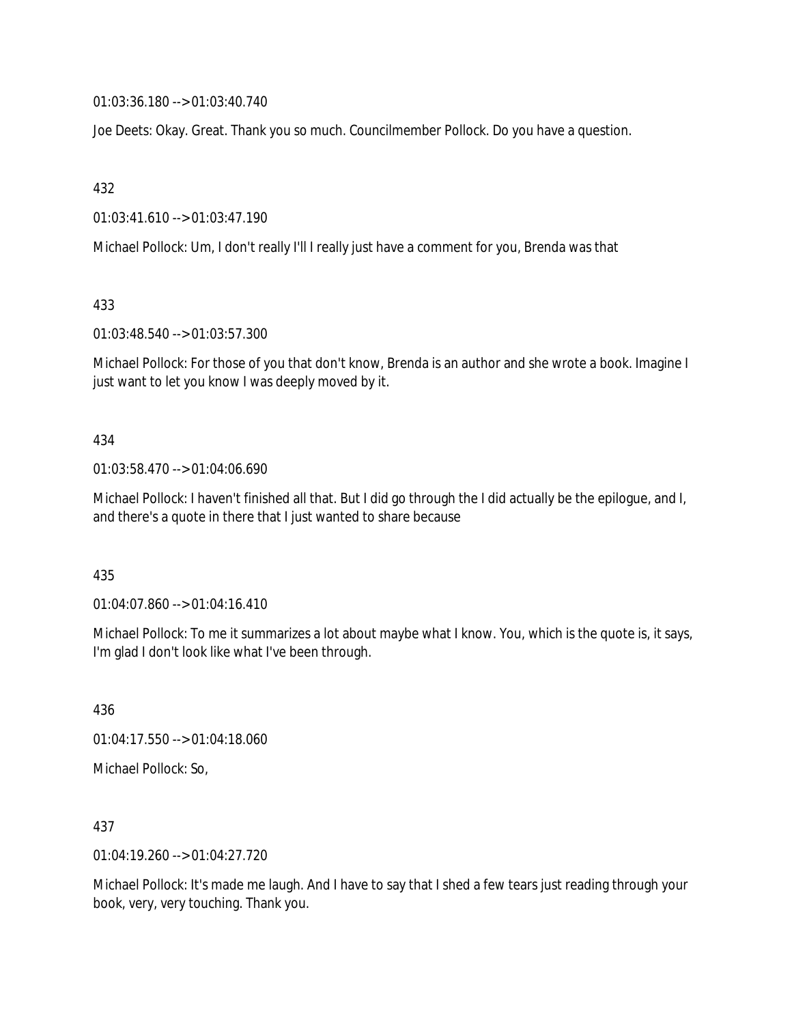01:03:36.180 --> 01:03:40.740

Joe Deets: Okay. Great. Thank you so much. Councilmember Pollock. Do you have a question.

432

01:03:41.610 --> 01:03:47.190

Michael Pollock: Um, I don't really I'll I really just have a comment for you, Brenda was that

433

01:03:48.540 --> 01:03:57.300

Michael Pollock: For those of you that don't know, Brenda is an author and she wrote a book. Imagine I just want to let you know I was deeply moved by it.

434

01:03:58.470 --> 01:04:06.690

Michael Pollock: I haven't finished all that. But I did go through the I did actually be the epilogue, and I, and there's a quote in there that I just wanted to share because

435

01:04:07.860 --> 01:04:16.410

Michael Pollock: To me it summarizes a lot about maybe what I know. You, which is the quote is, it says, I'm glad I don't look like what I've been through.

436 01:04:17.550 --> 01:04:18.060 Michael Pollock: So,

437

01:04:19.260 --> 01:04:27.720

Michael Pollock: It's made me laugh. And I have to say that I shed a few tears just reading through your book, very, very touching. Thank you.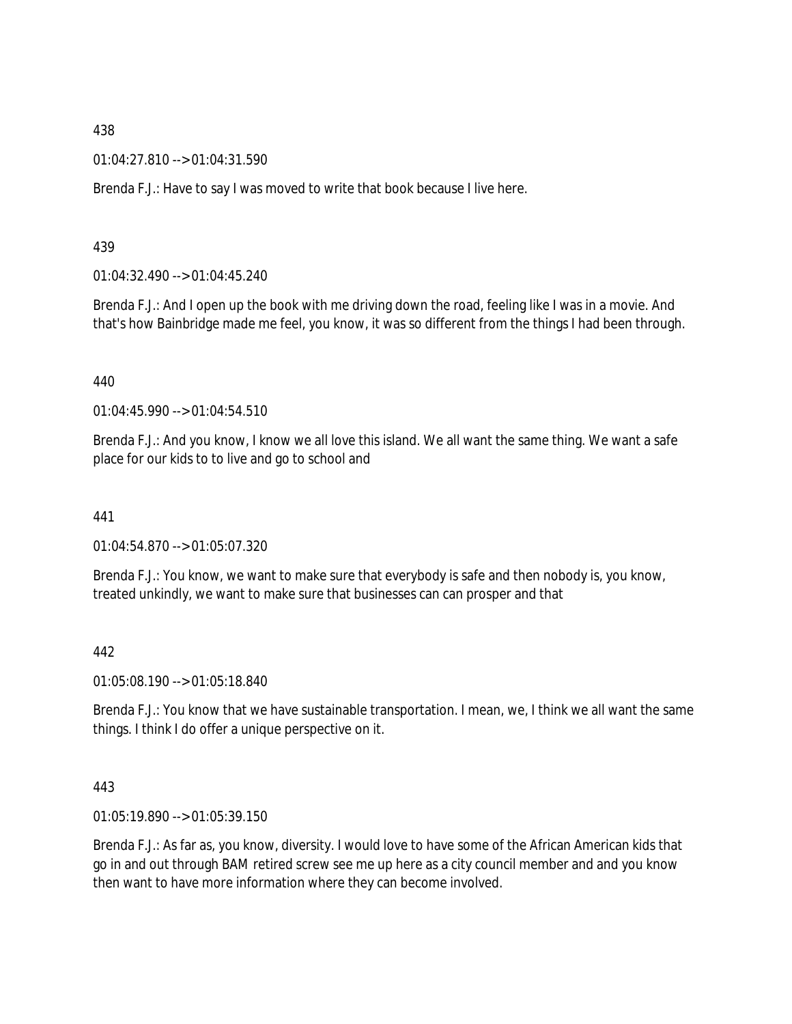01:04:27.810 --> 01:04:31.590

Brenda F.J.: Have to say I was moved to write that book because I live here.

439

01:04:32.490 --> 01:04:45.240

Brenda F.J.: And I open up the book with me driving down the road, feeling like I was in a movie. And that's how Bainbridge made me feel, you know, it was so different from the things I had been through.

440

01:04:45.990 --> 01:04:54.510

Brenda F.J.: And you know, I know we all love this island. We all want the same thing. We want a safe place for our kids to to live and go to school and

441

01:04:54.870 --> 01:05:07.320

Brenda F.J.: You know, we want to make sure that everybody is safe and then nobody is, you know, treated unkindly, we want to make sure that businesses can can prosper and that

442

01:05:08.190 --> 01:05:18.840

Brenda F.J.: You know that we have sustainable transportation. I mean, we, I think we all want the same things. I think I do offer a unique perspective on it.

443

01:05:19.890 --> 01:05:39.150

Brenda F.J.: As far as, you know, diversity. I would love to have some of the African American kids that go in and out through BAM retired screw see me up here as a city council member and and you know then want to have more information where they can become involved.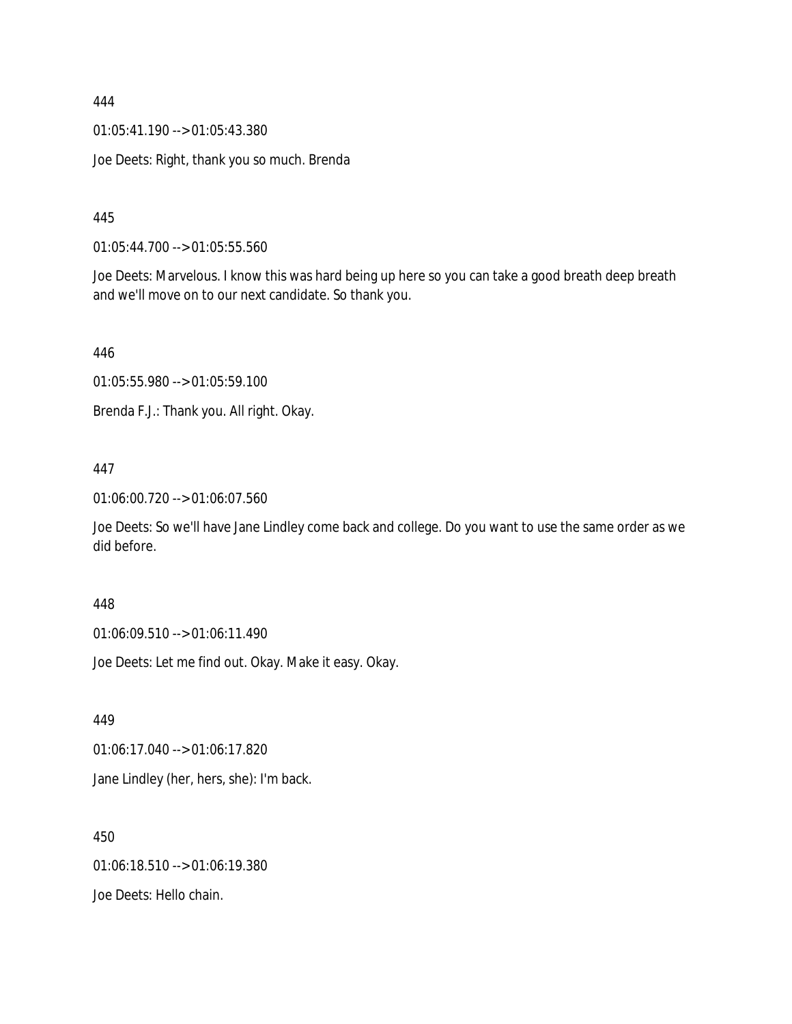01:05:41.190 --> 01:05:43.380

Joe Deets: Right, thank you so much. Brenda

445

01:05:44.700 --> 01:05:55.560

Joe Deets: Marvelous. I know this was hard being up here so you can take a good breath deep breath and we'll move on to our next candidate. So thank you.

446

01:05:55.980 --> 01:05:59.100

Brenda F.J.: Thank you. All right. Okay.

### 447

01:06:00.720 --> 01:06:07.560

Joe Deets: So we'll have Jane Lindley come back and college. Do you want to use the same order as we did before.

#### 448

01:06:09.510 --> 01:06:11.490

Joe Deets: Let me find out. Okay. Make it easy. Okay.

449

01:06:17.040 --> 01:06:17.820

Jane Lindley (her, hers, she): I'm back.

450 01:06:18.510 --> 01:06:19.380 Joe Deets: Hello chain.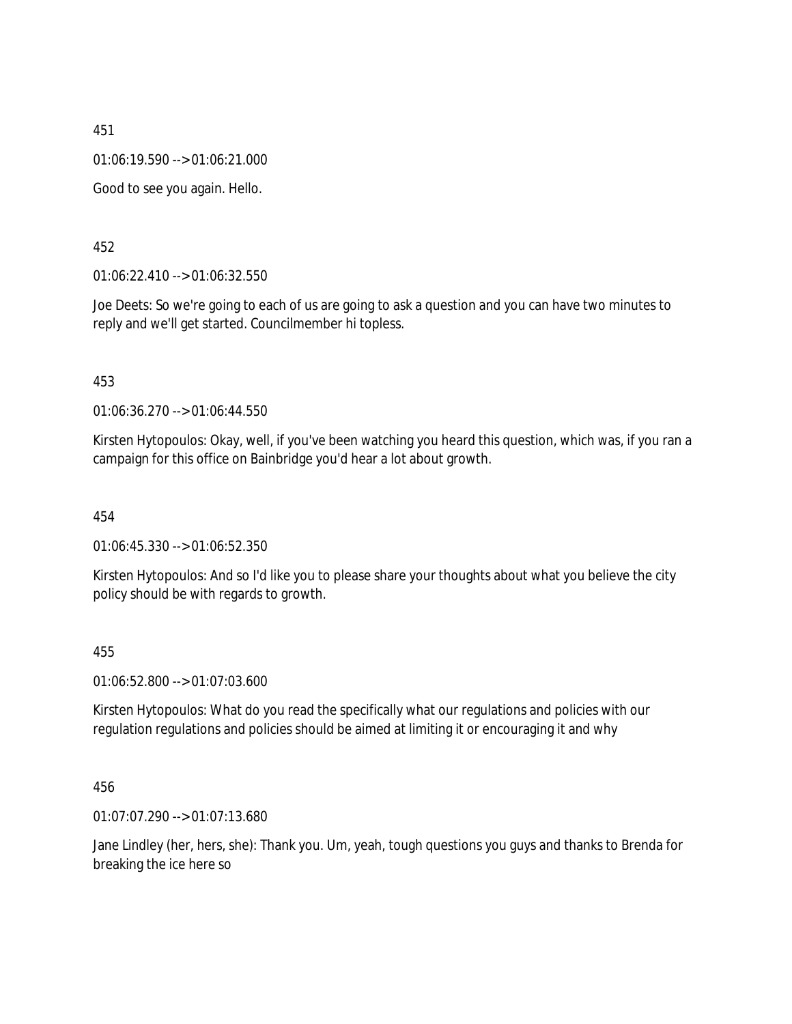01:06:19.590 --> 01:06:21.000

Good to see you again. Hello.

452

01:06:22.410 --> 01:06:32.550

Joe Deets: So we're going to each of us are going to ask a question and you can have two minutes to reply and we'll get started. Councilmember hi topless.

453

01:06:36.270 --> 01:06:44.550

Kirsten Hytopoulos: Okay, well, if you've been watching you heard this question, which was, if you ran a campaign for this office on Bainbridge you'd hear a lot about growth.

454

01:06:45.330 --> 01:06:52.350

Kirsten Hytopoulos: And so I'd like you to please share your thoughts about what you believe the city policy should be with regards to growth.

455

01:06:52.800 --> 01:07:03.600

Kirsten Hytopoulos: What do you read the specifically what our regulations and policies with our regulation regulations and policies should be aimed at limiting it or encouraging it and why

456

01:07:07.290 --> 01:07:13.680

Jane Lindley (her, hers, she): Thank you. Um, yeah, tough questions you guys and thanks to Brenda for breaking the ice here so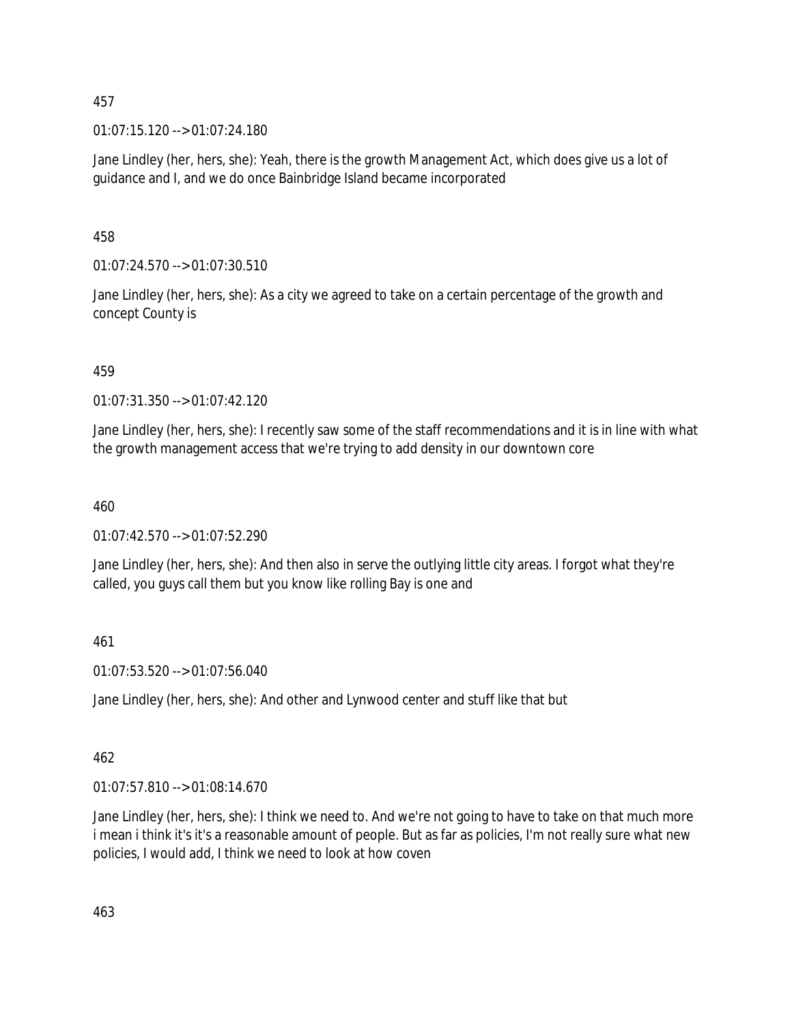01:07:15.120 --> 01:07:24.180

Jane Lindley (her, hers, she): Yeah, there is the growth Management Act, which does give us a lot of guidance and I, and we do once Bainbridge Island became incorporated

458

01:07:24.570 --> 01:07:30.510

Jane Lindley (her, hers, she): As a city we agreed to take on a certain percentage of the growth and concept County is

459

01:07:31.350 --> 01:07:42.120

Jane Lindley (her, hers, she): I recently saw some of the staff recommendations and it is in line with what the growth management access that we're trying to add density in our downtown core

460

01:07:42.570 --> 01:07:52.290

Jane Lindley (her, hers, she): And then also in serve the outlying little city areas. I forgot what they're called, you guys call them but you know like rolling Bay is one and

461

01:07:53.520 --> 01:07:56.040

Jane Lindley (her, hers, she): And other and Lynwood center and stuff like that but

462

01:07:57.810 --> 01:08:14.670

Jane Lindley (her, hers, she): I think we need to. And we're not going to have to take on that much more i mean i think it's it's a reasonable amount of people. But as far as policies, I'm not really sure what new policies, I would add, I think we need to look at how coven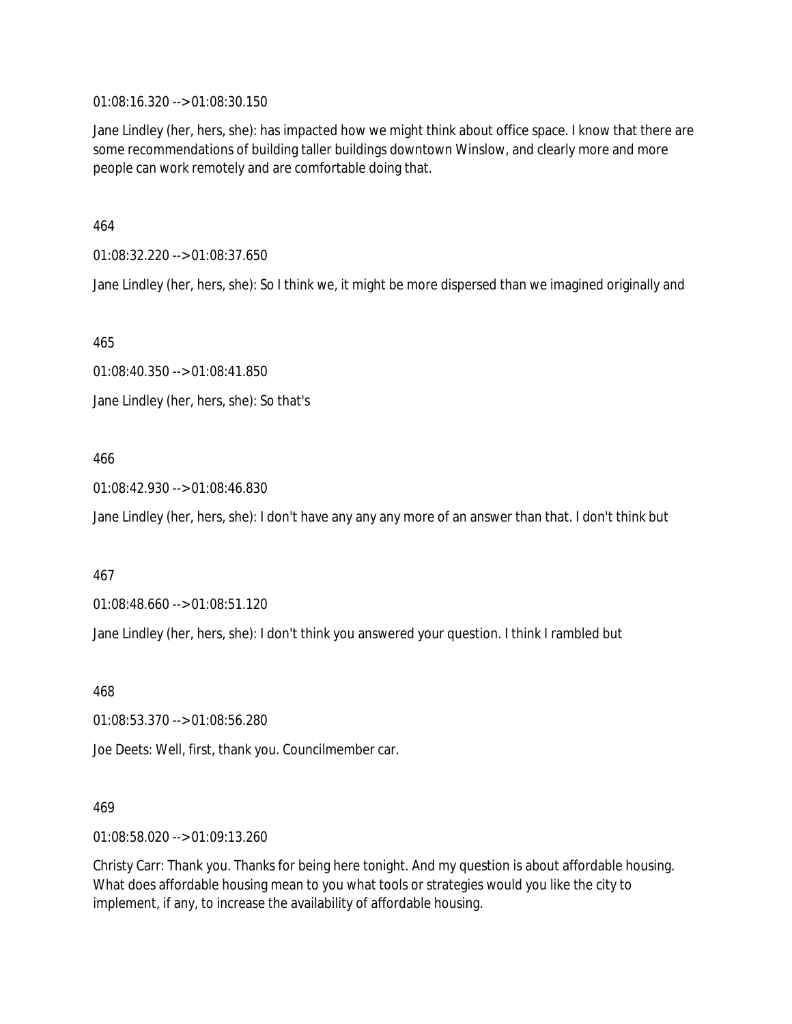01:08:16.320 --> 01:08:30.150

Jane Lindley (her, hers, she): has impacted how we might think about office space. I know that there are some recommendations of building taller buildings downtown Winslow, and clearly more and more people can work remotely and are comfortable doing that.

464

01:08:32.220 --> 01:08:37.650

Jane Lindley (her, hers, she): So I think we, it might be more dispersed than we imagined originally and

465

01:08:40.350 --> 01:08:41.850 Jane Lindley (her, hers, she): So that's

#### 466

01:08:42.930 --> 01:08:46.830

Jane Lindley (her, hers, she): I don't have any any any more of an answer than that. I don't think but

#### 467

01:08:48.660 --> 01:08:51.120

Jane Lindley (her, hers, she): I don't think you answered your question. I think I rambled but

468

01:08:53.370 --> 01:08:56.280

Joe Deets: Well, first, thank you. Councilmember car.

#### 469

01:08:58.020 --> 01:09:13.260

Christy Carr: Thank you. Thanks for being here tonight. And my question is about affordable housing. What does affordable housing mean to you what tools or strategies would you like the city to implement, if any, to increase the availability of affordable housing.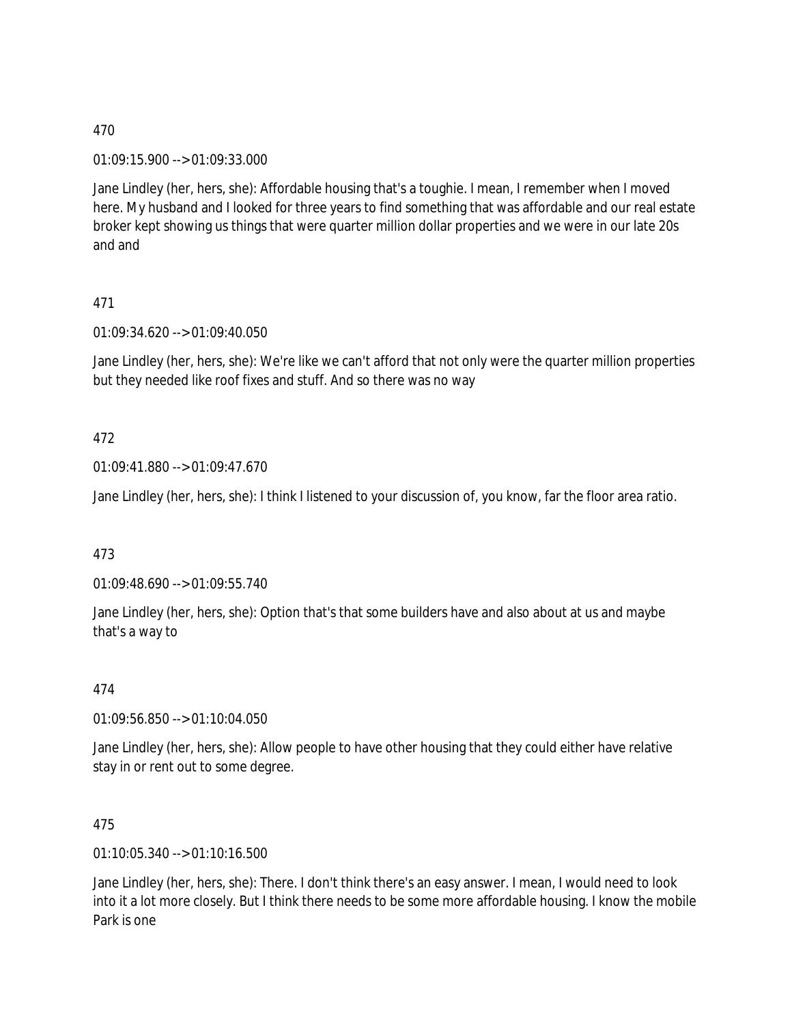01:09:15.900 --> 01:09:33.000

Jane Lindley (her, hers, she): Affordable housing that's a toughie. I mean, I remember when I moved here. My husband and I looked for three years to find something that was affordable and our real estate broker kept showing us things that were quarter million dollar properties and we were in our late 20s and and

# 471

01:09:34.620 --> 01:09:40.050

Jane Lindley (her, hers, she): We're like we can't afford that not only were the quarter million properties but they needed like roof fixes and stuff. And so there was no way

# 472

01:09:41.880 --> 01:09:47.670

Jane Lindley (her, hers, she): I think I listened to your discussion of, you know, far the floor area ratio.

### 473

01:09:48.690 --> 01:09:55.740

Jane Lindley (her, hers, she): Option that's that some builders have and also about at us and maybe that's a way to

### 474

01:09:56.850 --> 01:10:04.050

Jane Lindley (her, hers, she): Allow people to have other housing that they could either have relative stay in or rent out to some degree.

### 475

01:10:05.340 --> 01:10:16.500

Jane Lindley (her, hers, she): There. I don't think there's an easy answer. I mean, I would need to look into it a lot more closely. But I think there needs to be some more affordable housing. I know the mobile Park is one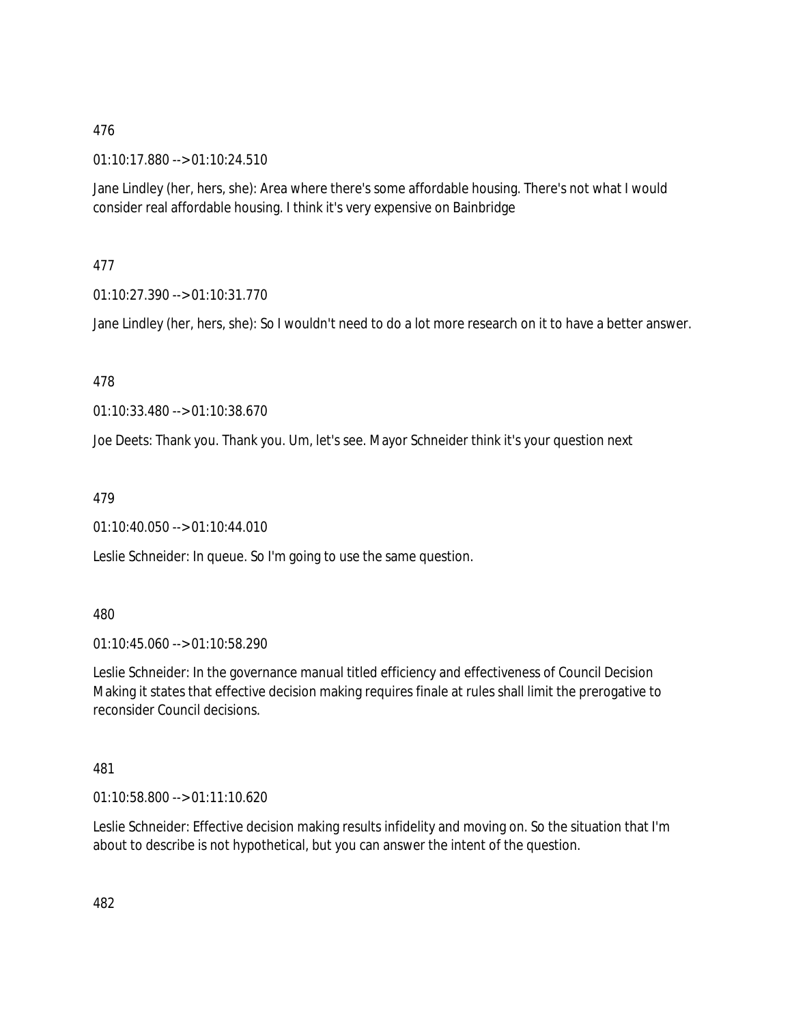01:10:17.880 --> 01:10:24.510

Jane Lindley (her, hers, she): Area where there's some affordable housing. There's not what I would consider real affordable housing. I think it's very expensive on Bainbridge

477

01:10:27.390 --> 01:10:31.770

Jane Lindley (her, hers, she): So I wouldn't need to do a lot more research on it to have a better answer.

478

01:10:33.480 --> 01:10:38.670

Joe Deets: Thank you. Thank you. Um, let's see. Mayor Schneider think it's your question next

479

01:10:40.050 --> 01:10:44.010

Leslie Schneider: In queue. So I'm going to use the same question.

480

01:10:45.060 --> 01:10:58.290

Leslie Schneider: In the governance manual titled efficiency and effectiveness of Council Decision Making it states that effective decision making requires finale at rules shall limit the prerogative to reconsider Council decisions.

481

01:10:58.800 --> 01:11:10.620

Leslie Schneider: Effective decision making results infidelity and moving on. So the situation that I'm about to describe is not hypothetical, but you can answer the intent of the question.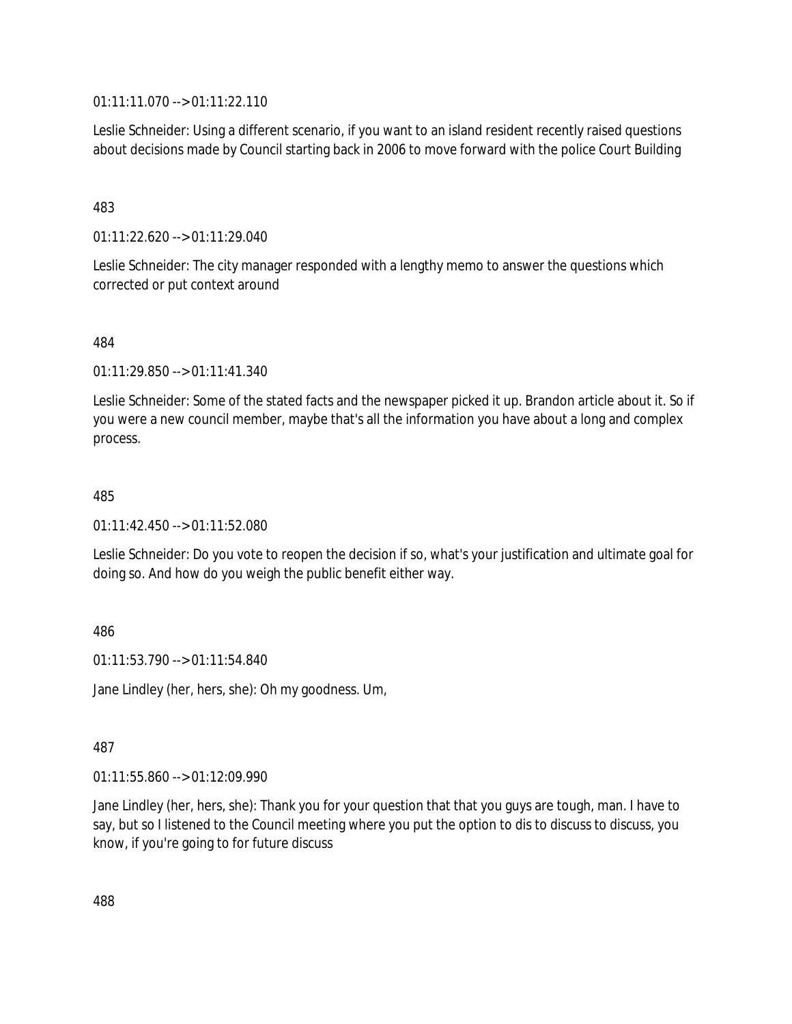01:11:11.070 --> 01:11:22.110

Leslie Schneider: Using a different scenario, if you want to an island resident recently raised questions about decisions made by Council starting back in 2006 to move forward with the police Court Building

483

01:11:22.620 --> 01:11:29.040

Leslie Schneider: The city manager responded with a lengthy memo to answer the questions which corrected or put context around

484

01:11:29.850 --> 01:11:41.340

Leslie Schneider: Some of the stated facts and the newspaper picked it up. Brandon article about it. So if you were a new council member, maybe that's all the information you have about a long and complex process.

485

01:11:42.450 --> 01:11:52.080

Leslie Schneider: Do you vote to reopen the decision if so, what's your justification and ultimate goal for doing so. And how do you weigh the public benefit either way.

486

01:11:53.790 --> 01:11:54.840

Jane Lindley (her, hers, she): Oh my goodness. Um,

487

01:11:55.860 --> 01:12:09.990

Jane Lindley (her, hers, she): Thank you for your question that that you guys are tough, man. I have to say, but so I listened to the Council meeting where you put the option to dis to discuss to discuss, you know, if you're going to for future discuss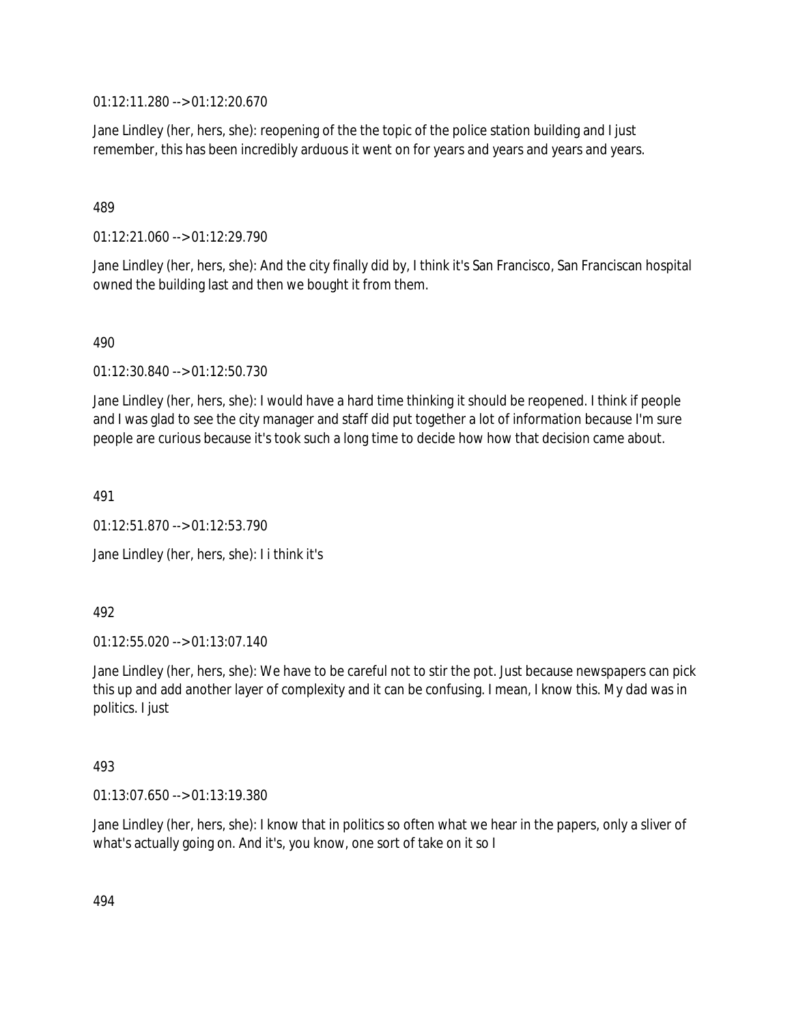01:12:11.280 --> 01:12:20.670

Jane Lindley (her, hers, she): reopening of the the topic of the police station building and I just remember, this has been incredibly arduous it went on for years and years and years and years.

### 489

01:12:21.060 --> 01:12:29.790

Jane Lindley (her, hers, she): And the city finally did by, I think it's San Francisco, San Franciscan hospital owned the building last and then we bought it from them.

### 490

01:12:30.840 --> 01:12:50.730

Jane Lindley (her, hers, she): I would have a hard time thinking it should be reopened. I think if people and I was glad to see the city manager and staff did put together a lot of information because I'm sure people are curious because it's took such a long time to decide how how that decision came about.

491

01:12:51.870 --> 01:12:53.790

Jane Lindley (her, hers, she): I i think it's

#### 492

01:12:55.020 --> 01:13:07.140

Jane Lindley (her, hers, she): We have to be careful not to stir the pot. Just because newspapers can pick this up and add another layer of complexity and it can be confusing. I mean, I know this. My dad was in politics. I just

### 493

01:13:07.650 --> 01:13:19.380

Jane Lindley (her, hers, she): I know that in politics so often what we hear in the papers, only a sliver of what's actually going on. And it's, you know, one sort of take on it so I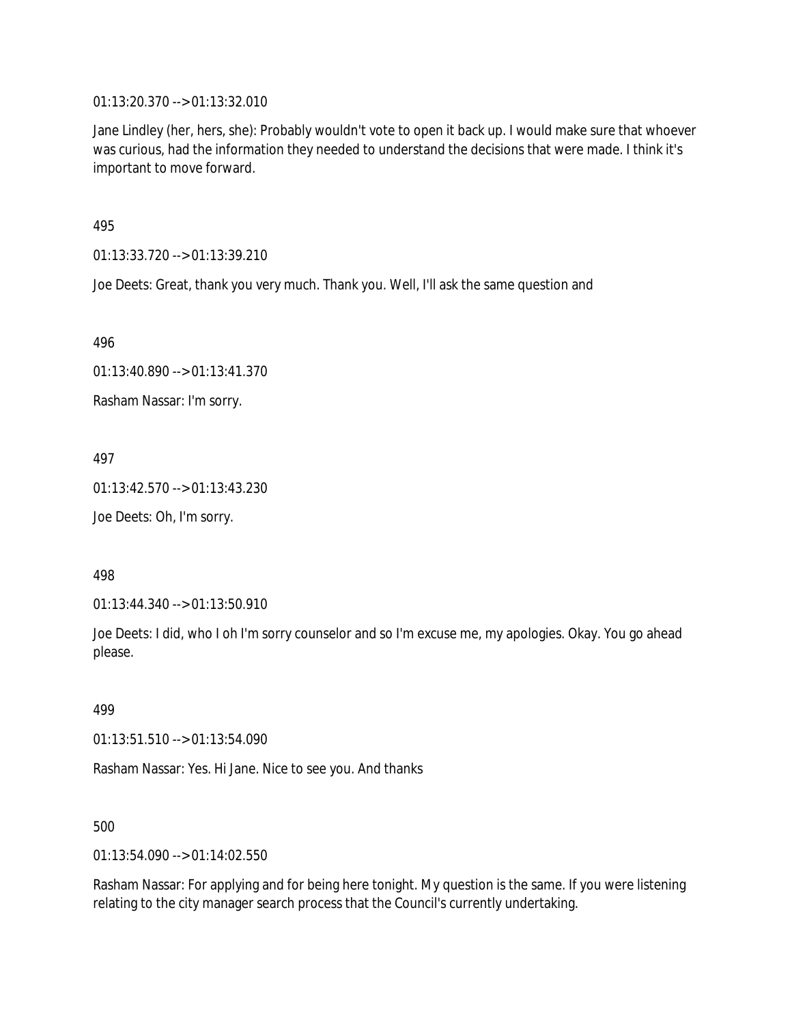01:13:20.370 --> 01:13:32.010

Jane Lindley (her, hers, she): Probably wouldn't vote to open it back up. I would make sure that whoever was curious, had the information they needed to understand the decisions that were made. I think it's important to move forward.

495

01:13:33.720 --> 01:13:39.210

Joe Deets: Great, thank you very much. Thank you. Well, I'll ask the same question and

496

01:13:40.890 --> 01:13:41.370

Rasham Nassar: I'm sorry.

497

01:13:42.570 --> 01:13:43.230

Joe Deets: Oh, I'm sorry.

498

01:13:44.340 --> 01:13:50.910

Joe Deets: I did, who I oh I'm sorry counselor and so I'm excuse me, my apologies. Okay. You go ahead please.

499

01:13:51.510 --> 01:13:54.090

Rasham Nassar: Yes. Hi Jane. Nice to see you. And thanks

500

01:13:54.090 --> 01:14:02.550

Rasham Nassar: For applying and for being here tonight. My question is the same. If you were listening relating to the city manager search process that the Council's currently undertaking.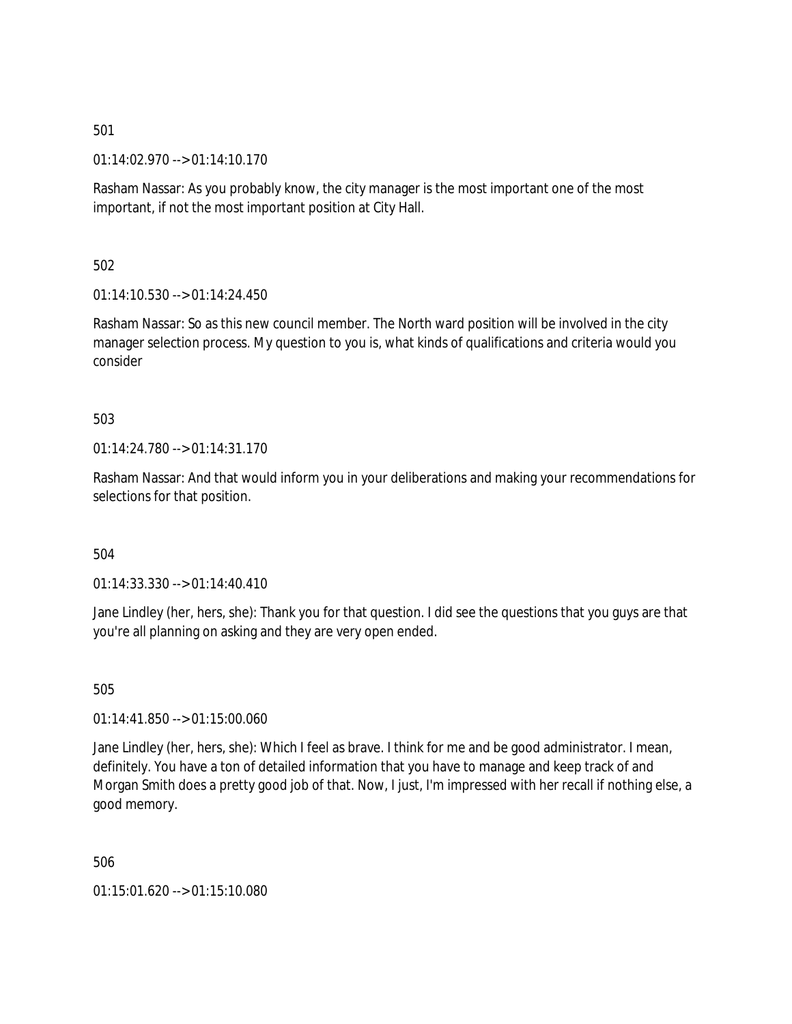01:14:02.970 --> 01:14:10.170

Rasham Nassar: As you probably know, the city manager is the most important one of the most important, if not the most important position at City Hall.

502

 $01:14:10.530 \rightarrow 01:14:24.450$ 

Rasham Nassar: So as this new council member. The North ward position will be involved in the city manager selection process. My question to you is, what kinds of qualifications and criteria would you consider

503

01:14:24.780 --> 01:14:31.170

Rasham Nassar: And that would inform you in your deliberations and making your recommendations for selections for that position.

504

01:14:33.330 --> 01:14:40.410

Jane Lindley (her, hers, she): Thank you for that question. I did see the questions that you guys are that you're all planning on asking and they are very open ended.

505

01:14:41.850 --> 01:15:00.060

Jane Lindley (her, hers, she): Which I feel as brave. I think for me and be good administrator. I mean, definitely. You have a ton of detailed information that you have to manage and keep track of and Morgan Smith does a pretty good job of that. Now, I just, I'm impressed with her recall if nothing else, a good memory.

506

01:15:01.620 --> 01:15:10.080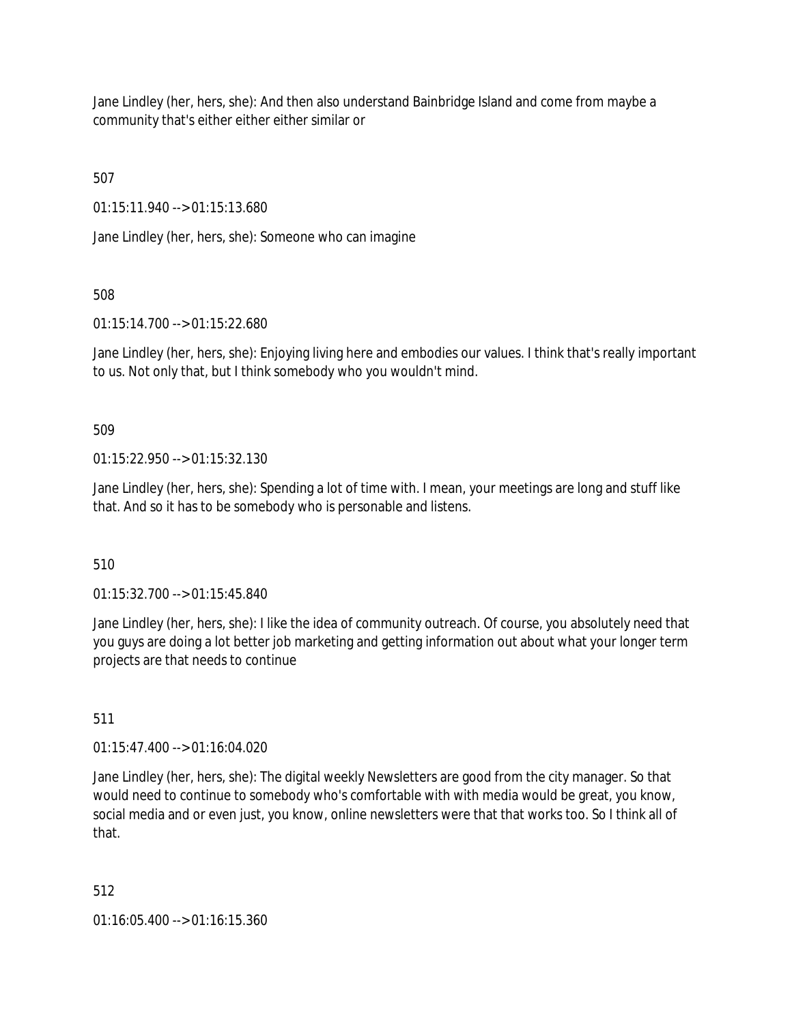Jane Lindley (her, hers, she): And then also understand Bainbridge Island and come from maybe a community that's either either either similar or

507

01:15:11.940 --> 01:15:13.680

Jane Lindley (her, hers, she): Someone who can imagine

508

01:15:14.700 --> 01:15:22.680

Jane Lindley (her, hers, she): Enjoying living here and embodies our values. I think that's really important to us. Not only that, but I think somebody who you wouldn't mind.

509

 $01:15:22.950 \rightarrow 01:15:32.130$ 

Jane Lindley (her, hers, she): Spending a lot of time with. I mean, your meetings are long and stuff like that. And so it has to be somebody who is personable and listens.

510

01:15:32.700 --> 01:15:45.840

Jane Lindley (her, hers, she): I like the idea of community outreach. Of course, you absolutely need that you guys are doing a lot better job marketing and getting information out about what your longer term projects are that needs to continue

511

01:15:47.400 --> 01:16:04.020

Jane Lindley (her, hers, she): The digital weekly Newsletters are good from the city manager. So that would need to continue to somebody who's comfortable with with media would be great, you know, social media and or even just, you know, online newsletters were that that works too. So I think all of that.

512

01:16:05.400 --> 01:16:15.360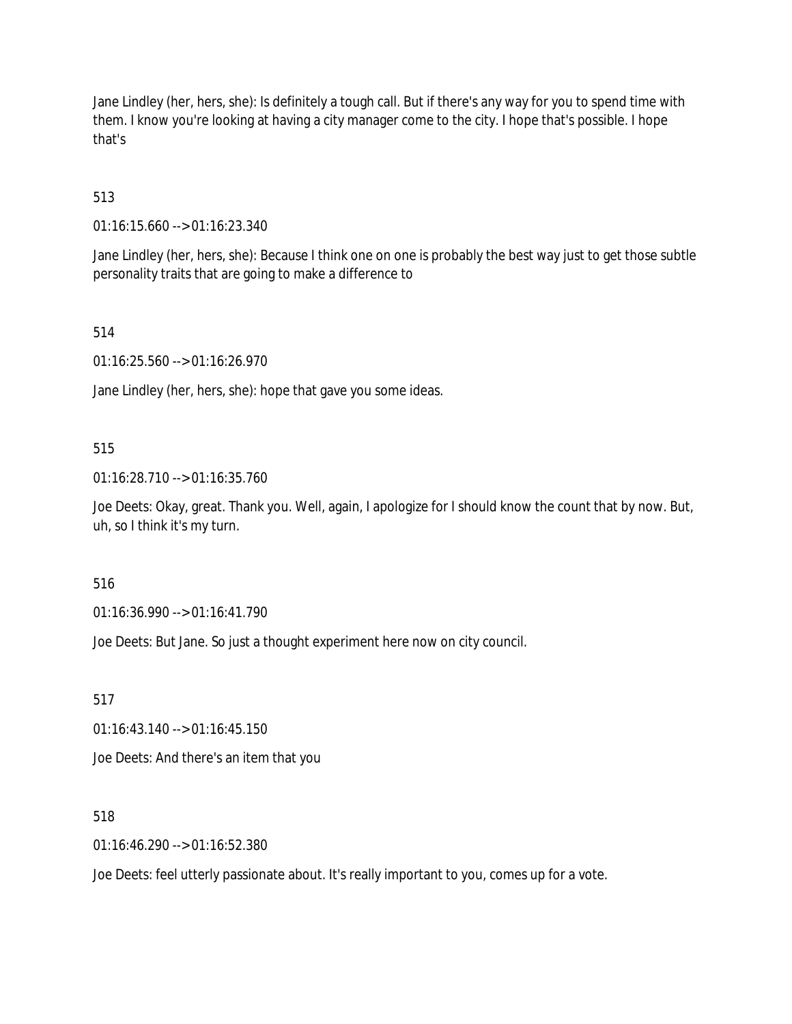Jane Lindley (her, hers, she): Is definitely a tough call. But if there's any way for you to spend time with them. I know you're looking at having a city manager come to the city. I hope that's possible. I hope that's

513

01:16:15.660 --> 01:16:23.340

Jane Lindley (her, hers, she): Because I think one on one is probably the best way just to get those subtle personality traits that are going to make a difference to

514

01:16:25.560 --> 01:16:26.970

Jane Lindley (her, hers, she): hope that gave you some ideas.

### 515

01:16:28.710 --> 01:16:35.760

Joe Deets: Okay, great. Thank you. Well, again, I apologize for I should know the count that by now. But, uh, so I think it's my turn.

516

01:16:36.990 --> 01:16:41.790

Joe Deets: But Jane. So just a thought experiment here now on city council.

517

01:16:43.140 --> 01:16:45.150

Joe Deets: And there's an item that you

### 518

01:16:46.290 --> 01:16:52.380

Joe Deets: feel utterly passionate about. It's really important to you, comes up for a vote.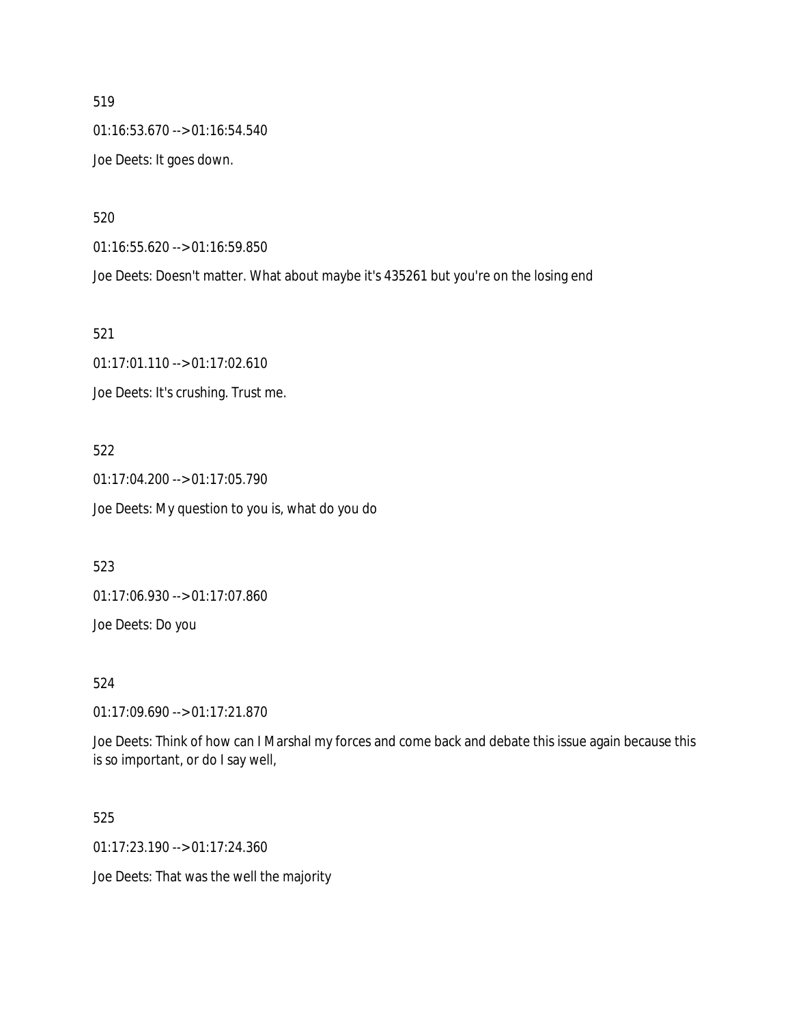519 01:16:53.670 --> 01:16:54.540 Joe Deets: It goes down.

520

01:16:55.620 --> 01:16:59.850

Joe Deets: Doesn't matter. What about maybe it's 435261 but you're on the losing end

521

01:17:01.110 --> 01:17:02.610 Joe Deets: It's crushing. Trust me.

522

01:17:04.200 --> 01:17:05.790 Joe Deets: My question to you is, what do you do

523

01:17:06.930 --> 01:17:07.860

Joe Deets: Do you

524

01:17:09.690 --> 01:17:21.870

Joe Deets: Think of how can I Marshal my forces and come back and debate this issue again because this is so important, or do I say well,

525

01:17:23.190 --> 01:17:24.360

Joe Deets: That was the well the majority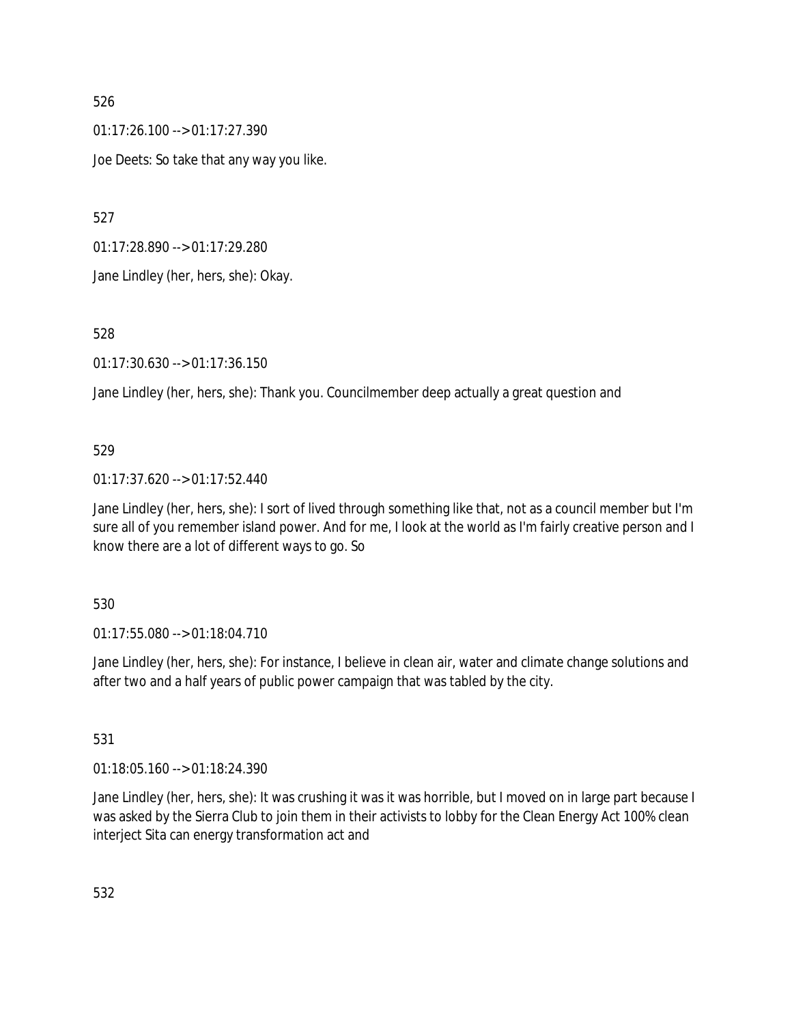$01:17:26.100 \rightarrow 01:17:27.390$ Joe Deets: So take that any way you like.

527

01:17:28.890 --> 01:17:29.280

Jane Lindley (her, hers, she): Okay.

528

01:17:30.630 --> 01:17:36.150

Jane Lindley (her, hers, she): Thank you. Councilmember deep actually a great question and

# 529

01:17:37.620 --> 01:17:52.440

Jane Lindley (her, hers, she): I sort of lived through something like that, not as a council member but I'm sure all of you remember island power. And for me, I look at the world as I'm fairly creative person and I know there are a lot of different ways to go. So

### 530

01:17:55.080 --> 01:18:04.710

Jane Lindley (her, hers, she): For instance, I believe in clean air, water and climate change solutions and after two and a half years of public power campaign that was tabled by the city.

### 531

01:18:05.160 --> 01:18:24.390

Jane Lindley (her, hers, she): It was crushing it was it was horrible, but I moved on in large part because I was asked by the Sierra Club to join them in their activists to lobby for the Clean Energy Act 100% clean interject Sita can energy transformation act and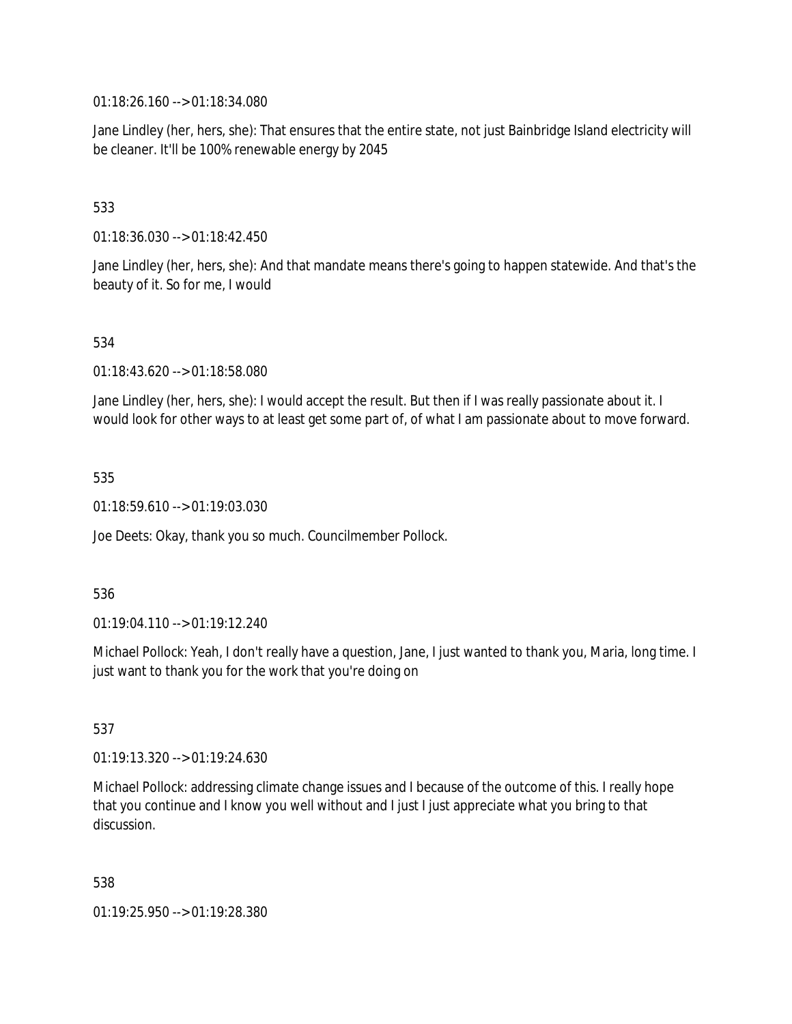01:18:26.160 --> 01:18:34.080

Jane Lindley (her, hers, she): That ensures that the entire state, not just Bainbridge Island electricity will be cleaner. It'll be 100% renewable energy by 2045

# 533

01:18:36.030 --> 01:18:42.450

Jane Lindley (her, hers, she): And that mandate means there's going to happen statewide. And that's the beauty of it. So for me, I would

### 534

01:18:43.620 --> 01:18:58.080

Jane Lindley (her, hers, she): I would accept the result. But then if I was really passionate about it. I would look for other ways to at least get some part of, of what I am passionate about to move forward.

#### 535

01:18:59.610 --> 01:19:03.030

Joe Deets: Okay, thank you so much. Councilmember Pollock.

#### 536

01:19:04.110 --> 01:19:12.240

Michael Pollock: Yeah, I don't really have a question, Jane, I just wanted to thank you, Maria, long time. I just want to thank you for the work that you're doing on

### 537

01:19:13.320 --> 01:19:24.630

Michael Pollock: addressing climate change issues and I because of the outcome of this. I really hope that you continue and I know you well without and I just I just appreciate what you bring to that discussion.

#### 538

01:19:25.950 --> 01:19:28.380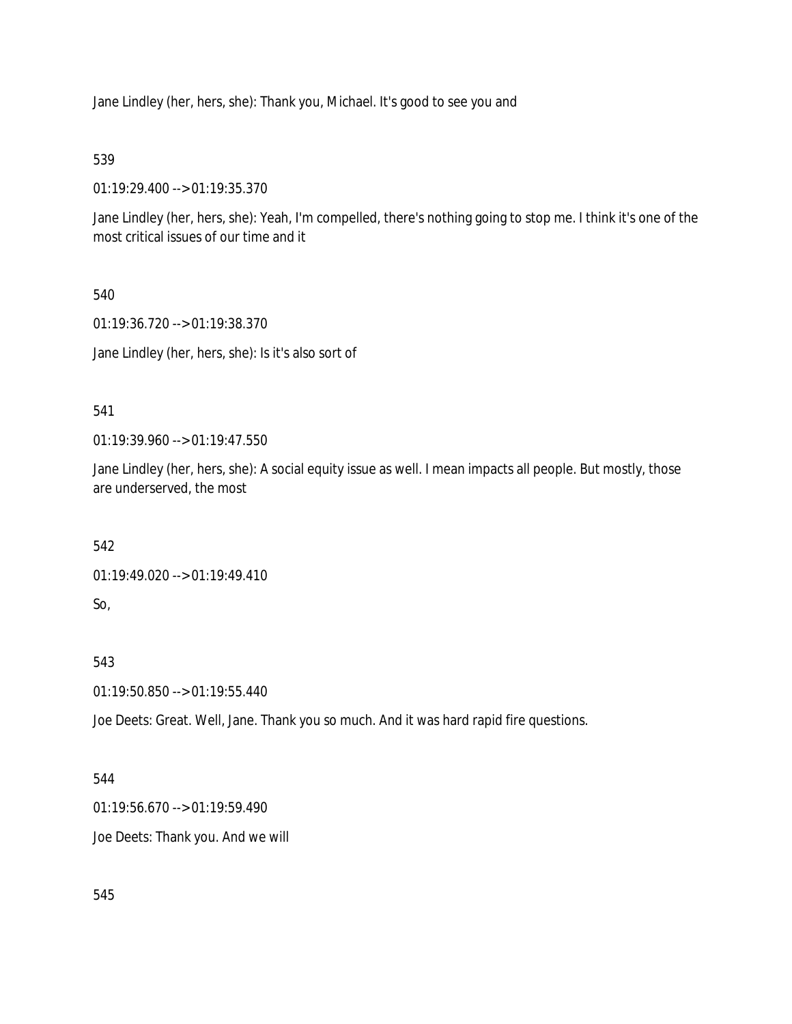Jane Lindley (her, hers, she): Thank you, Michael. It's good to see you and

539

01:19:29.400 --> 01:19:35.370

Jane Lindley (her, hers, she): Yeah, I'm compelled, there's nothing going to stop me. I think it's one of the most critical issues of our time and it

540

01:19:36.720 --> 01:19:38.370 Jane Lindley (her, hers, she): Is it's also sort of

541

01:19:39.960 --> 01:19:47.550

Jane Lindley (her, hers, she): A social equity issue as well. I mean impacts all people. But mostly, those are underserved, the most

542

01:19:49.020 --> 01:19:49.410

So,

543

01:19:50.850 --> 01:19:55.440

Joe Deets: Great. Well, Jane. Thank you so much. And it was hard rapid fire questions.

544

01:19:56.670 --> 01:19:59.490

Joe Deets: Thank you. And we will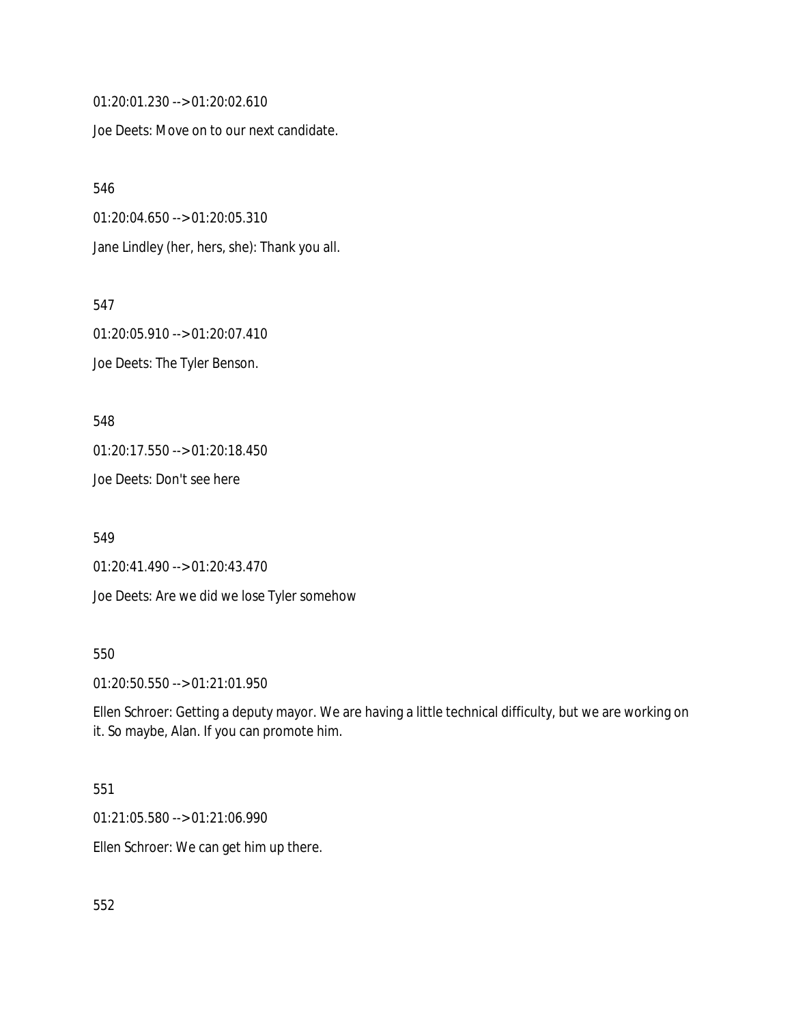01:20:01.230 --> 01:20:02.610

Joe Deets: Move on to our next candidate.

546 01:20:04.650 --> 01:20:05.310 Jane Lindley (her, hers, she): Thank you all.

547 01:20:05.910 --> 01:20:07.410 Joe Deets: The Tyler Benson.

548 01:20:17.550 --> 01:20:18.450 Joe Deets: Don't see here

549 01:20:41.490 --> 01:20:43.470 Joe Deets: Are we did we lose Tyler somehow

### 550

01:20:50.550 --> 01:21:01.950

Ellen Schroer: Getting a deputy mayor. We are having a little technical difficulty, but we are working on it. So maybe, Alan. If you can promote him.

# 551

01:21:05.580 --> 01:21:06.990

Ellen Schroer: We can get him up there.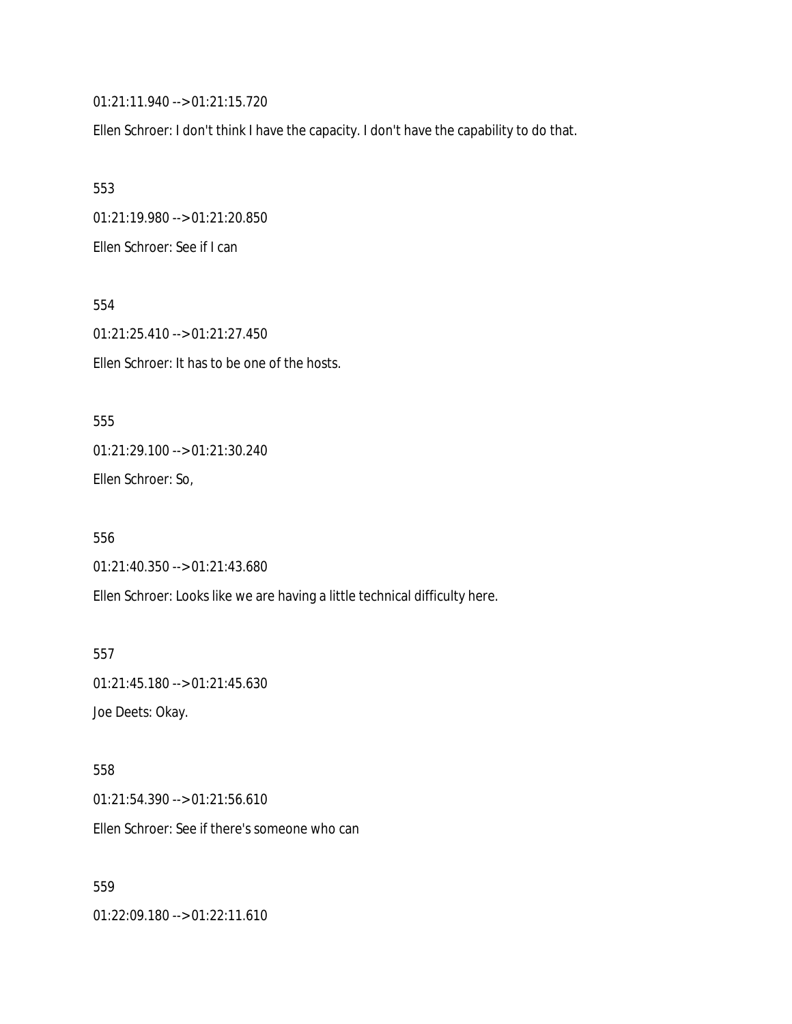01:21:11.940 --> 01:21:15.720

Ellen Schroer: I don't think I have the capacity. I don't have the capability to do that.

553 01:21:19.980 --> 01:21:20.850 Ellen Schroer: See if I can

554 01:21:25.410 --> 01:21:27.450 Ellen Schroer: It has to be one of the hosts.

555 01:21:29.100 --> 01:21:30.240 Ellen Schroer: So,

556 01:21:40.350 --> 01:21:43.680 Ellen Schroer: Looks like we are having a little technical difficulty here.

557 01:21:45.180 --> 01:21:45.630 Joe Deets: Okay.

558 01:21:54.390 --> 01:21:56.610 Ellen Schroer: See if there's someone who can

559

01:22:09.180 --> 01:22:11.610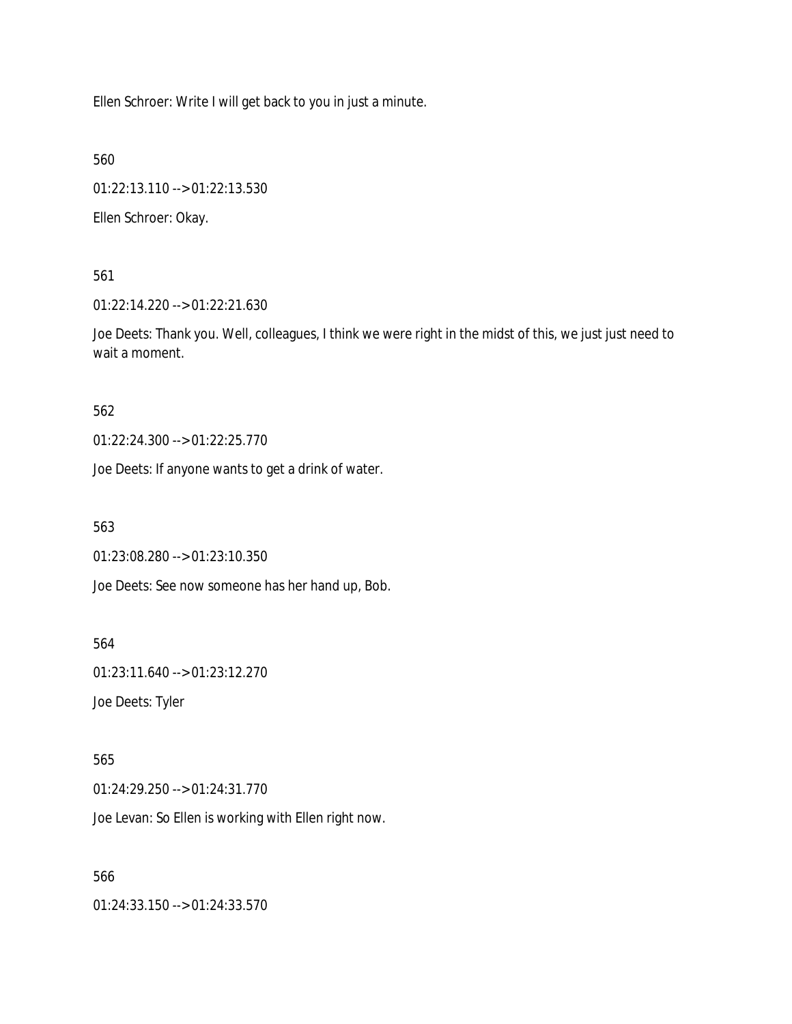Ellen Schroer: Write I will get back to you in just a minute.

560

01:22:13.110 --> 01:22:13.530

Ellen Schroer: Okay.

561

01:22:14.220 --> 01:22:21.630

Joe Deets: Thank you. Well, colleagues, I think we were right in the midst of this, we just just need to wait a moment.

562

01:22:24.300 --> 01:22:25.770

Joe Deets: If anyone wants to get a drink of water.

563

01:23:08.280 --> 01:23:10.350

Joe Deets: See now someone has her hand up, Bob.

564

01:23:11.640 --> 01:23:12.270

Joe Deets: Tyler

565

01:24:29.250 --> 01:24:31.770

Joe Levan: So Ellen is working with Ellen right now.

566

01:24:33.150 --> 01:24:33.570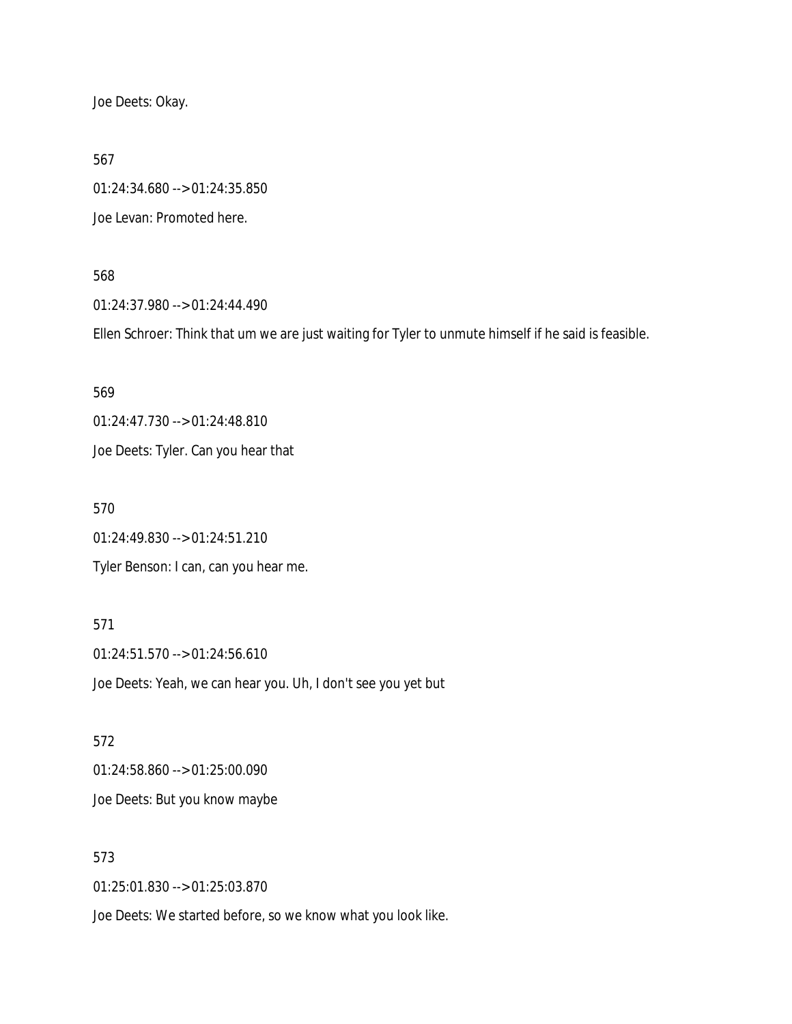Joe Deets: Okay.

567

01:24:34.680 --> 01:24:35.850

Joe Levan: Promoted here.

568

01:24:37.980 --> 01:24:44.490

Ellen Schroer: Think that um we are just waiting for Tyler to unmute himself if he said is feasible.

569

01:24:47.730 --> 01:24:48.810

Joe Deets: Tyler. Can you hear that

570

01:24:49.830 --> 01:24:51.210

Tyler Benson: I can, can you hear me.

571

01:24:51.570 --> 01:24:56.610 Joe Deets: Yeah, we can hear you. Uh, I don't see you yet but

572 01:24:58.860 --> 01:25:00.090 Joe Deets: But you know maybe

573

01:25:01.830 --> 01:25:03.870

Joe Deets: We started before, so we know what you look like.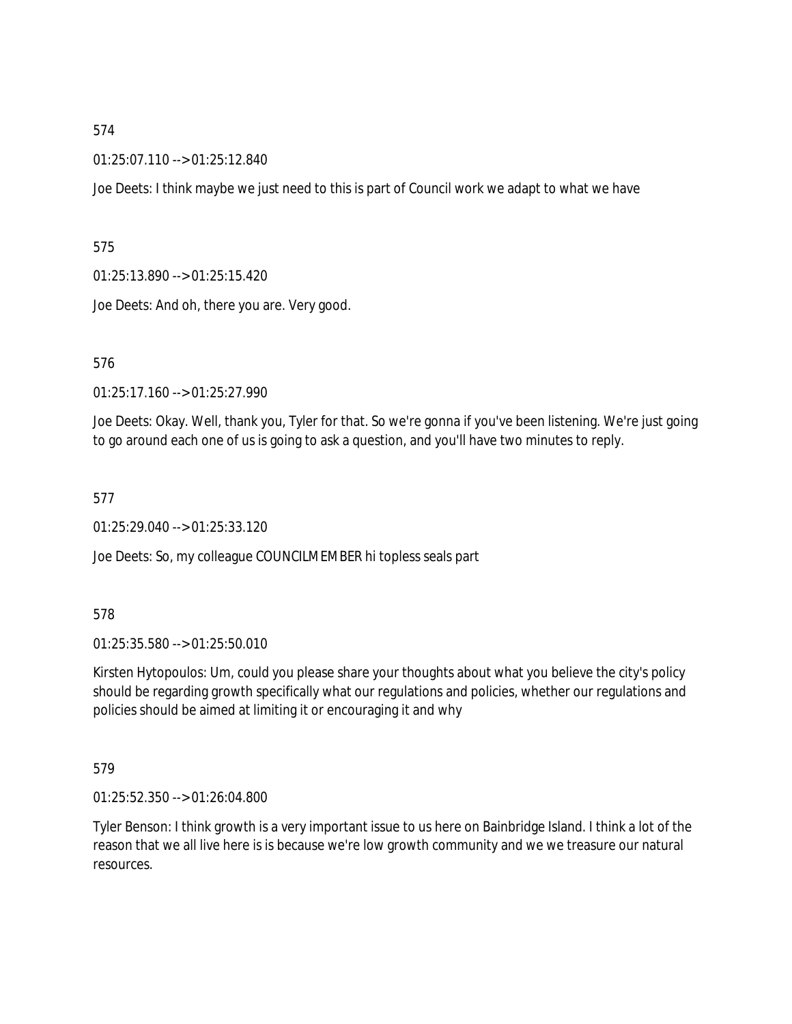01:25:07.110 --> 01:25:12.840

Joe Deets: I think maybe we just need to this is part of Council work we adapt to what we have

575

01:25:13.890 --> 01:25:15.420

Joe Deets: And oh, there you are. Very good.

576

01:25:17.160 --> 01:25:27.990

Joe Deets: Okay. Well, thank you, Tyler for that. So we're gonna if you've been listening. We're just going to go around each one of us is going to ask a question, and you'll have two minutes to reply.

577

01:25:29.040 --> 01:25:33.120

Joe Deets: So, my colleague COUNCILMEMBER hi topless seals part

578

01:25:35.580 --> 01:25:50.010

Kirsten Hytopoulos: Um, could you please share your thoughts about what you believe the city's policy should be regarding growth specifically what our regulations and policies, whether our regulations and policies should be aimed at limiting it or encouraging it and why

579

01:25:52.350 --> 01:26:04.800

Tyler Benson: I think growth is a very important issue to us here on Bainbridge Island. I think a lot of the reason that we all live here is is because we're low growth community and we we treasure our natural resources.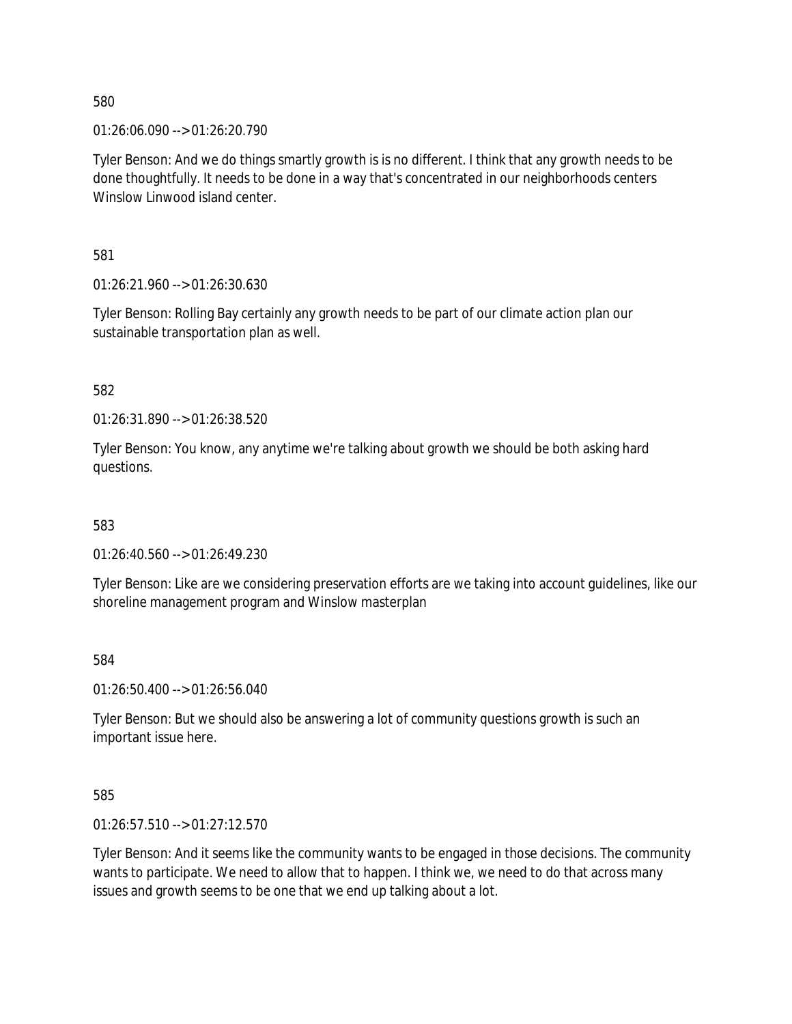01:26:06.090 --> 01:26:20.790

Tyler Benson: And we do things smartly growth is is no different. I think that any growth needs to be done thoughtfully. It needs to be done in a way that's concentrated in our neighborhoods centers Winslow Linwood island center.

581

01:26:21.960 --> 01:26:30.630

Tyler Benson: Rolling Bay certainly any growth needs to be part of our climate action plan our sustainable transportation plan as well.

582

01:26:31.890 --> 01:26:38.520

Tyler Benson: You know, any anytime we're talking about growth we should be both asking hard questions.

583

01:26:40.560 --> 01:26:49.230

Tyler Benson: Like are we considering preservation efforts are we taking into account guidelines, like our shoreline management program and Winslow masterplan

584

01:26:50.400 --> 01:26:56.040

Tyler Benson: But we should also be answering a lot of community questions growth is such an important issue here.

585

01:26:57.510 --> 01:27:12.570

Tyler Benson: And it seems like the community wants to be engaged in those decisions. The community wants to participate. We need to allow that to happen. I think we, we need to do that across many issues and growth seems to be one that we end up talking about a lot.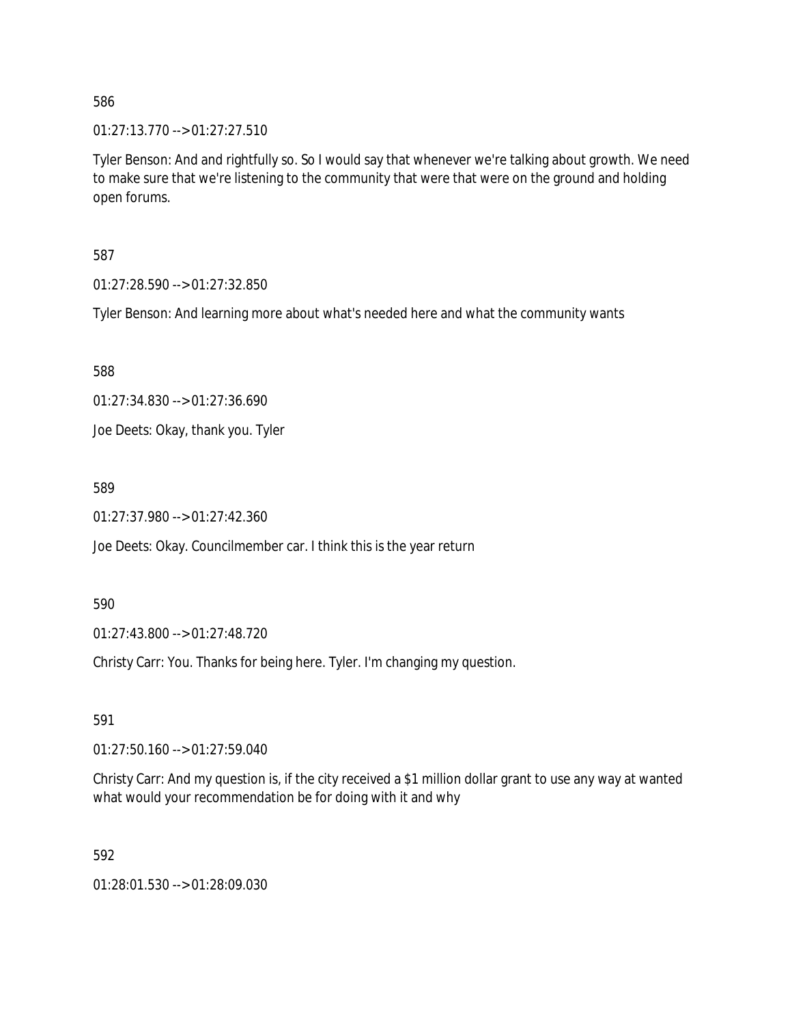01:27:13.770 --> 01:27:27.510

Tyler Benson: And and rightfully so. So I would say that whenever we're talking about growth. We need to make sure that we're listening to the community that were that were on the ground and holding open forums.

587

01:27:28.590 --> 01:27:32.850

Tyler Benson: And learning more about what's needed here and what the community wants

588

01:27:34.830 --> 01:27:36.690

Joe Deets: Okay, thank you. Tyler

589

01:27:37.980 --> 01:27:42.360

Joe Deets: Okay. Councilmember car. I think this is the year return

590

01:27:43.800 --> 01:27:48.720

Christy Carr: You. Thanks for being here. Tyler. I'm changing my question.

591

01:27:50.160 --> 01:27:59.040

Christy Carr: And my question is, if the city received a \$1 million dollar grant to use any way at wanted what would your recommendation be for doing with it and why

592

01:28:01.530 --> 01:28:09.030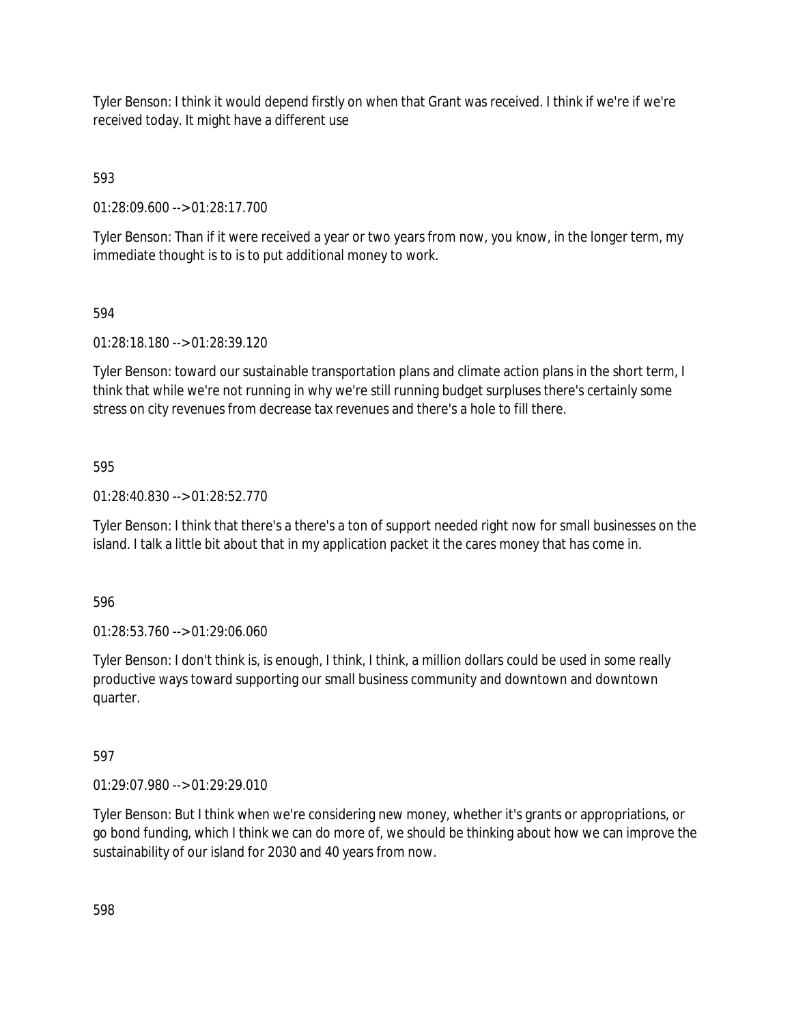Tyler Benson: I think it would depend firstly on when that Grant was received. I think if we're if we're received today. It might have a different use

593

01:28:09.600 --> 01:28:17.700

Tyler Benson: Than if it were received a year or two years from now, you know, in the longer term, my immediate thought is to is to put additional money to work.

# 594

01:28:18.180 --> 01:28:39.120

Tyler Benson: toward our sustainable transportation plans and climate action plans in the short term, I think that while we're not running in why we're still running budget surpluses there's certainly some stress on city revenues from decrease tax revenues and there's a hole to fill there.

# 595

01:28:40.830 --> 01:28:52.770

Tyler Benson: I think that there's a there's a ton of support needed right now for small businesses on the island. I talk a little bit about that in my application packet it the cares money that has come in.

596

01:28:53.760 --> 01:29:06.060

Tyler Benson: I don't think is, is enough, I think, I think, a million dollars could be used in some really productive ways toward supporting our small business community and downtown and downtown quarter.

# 597

01:29:07.980 --> 01:29:29.010

Tyler Benson: But I think when we're considering new money, whether it's grants or appropriations, or go bond funding, which I think we can do more of, we should be thinking about how we can improve the sustainability of our island for 2030 and 40 years from now.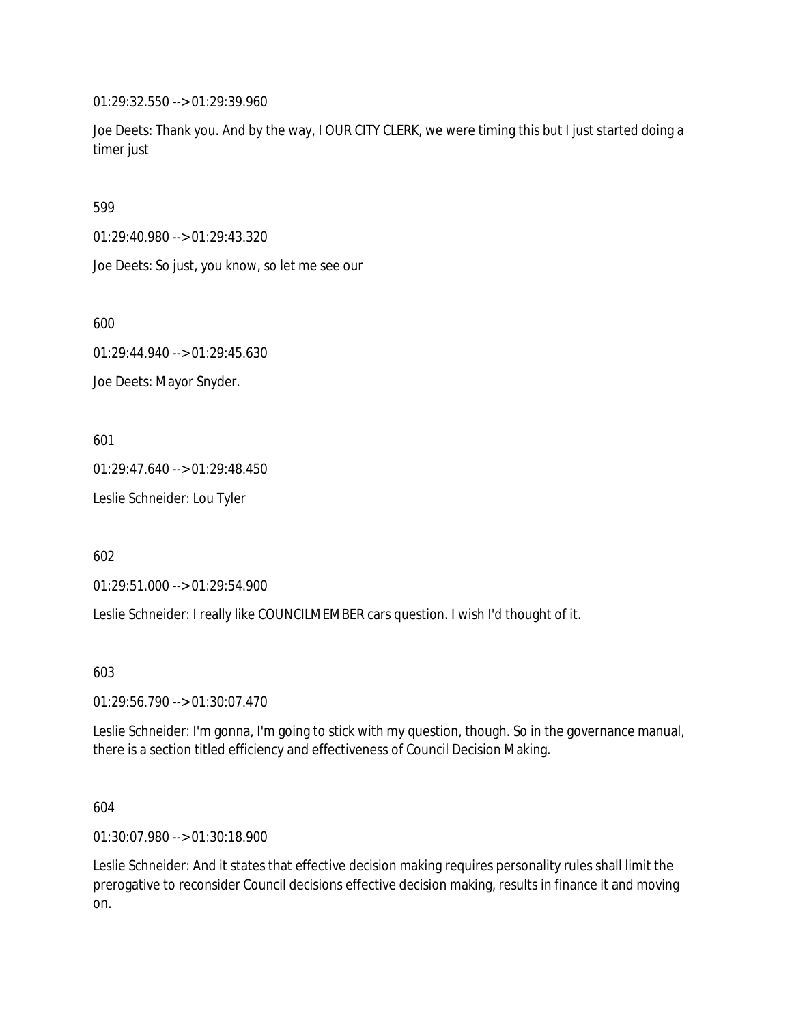01:29:32.550 --> 01:29:39.960

Joe Deets: Thank you. And by the way, I OUR CITY CLERK, we were timing this but I just started doing a timer just

599

01:29:40.980 --> 01:29:43.320

Joe Deets: So just, you know, so let me see our

600

01:29:44.940 --> 01:29:45.630

Joe Deets: Mayor Snyder.

601

01:29:47.640 --> 01:29:48.450

Leslie Schneider: Lou Tyler

602

01:29:51.000 --> 01:29:54.900

Leslie Schneider: I really like COUNCILMEMBER cars question. I wish I'd thought of it.

603

01:29:56.790 --> 01:30:07.470

Leslie Schneider: I'm gonna, I'm going to stick with my question, though. So in the governance manual, there is a section titled efficiency and effectiveness of Council Decision Making.

604

01:30:07.980 --> 01:30:18.900

Leslie Schneider: And it states that effective decision making requires personality rules shall limit the prerogative to reconsider Council decisions effective decision making, results in finance it and moving on.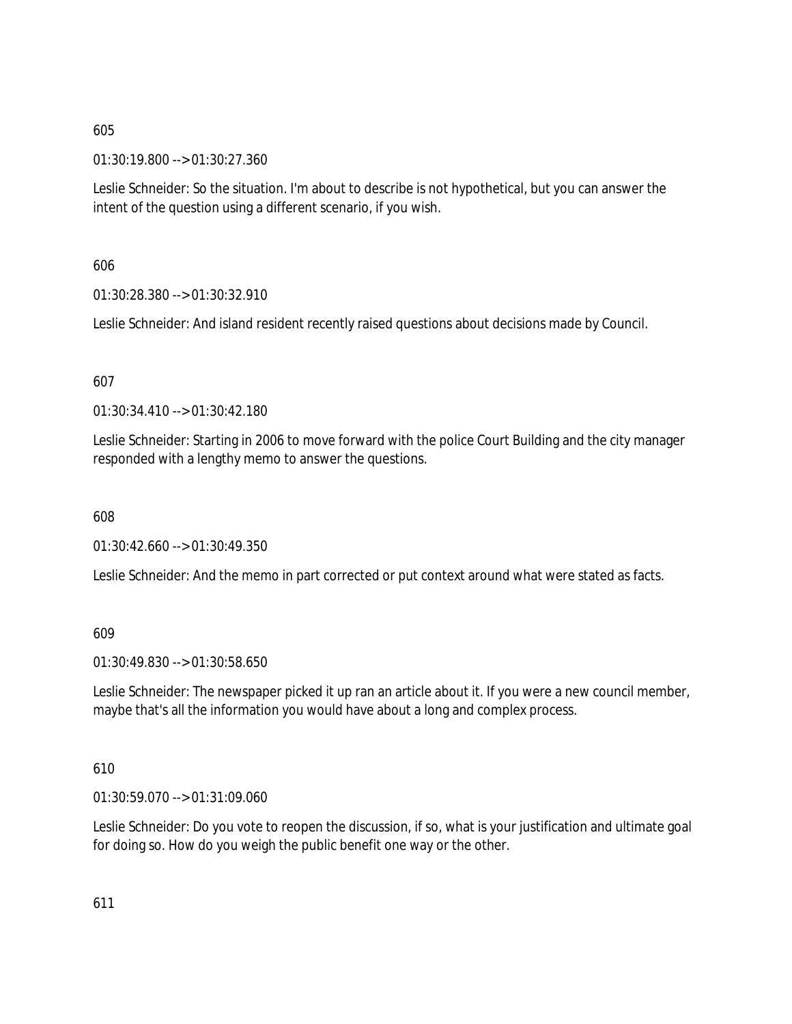01:30:19.800 --> 01:30:27.360

Leslie Schneider: So the situation. I'm about to describe is not hypothetical, but you can answer the intent of the question using a different scenario, if you wish.

606

01:30:28.380 --> 01:30:32.910

Leslie Schneider: And island resident recently raised questions about decisions made by Council.

607

01:30:34.410 --> 01:30:42.180

Leslie Schneider: Starting in 2006 to move forward with the police Court Building and the city manager responded with a lengthy memo to answer the questions.

608

01:30:42.660 --> 01:30:49.350

Leslie Schneider: And the memo in part corrected or put context around what were stated as facts.

609

01:30:49.830 --> 01:30:58.650

Leslie Schneider: The newspaper picked it up ran an article about it. If you were a new council member, maybe that's all the information you would have about a long and complex process.

610

01:30:59.070 --> 01:31:09.060

Leslie Schneider: Do you vote to reopen the discussion, if so, what is your justification and ultimate goal for doing so. How do you weigh the public benefit one way or the other.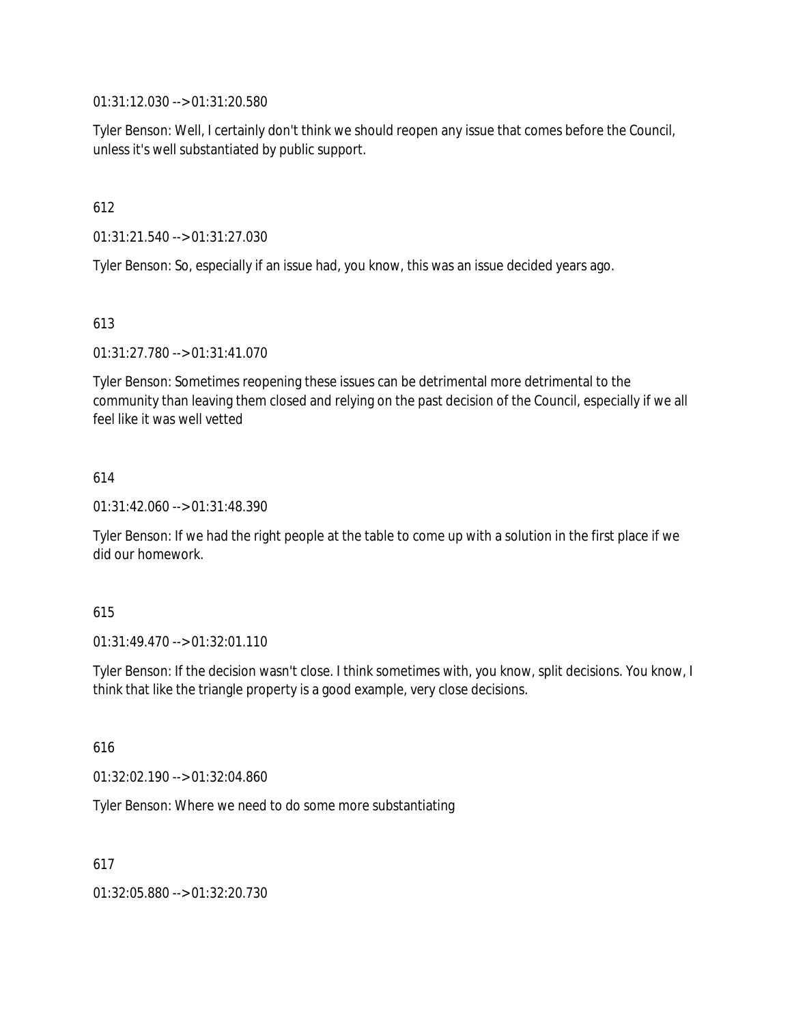01:31:12.030 --> 01:31:20.580

Tyler Benson: Well, I certainly don't think we should reopen any issue that comes before the Council, unless it's well substantiated by public support.

612

01:31:21.540 --> 01:31:27.030

Tyler Benson: So, especially if an issue had, you know, this was an issue decided years ago.

613

01:31:27.780 --> 01:31:41.070

Tyler Benson: Sometimes reopening these issues can be detrimental more detrimental to the community than leaving them closed and relying on the past decision of the Council, especially if we all feel like it was well vetted

### 614

01:31:42.060 --> 01:31:48.390

Tyler Benson: If we had the right people at the table to come up with a solution in the first place if we did our homework.

#### 615

01:31:49.470 --> 01:32:01.110

Tyler Benson: If the decision wasn't close. I think sometimes with, you know, split decisions. You know, I think that like the triangle property is a good example, very close decisions.

616

01:32:02.190 --> 01:32:04.860

Tyler Benson: Where we need to do some more substantiating

617

01:32:05.880 --> 01:32:20.730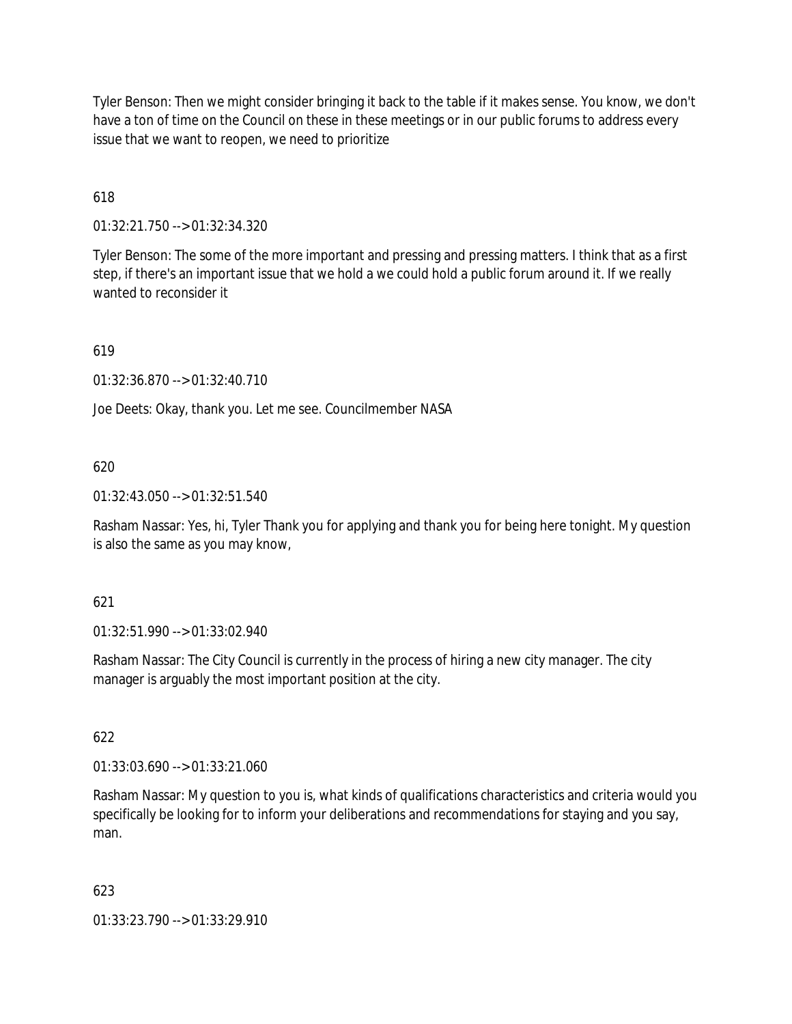Tyler Benson: Then we might consider bringing it back to the table if it makes sense. You know, we don't have a ton of time on the Council on these in these meetings or in our public forums to address every issue that we want to reopen, we need to prioritize

618

01:32:21.750 --> 01:32:34.320

Tyler Benson: The some of the more important and pressing and pressing matters. I think that as a first step, if there's an important issue that we hold a we could hold a public forum around it. If we really wanted to reconsider it

619

01:32:36.870 --> 01:32:40.710

Joe Deets: Okay, thank you. Let me see. Councilmember NASA

### 620

01:32:43.050 --> 01:32:51.540

Rasham Nassar: Yes, hi, Tyler Thank you for applying and thank you for being here tonight. My question is also the same as you may know,

### 621

01:32:51.990 --> 01:33:02.940

Rasham Nassar: The City Council is currently in the process of hiring a new city manager. The city manager is arguably the most important position at the city.

### 622

01:33:03.690 --> 01:33:21.060

Rasham Nassar: My question to you is, what kinds of qualifications characteristics and criteria would you specifically be looking for to inform your deliberations and recommendations for staying and you say, man.

### 623

01:33:23.790 --> 01:33:29.910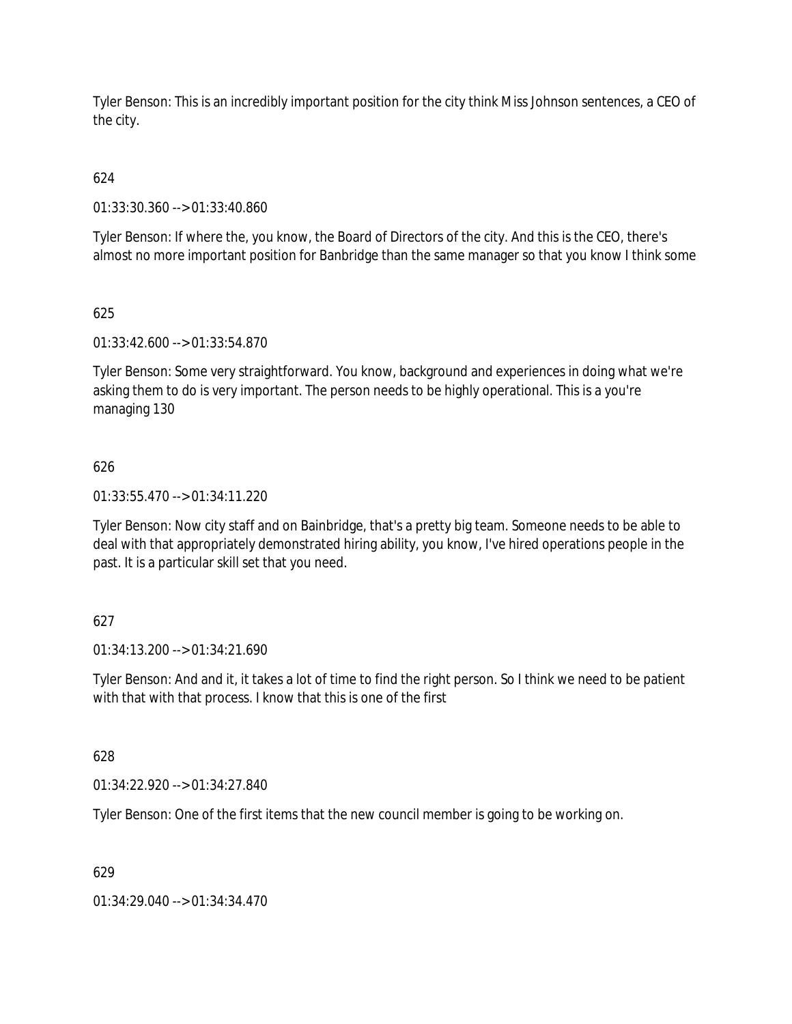Tyler Benson: This is an incredibly important position for the city think Miss Johnson sentences, a CEO of the city.

# 624

01:33:30.360 --> 01:33:40.860

Tyler Benson: If where the, you know, the Board of Directors of the city. And this is the CEO, there's almost no more important position for Banbridge than the same manager so that you know I think some

# 625

01:33:42.600 --> 01:33:54.870

Tyler Benson: Some very straightforward. You know, background and experiences in doing what we're asking them to do is very important. The person needs to be highly operational. This is a you're managing 130

# 626

01:33:55.470 --> 01:34:11.220

Tyler Benson: Now city staff and on Bainbridge, that's a pretty big team. Someone needs to be able to deal with that appropriately demonstrated hiring ability, you know, I've hired operations people in the past. It is a particular skill set that you need.

# 627

01:34:13.200 --> 01:34:21.690

Tyler Benson: And and it, it takes a lot of time to find the right person. So I think we need to be patient with that with that process. I know that this is one of the first

# 628

01:34:22.920 --> 01:34:27.840

Tyler Benson: One of the first items that the new council member is going to be working on.

# 629

01:34:29.040 --> 01:34:34.470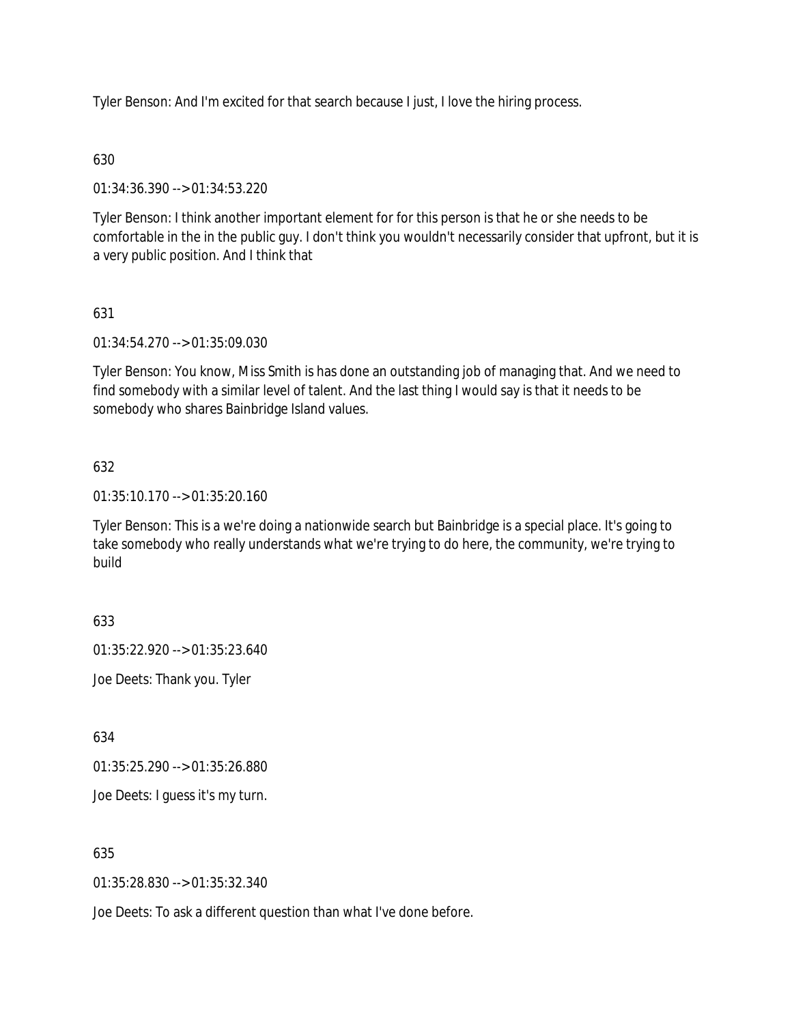Tyler Benson: And I'm excited for that search because I just, I love the hiring process.

# 630

01:34:36.390 --> 01:34:53.220

Tyler Benson: I think another important element for for this person is that he or she needs to be comfortable in the in the public guy. I don't think you wouldn't necessarily consider that upfront, but it is a very public position. And I think that

# 631

01:34:54.270 --> 01:35:09.030

Tyler Benson: You know, Miss Smith is has done an outstanding job of managing that. And we need to find somebody with a similar level of talent. And the last thing I would say is that it needs to be somebody who shares Bainbridge Island values.

# 632

01:35:10.170 --> 01:35:20.160

Tyler Benson: This is a we're doing a nationwide search but Bainbridge is a special place. It's going to take somebody who really understands what we're trying to do here, the community, we're trying to build

# 633

01:35:22.920 --> 01:35:23.640

Joe Deets: Thank you. Tyler

634

01:35:25.290 --> 01:35:26.880

Joe Deets: I guess it's my turn.

635

01:35:28.830 --> 01:35:32.340

Joe Deets: To ask a different question than what I've done before.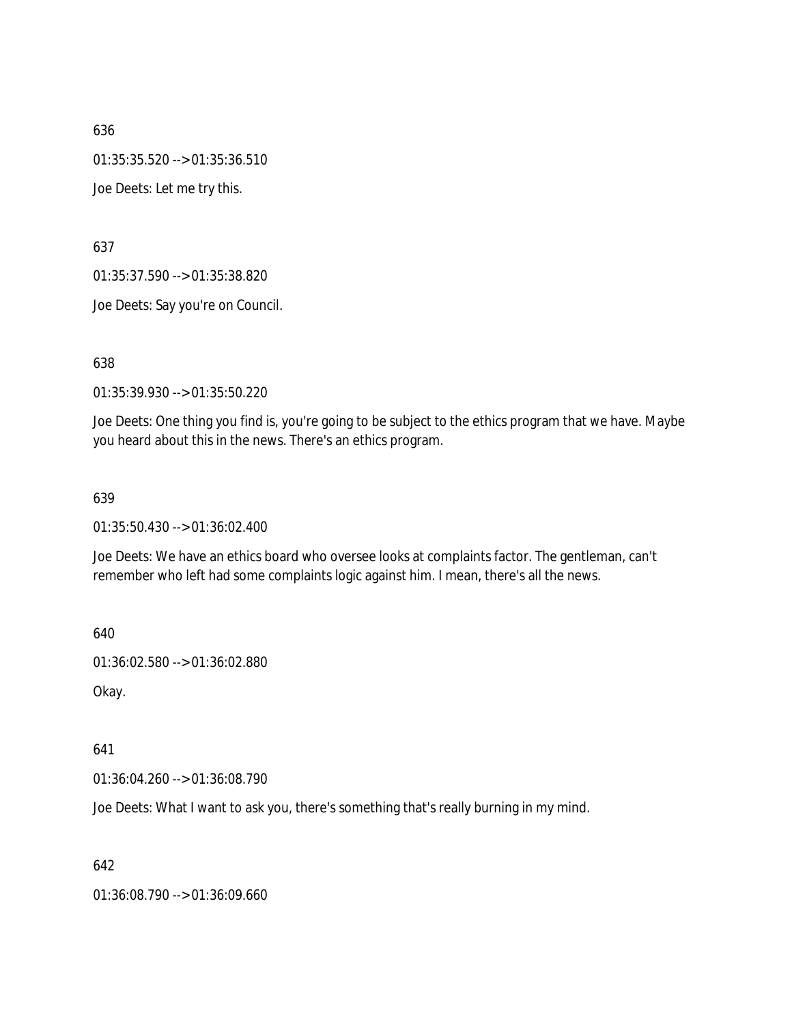01:35:35.520 --> 01:35:36.510

Joe Deets: Let me try this.

637

01:35:37.590 --> 01:35:38.820

Joe Deets: Say you're on Council.

638

01:35:39.930 --> 01:35:50.220

Joe Deets: One thing you find is, you're going to be subject to the ethics program that we have. Maybe you heard about this in the news. There's an ethics program.

#### 639

01:35:50.430 --> 01:36:02.400

Joe Deets: We have an ethics board who oversee looks at complaints factor. The gentleman, can't remember who left had some complaints logic against him. I mean, there's all the news.

640

01:36:02.580 --> 01:36:02.880

Okay.

641

01:36:04.260 --> 01:36:08.790

Joe Deets: What I want to ask you, there's something that's really burning in my mind.

642

01:36:08.790 --> 01:36:09.660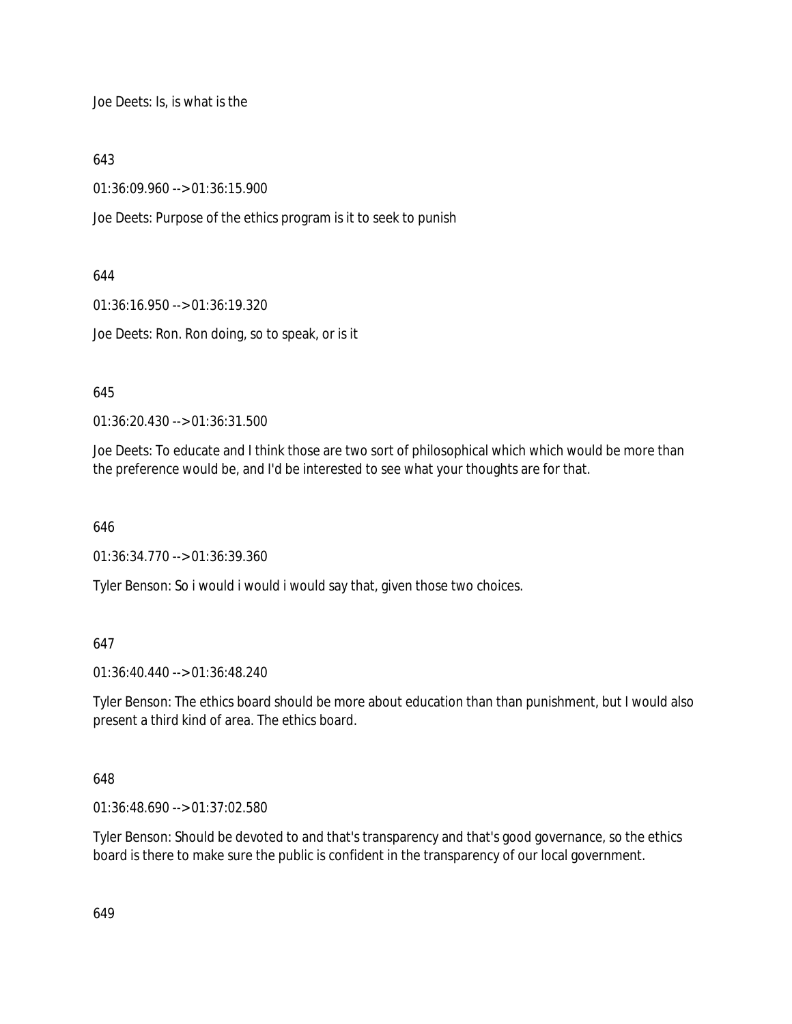Joe Deets: Is, is what is the

643

01:36:09.960 --> 01:36:15.900

Joe Deets: Purpose of the ethics program is it to seek to punish

644

01:36:16.950 --> 01:36:19.320

Joe Deets: Ron. Ron doing, so to speak, or is it

645

01:36:20.430 --> 01:36:31.500

Joe Deets: To educate and I think those are two sort of philosophical which which would be more than the preference would be, and I'd be interested to see what your thoughts are for that.

646

01:36:34.770 --> 01:36:39.360

Tyler Benson: So i would i would i would say that, given those two choices.

647

01:36:40.440 --> 01:36:48.240

Tyler Benson: The ethics board should be more about education than than punishment, but I would also present a third kind of area. The ethics board.

648

01:36:48.690 --> 01:37:02.580

Tyler Benson: Should be devoted to and that's transparency and that's good governance, so the ethics board is there to make sure the public is confident in the transparency of our local government.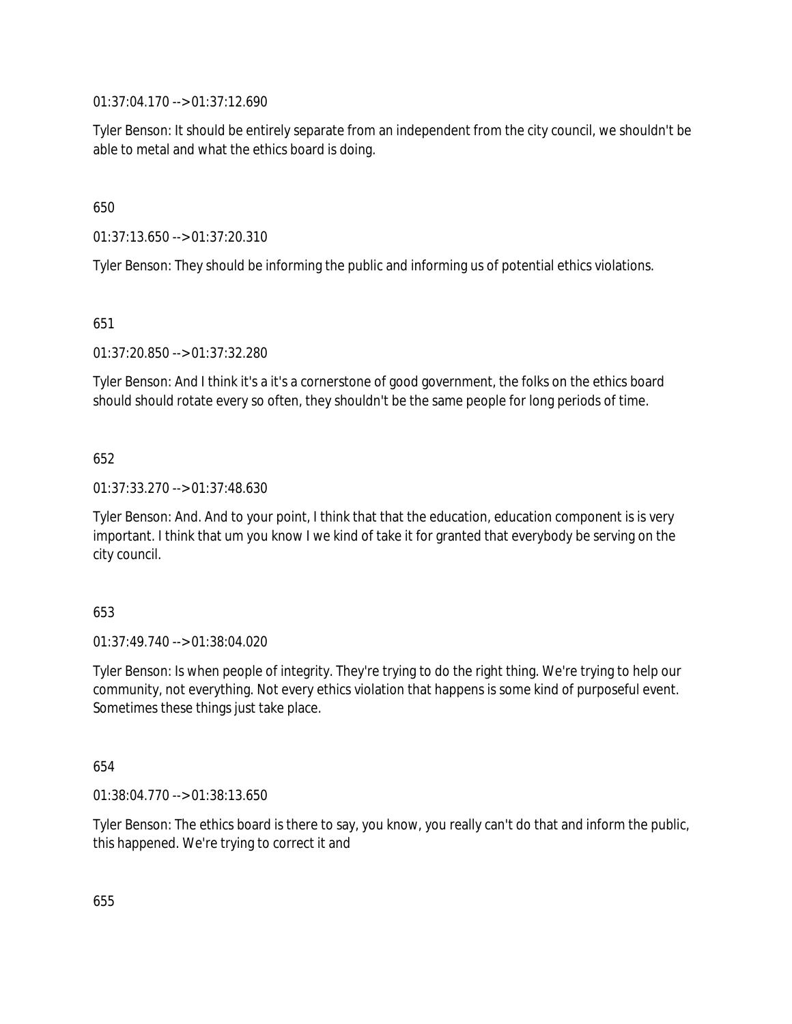01:37:04.170 --> 01:37:12.690

Tyler Benson: It should be entirely separate from an independent from the city council, we shouldn't be able to metal and what the ethics board is doing.

650

01:37:13.650 --> 01:37:20.310

Tyler Benson: They should be informing the public and informing us of potential ethics violations.

651

01:37:20.850 --> 01:37:32.280

Tyler Benson: And I think it's a it's a cornerstone of good government, the folks on the ethics board should should rotate every so often, they shouldn't be the same people for long periods of time.

652

01:37:33.270 --> 01:37:48.630

Tyler Benson: And. And to your point, I think that that the education, education component is is very important. I think that um you know I we kind of take it for granted that everybody be serving on the city council.

653

01:37:49.740 --> 01:38:04.020

Tyler Benson: Is when people of integrity. They're trying to do the right thing. We're trying to help our community, not everything. Not every ethics violation that happens is some kind of purposeful event. Sometimes these things just take place.

654

01:38:04.770 --> 01:38:13.650

Tyler Benson: The ethics board is there to say, you know, you really can't do that and inform the public, this happened. We're trying to correct it and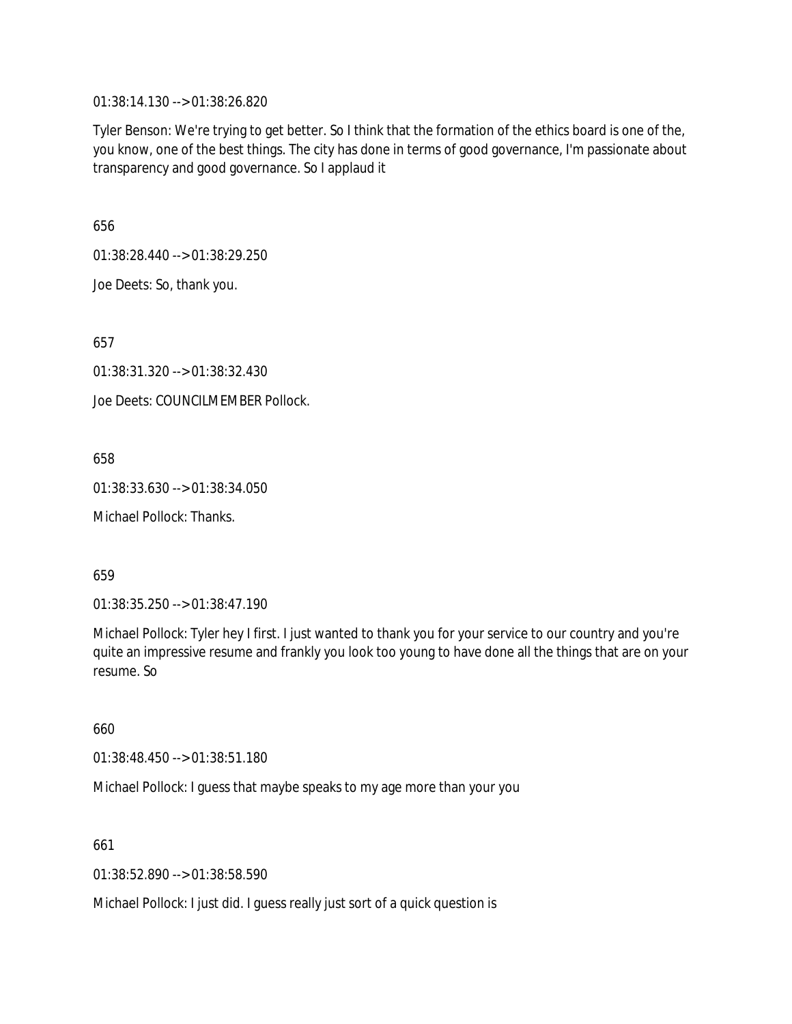01:38:14.130 --> 01:38:26.820

Tyler Benson: We're trying to get better. So I think that the formation of the ethics board is one of the, you know, one of the best things. The city has done in terms of good governance, I'm passionate about transparency and good governance. So I applaud it

656

01:38:28.440 --> 01:38:29.250

Joe Deets: So, thank you.

657

01:38:31.320 --> 01:38:32.430

Joe Deets: COUNCILMEMBER Pollock.

658

01:38:33.630 --> 01:38:34.050

Michael Pollock: Thanks.

659

01:38:35.250 --> 01:38:47.190

Michael Pollock: Tyler hey I first. I just wanted to thank you for your service to our country and you're quite an impressive resume and frankly you look too young to have done all the things that are on your resume. So

660

01:38:48.450 --> 01:38:51.180

Michael Pollock: I guess that maybe speaks to my age more than your you

661

01:38:52.890 --> 01:38:58.590

Michael Pollock: I just did. I guess really just sort of a quick question is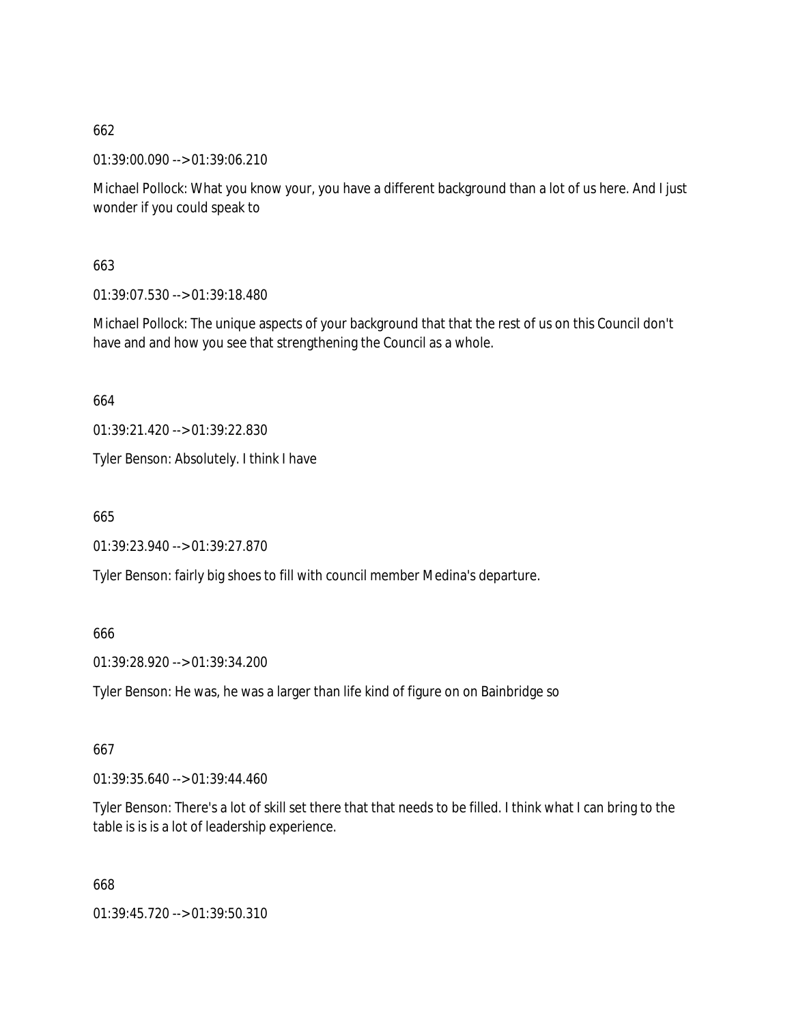01:39:00.090 --> 01:39:06.210

Michael Pollock: What you know your, you have a different background than a lot of us here. And I just wonder if you could speak to

663

01:39:07.530 --> 01:39:18.480

Michael Pollock: The unique aspects of your background that that the rest of us on this Council don't have and and how you see that strengthening the Council as a whole.

664

01:39:21.420 --> 01:39:22.830

Tyler Benson: Absolutely. I think I have

665

01:39:23.940 --> 01:39:27.870

Tyler Benson: fairly big shoes to fill with council member Medina's departure.

666

01:39:28.920 --> 01:39:34.200

Tyler Benson: He was, he was a larger than life kind of figure on on Bainbridge so

667

01:39:35.640 --> 01:39:44.460

Tyler Benson: There's a lot of skill set there that that needs to be filled. I think what I can bring to the table is is is a lot of leadership experience.

668

01:39:45.720 --> 01:39:50.310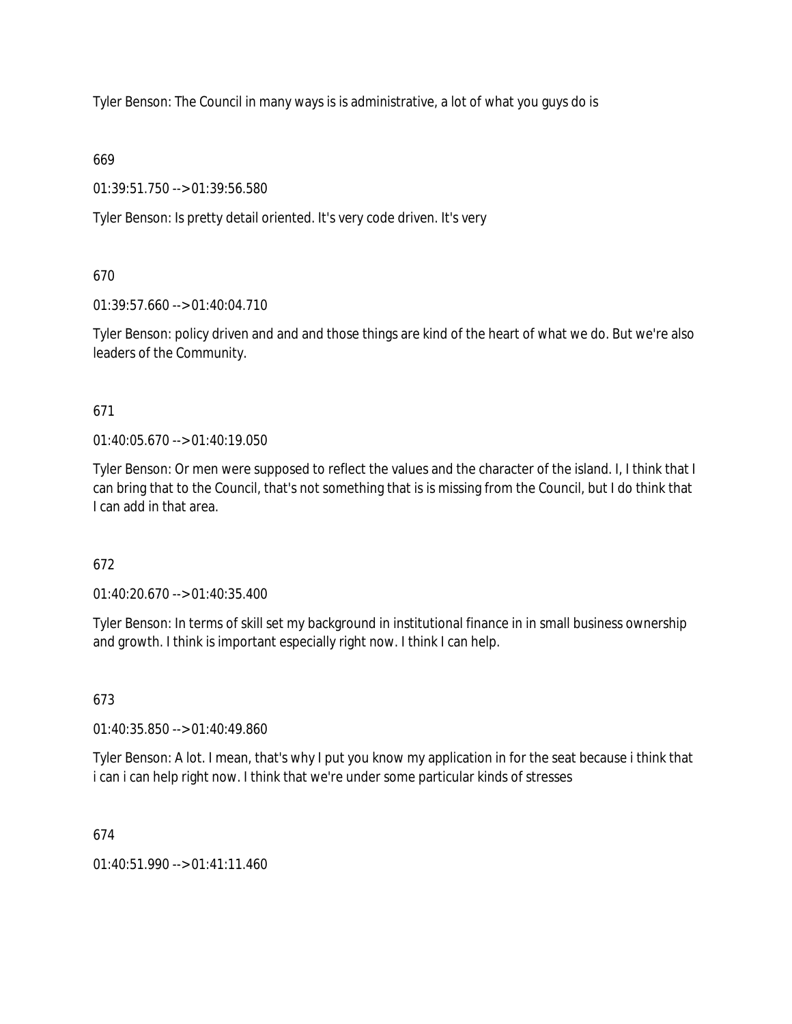Tyler Benson: The Council in many ways is is administrative, a lot of what you guys do is

669

01:39:51.750 --> 01:39:56.580

Tyler Benson: Is pretty detail oriented. It's very code driven. It's very

670

01:39:57.660 --> 01:40:04.710

Tyler Benson: policy driven and and and those things are kind of the heart of what we do. But we're also leaders of the Community.

671

01:40:05.670 --> 01:40:19.050

Tyler Benson: Or men were supposed to reflect the values and the character of the island. I, I think that I can bring that to the Council, that's not something that is is missing from the Council, but I do think that I can add in that area.

672

01:40:20.670 --> 01:40:35.400

Tyler Benson: In terms of skill set my background in institutional finance in in small business ownership and growth. I think is important especially right now. I think I can help.

673

01:40:35.850 --> 01:40:49.860

Tyler Benson: A lot. I mean, that's why I put you know my application in for the seat because i think that i can i can help right now. I think that we're under some particular kinds of stresses

674

 $01:40:51.990 \rightarrow 01:41:11.460$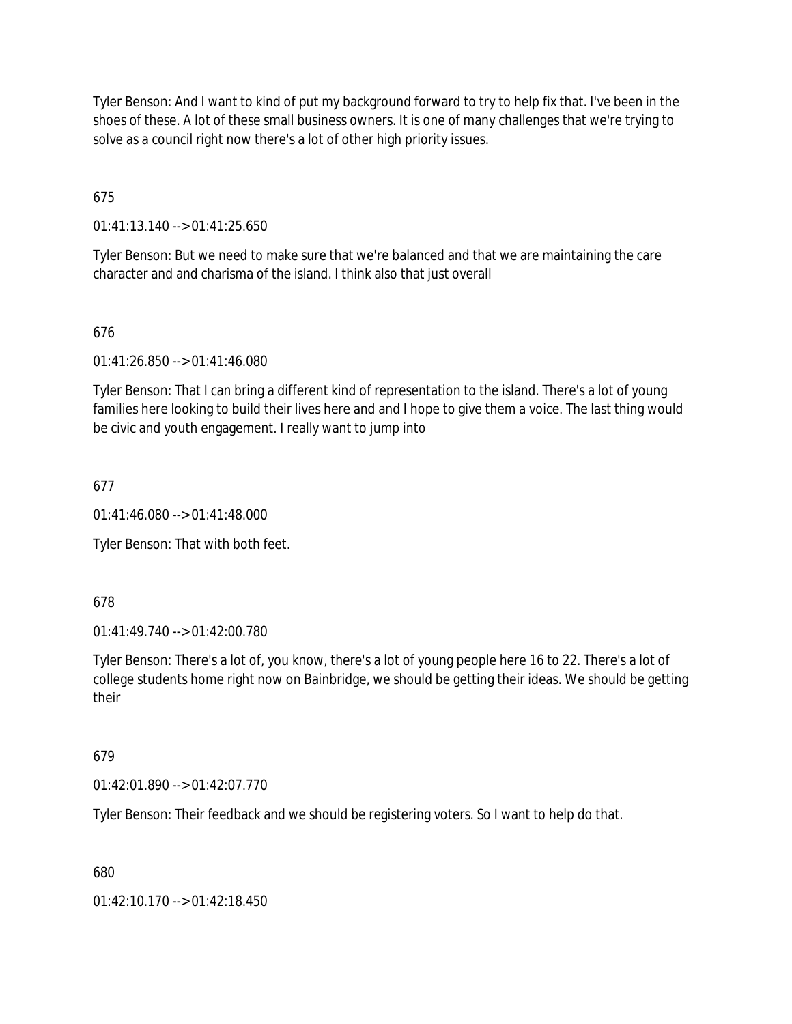Tyler Benson: And I want to kind of put my background forward to try to help fix that. I've been in the shoes of these. A lot of these small business owners. It is one of many challenges that we're trying to solve as a council right now there's a lot of other high priority issues.

675

01:41:13.140 --> 01:41:25.650

Tyler Benson: But we need to make sure that we're balanced and that we are maintaining the care character and and charisma of the island. I think also that just overall

676

01:41:26.850 --> 01:41:46.080

Tyler Benson: That I can bring a different kind of representation to the island. There's a lot of young families here looking to build their lives here and and I hope to give them a voice. The last thing would be civic and youth engagement. I really want to jump into

677

01:41:46.080 --> 01:41:48.000

Tyler Benson: That with both feet.

678

01:41:49.740 --> 01:42:00.780

Tyler Benson: There's a lot of, you know, there's a lot of young people here 16 to 22. There's a lot of college students home right now on Bainbridge, we should be getting their ideas. We should be getting their

# 679

01:42:01.890 --> 01:42:07.770

Tyler Benson: Their feedback and we should be registering voters. So I want to help do that.

680

01:42:10.170 --> 01:42:18.450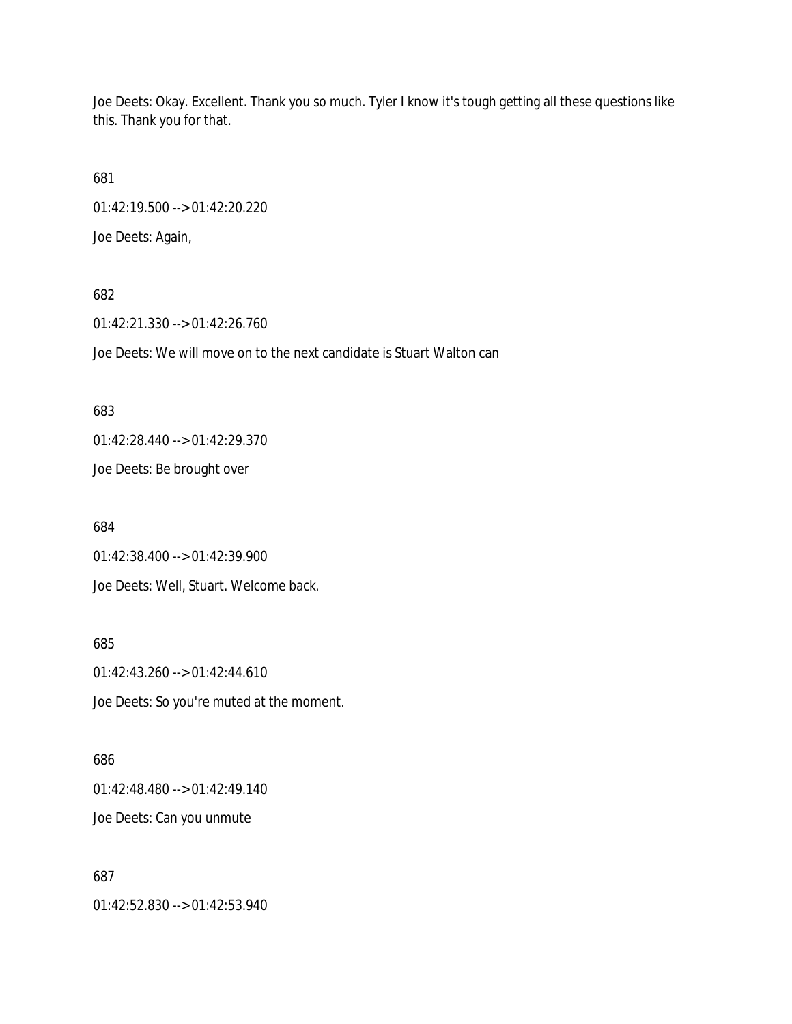Joe Deets: Okay. Excellent. Thank you so much. Tyler I know it's tough getting all these questions like this. Thank you for that.

681

01:42:19.500 --> 01:42:20.220

Joe Deets: Again,

### 682

01:42:21.330 --> 01:42:26.760

Joe Deets: We will move on to the next candidate is Stuart Walton can

#### 683

01:42:28.440 --> 01:42:29.370

Joe Deets: Be brought over

684

01:42:38.400 --> 01:42:39.900

Joe Deets: Well, Stuart. Welcome back.

685

01:42:43.260 --> 01:42:44.610 Joe Deets: So you're muted at the moment.

# 686

01:42:48.480 --> 01:42:49.140 Joe Deets: Can you unmute

### 687

01:42:52.830 --> 01:42:53.940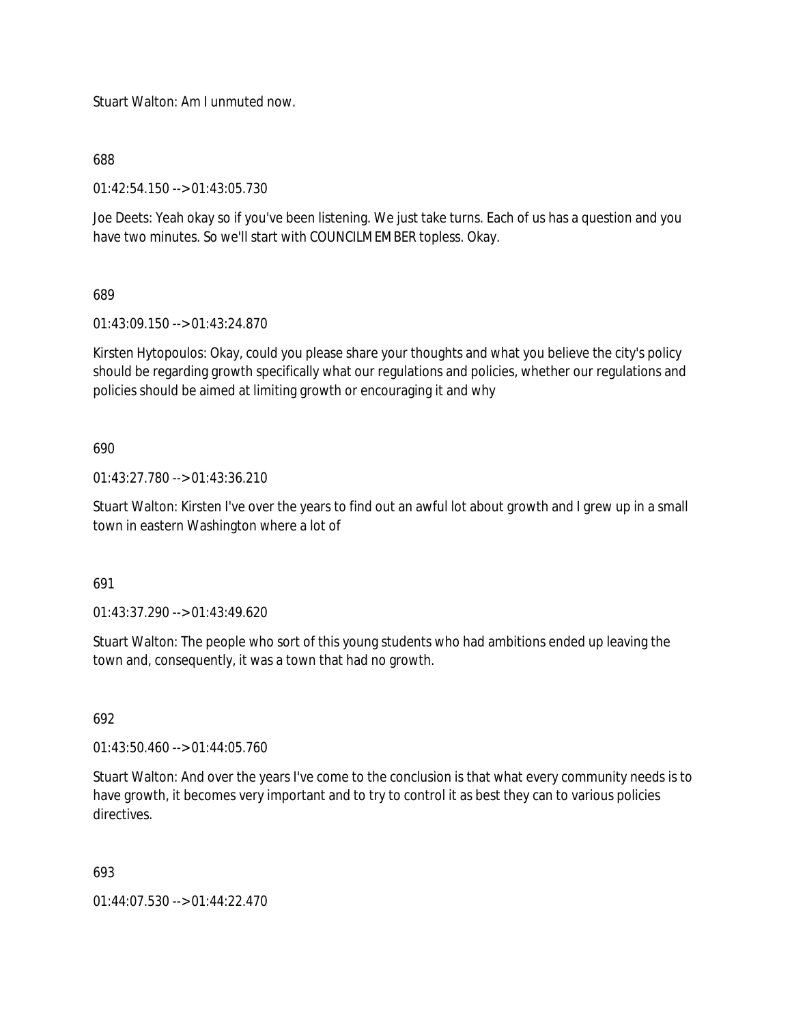Stuart Walton: Am I unmuted now.

688

01:42:54.150 --> 01:43:05.730

Joe Deets: Yeah okay so if you've been listening. We just take turns. Each of us has a question and you have two minutes. So we'll start with COUNCILMEMBER topless. Okay.

689

01:43:09.150 --> 01:43:24.870

Kirsten Hytopoulos: Okay, could you please share your thoughts and what you believe the city's policy should be regarding growth specifically what our regulations and policies, whether our regulations and policies should be aimed at limiting growth or encouraging it and why

690

01:43:27.780 --> 01:43:36.210

Stuart Walton: Kirsten I've over the years to find out an awful lot about growth and I grew up in a small town in eastern Washington where a lot of

691

01:43:37.290 --> 01:43:49.620

Stuart Walton: The people who sort of this young students who had ambitions ended up leaving the town and, consequently, it was a town that had no growth.

692

01:43:50.460 --> 01:44:05.760

Stuart Walton: And over the years I've come to the conclusion is that what every community needs is to have growth, it becomes very important and to try to control it as best they can to various policies directives.

693

01:44:07.530 --> 01:44:22.470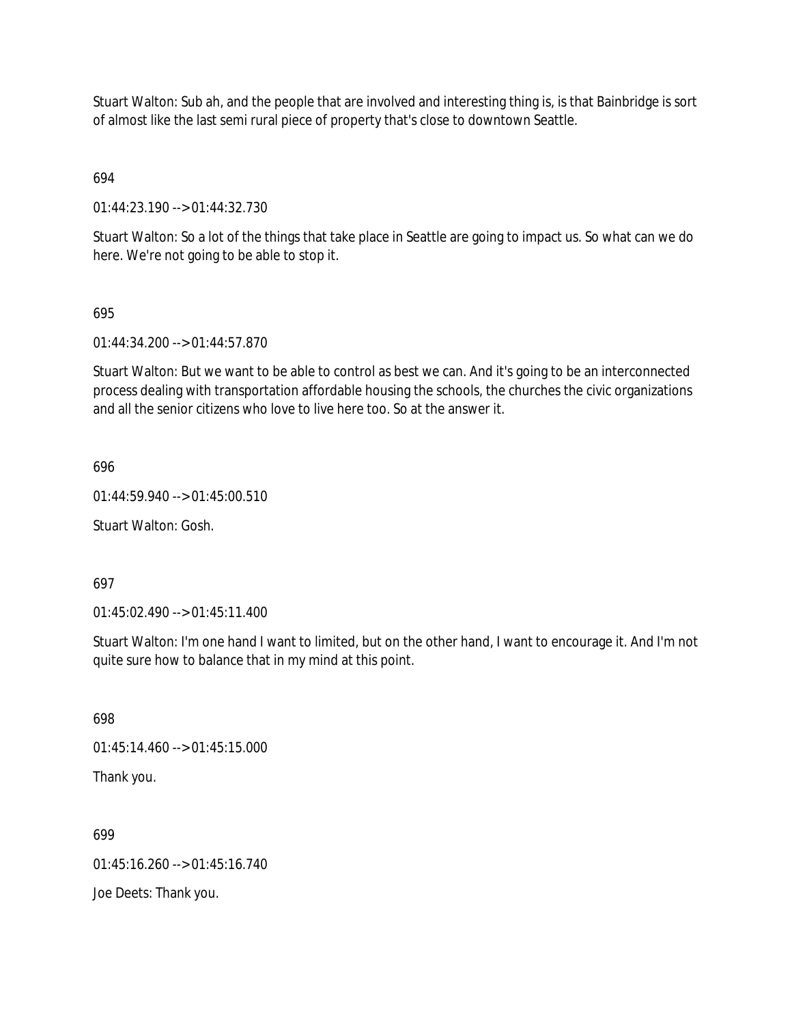Stuart Walton: Sub ah, and the people that are involved and interesting thing is, is that Bainbridge is sort of almost like the last semi rural piece of property that's close to downtown Seattle.

694

01:44:23.190 --> 01:44:32.730

Stuart Walton: So a lot of the things that take place in Seattle are going to impact us. So what can we do here. We're not going to be able to stop it.

#### 695

01:44:34.200 --> 01:44:57.870

Stuart Walton: But we want to be able to control as best we can. And it's going to be an interconnected process dealing with transportation affordable housing the schools, the churches the civic organizations and all the senior citizens who love to live here too. So at the answer it.

696

01:44:59.940 --> 01:45:00.510

Stuart Walton: Gosh.

697

01:45:02.490 --> 01:45:11.400

Stuart Walton: I'm one hand I want to limited, but on the other hand, I want to encourage it. And I'm not quite sure how to balance that in my mind at this point.

698

01:45:14.460 --> 01:45:15.000

Thank you.

699 01:45:16.260 --> 01:45:16.740 Joe Deets: Thank you.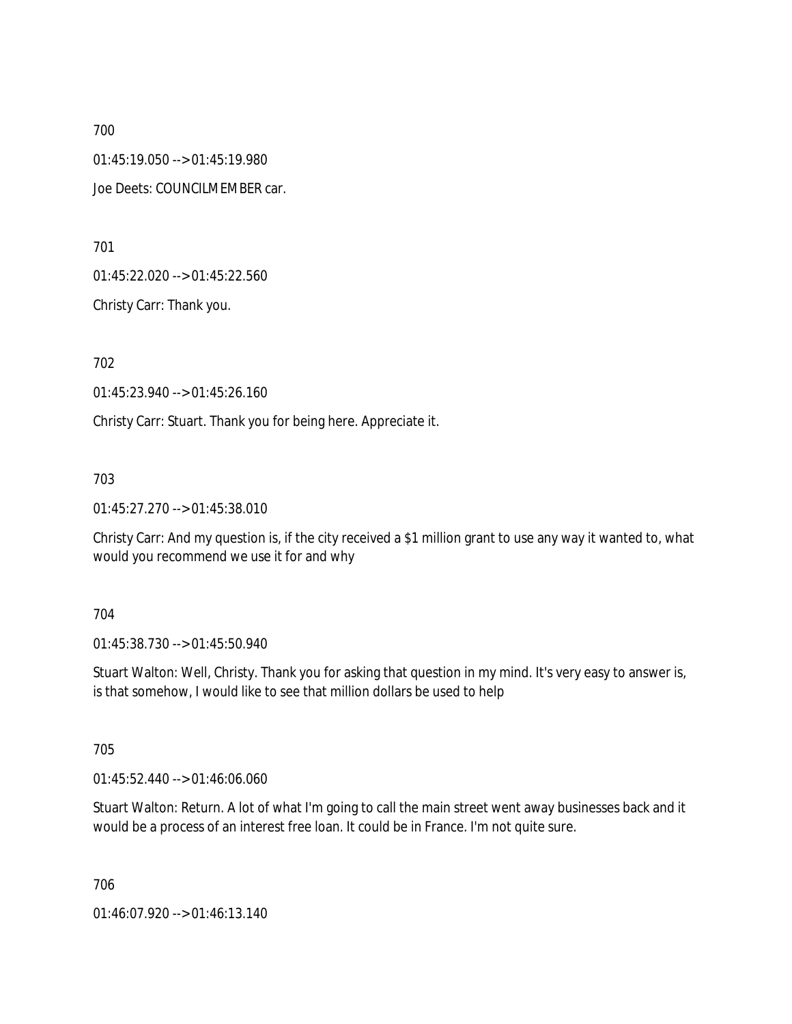01:45:19.050 --> 01:45:19.980

Joe Deets: COUNCILMEMBER car.

701

01:45:22.020 --> 01:45:22.560

Christy Carr: Thank you.

702

01:45:23.940 --> 01:45:26.160

Christy Carr: Stuart. Thank you for being here. Appreciate it.

703

01:45:27.270 --> 01:45:38.010

Christy Carr: And my question is, if the city received a \$1 million grant to use any way it wanted to, what would you recommend we use it for and why

704

01:45:38.730 --> 01:45:50.940

Stuart Walton: Well, Christy. Thank you for asking that question in my mind. It's very easy to answer is, is that somehow, I would like to see that million dollars be used to help

705

01:45:52.440 --> 01:46:06.060

Stuart Walton: Return. A lot of what I'm going to call the main street went away businesses back and it would be a process of an interest free loan. It could be in France. I'm not quite sure.

706

01:46:07.920 --> 01:46:13.140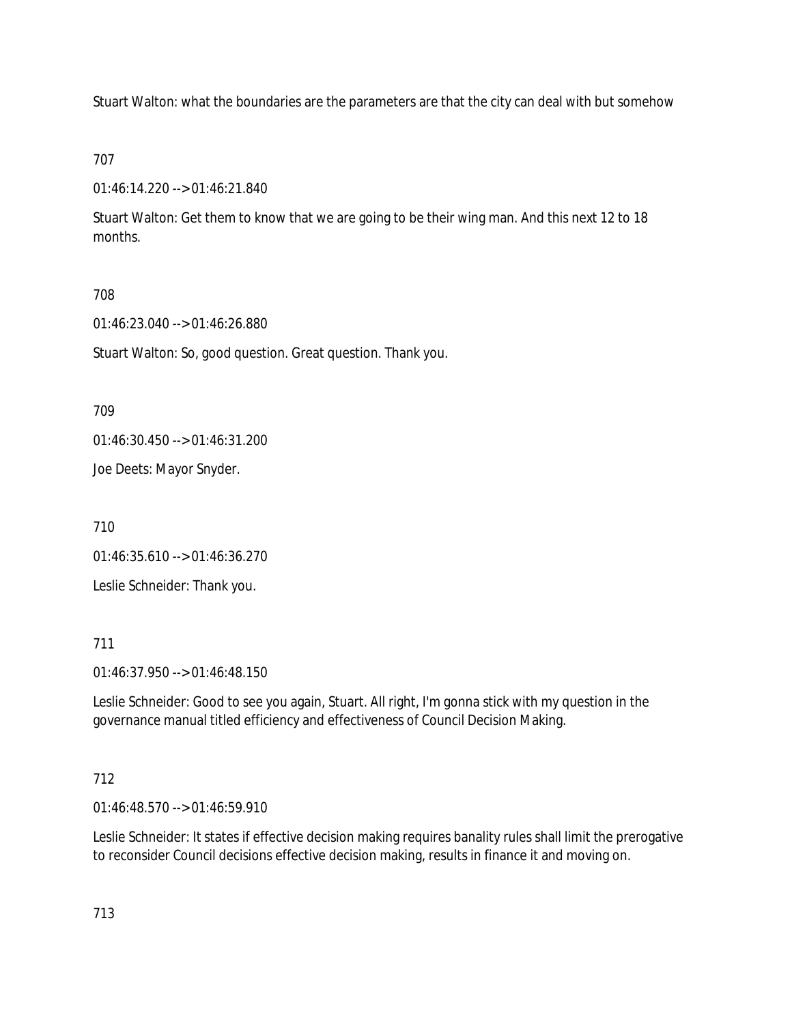Stuart Walton: what the boundaries are the parameters are that the city can deal with but somehow

707

01:46:14.220 --> 01:46:21.840

Stuart Walton: Get them to know that we are going to be their wing man. And this next 12 to 18 months.

## 708

01:46:23.040 --> 01:46:26.880

Stuart Walton: So, good question. Great question. Thank you.

709

01:46:30.450 --> 01:46:31.200

Joe Deets: Mayor Snyder.

710

01:46:35.610 --> 01:46:36.270

Leslie Schneider: Thank you.

711

01:46:37.950 --> 01:46:48.150

Leslie Schneider: Good to see you again, Stuart. All right, I'm gonna stick with my question in the governance manual titled efficiency and effectiveness of Council Decision Making.

## 712

01:46:48.570 --> 01:46:59.910

Leslie Schneider: It states if effective decision making requires banality rules shall limit the prerogative to reconsider Council decisions effective decision making, results in finance it and moving on.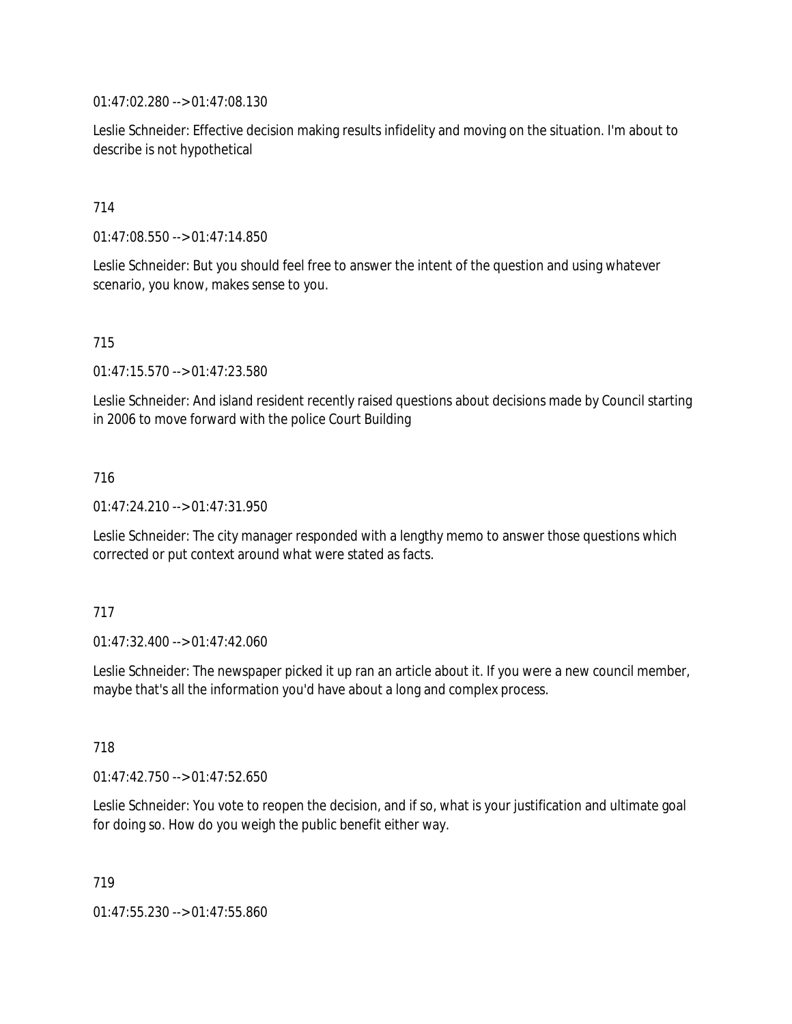01:47:02.280 --> 01:47:08.130

Leslie Schneider: Effective decision making results infidelity and moving on the situation. I'm about to describe is not hypothetical

### 714

01:47:08.550 --> 01:47:14.850

Leslie Schneider: But you should feel free to answer the intent of the question and using whatever scenario, you know, makes sense to you.

### 715

01:47:15.570 --> 01:47:23.580

Leslie Schneider: And island resident recently raised questions about decisions made by Council starting in 2006 to move forward with the police Court Building

### 716

01:47:24.210 --> 01:47:31.950

Leslie Schneider: The city manager responded with a lengthy memo to answer those questions which corrected or put context around what were stated as facts.

### 717

01:47:32.400 --> 01:47:42.060

Leslie Schneider: The newspaper picked it up ran an article about it. If you were a new council member, maybe that's all the information you'd have about a long and complex process.

### 718

01:47:42.750 --> 01:47:52.650

Leslie Schneider: You vote to reopen the decision, and if so, what is your justification and ultimate goal for doing so. How do you weigh the public benefit either way.

719

01:47:55.230 --> 01:47:55.860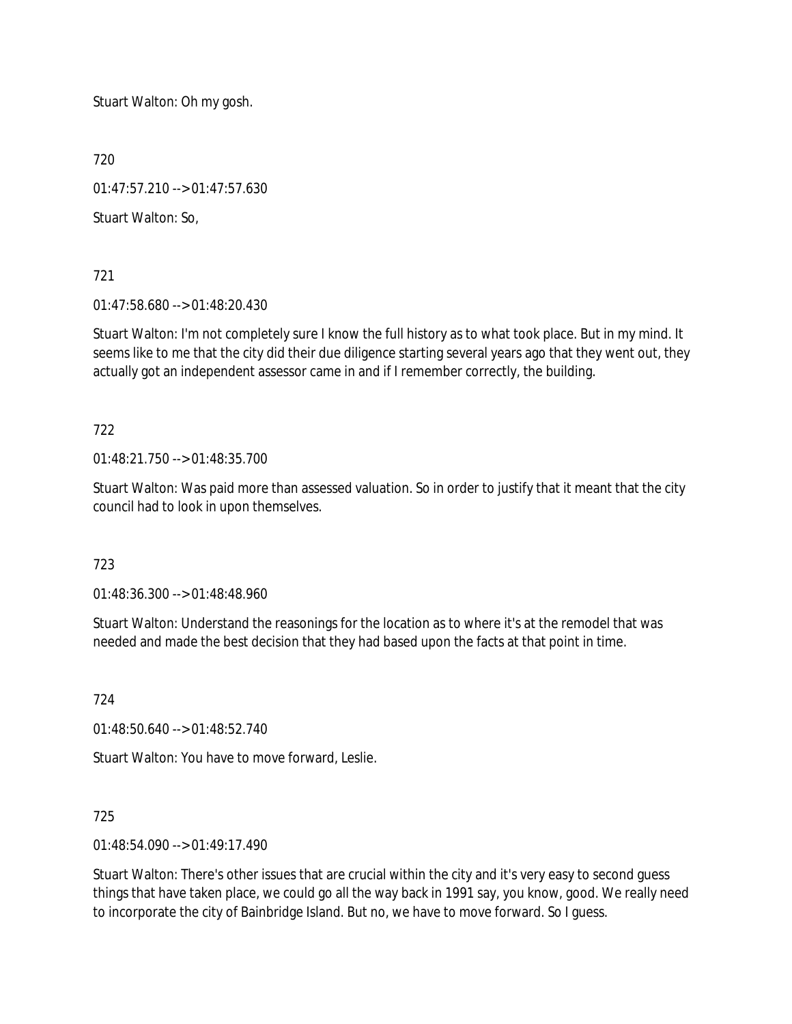Stuart Walton: Oh my gosh.

720

01:47:57.210 --> 01:47:57.630

Stuart Walton: So,

721

01:47:58.680 --> 01:48:20.430

Stuart Walton: I'm not completely sure I know the full history as to what took place. But in my mind. It seems like to me that the city did their due diligence starting several years ago that they went out, they actually got an independent assessor came in and if I remember correctly, the building.

722

01:48:21.750 --> 01:48:35.700

Stuart Walton: Was paid more than assessed valuation. So in order to justify that it meant that the city council had to look in upon themselves.

723

01:48:36.300 --> 01:48:48.960

Stuart Walton: Understand the reasonings for the location as to where it's at the remodel that was needed and made the best decision that they had based upon the facts at that point in time.

724

01:48:50.640 --> 01:48:52.740

Stuart Walton: You have to move forward, Leslie.

725

01:48:54.090 --> 01:49:17.490

Stuart Walton: There's other issues that are crucial within the city and it's very easy to second guess things that have taken place, we could go all the way back in 1991 say, you know, good. We really need to incorporate the city of Bainbridge Island. But no, we have to move forward. So I guess.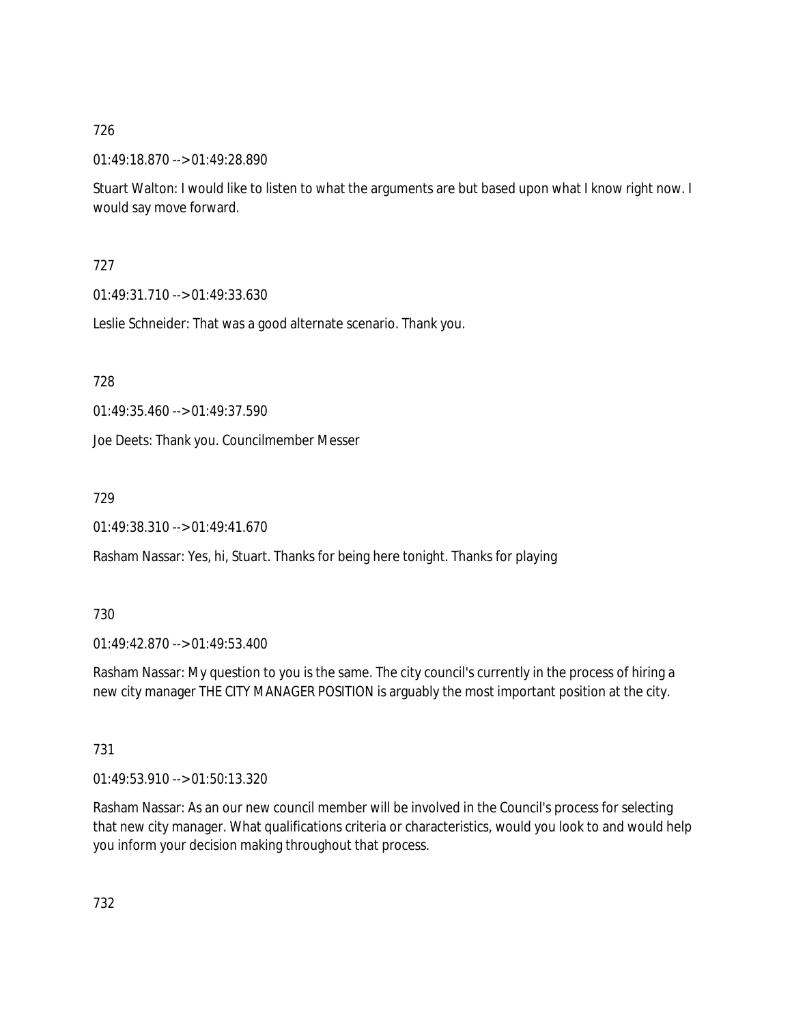01:49:18.870 --> 01:49:28.890

Stuart Walton: I would like to listen to what the arguments are but based upon what I know right now. I would say move forward.

# 727

01:49:31.710 --> 01:49:33.630

Leslie Schneider: That was a good alternate scenario. Thank you.

728

01:49:35.460 --> 01:49:37.590

Joe Deets: Thank you. Councilmember Messer

729

01:49:38.310 --> 01:49:41.670

Rasham Nassar: Yes, hi, Stuart. Thanks for being here tonight. Thanks for playing

## 730

01:49:42.870 --> 01:49:53.400

Rasham Nassar: My question to you is the same. The city council's currently in the process of hiring a new city manager THE CITY MANAGER POSITION is arguably the most important position at the city.

731

01:49:53.910 --> 01:50:13.320

Rasham Nassar: As an our new council member will be involved in the Council's process for selecting that new city manager. What qualifications criteria or characteristics, would you look to and would help you inform your decision making throughout that process.

732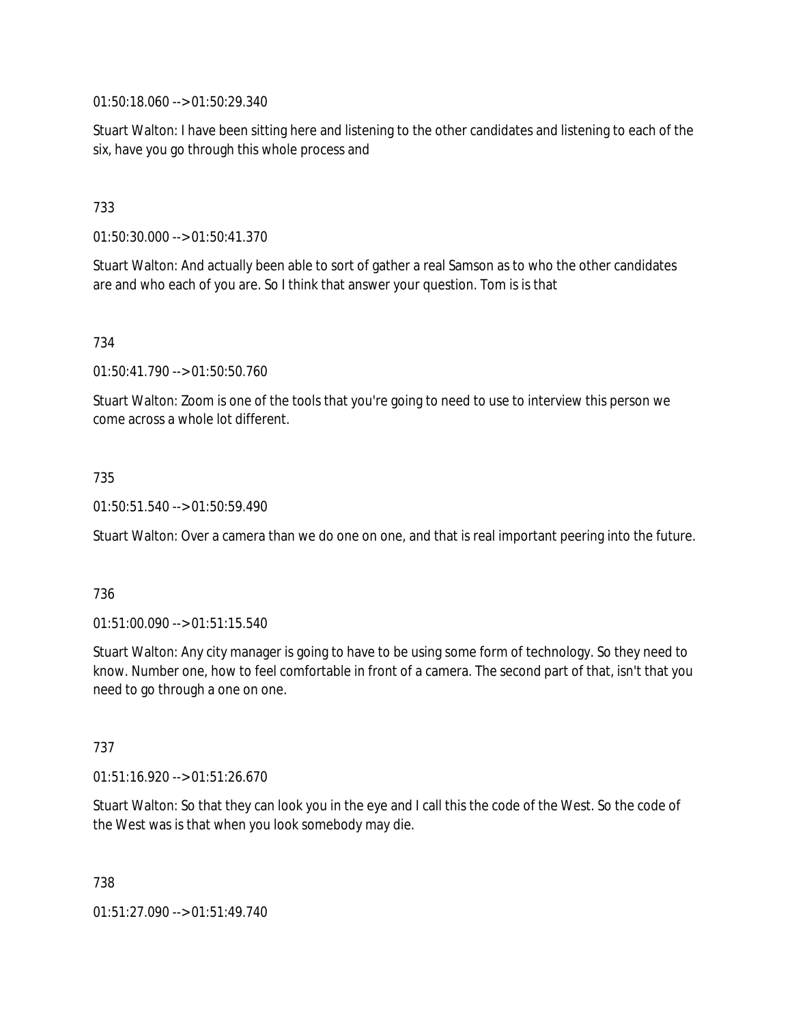01:50:18.060 --> 01:50:29.340

Stuart Walton: I have been sitting here and listening to the other candidates and listening to each of the six, have you go through this whole process and

### 733

01:50:30.000 --> 01:50:41.370

Stuart Walton: And actually been able to sort of gather a real Samson as to who the other candidates are and who each of you are. So I think that answer your question. Tom is is that

734

01:50:41.790 --> 01:50:50.760

Stuart Walton: Zoom is one of the tools that you're going to need to use to interview this person we come across a whole lot different.

#### 735

01:50:51.540 --> 01:50:59.490

Stuart Walton: Over a camera than we do one on one, and that is real important peering into the future.

#### 736

01:51:00.090 --> 01:51:15.540

Stuart Walton: Any city manager is going to have to be using some form of technology. So they need to know. Number one, how to feel comfortable in front of a camera. The second part of that, isn't that you need to go through a one on one.

#### 737

01:51:16.920 --> 01:51:26.670

Stuart Walton: So that they can look you in the eye and I call this the code of the West. So the code of the West was is that when you look somebody may die.

738

01:51:27.090 --> 01:51:49.740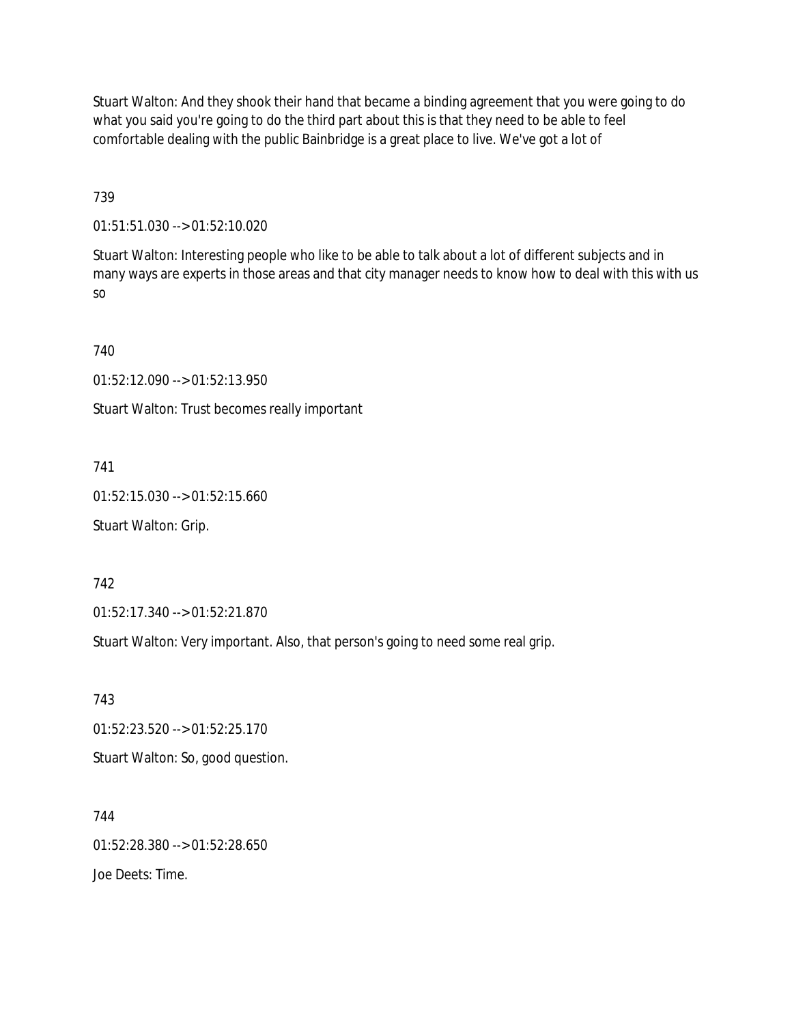Stuart Walton: And they shook their hand that became a binding agreement that you were going to do what you said you're going to do the third part about this is that they need to be able to feel comfortable dealing with the public Bainbridge is a great place to live. We've got a lot of

739

01:51:51.030 --> 01:52:10.020

Stuart Walton: Interesting people who like to be able to talk about a lot of different subjects and in many ways are experts in those areas and that city manager needs to know how to deal with this with us so

740

01:52:12.090 --> 01:52:13.950

Stuart Walton: Trust becomes really important

741

01:52:15.030 --> 01:52:15.660

Stuart Walton: Grip.

742

01:52:17.340 --> 01:52:21.870

Stuart Walton: Very important. Also, that person's going to need some real grip.

743

01:52:23.520 --> 01:52:25.170

Stuart Walton: So, good question.

744 01:52:28.380 --> 01:52:28.650 Joe Deets: Time.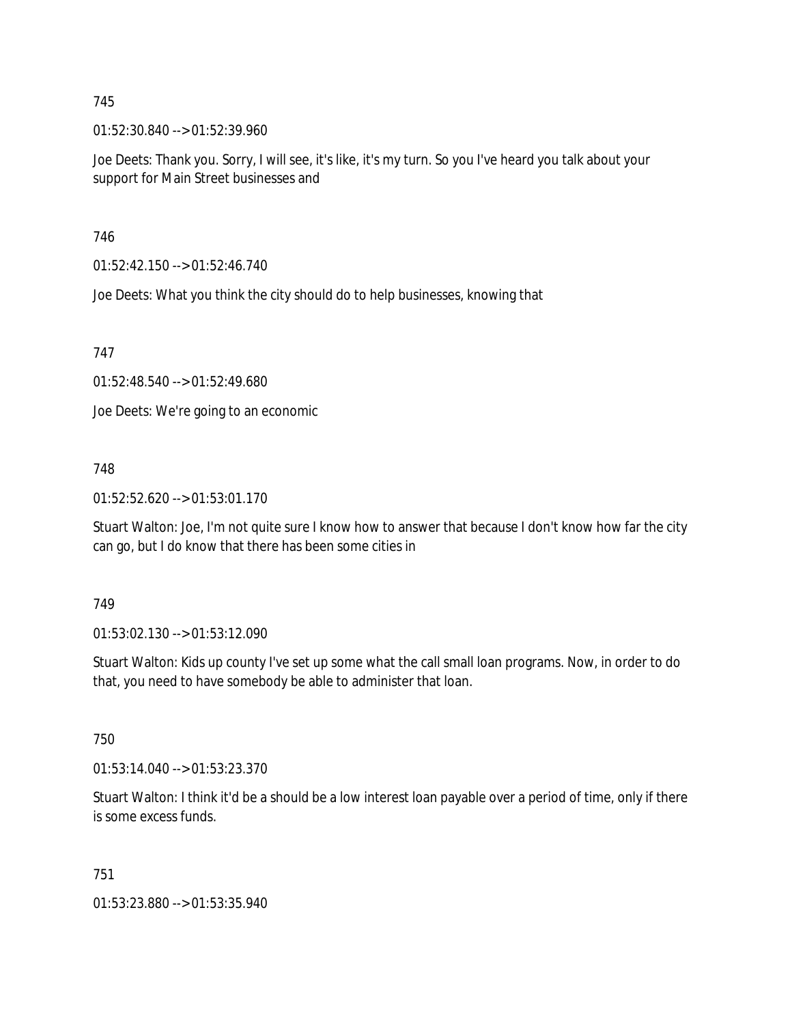01:52:30.840 --> 01:52:39.960

Joe Deets: Thank you. Sorry, I will see, it's like, it's my turn. So you I've heard you talk about your support for Main Street businesses and

746

01:52:42.150 --> 01:52:46.740

Joe Deets: What you think the city should do to help businesses, knowing that

747

01:52:48.540 --> 01:52:49.680

Joe Deets: We're going to an economic

748

01:52:52.620 --> 01:53:01.170

Stuart Walton: Joe, I'm not quite sure I know how to answer that because I don't know how far the city can go, but I do know that there has been some cities in

749

01:53:02.130 --> 01:53:12.090

Stuart Walton: Kids up county I've set up some what the call small loan programs. Now, in order to do that, you need to have somebody be able to administer that loan.

750

01:53:14.040 --> 01:53:23.370

Stuart Walton: I think it'd be a should be a low interest loan payable over a period of time, only if there is some excess funds.

751

01:53:23.880 --> 01:53:35.940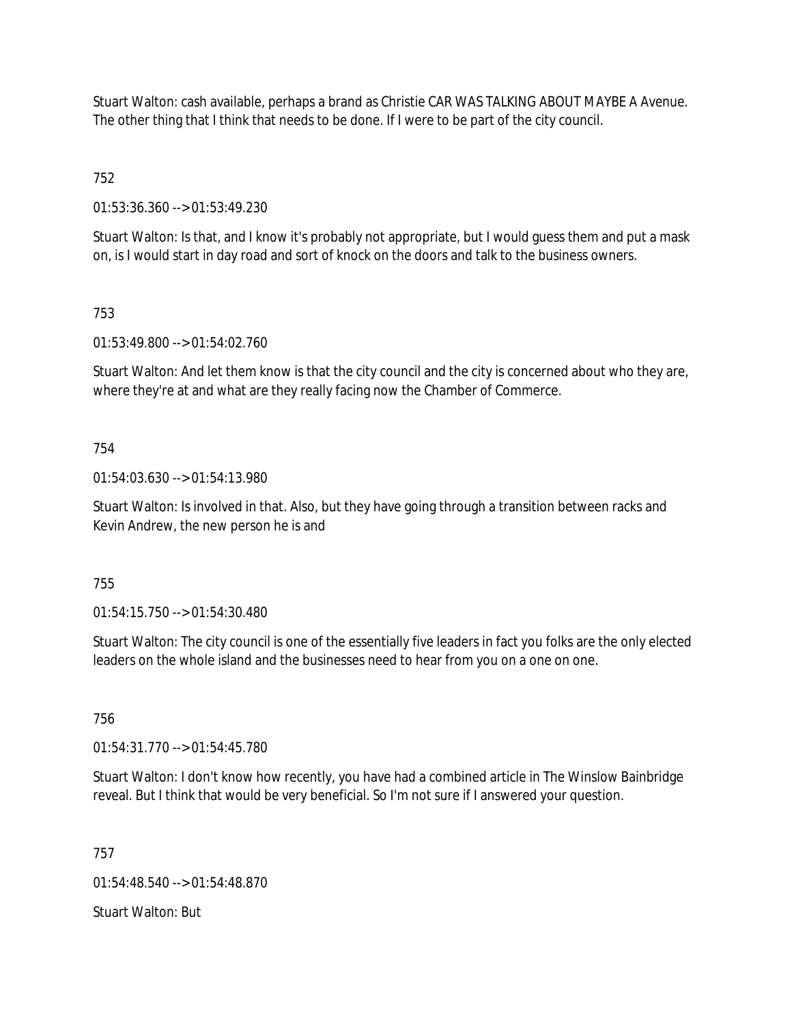Stuart Walton: cash available, perhaps a brand as Christie CAR WAS TALKING ABOUT MAYBE A Avenue. The other thing that I think that needs to be done. If I were to be part of the city council.

752

01:53:36.360 --> 01:53:49.230

Stuart Walton: Is that, and I know it's probably not appropriate, but I would guess them and put a mask on, is I would start in day road and sort of knock on the doors and talk to the business owners.

### 753

01:53:49.800 --> 01:54:02.760

Stuart Walton: And let them know is that the city council and the city is concerned about who they are, where they're at and what are they really facing now the Chamber of Commerce.

### 754

01:54:03.630 --> 01:54:13.980

Stuart Walton: Is involved in that. Also, but they have going through a transition between racks and Kevin Andrew, the new person he is and

### 755

01:54:15.750 --> 01:54:30.480

Stuart Walton: The city council is one of the essentially five leaders in fact you folks are the only elected leaders on the whole island and the businesses need to hear from you on a one on one.

### 756

01:54:31.770 --> 01:54:45.780

Stuart Walton: I don't know how recently, you have had a combined article in The Winslow Bainbridge reveal. But I think that would be very beneficial. So I'm not sure if I answered your question.

757

01:54:48.540 --> 01:54:48.870

Stuart Walton: But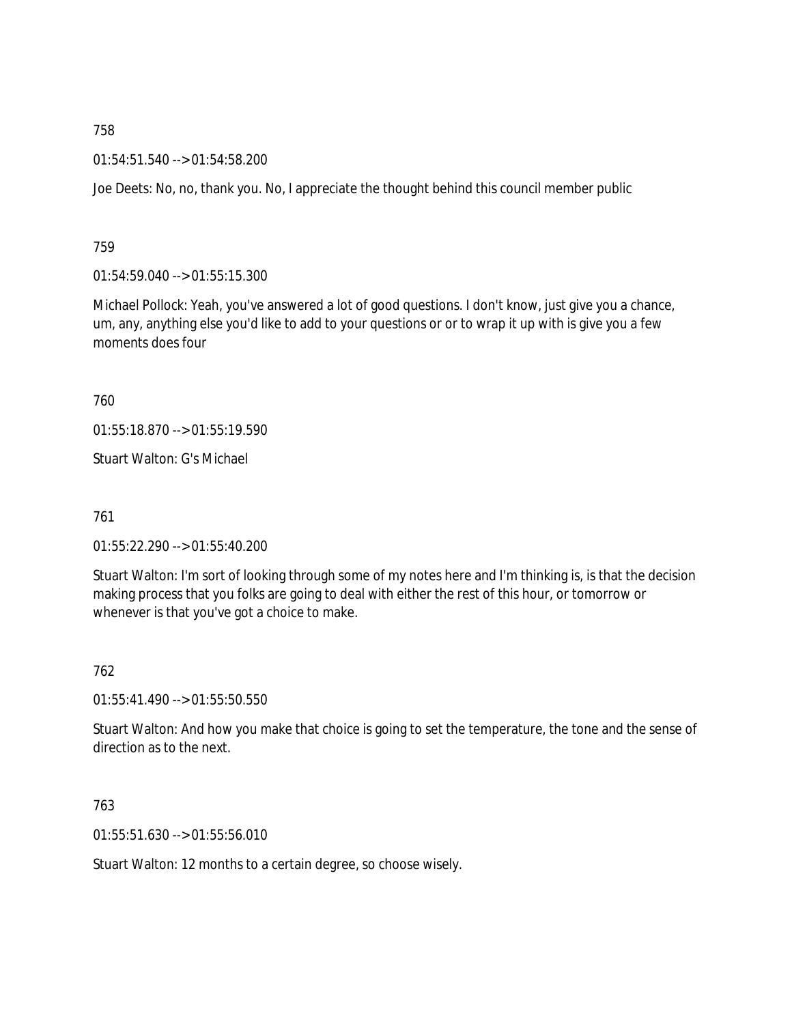01:54:51.540 --> 01:54:58.200

Joe Deets: No, no, thank you. No, I appreciate the thought behind this council member public

759

01:54:59.040 --> 01:55:15.300

Michael Pollock: Yeah, you've answered a lot of good questions. I don't know, just give you a chance, um, any, anything else you'd like to add to your questions or or to wrap it up with is give you a few moments does four

760

01:55:18.870 --> 01:55:19.590

Stuart Walton: G's Michael

761

01:55:22.290 --> 01:55:40.200

Stuart Walton: I'm sort of looking through some of my notes here and I'm thinking is, is that the decision making process that you folks are going to deal with either the rest of this hour, or tomorrow or whenever is that you've got a choice to make.

762

01:55:41.490 --> 01:55:50.550

Stuart Walton: And how you make that choice is going to set the temperature, the tone and the sense of direction as to the next.

763

01:55:51.630 --> 01:55:56.010

Stuart Walton: 12 months to a certain degree, so choose wisely.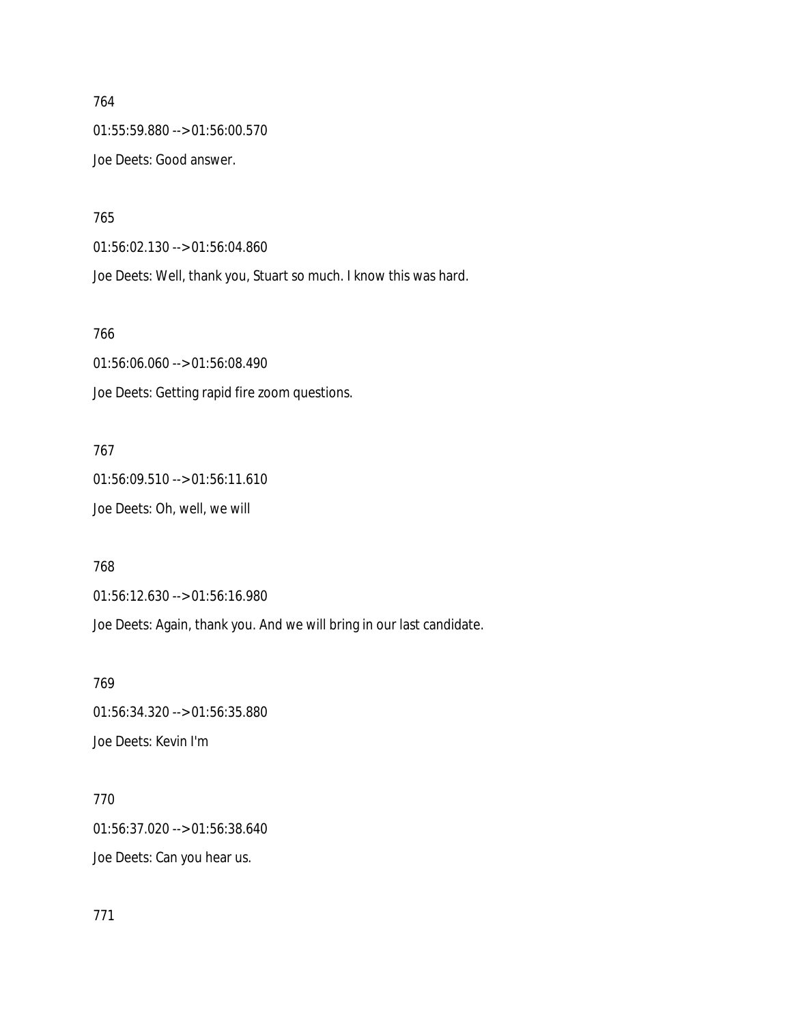764 01:55:59.880 --> 01:56:00.570 Joe Deets: Good answer.

765

01:56:02.130 --> 01:56:04.860 Joe Deets: Well, thank you, Stuart so much. I know this was hard.

766

01:56:06.060 --> 01:56:08.490 Joe Deets: Getting rapid fire zoom questions.

767

01:56:09.510 --> 01:56:11.610 Joe Deets: Oh, well, we will

768

01:56:12.630 --> 01:56:16.980

Joe Deets: Again, thank you. And we will bring in our last candidate.

769 01:56:34.320 --> 01:56:35.880 Joe Deets: Kevin I'm

770 01:56:37.020 --> 01:56:38.640 Joe Deets: Can you hear us.

771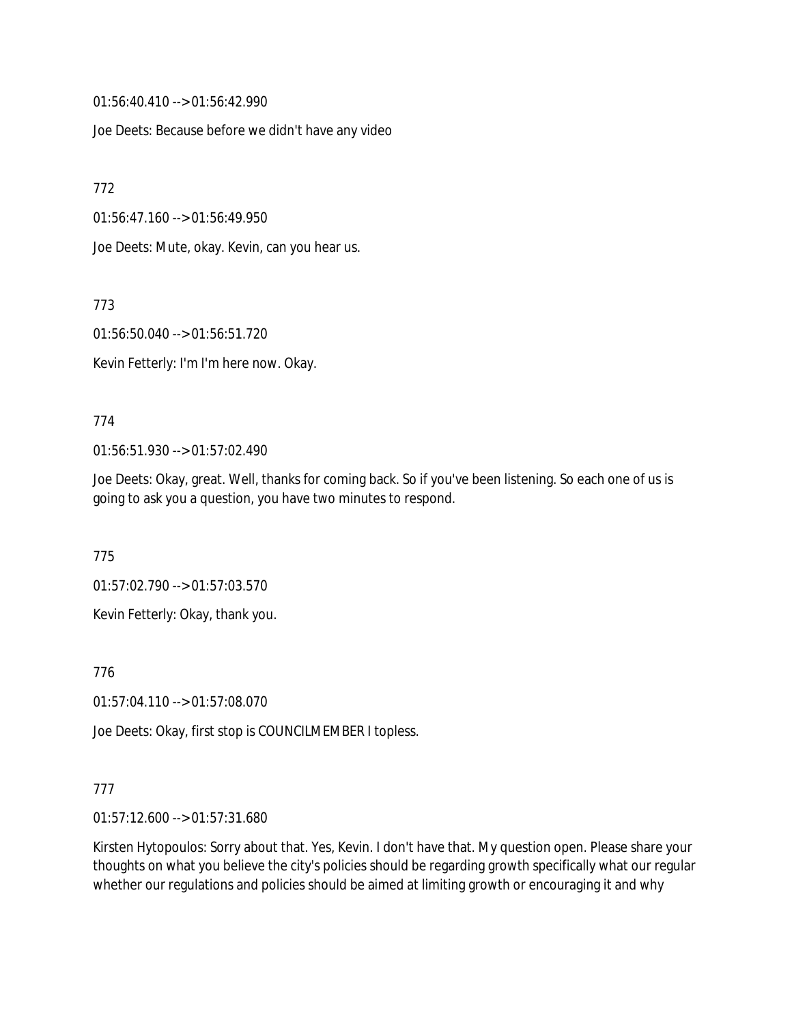01:56:40.410 --> 01:56:42.990

Joe Deets: Because before we didn't have any video

772

01:56:47.160 --> 01:56:49.950

Joe Deets: Mute, okay. Kevin, can you hear us.

773

01:56:50.040 --> 01:56:51.720

Kevin Fetterly: I'm I'm here now. Okay.

#### 774

01:56:51.930 --> 01:57:02.490

Joe Deets: Okay, great. Well, thanks for coming back. So if you've been listening. So each one of us is going to ask you a question, you have two minutes to respond.

775

01:57:02.790 --> 01:57:03.570

Kevin Fetterly: Okay, thank you.

776

01:57:04.110 --> 01:57:08.070

Joe Deets: Okay, first stop is COUNCILMEMBER I topless.

### 777

01:57:12.600 --> 01:57:31.680

Kirsten Hytopoulos: Sorry about that. Yes, Kevin. I don't have that. My question open. Please share your thoughts on what you believe the city's policies should be regarding growth specifically what our regular whether our regulations and policies should be aimed at limiting growth or encouraging it and why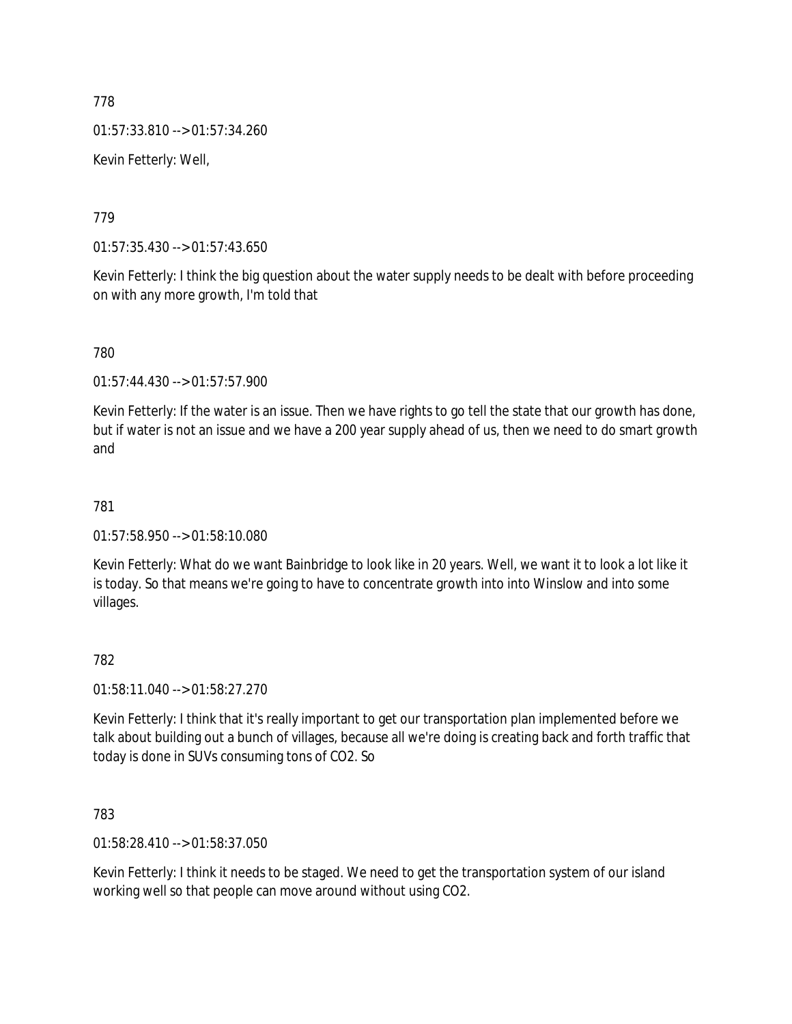01:57:33.810 --> 01:57:34.260

Kevin Fetterly: Well,

779

01:57:35.430 --> 01:57:43.650

Kevin Fetterly: I think the big question about the water supply needs to be dealt with before proceeding on with any more growth, I'm told that

780

01:57:44.430 --> 01:57:57.900

Kevin Fetterly: If the water is an issue. Then we have rights to go tell the state that our growth has done, but if water is not an issue and we have a 200 year supply ahead of us, then we need to do smart growth and

# 781

01:57:58.950 --> 01:58:10.080

Kevin Fetterly: What do we want Bainbridge to look like in 20 years. Well, we want it to look a lot like it is today. So that means we're going to have to concentrate growth into into Winslow and into some villages.

## 782

01:58:11.040 --> 01:58:27.270

Kevin Fetterly: I think that it's really important to get our transportation plan implemented before we talk about building out a bunch of villages, because all we're doing is creating back and forth traffic that today is done in SUVs consuming tons of CO2. So

783

01:58:28.410 --> 01:58:37.050

Kevin Fetterly: I think it needs to be staged. We need to get the transportation system of our island working well so that people can move around without using CO2.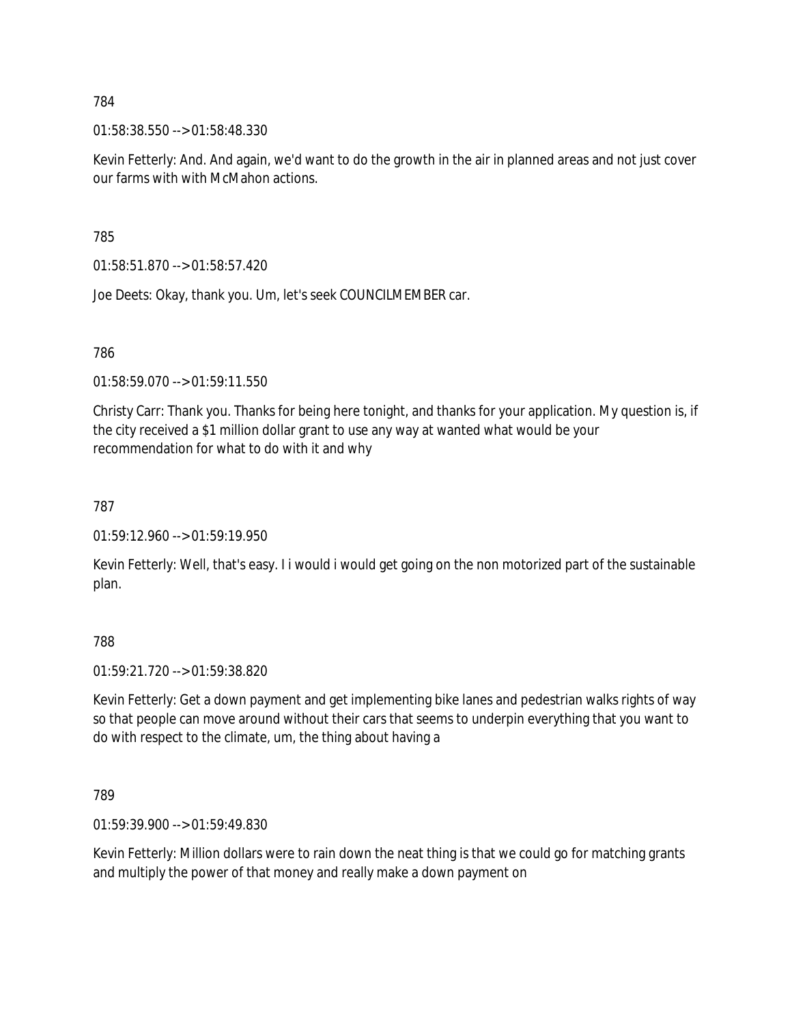01:58:38.550 --> 01:58:48.330

Kevin Fetterly: And. And again, we'd want to do the growth in the air in planned areas and not just cover our farms with with McMahon actions.

785

01:58:51.870 --> 01:58:57.420

Joe Deets: Okay, thank you. Um, let's seek COUNCILMEMBER car.

786

01:58:59.070 --> 01:59:11.550

Christy Carr: Thank you. Thanks for being here tonight, and thanks for your application. My question is, if the city received a \$1 million dollar grant to use any way at wanted what would be your recommendation for what to do with it and why

787

01:59:12.960 --> 01:59:19.950

Kevin Fetterly: Well, that's easy. I i would i would get going on the non motorized part of the sustainable plan.

788

01:59:21.720 --> 01:59:38.820

Kevin Fetterly: Get a down payment and get implementing bike lanes and pedestrian walks rights of way so that people can move around without their cars that seems to underpin everything that you want to do with respect to the climate, um, the thing about having a

789

01:59:39.900 --> 01:59:49.830

Kevin Fetterly: Million dollars were to rain down the neat thing is that we could go for matching grants and multiply the power of that money and really make a down payment on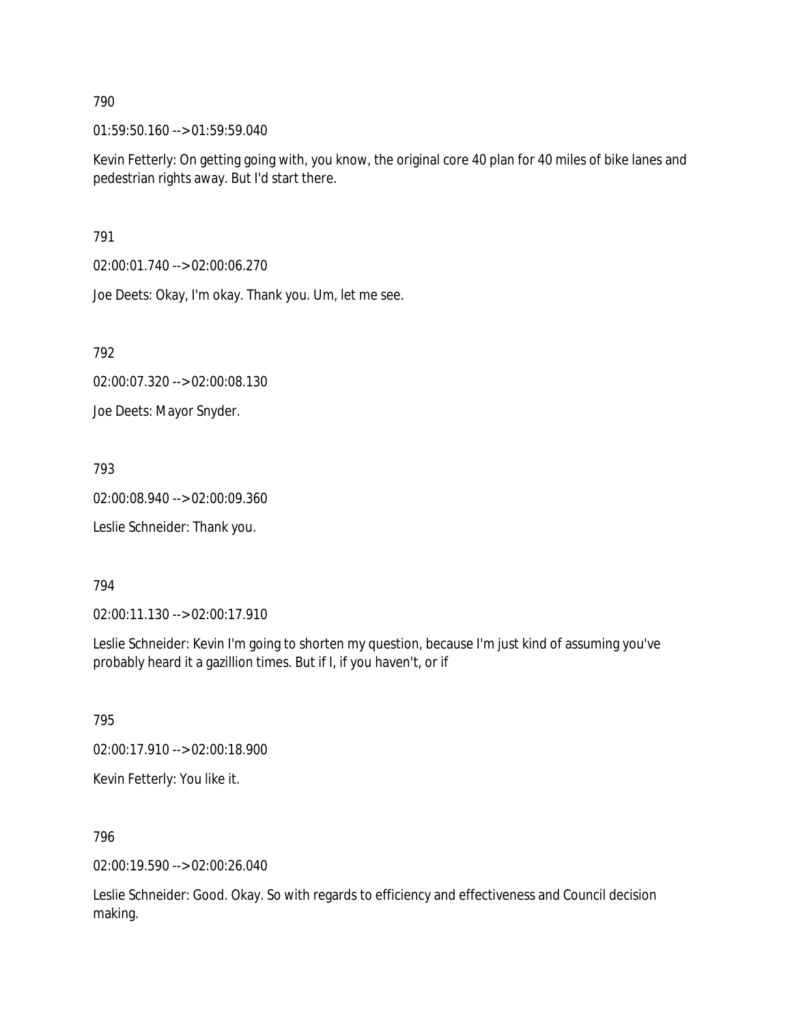01:59:50.160 --> 01:59:59.040

Kevin Fetterly: On getting going with, you know, the original core 40 plan for 40 miles of bike lanes and pedestrian rights away. But I'd start there.

791

02:00:01.740 --> 02:00:06.270

Joe Deets: Okay, I'm okay. Thank you. Um, let me see.

792

02:00:07.320 --> 02:00:08.130

Joe Deets: Mayor Snyder.

793

02:00:08.940 --> 02:00:09.360

Leslie Schneider: Thank you.

794

02:00:11.130 --> 02:00:17.910

Leslie Schneider: Kevin I'm going to shorten my question, because I'm just kind of assuming you've probably heard it a gazillion times. But if I, if you haven't, or if

795

02:00:17.910 --> 02:00:18.900

Kevin Fetterly: You like it.

796

02:00:19.590 --> 02:00:26.040

Leslie Schneider: Good. Okay. So with regards to efficiency and effectiveness and Council decision making.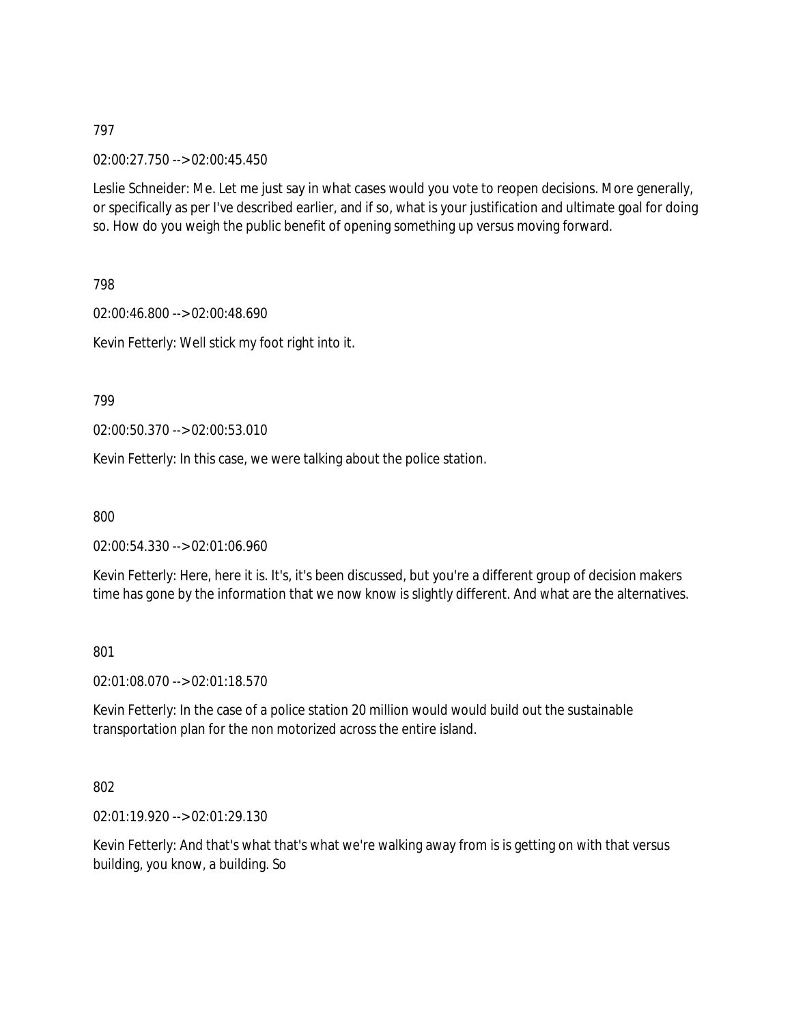02:00:27.750 --> 02:00:45.450

Leslie Schneider: Me. Let me just say in what cases would you vote to reopen decisions. More generally, or specifically as per I've described earlier, and if so, what is your justification and ultimate goal for doing so. How do you weigh the public benefit of opening something up versus moving forward.

798

02:00:46.800 --> 02:00:48.690 Kevin Fetterly: Well stick my foot right into it.

799

02:00:50.370 --> 02:00:53.010

Kevin Fetterly: In this case, we were talking about the police station.

800

02:00:54.330 --> 02:01:06.960

Kevin Fetterly: Here, here it is. It's, it's been discussed, but you're a different group of decision makers time has gone by the information that we now know is slightly different. And what are the alternatives.

801

02:01:08.070 --> 02:01:18.570

Kevin Fetterly: In the case of a police station 20 million would would build out the sustainable transportation plan for the non motorized across the entire island.

802

02:01:19.920 --> 02:01:29.130

Kevin Fetterly: And that's what that's what we're walking away from is is getting on with that versus building, you know, a building. So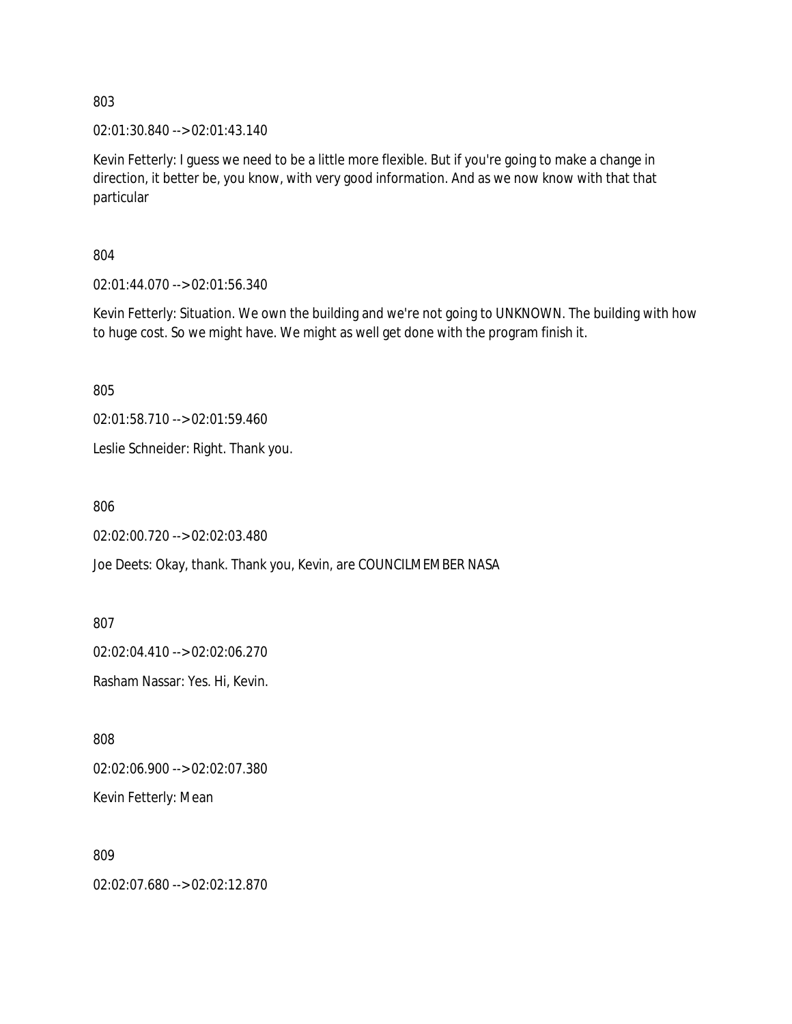02:01:30.840 --> 02:01:43.140

Kevin Fetterly: I guess we need to be a little more flexible. But if you're going to make a change in direction, it better be, you know, with very good information. And as we now know with that that particular

804

02:01:44.070 --> 02:01:56.340

Kevin Fetterly: Situation. We own the building and we're not going to UNKNOWN. The building with how to huge cost. So we might have. We might as well get done with the program finish it.

805

02:01:58.710 --> 02:01:59.460

Leslie Schneider: Right. Thank you.

806

02:02:00.720 --> 02:02:03.480

Joe Deets: Okay, thank. Thank you, Kevin, are COUNCILMEMBER NASA

807

02:02:04.410 --> 02:02:06.270

Rasham Nassar: Yes. Hi, Kevin.

808

02:02:06.900 --> 02:02:07.380

Kevin Fetterly: Mean

809

02:02:07.680 --> 02:02:12.870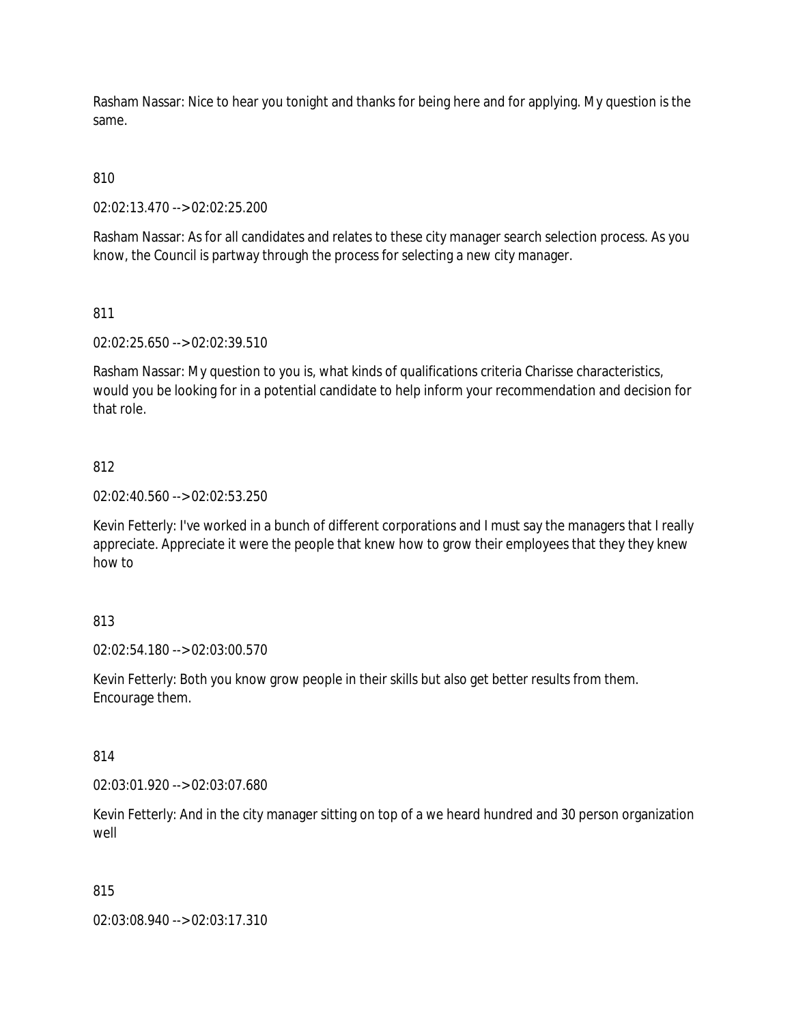Rasham Nassar: Nice to hear you tonight and thanks for being here and for applying. My question is the same.

# 810

02:02:13.470 --> 02:02:25.200

Rasham Nassar: As for all candidates and relates to these city manager search selection process. As you know, the Council is partway through the process for selecting a new city manager.

## 811

02:02:25.650 --> 02:02:39.510

Rasham Nassar: My question to you is, what kinds of qualifications criteria Charisse characteristics, would you be looking for in a potential candidate to help inform your recommendation and decision for that role.

## 812

02:02:40.560 --> 02:02:53.250

Kevin Fetterly: I've worked in a bunch of different corporations and I must say the managers that I really appreciate. Appreciate it were the people that knew how to grow their employees that they they knew how to

## 813

02:02:54.180 --> 02:03:00.570

Kevin Fetterly: Both you know grow people in their skills but also get better results from them. Encourage them.

### 814

02:03:01.920 --> 02:03:07.680

Kevin Fetterly: And in the city manager sitting on top of a we heard hundred and 30 person organization well

### 815

02:03:08.940 --> 02:03:17.310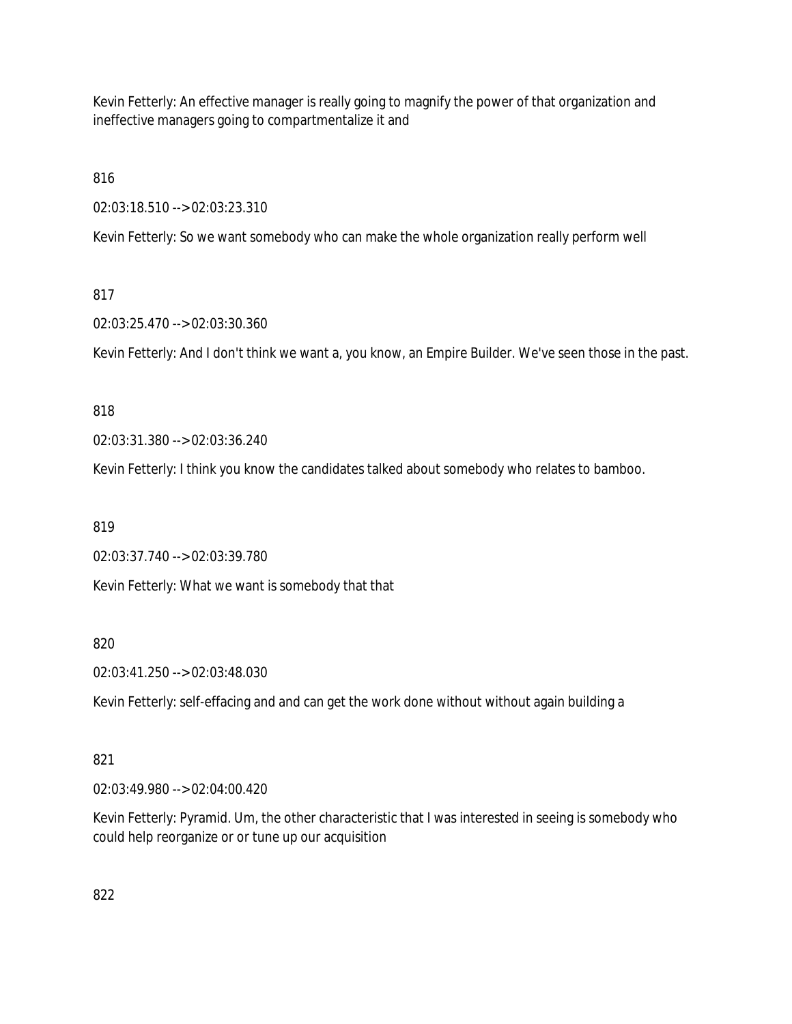Kevin Fetterly: An effective manager is really going to magnify the power of that organization and ineffective managers going to compartmentalize it and

816

02:03:18.510 --> 02:03:23.310

Kevin Fetterly: So we want somebody who can make the whole organization really perform well

# 817

02:03:25.470 --> 02:03:30.360

Kevin Fetterly: And I don't think we want a, you know, an Empire Builder. We've seen those in the past.

## 818

02:03:31.380 --> 02:03:36.240

Kevin Fetterly: I think you know the candidates talked about somebody who relates to bamboo.

819

02:03:37.740 --> 02:03:39.780

Kevin Fetterly: What we want is somebody that that

820

02:03:41.250 --> 02:03:48.030

Kevin Fetterly: self-effacing and and can get the work done without without again building a

## 821

02:03:49.980 --> 02:04:00.420

Kevin Fetterly: Pyramid. Um, the other characteristic that I was interested in seeing is somebody who could help reorganize or or tune up our acquisition

822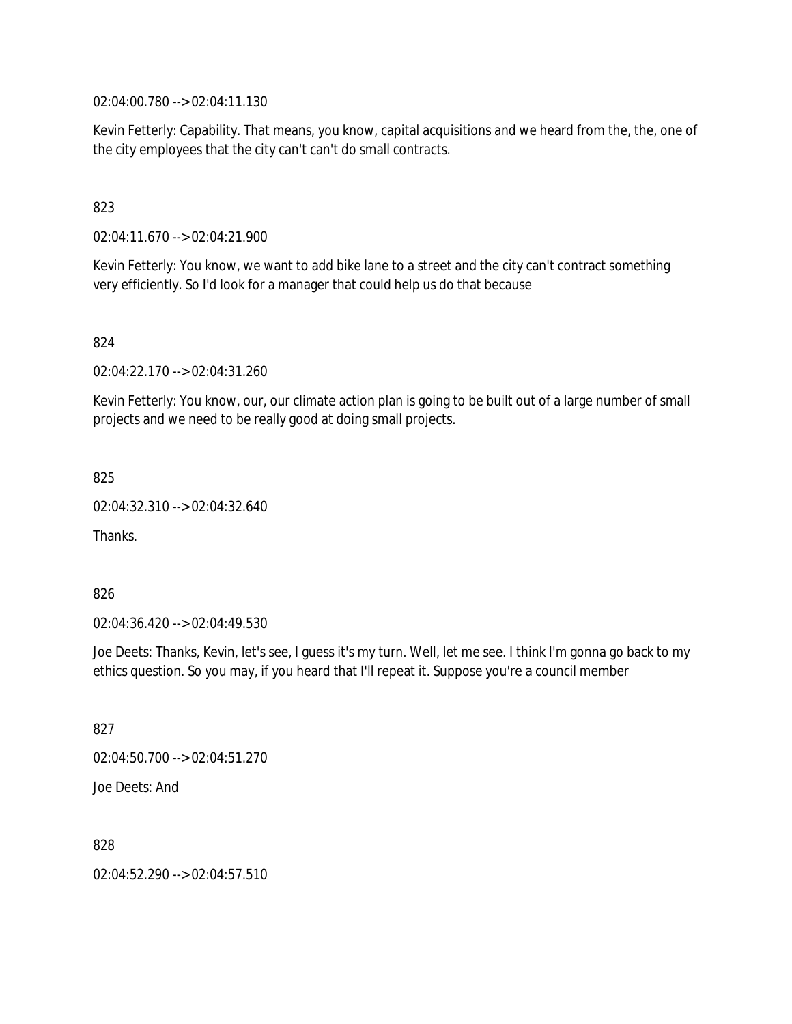02:04:00.780 --> 02:04:11.130

Kevin Fetterly: Capability. That means, you know, capital acquisitions and we heard from the, the, one of the city employees that the city can't can't do small contracts.

### 823

02:04:11.670 --> 02:04:21.900

Kevin Fetterly: You know, we want to add bike lane to a street and the city can't contract something very efficiently. So I'd look for a manager that could help us do that because

824

02:04:22.170 --> 02:04:31.260

Kevin Fetterly: You know, our, our climate action plan is going to be built out of a large number of small projects and we need to be really good at doing small projects.

825

02:04:32.310 --> 02:04:32.640

Thanks.

826

02:04:36.420 --> 02:04:49.530

Joe Deets: Thanks, Kevin, let's see, I guess it's my turn. Well, let me see. I think I'm gonna go back to my ethics question. So you may, if you heard that I'll repeat it. Suppose you're a council member

827

02:04:50.700 --> 02:04:51.270

Joe Deets: And

828

02:04:52.290 --> 02:04:57.510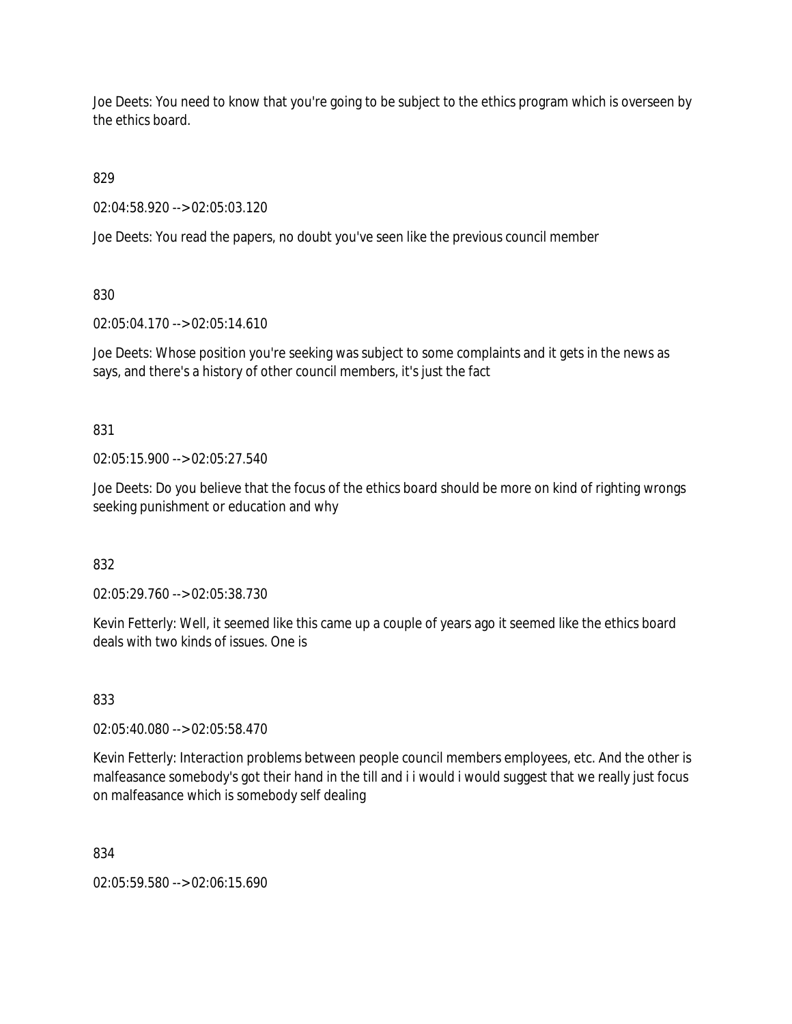Joe Deets: You need to know that you're going to be subject to the ethics program which is overseen by the ethics board.

829

02:04:58.920 --> 02:05:03.120

Joe Deets: You read the papers, no doubt you've seen like the previous council member

830

02:05:04.170 --> 02:05:14.610

Joe Deets: Whose position you're seeking was subject to some complaints and it gets in the news as says, and there's a history of other council members, it's just the fact

831

02:05:15.900 --> 02:05:27.540

Joe Deets: Do you believe that the focus of the ethics board should be more on kind of righting wrongs seeking punishment or education and why

832

02:05:29.760 --> 02:05:38.730

Kevin Fetterly: Well, it seemed like this came up a couple of years ago it seemed like the ethics board deals with two kinds of issues. One is

833

02:05:40.080 --> 02:05:58.470

Kevin Fetterly: Interaction problems between people council members employees, etc. And the other is malfeasance somebody's got their hand in the till and i i would i would suggest that we really just focus on malfeasance which is somebody self dealing

834

02:05:59.580 --> 02:06:15.690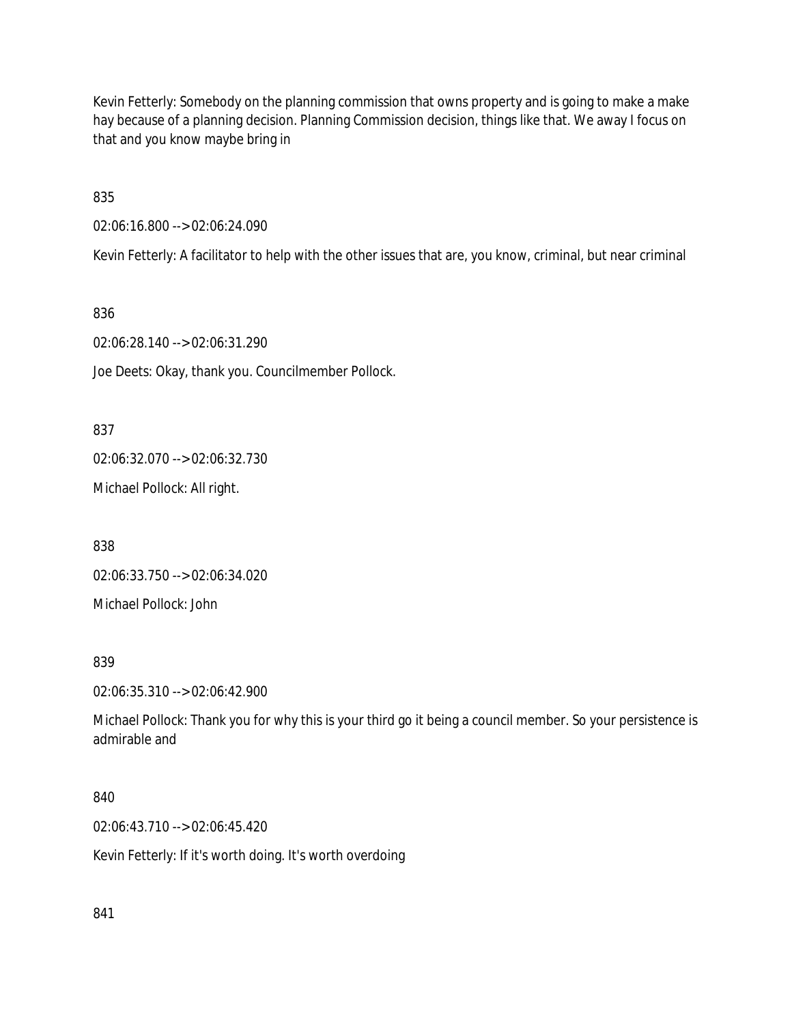Kevin Fetterly: Somebody on the planning commission that owns property and is going to make a make hay because of a planning decision. Planning Commission decision, things like that. We away I focus on that and you know maybe bring in

835

02:06:16.800 --> 02:06:24.090

Kevin Fetterly: A facilitator to help with the other issues that are, you know, criminal, but near criminal

836

02:06:28.140 --> 02:06:31.290

Joe Deets: Okay, thank you. Councilmember Pollock.

837

02:06:32.070 --> 02:06:32.730

Michael Pollock: All right.

838

02:06:33.750 --> 02:06:34.020

Michael Pollock: John

839

02:06:35.310 --> 02:06:42.900

Michael Pollock: Thank you for why this is your third go it being a council member. So your persistence is admirable and

840

02:06:43.710 --> 02:06:45.420

Kevin Fetterly: If it's worth doing. It's worth overdoing

841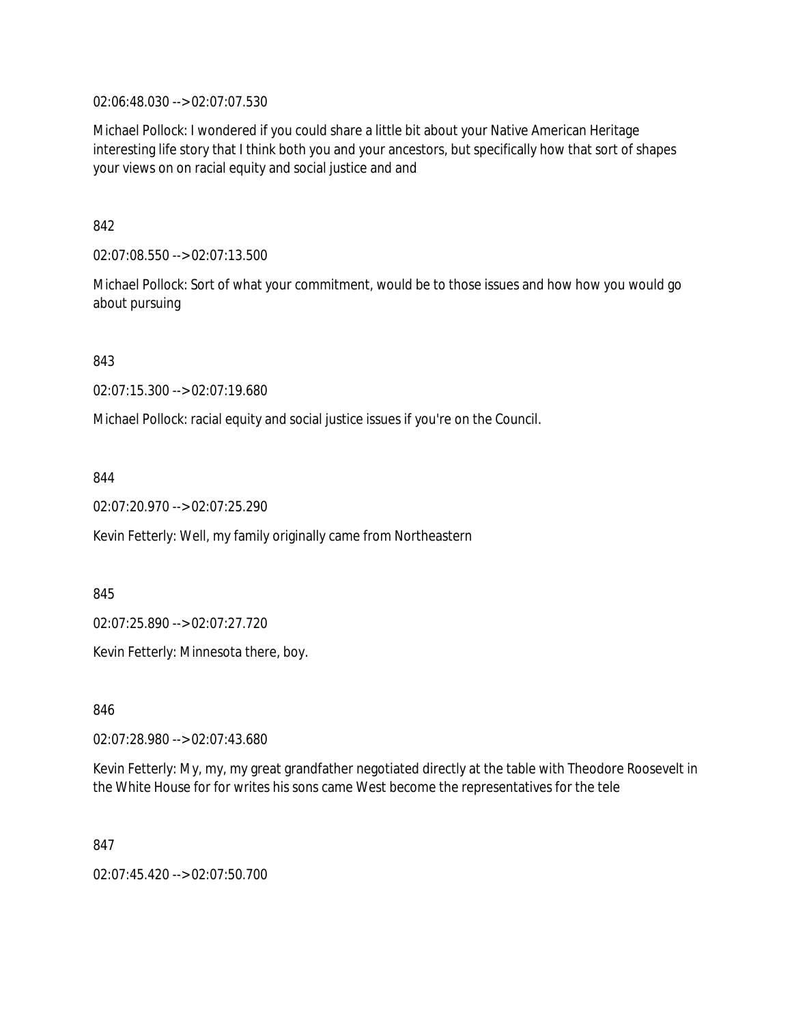02:06:48.030 --> 02:07:07.530

Michael Pollock: I wondered if you could share a little bit about your Native American Heritage interesting life story that I think both you and your ancestors, but specifically how that sort of shapes your views on on racial equity and social justice and and

842

02:07:08.550 --> 02:07:13.500

Michael Pollock: Sort of what your commitment, would be to those issues and how how you would go about pursuing

843

02:07:15.300 --> 02:07:19.680

Michael Pollock: racial equity and social justice issues if you're on the Council.

844

02:07:20.970 --> 02:07:25.290

Kevin Fetterly: Well, my family originally came from Northeastern

845

02:07:25.890 --> 02:07:27.720

Kevin Fetterly: Minnesota there, boy.

846

02:07:28.980 --> 02:07:43.680

Kevin Fetterly: My, my, my great grandfather negotiated directly at the table with Theodore Roosevelt in the White House for for writes his sons came West become the representatives for the tele

847

02:07:45.420 --> 02:07:50.700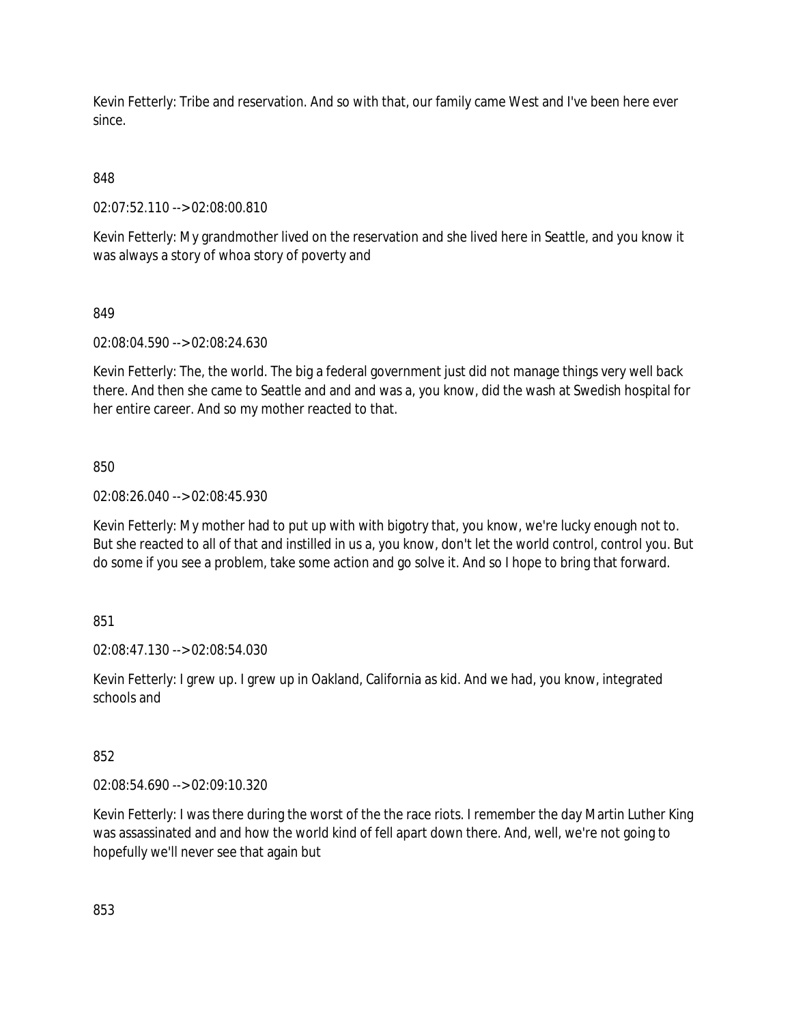Kevin Fetterly: Tribe and reservation. And so with that, our family came West and I've been here ever since.

848

02:07:52.110 --> 02:08:00.810

Kevin Fetterly: My grandmother lived on the reservation and she lived here in Seattle, and you know it was always a story of whoa story of poverty and

849

02:08:04.590 --> 02:08:24.630

Kevin Fetterly: The, the world. The big a federal government just did not manage things very well back there. And then she came to Seattle and and and was a, you know, did the wash at Swedish hospital for her entire career. And so my mother reacted to that.

850

02:08:26.040 --> 02:08:45.930

Kevin Fetterly: My mother had to put up with with bigotry that, you know, we're lucky enough not to. But she reacted to all of that and instilled in us a, you know, don't let the world control, control you. But do some if you see a problem, take some action and go solve it. And so I hope to bring that forward.

851

02:08:47.130 --> 02:08:54.030

Kevin Fetterly: I grew up. I grew up in Oakland, California as kid. And we had, you know, integrated schools and

852

02:08:54.690 --> 02:09:10.320

Kevin Fetterly: I was there during the worst of the the race riots. I remember the day Martin Luther King was assassinated and and how the world kind of fell apart down there. And, well, we're not going to hopefully we'll never see that again but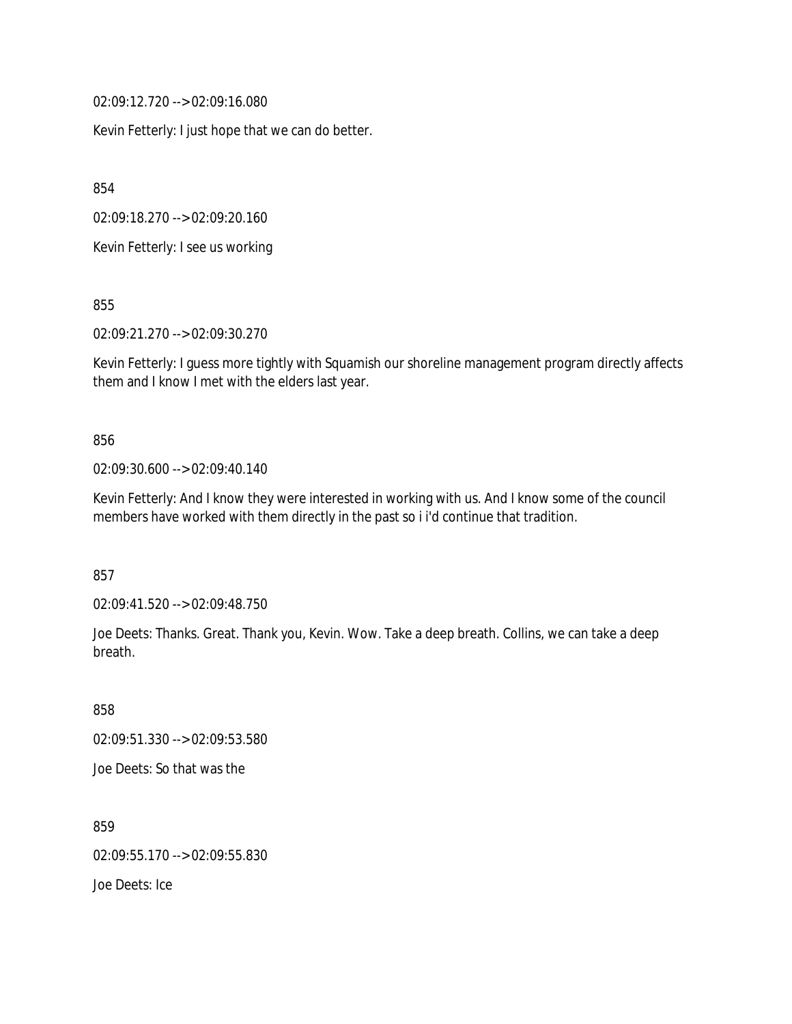02:09:12.720 --> 02:09:16.080

Kevin Fetterly: I just hope that we can do better.

854

02:09:18.270 --> 02:09:20.160

Kevin Fetterly: I see us working

855

02:09:21.270 --> 02:09:30.270

Kevin Fetterly: I guess more tightly with Squamish our shoreline management program directly affects them and I know I met with the elders last year.

#### 856

02:09:30.600 --> 02:09:40.140

Kevin Fetterly: And I know they were interested in working with us. And I know some of the council members have worked with them directly in the past so i i'd continue that tradition.

857

02:09:41.520 --> 02:09:48.750

Joe Deets: Thanks. Great. Thank you, Kevin. Wow. Take a deep breath. Collins, we can take a deep breath.

858 02:09:51.330 --> 02:09:53.580 Joe Deets: So that was the

859 02:09:55.170 --> 02:09:55.830 Joe Deets: Ice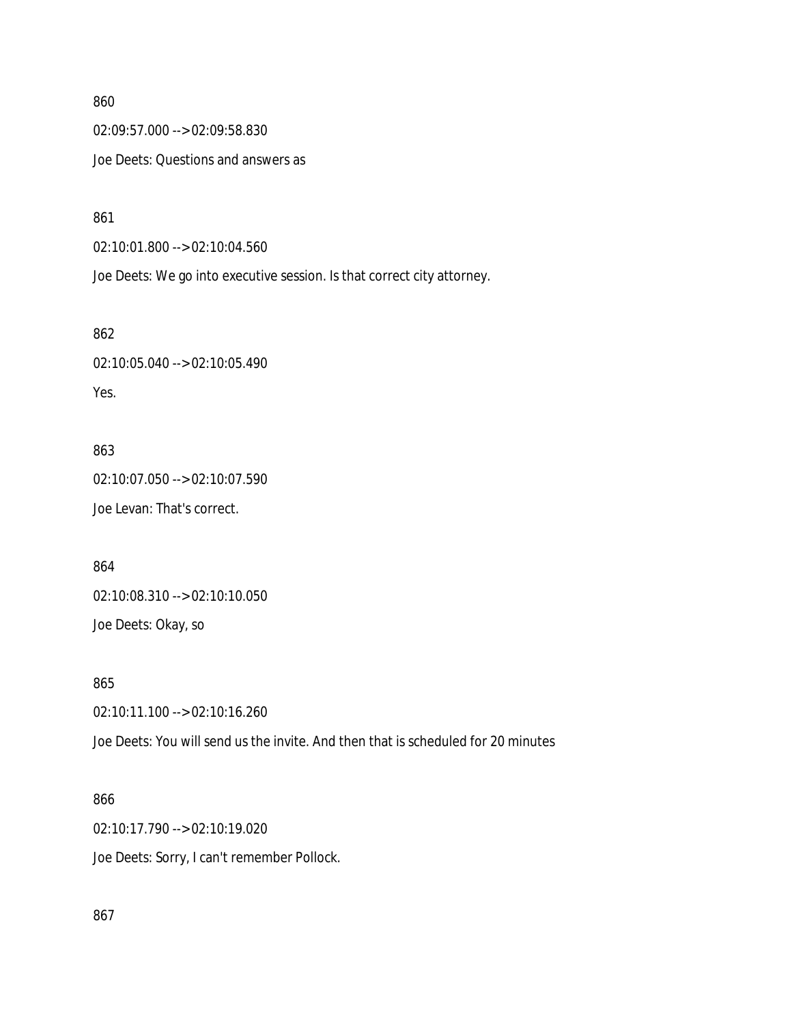02:09:57.000 --> 02:09:58.830

Joe Deets: Questions and answers as

861

02:10:01.800 --> 02:10:04.560

Joe Deets: We go into executive session. Is that correct city attorney.

862

02:10:05.040 --> 02:10:05.490 Yes.

863 02:10:07.050 --> 02:10:07.590 Joe Levan: That's correct.

864 02:10:08.310 --> 02:10:10.050 Joe Deets: Okay, so

865

02:10:11.100 --> 02:10:16.260

Joe Deets: You will send us the invite. And then that is scheduled for 20 minutes

### 866

02:10:17.790 --> 02:10:19.020 Joe Deets: Sorry, I can't remember Pollock.

867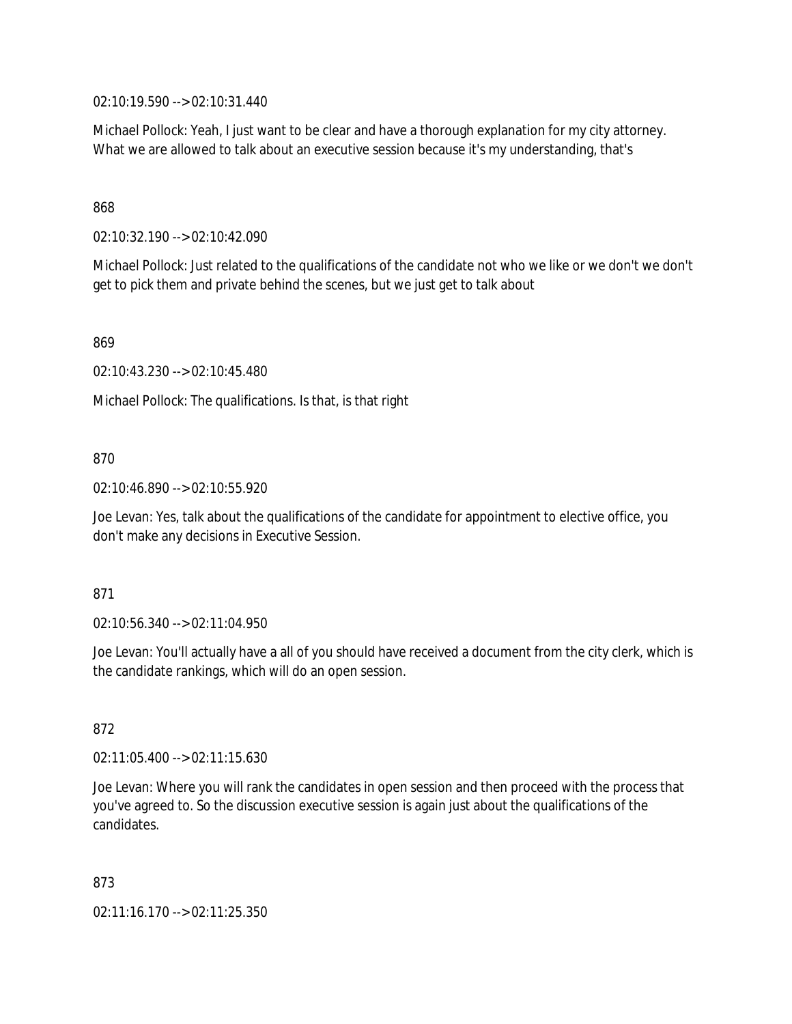02:10:19.590 --> 02:10:31.440

Michael Pollock: Yeah, I just want to be clear and have a thorough explanation for my city attorney. What we are allowed to talk about an executive session because it's my understanding, that's

### 868

02:10:32.190 --> 02:10:42.090

Michael Pollock: Just related to the qualifications of the candidate not who we like or we don't we don't get to pick them and private behind the scenes, but we just get to talk about

869

02:10:43.230 --> 02:10:45.480

Michael Pollock: The qualifications. Is that, is that right

### 870

02:10:46.890 --> 02:10:55.920

Joe Levan: Yes, talk about the qualifications of the candidate for appointment to elective office, you don't make any decisions in Executive Session.

### 871

02:10:56.340 --> 02:11:04.950

Joe Levan: You'll actually have a all of you should have received a document from the city clerk, which is the candidate rankings, which will do an open session.

### 872

02:11:05.400 --> 02:11:15.630

Joe Levan: Where you will rank the candidates in open session and then proceed with the process that you've agreed to. So the discussion executive session is again just about the qualifications of the candidates.

873

02:11:16.170 --> 02:11:25.350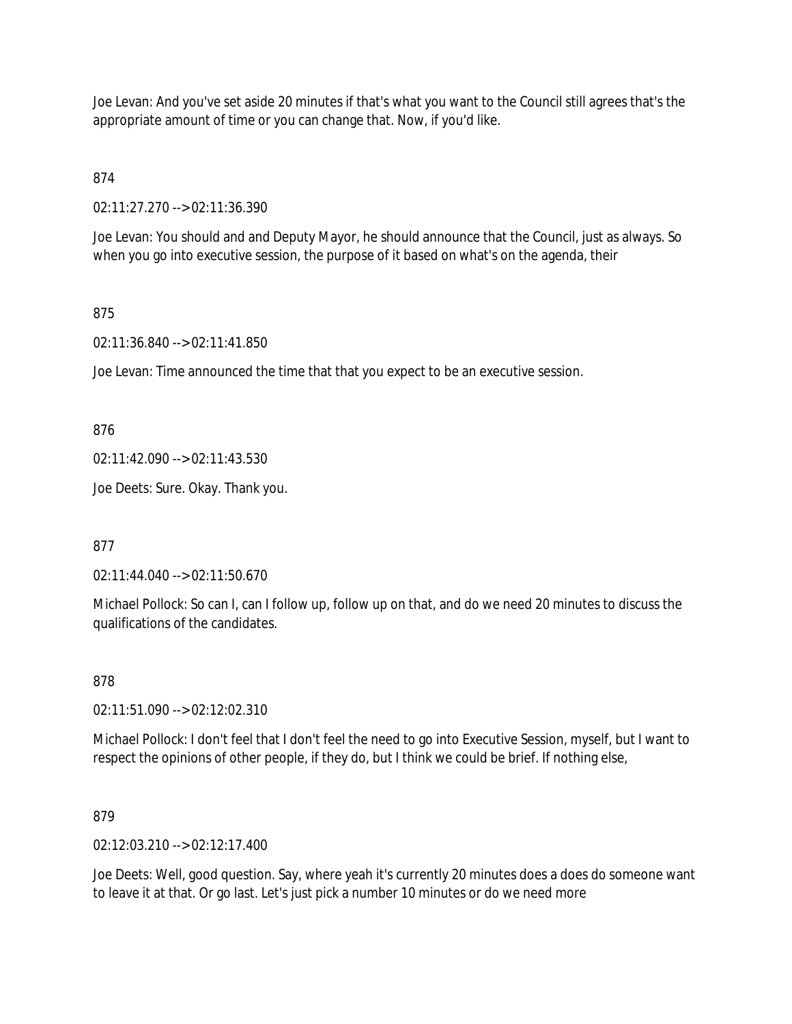Joe Levan: And you've set aside 20 minutes if that's what you want to the Council still agrees that's the appropriate amount of time or you can change that. Now, if you'd like.

874

02:11:27.270 --> 02:11:36.390

Joe Levan: You should and and Deputy Mayor, he should announce that the Council, just as always. So when you go into executive session, the purpose of it based on what's on the agenda, their

### 875

02:11:36.840 --> 02:11:41.850

Joe Levan: Time announced the time that that you expect to be an executive session.

876

02:11:42.090 --> 02:11:43.530

Joe Deets: Sure. Okay. Thank you.

877

02:11:44.040 --> 02:11:50.670

Michael Pollock: So can I, can I follow up, follow up on that, and do we need 20 minutes to discuss the qualifications of the candidates.

### 878

02:11:51.090 --> 02:12:02.310

Michael Pollock: I don't feel that I don't feel the need to go into Executive Session, myself, but I want to respect the opinions of other people, if they do, but I think we could be brief. If nothing else,

879

02:12:03.210 --> 02:12:17.400

Joe Deets: Well, good question. Say, where yeah it's currently 20 minutes does a does do someone want to leave it at that. Or go last. Let's just pick a number 10 minutes or do we need more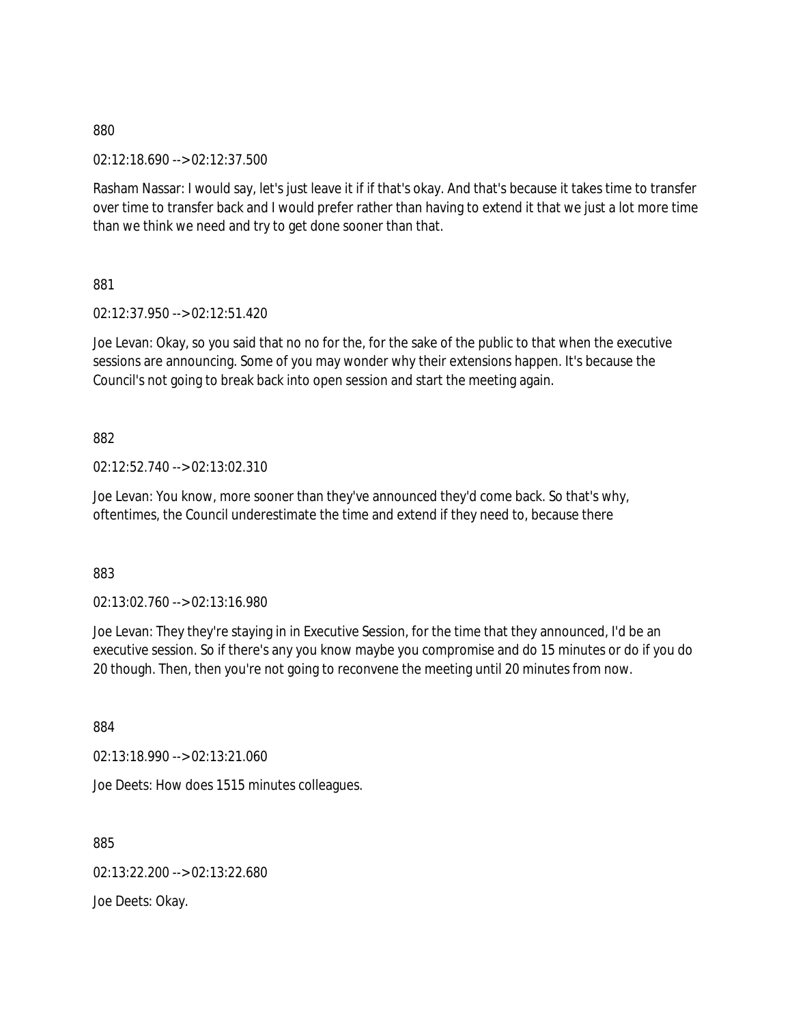02:12:18.690 --> 02:12:37.500

Rasham Nassar: I would say, let's just leave it if if that's okay. And that's because it takes time to transfer over time to transfer back and I would prefer rather than having to extend it that we just a lot more time than we think we need and try to get done sooner than that.

881

02:12:37.950 --> 02:12:51.420

Joe Levan: Okay, so you said that no no for the, for the sake of the public to that when the executive sessions are announcing. Some of you may wonder why their extensions happen. It's because the Council's not going to break back into open session and start the meeting again.

882

02:12:52.740 --> 02:13:02.310

Joe Levan: You know, more sooner than they've announced they'd come back. So that's why, oftentimes, the Council underestimate the time and extend if they need to, because there

883

02:13:02.760 --> 02:13:16.980

Joe Levan: They they're staying in in Executive Session, for the time that they announced, I'd be an executive session. So if there's any you know maybe you compromise and do 15 minutes or do if you do 20 though. Then, then you're not going to reconvene the meeting until 20 minutes from now.

884

02:13:18.990 --> 02:13:21.060

Joe Deets: How does 1515 minutes colleagues.

885

02:13:22.200 --> 02:13:22.680

Joe Deets: Okay.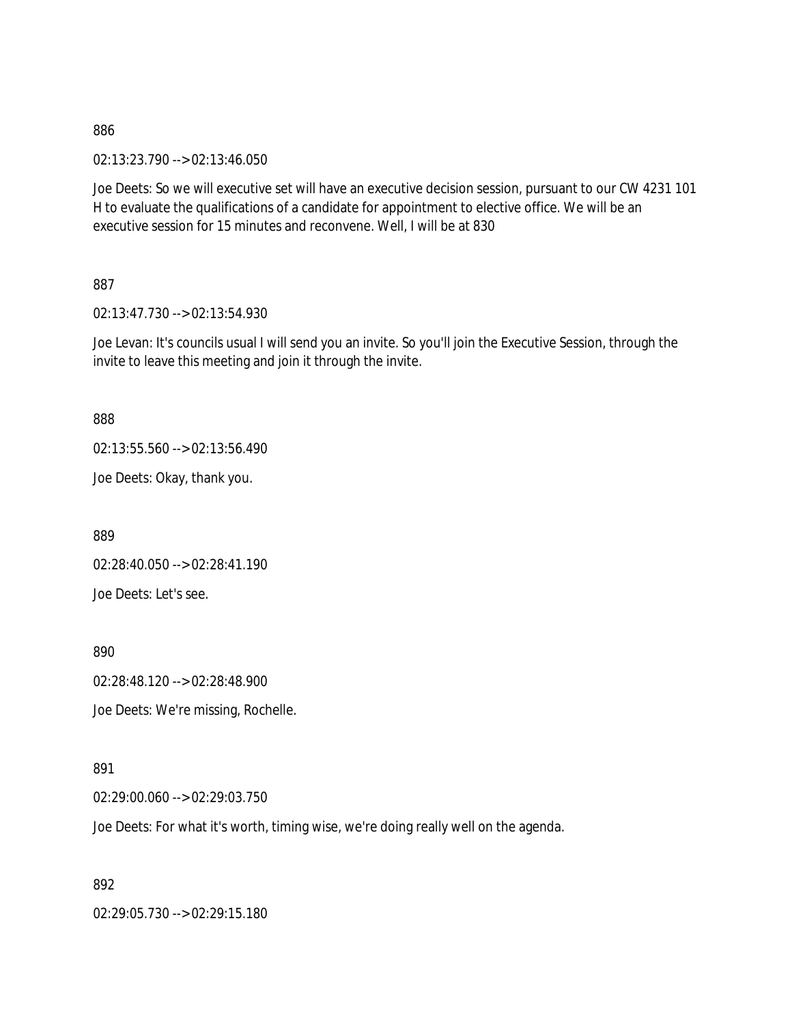02:13:23.790 --> 02:13:46.050

Joe Deets: So we will executive set will have an executive decision session, pursuant to our CW 4231 101 H to evaluate the qualifications of a candidate for appointment to elective office. We will be an executive session for 15 minutes and reconvene. Well, I will be at 830

887

02:13:47.730 --> 02:13:54.930

Joe Levan: It's councils usual I will send you an invite. So you'll join the Executive Session, through the invite to leave this meeting and join it through the invite.

888

02:13:55.560 --> 02:13:56.490

Joe Deets: Okay, thank you.

889

02:28:40.050 --> 02:28:41.190 Joe Deets: Let's see.

890

02:28:48.120 --> 02:28:48.900

Joe Deets: We're missing, Rochelle.

891

02:29:00.060 --> 02:29:03.750

Joe Deets: For what it's worth, timing wise, we're doing really well on the agenda.

892

02:29:05.730 --> 02:29:15.180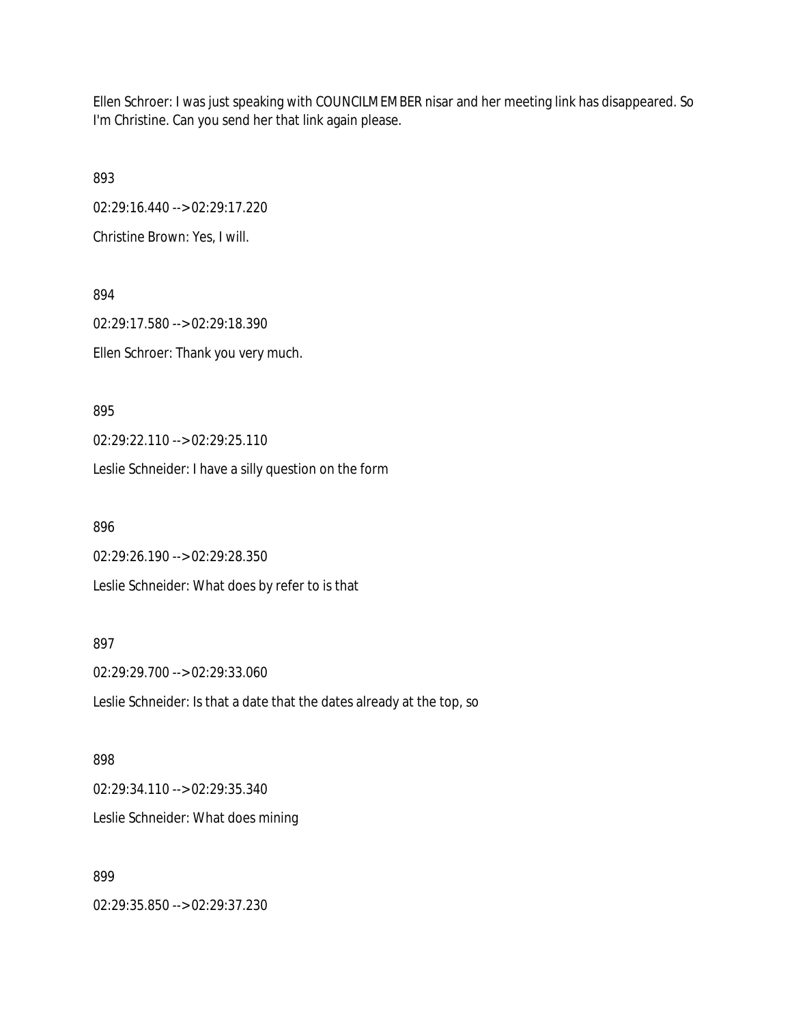Ellen Schroer: I was just speaking with COUNCILMEMBER nisar and her meeting link has disappeared. So I'm Christine. Can you send her that link again please.

893

02:29:16.440 --> 02:29:17.220

Christine Brown: Yes, I will.

894 02:29:17.580 --> 02:29:18.390 Ellen Schroer: Thank you very much.

895

02:29:22.110 --> 02:29:25.110

Leslie Schneider: I have a silly question on the form

896

02:29:26.190 --> 02:29:28.350

Leslie Schneider: What does by refer to is that

897

02:29:29.700 --> 02:29:33.060

Leslie Schneider: Is that a date that the dates already at the top, so

898

02:29:34.110 --> 02:29:35.340 Leslie Schneider: What does mining

899

02:29:35.850 --> 02:29:37.230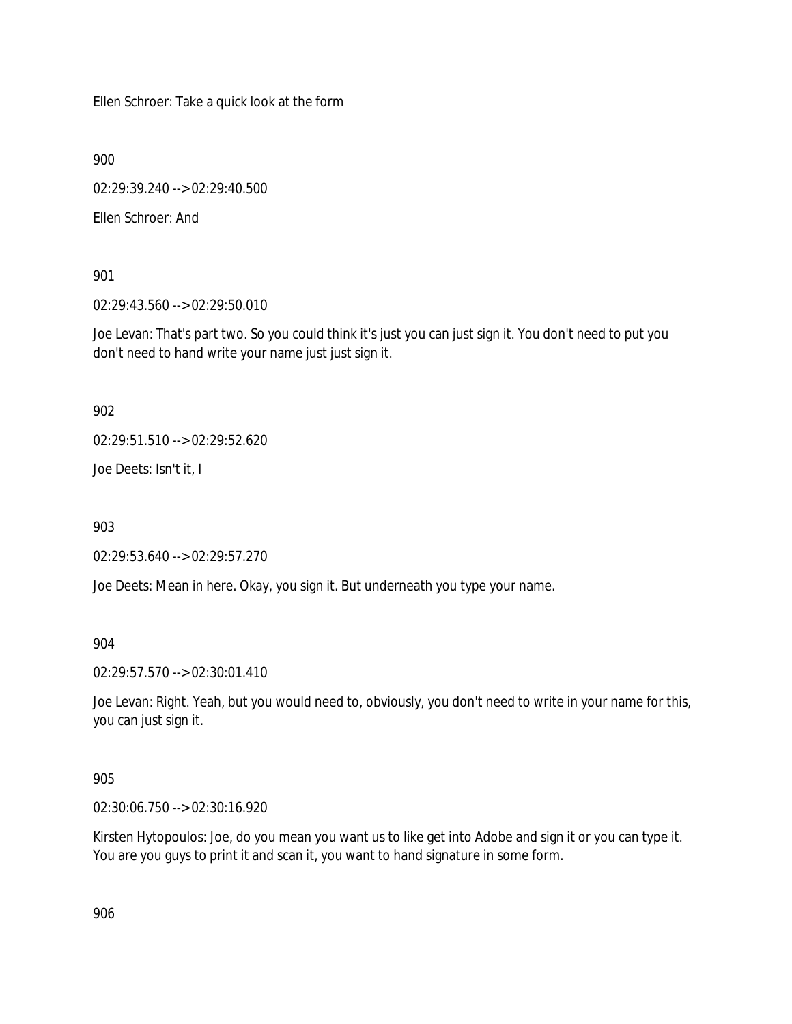Ellen Schroer: Take a quick look at the form

900

02:29:39.240 --> 02:29:40.500

Ellen Schroer: And

901

02:29:43.560 --> 02:29:50.010

Joe Levan: That's part two. So you could think it's just you can just sign it. You don't need to put you don't need to hand write your name just just sign it.

902

02:29:51.510 --> 02:29:52.620

Joe Deets: Isn't it, I

903

02:29:53.640 --> 02:29:57.270

Joe Deets: Mean in here. Okay, you sign it. But underneath you type your name.

904

02:29:57.570 --> 02:30:01.410

Joe Levan: Right. Yeah, but you would need to, obviously, you don't need to write in your name for this, you can just sign it.

905

02:30:06.750 --> 02:30:16.920

Kirsten Hytopoulos: Joe, do you mean you want us to like get into Adobe and sign it or you can type it. You are you guys to print it and scan it, you want to hand signature in some form.

906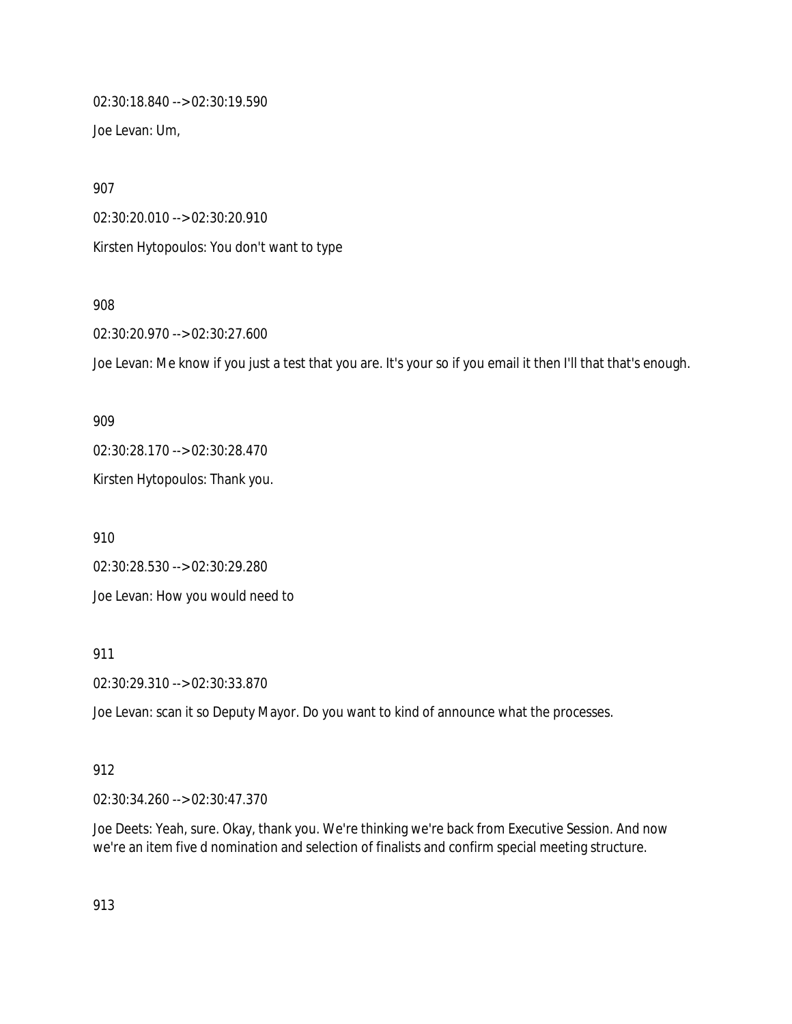02:30:18.840 --> 02:30:19.590 Joe Levan: Um,

907

02:30:20.010 --> 02:30:20.910

Kirsten Hytopoulos: You don't want to type

908

02:30:20.970 --> 02:30:27.600

Joe Levan: Me know if you just a test that you are. It's your so if you email it then I'll that that's enough.

909

02:30:28.170 --> 02:30:28.470

Kirsten Hytopoulos: Thank you.

910

02:30:28.530 --> 02:30:29.280 Joe Levan: How you would need to

911

02:30:29.310 --> 02:30:33.870

Joe Levan: scan it so Deputy Mayor. Do you want to kind of announce what the processes.

### 912

02:30:34.260 --> 02:30:47.370

Joe Deets: Yeah, sure. Okay, thank you. We're thinking we're back from Executive Session. And now we're an item five d nomination and selection of finalists and confirm special meeting structure.

913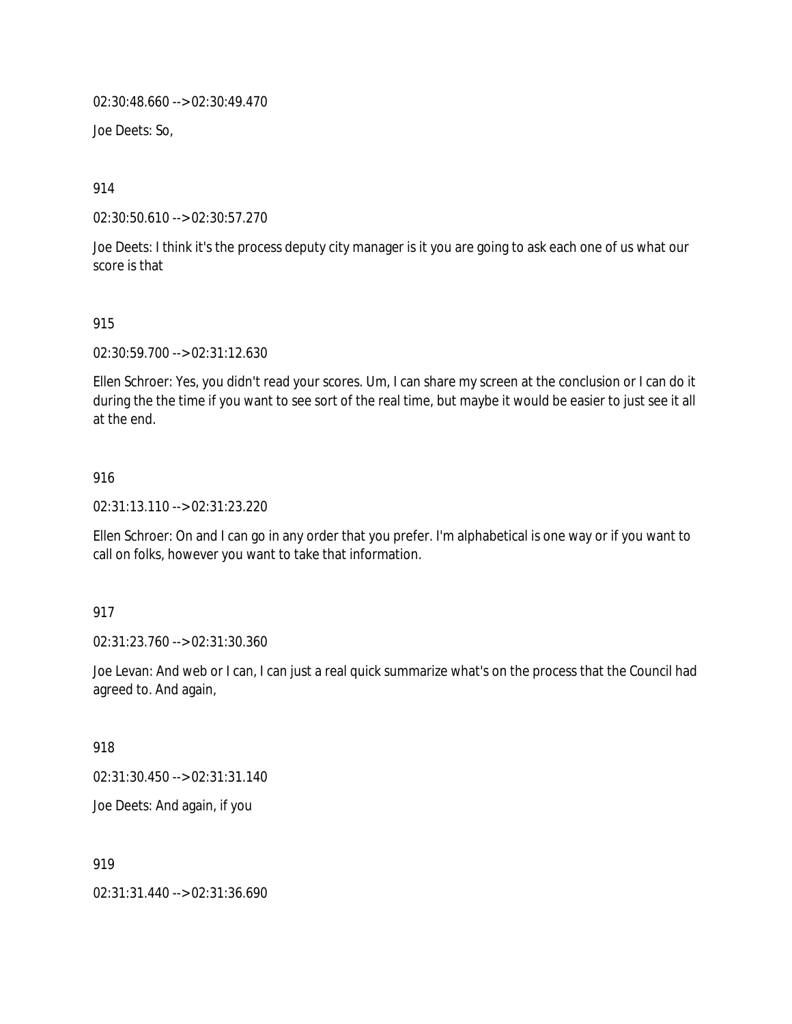02:30:48.660 --> 02:30:49.470

Joe Deets: So,

914

02:30:50.610 --> 02:30:57.270

Joe Deets: I think it's the process deputy city manager is it you are going to ask each one of us what our score is that

### 915

02:30:59.700 --> 02:31:12.630

Ellen Schroer: Yes, you didn't read your scores. Um, I can share my screen at the conclusion or I can do it during the the time if you want to see sort of the real time, but maybe it would be easier to just see it all at the end.

### 916

02:31:13.110 --> 02:31:23.220

Ellen Schroer: On and I can go in any order that you prefer. I'm alphabetical is one way or if you want to call on folks, however you want to take that information.

### 917

02:31:23.760 --> 02:31:30.360

Joe Levan: And web or I can, I can just a real quick summarize what's on the process that the Council had agreed to. And again,

### 918

02:31:30.450 --> 02:31:31.140

Joe Deets: And again, if you

919

02:31:31.440 --> 02:31:36.690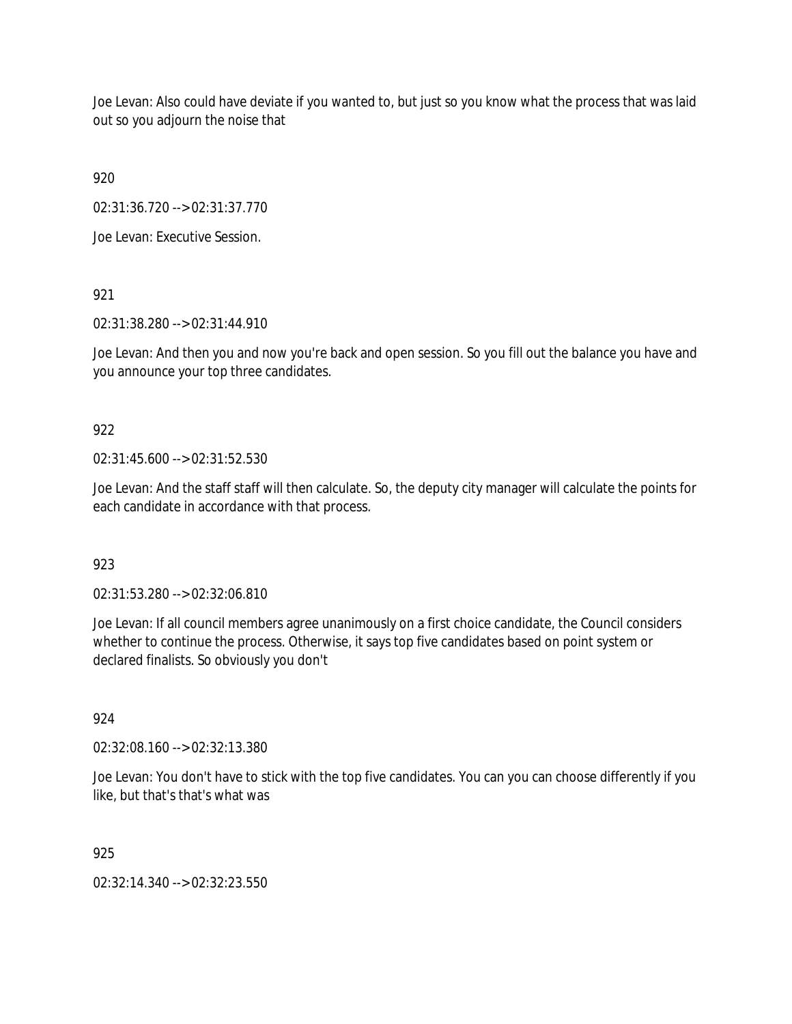Joe Levan: Also could have deviate if you wanted to, but just so you know what the process that was laid out so you adjourn the noise that

920

02:31:36.720 --> 02:31:37.770

Joe Levan: Executive Session.

921

02:31:38.280 --> 02:31:44.910

Joe Levan: And then you and now you're back and open session. So you fill out the balance you have and you announce your top three candidates.

# 922

02:31:45.600 --> 02:31:52.530

Joe Levan: And the staff staff will then calculate. So, the deputy city manager will calculate the points for each candidate in accordance with that process.

# 923

02:31:53.280 --> 02:32:06.810

Joe Levan: If all council members agree unanimously on a first choice candidate, the Council considers whether to continue the process. Otherwise, it says top five candidates based on point system or declared finalists. So obviously you don't

### 924

02:32:08.160 --> 02:32:13.380

Joe Levan: You don't have to stick with the top five candidates. You can you can choose differently if you like, but that's that's what was

925

02:32:14.340 --> 02:32:23.550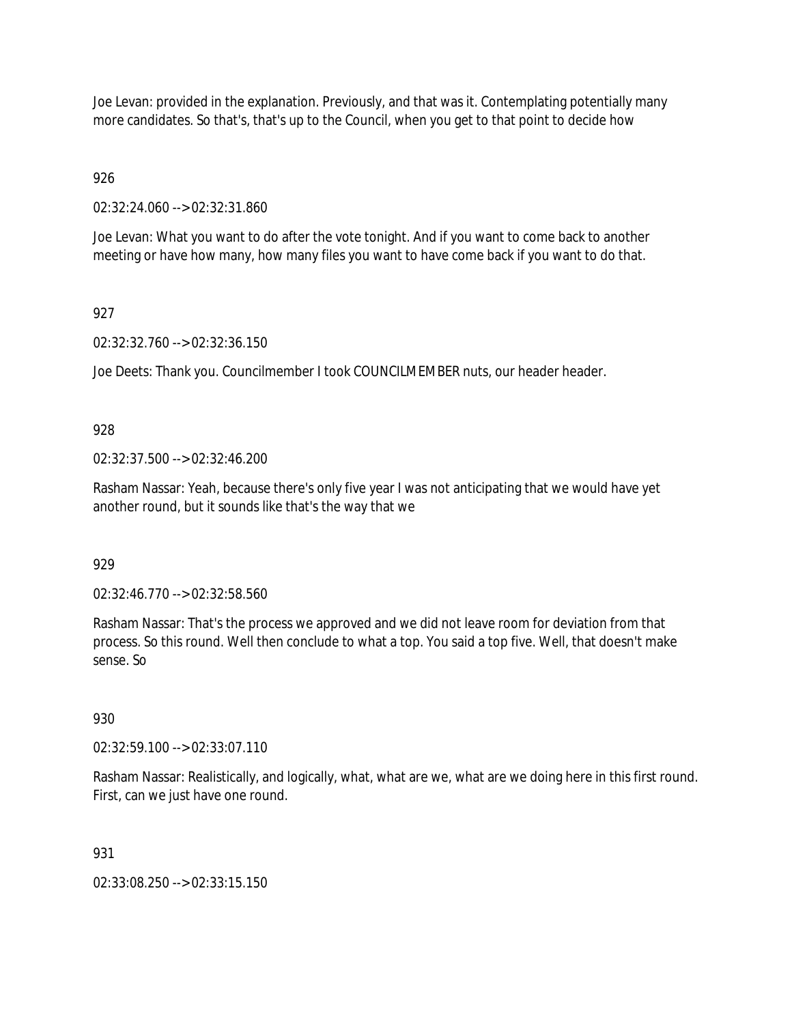Joe Levan: provided in the explanation. Previously, and that was it. Contemplating potentially many more candidates. So that's, that's up to the Council, when you get to that point to decide how

926

02:32:24.060 --> 02:32:31.860

Joe Levan: What you want to do after the vote tonight. And if you want to come back to another meeting or have how many, how many files you want to have come back if you want to do that.

# 927

02:32:32.760 --> 02:32:36.150

Joe Deets: Thank you. Councilmember I took COUNCILMEMBER nuts, our header header.

# 928

02:32:37.500 --> 02:32:46.200

Rasham Nassar: Yeah, because there's only five year I was not anticipating that we would have yet another round, but it sounds like that's the way that we

### 929

02:32:46.770 --> 02:32:58.560

Rasham Nassar: That's the process we approved and we did not leave room for deviation from that process. So this round. Well then conclude to what a top. You said a top five. Well, that doesn't make sense. So

### 930

02:32:59.100 --> 02:33:07.110

Rasham Nassar: Realistically, and logically, what, what are we, what are we doing here in this first round. First, can we just have one round.

### 931

02:33:08.250 --> 02:33:15.150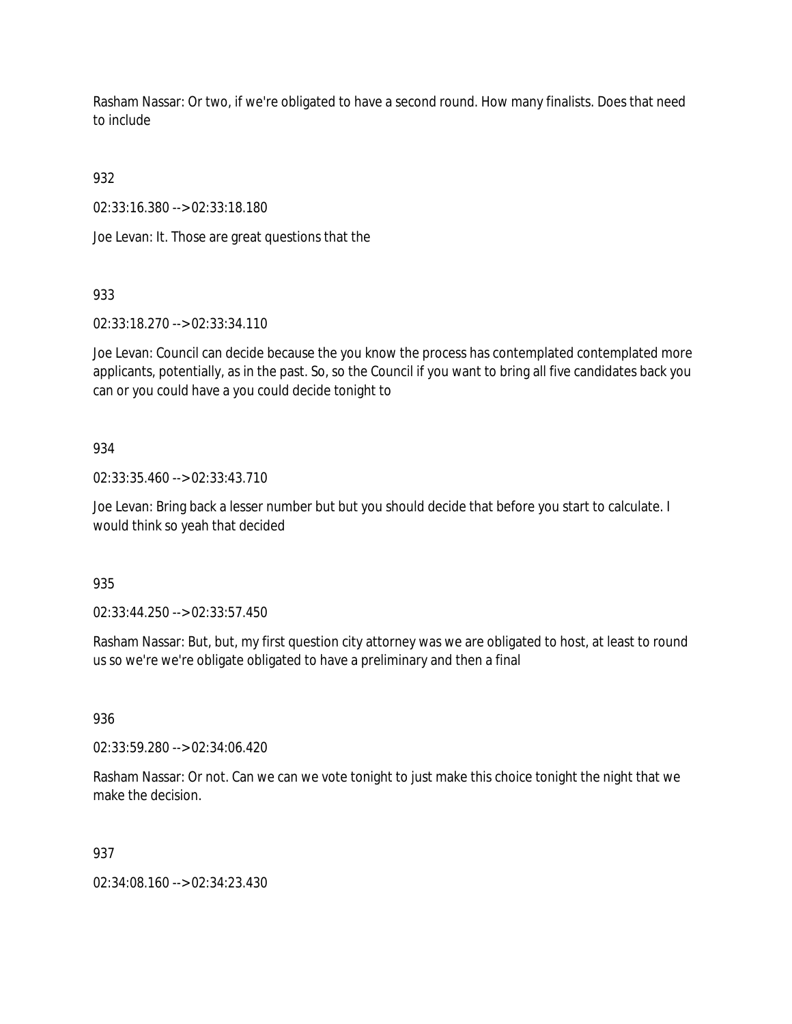Rasham Nassar: Or two, if we're obligated to have a second round. How many finalists. Does that need to include

932

02:33:16.380 --> 02:33:18.180

Joe Levan: It. Those are great questions that the

933

02:33:18.270 --> 02:33:34.110

Joe Levan: Council can decide because the you know the process has contemplated contemplated more applicants, potentially, as in the past. So, so the Council if you want to bring all five candidates back you can or you could have a you could decide tonight to

### 934

02:33:35.460 --> 02:33:43.710

Joe Levan: Bring back a lesser number but but you should decide that before you start to calculate. I would think so yeah that decided

935

02:33:44.250 --> 02:33:57.450

Rasham Nassar: But, but, my first question city attorney was we are obligated to host, at least to round us so we're we're obligate obligated to have a preliminary and then a final

936

02:33:59.280 --> 02:34:06.420

Rasham Nassar: Or not. Can we can we vote tonight to just make this choice tonight the night that we make the decision.

### 937

02:34:08.160 --> 02:34:23.430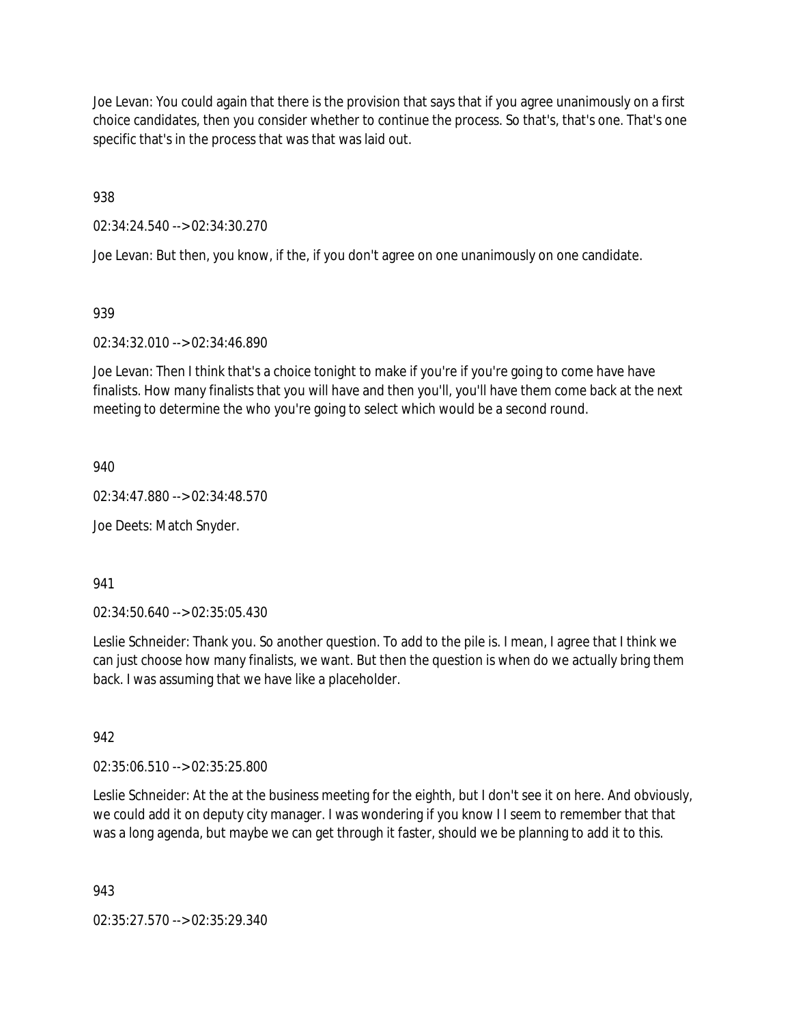Joe Levan: You could again that there is the provision that says that if you agree unanimously on a first choice candidates, then you consider whether to continue the process. So that's, that's one. That's one specific that's in the process that was that was laid out.

938

02:34:24.540 --> 02:34:30.270

Joe Levan: But then, you know, if the, if you don't agree on one unanimously on one candidate.

# 939

# 02:34:32.010 --> 02:34:46.890

Joe Levan: Then I think that's a choice tonight to make if you're if you're going to come have have finalists. How many finalists that you will have and then you'll, you'll have them come back at the next meeting to determine the who you're going to select which would be a second round.

940

02:34:47.880 --> 02:34:48.570

Joe Deets: Match Snyder.

941

02:34:50.640 --> 02:35:05.430

Leslie Schneider: Thank you. So another question. To add to the pile is. I mean, I agree that I think we can just choose how many finalists, we want. But then the question is when do we actually bring them back. I was assuming that we have like a placeholder.

### 942

02:35:06.510 --> 02:35:25.800

Leslie Schneider: At the at the business meeting for the eighth, but I don't see it on here. And obviously, we could add it on deputy city manager. I was wondering if you know I I seem to remember that that was a long agenda, but maybe we can get through it faster, should we be planning to add it to this.

943

02:35:27.570 --> 02:35:29.340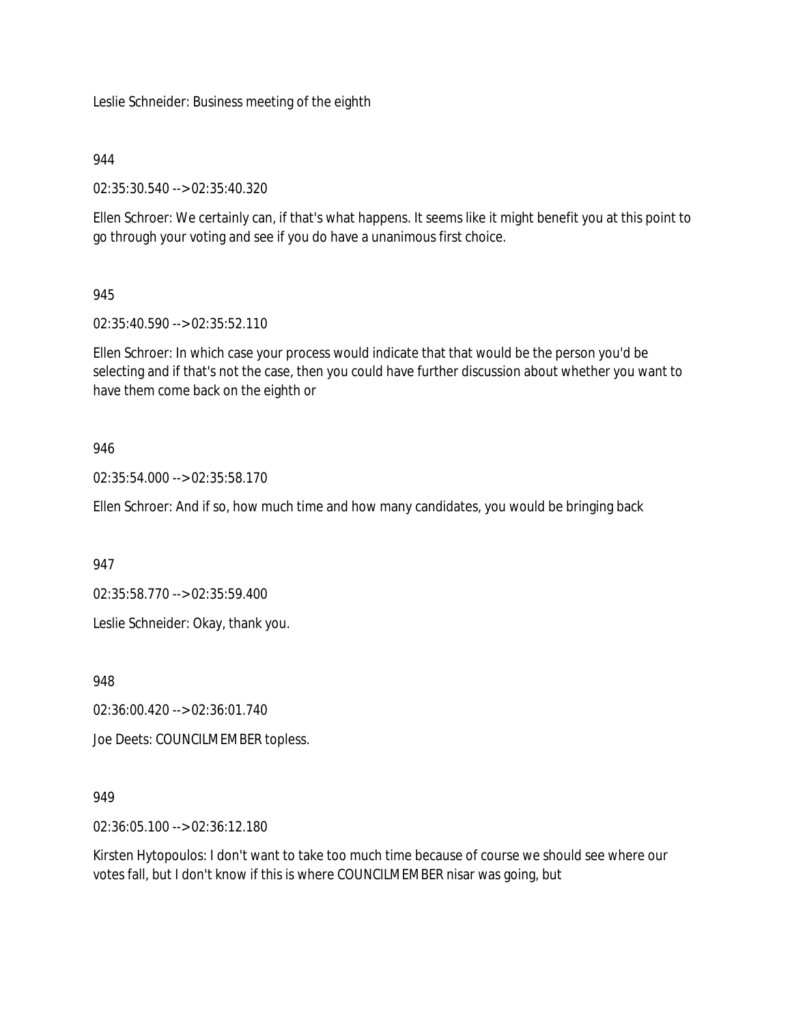Leslie Schneider: Business meeting of the eighth

### 944

02:35:30.540 --> 02:35:40.320

Ellen Schroer: We certainly can, if that's what happens. It seems like it might benefit you at this point to go through your voting and see if you do have a unanimous first choice.

# 945

02:35:40.590 --> 02:35:52.110

Ellen Schroer: In which case your process would indicate that that would be the person you'd be selecting and if that's not the case, then you could have further discussion about whether you want to have them come back on the eighth or

# 946

02:35:54.000 --> 02:35:58.170

Ellen Schroer: And if so, how much time and how many candidates, you would be bringing back

947

02:35:58.770 --> 02:35:59.400

Leslie Schneider: Okay, thank you.

948

02:36:00.420 --> 02:36:01.740

Joe Deets: COUNCILMEMBER topless.

### 949

02:36:05.100 --> 02:36:12.180

Kirsten Hytopoulos: I don't want to take too much time because of course we should see where our votes fall, but I don't know if this is where COUNCILMEMBER nisar was going, but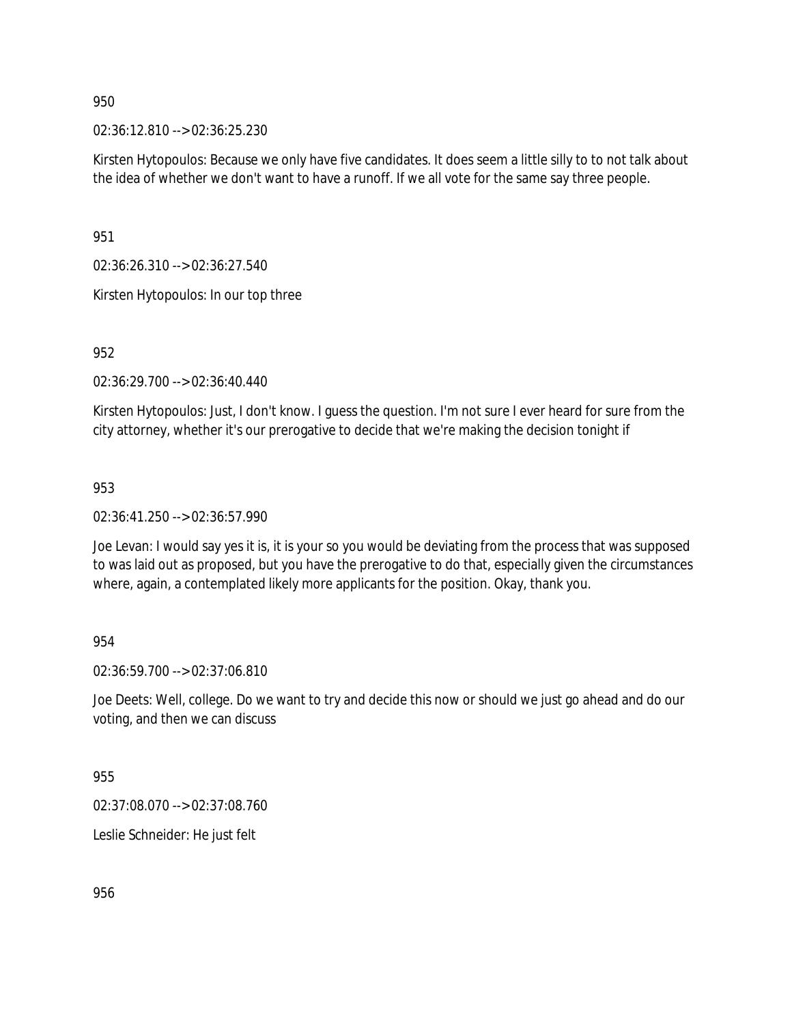02:36:12.810 --> 02:36:25.230

Kirsten Hytopoulos: Because we only have five candidates. It does seem a little silly to to not talk about the idea of whether we don't want to have a runoff. If we all vote for the same say three people.

951

02:36:26.310 --> 02:36:27.540

Kirsten Hytopoulos: In our top three

952

02:36:29.700 --> 02:36:40.440

Kirsten Hytopoulos: Just, I don't know. I guess the question. I'm not sure I ever heard for sure from the city attorney, whether it's our prerogative to decide that we're making the decision tonight if

953

02:36:41.250 --> 02:36:57.990

Joe Levan: I would say yes it is, it is your so you would be deviating from the process that was supposed to was laid out as proposed, but you have the prerogative to do that, especially given the circumstances where, again, a contemplated likely more applicants for the position. Okay, thank you.

954

02:36:59.700 --> 02:37:06.810

Joe Deets: Well, college. Do we want to try and decide this now or should we just go ahead and do our voting, and then we can discuss

955

02:37:08.070 --> 02:37:08.760

Leslie Schneider: He just felt

956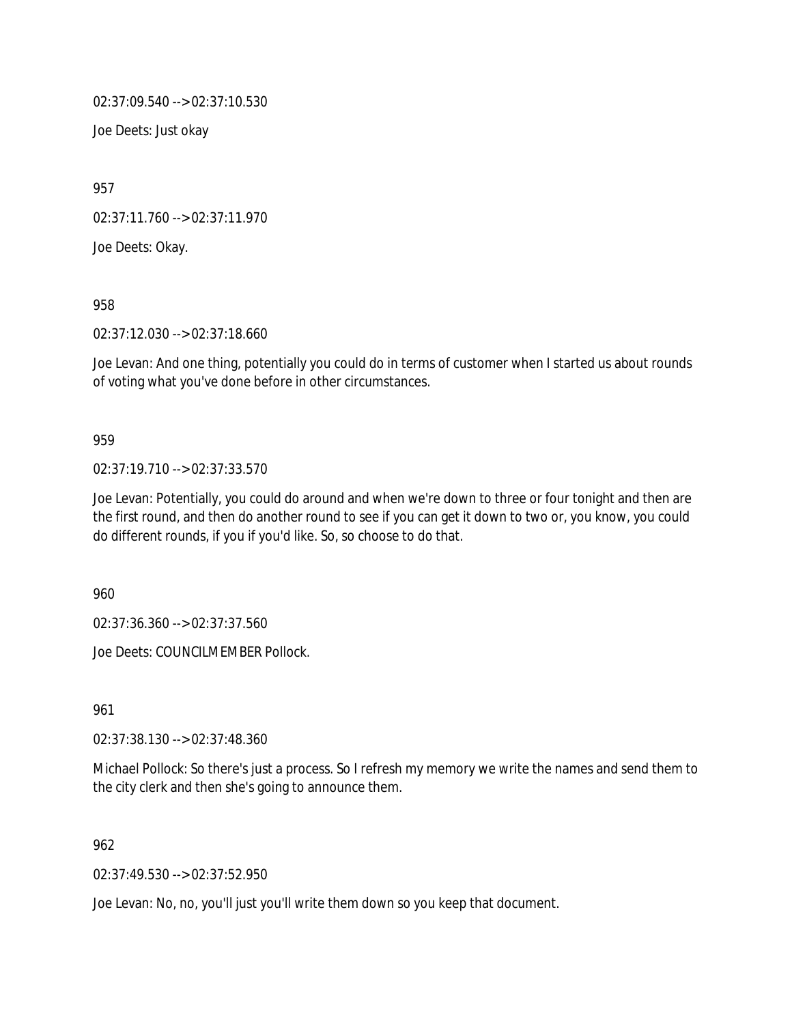02:37:09.540 --> 02:37:10.530

Joe Deets: Just okay

957

02:37:11.760 --> 02:37:11.970

Joe Deets: Okay.

958

02:37:12.030 --> 02:37:18.660

Joe Levan: And one thing, potentially you could do in terms of customer when I started us about rounds of voting what you've done before in other circumstances.

#### 959

02:37:19.710 --> 02:37:33.570

Joe Levan: Potentially, you could do around and when we're down to three or four tonight and then are the first round, and then do another round to see if you can get it down to two or, you know, you could do different rounds, if you if you'd like. So, so choose to do that.

960

02:37:36.360 --> 02:37:37.560

Joe Deets: COUNCILMEMBER Pollock.

961

02:37:38.130 --> 02:37:48.360

Michael Pollock: So there's just a process. So I refresh my memory we write the names and send them to the city clerk and then she's going to announce them.

#### 962

02:37:49.530 --> 02:37:52.950

Joe Levan: No, no, you'll just you'll write them down so you keep that document.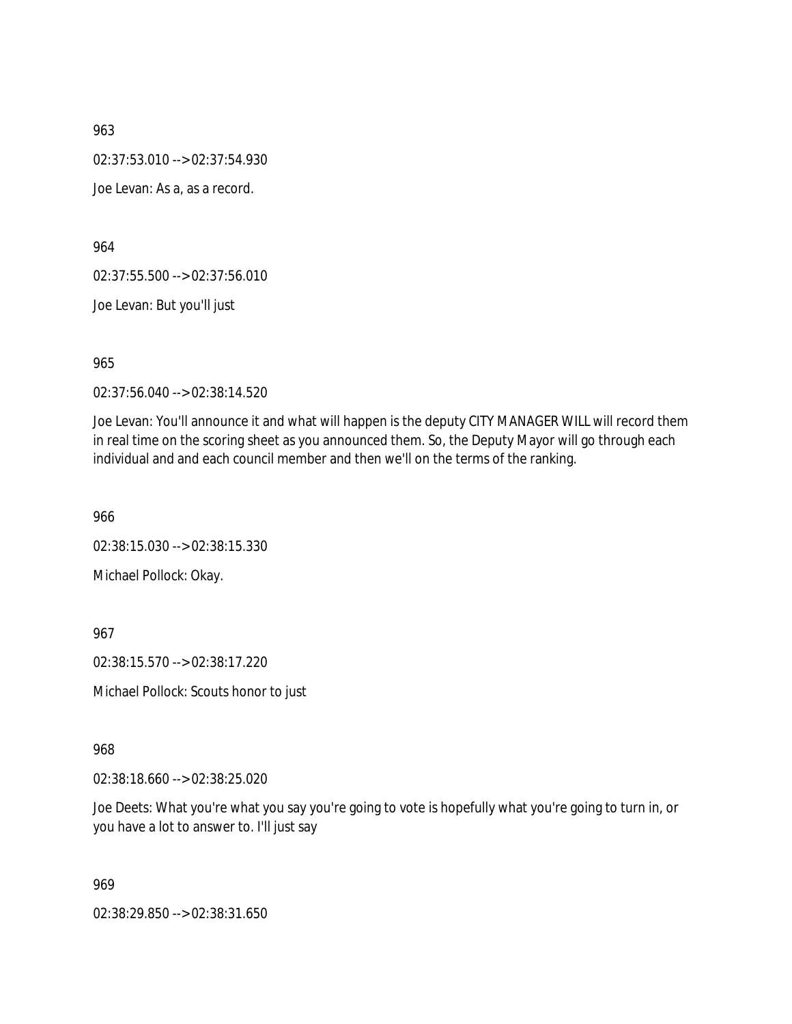02:37:53.010 --> 02:37:54.930

Joe Levan: As a, as a record.

964

02:37:55.500 --> 02:37:56.010

Joe Levan: But you'll just

965

02:37:56.040 --> 02:38:14.520

Joe Levan: You'll announce it and what will happen is the deputy CITY MANAGER WILL will record them in real time on the scoring sheet as you announced them. So, the Deputy Mayor will go through each individual and and each council member and then we'll on the terms of the ranking.

966

02:38:15.030 --> 02:38:15.330 Michael Pollock: Okay.

967

02:38:15.570 --> 02:38:17.220

Michael Pollock: Scouts honor to just

968

02:38:18.660 --> 02:38:25.020

Joe Deets: What you're what you say you're going to vote is hopefully what you're going to turn in, or you have a lot to answer to. I'll just say

969

02:38:29.850 --> 02:38:31.650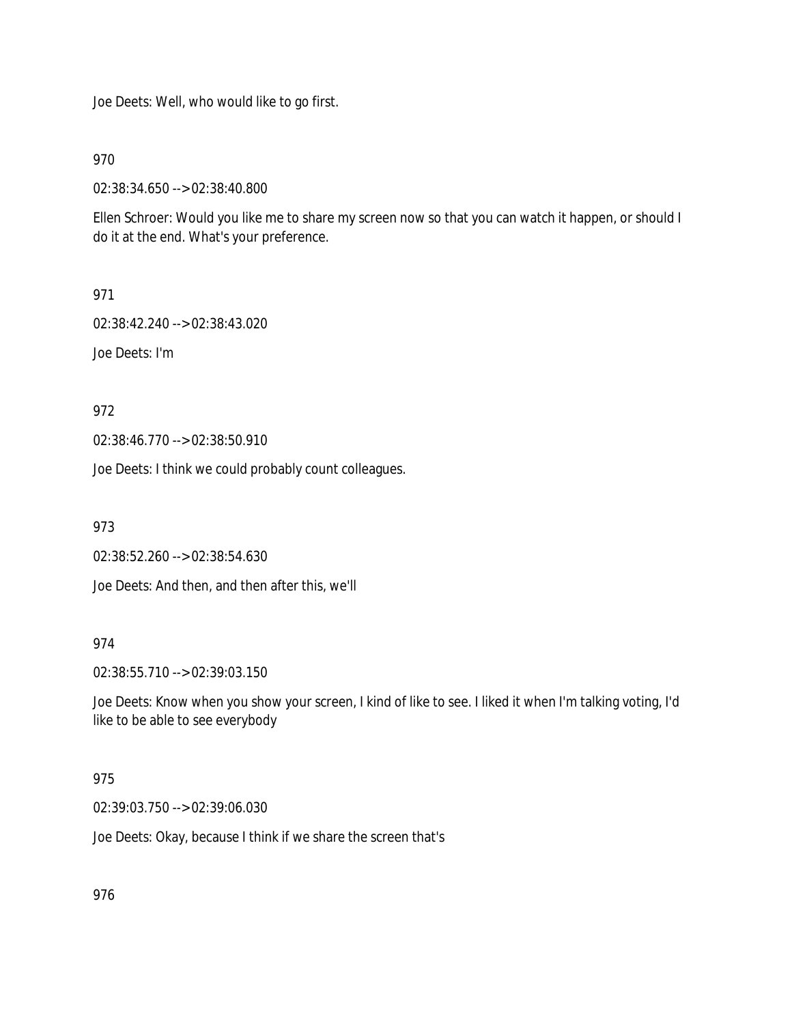Joe Deets: Well, who would like to go first.

970

02:38:34.650 --> 02:38:40.800

Ellen Schroer: Would you like me to share my screen now so that you can watch it happen, or should I do it at the end. What's your preference.

971

02:38:42.240 --> 02:38:43.020

Joe Deets: I'm

972

02:38:46.770 --> 02:38:50.910

Joe Deets: I think we could probably count colleagues.

973

02:38:52.260 --> 02:38:54.630

Joe Deets: And then, and then after this, we'll

974

02:38:55.710 --> 02:39:03.150

Joe Deets: Know when you show your screen, I kind of like to see. I liked it when I'm talking voting, I'd like to be able to see everybody

# 975

02:39:03.750 --> 02:39:06.030

Joe Deets: Okay, because I think if we share the screen that's

976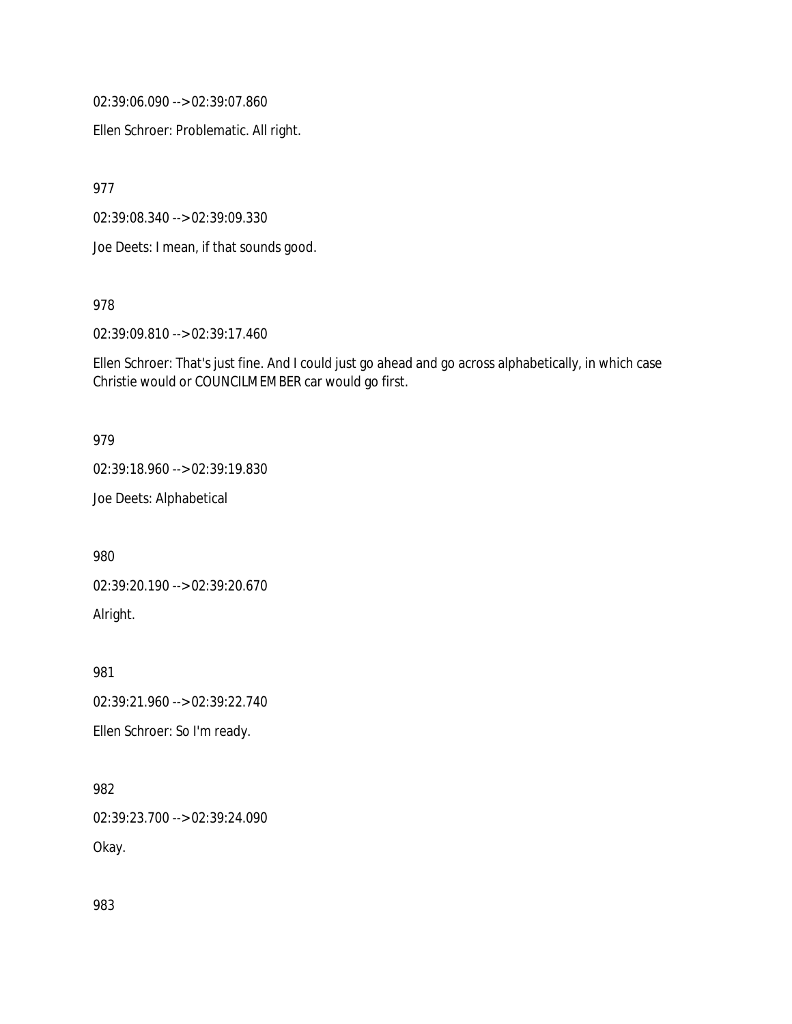02:39:06.090 --> 02:39:07.860

Ellen Schroer: Problematic. All right.

977

02:39:08.340 --> 02:39:09.330

Joe Deets: I mean, if that sounds good.

978

02:39:09.810 --> 02:39:17.460

Ellen Schroer: That's just fine. And I could just go ahead and go across alphabetically, in which case Christie would or COUNCILMEMBER car would go first.

#### 979

02:39:18.960 --> 02:39:19.830

Joe Deets: Alphabetical

980

02:39:20.190 --> 02:39:20.670 Alright.

981

02:39:21.960 --> 02:39:22.740

Ellen Schroer: So I'm ready.

982

02:39:23.700 --> 02:39:24.090

Okay.

983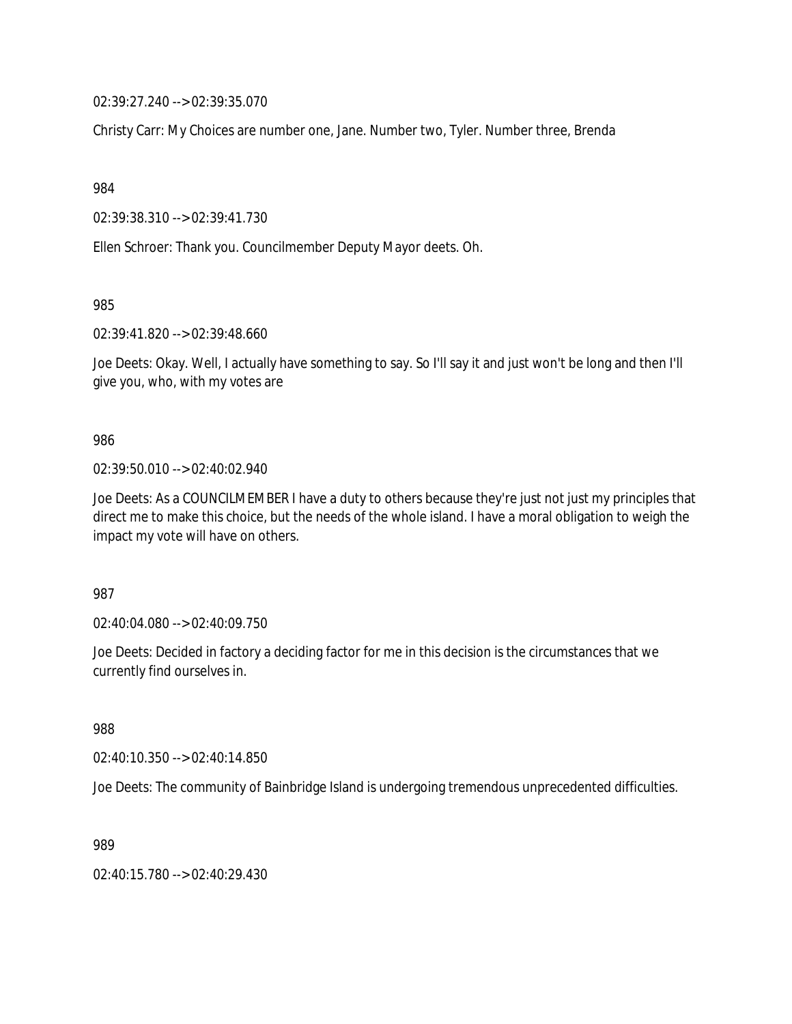02:39:27.240 --> 02:39:35.070

Christy Carr: My Choices are number one, Jane. Number two, Tyler. Number three, Brenda

984

02:39:38.310 --> 02:39:41.730

Ellen Schroer: Thank you. Councilmember Deputy Mayor deets. Oh.

985

02:39:41.820 --> 02:39:48.660

Joe Deets: Okay. Well, I actually have something to say. So I'll say it and just won't be long and then I'll give you, who, with my votes are

#### 986

02:39:50.010 --> 02:40:02.940

Joe Deets: As a COUNCILMEMBER I have a duty to others because they're just not just my principles that direct me to make this choice, but the needs of the whole island. I have a moral obligation to weigh the impact my vote will have on others.

987

02:40:04.080 --> 02:40:09.750

Joe Deets: Decided in factory a deciding factor for me in this decision is the circumstances that we currently find ourselves in.

988

02:40:10.350 --> 02:40:14.850

Joe Deets: The community of Bainbridge Island is undergoing tremendous unprecedented difficulties.

989

02:40:15.780 --> 02:40:29.430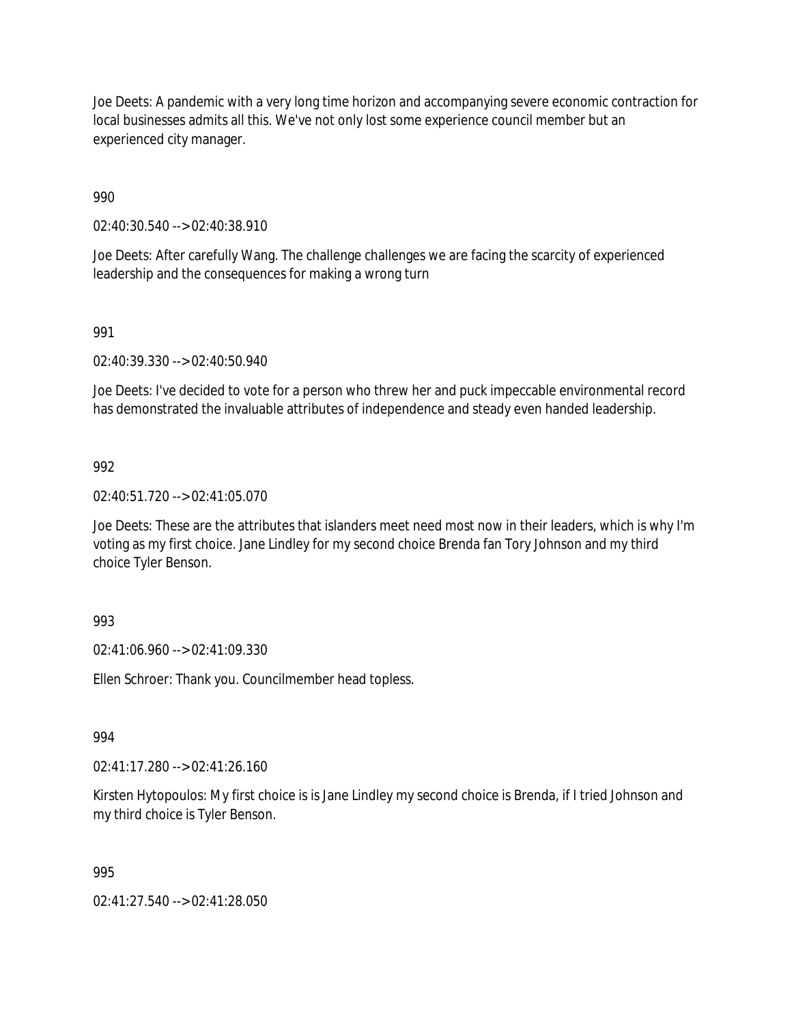Joe Deets: A pandemic with a very long time horizon and accompanying severe economic contraction for local businesses admits all this. We've not only lost some experience council member but an experienced city manager.

990

02:40:30.540 --> 02:40:38.910

Joe Deets: After carefully Wang. The challenge challenges we are facing the scarcity of experienced leadership and the consequences for making a wrong turn

### 991

02:40:39.330 --> 02:40:50.940

Joe Deets: I've decided to vote for a person who threw her and puck impeccable environmental record has demonstrated the invaluable attributes of independence and steady even handed leadership.

### 992

02:40:51.720 --> 02:41:05.070

Joe Deets: These are the attributes that islanders meet need most now in their leaders, which is why I'm voting as my first choice. Jane Lindley for my second choice Brenda fan Tory Johnson and my third choice Tyler Benson.

### 993

02:41:06.960 --> 02:41:09.330

Ellen Schroer: Thank you. Councilmember head topless.

### 994

02:41:17.280 --> 02:41:26.160

Kirsten Hytopoulos: My first choice is is Jane Lindley my second choice is Brenda, if I tried Johnson and my third choice is Tyler Benson.

### 995

02:41:27.540 --> 02:41:28.050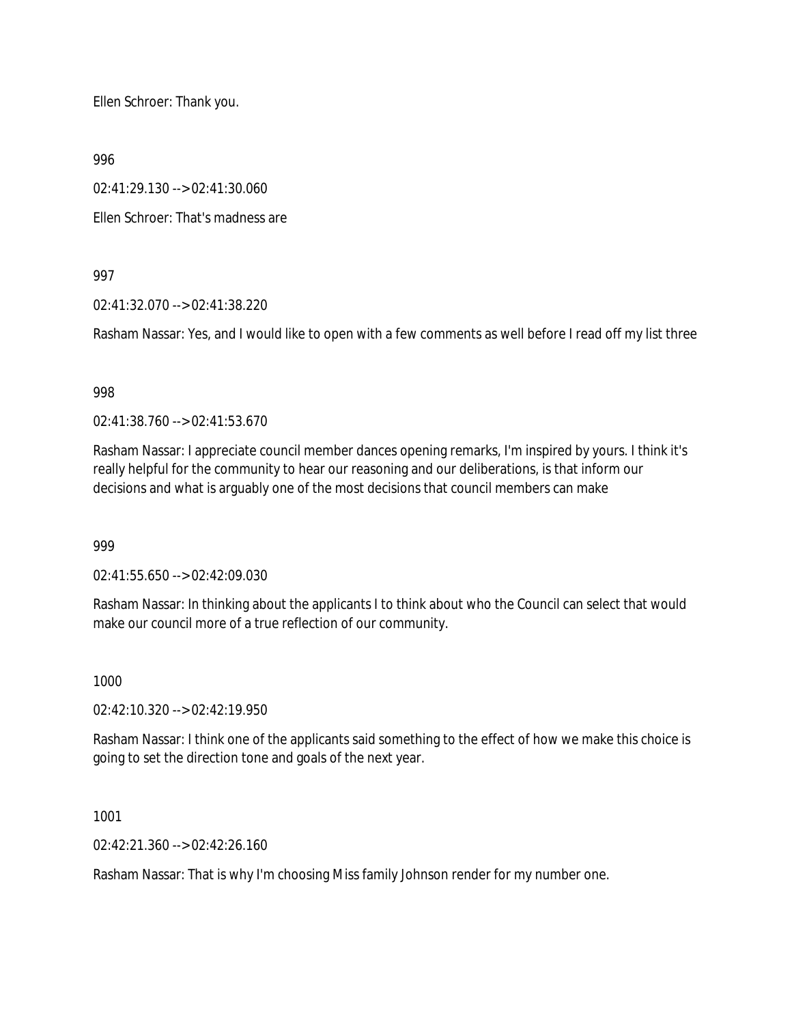Ellen Schroer: Thank you.

996

02:41:29.130 --> 02:41:30.060

Ellen Schroer: That's madness are

997

02:41:32.070 --> 02:41:38.220

Rasham Nassar: Yes, and I would like to open with a few comments as well before I read off my list three

998

02:41:38.760 --> 02:41:53.670

Rasham Nassar: I appreciate council member dances opening remarks, I'm inspired by yours. I think it's really helpful for the community to hear our reasoning and our deliberations, is that inform our decisions and what is arguably one of the most decisions that council members can make

999

02:41:55.650 --> 02:42:09.030

Rasham Nassar: In thinking about the applicants I to think about who the Council can select that would make our council more of a true reflection of our community.

1000

02:42:10.320 --> 02:42:19.950

Rasham Nassar: I think one of the applicants said something to the effect of how we make this choice is going to set the direction tone and goals of the next year.

1001

02:42:21.360 --> 02:42:26.160

Rasham Nassar: That is why I'm choosing Miss family Johnson render for my number one.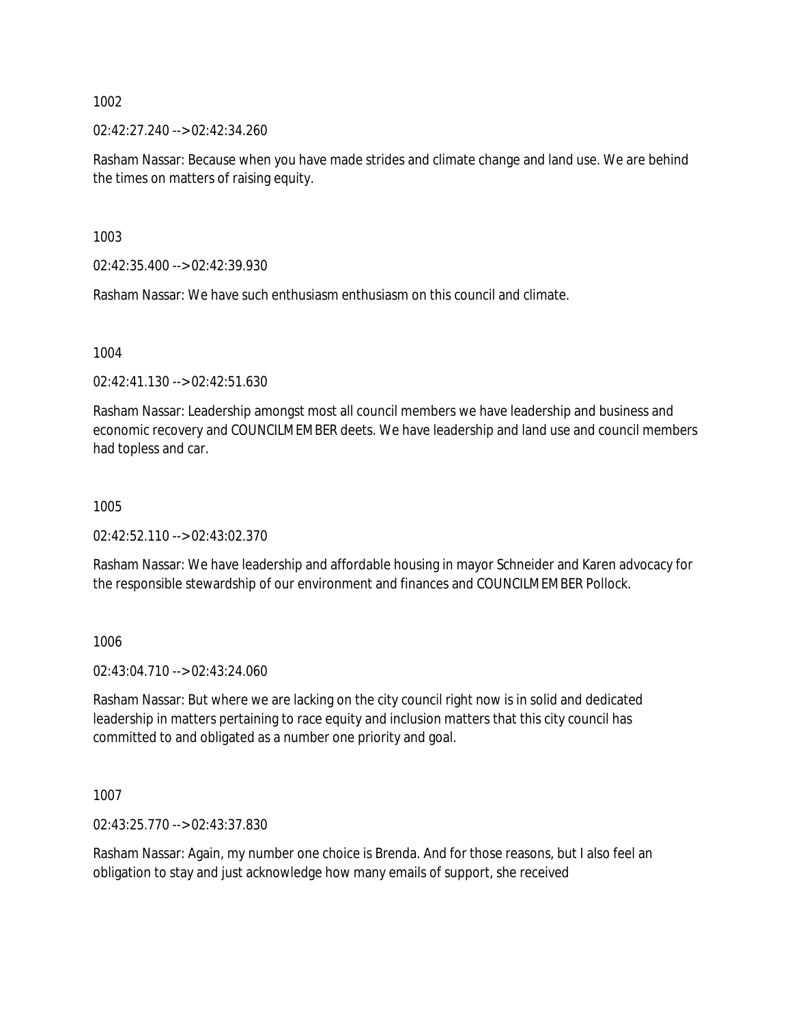02:42:27.240 --> 02:42:34.260

Rasham Nassar: Because when you have made strides and climate change and land use. We are behind the times on matters of raising equity.

1003

02:42:35.400 --> 02:42:39.930

Rasham Nassar: We have such enthusiasm enthusiasm on this council and climate.

1004

02:42:41.130 --> 02:42:51.630

Rasham Nassar: Leadership amongst most all council members we have leadership and business and economic recovery and COUNCILMEMBER deets. We have leadership and land use and council members had topless and car.

1005

02:42:52.110 --> 02:43:02.370

Rasham Nassar: We have leadership and affordable housing in mayor Schneider and Karen advocacy for the responsible stewardship of our environment and finances and COUNCILMEMBER Pollock.

1006

02:43:04.710 --> 02:43:24.060

Rasham Nassar: But where we are lacking on the city council right now is in solid and dedicated leadership in matters pertaining to race equity and inclusion matters that this city council has committed to and obligated as a number one priority and goal.

1007

02:43:25.770 --> 02:43:37.830

Rasham Nassar: Again, my number one choice is Brenda. And for those reasons, but I also feel an obligation to stay and just acknowledge how many emails of support, she received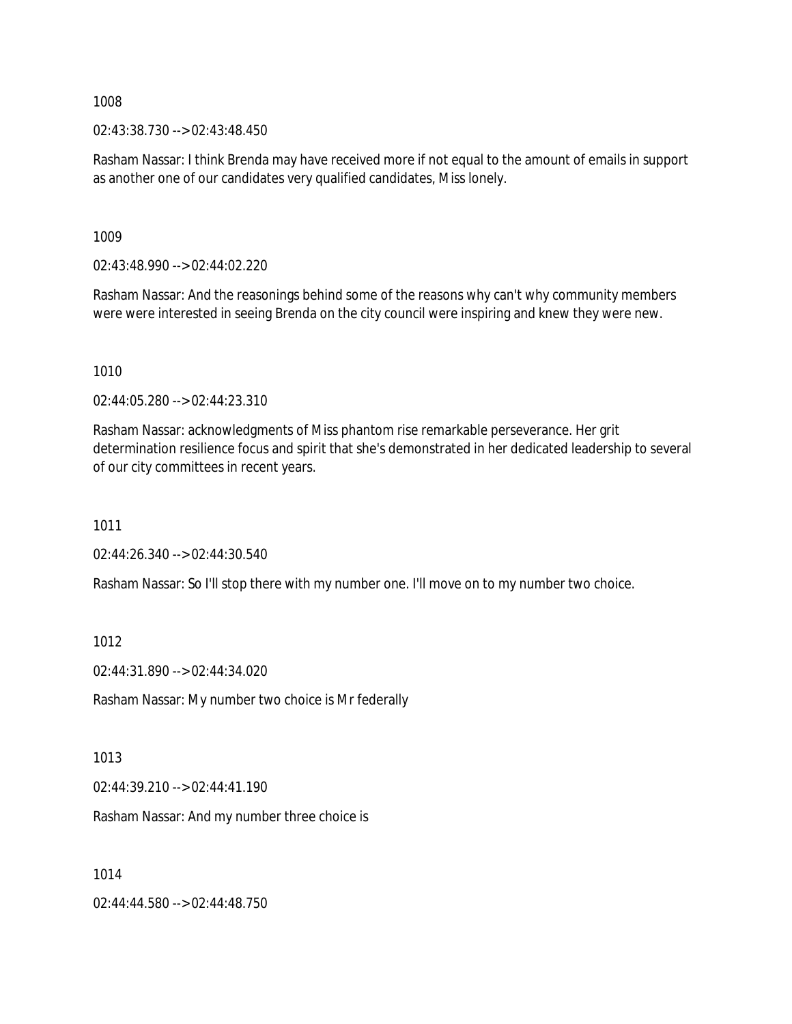02:43:38.730 --> 02:43:48.450

Rasham Nassar: I think Brenda may have received more if not equal to the amount of emails in support as another one of our candidates very qualified candidates, Miss lonely.

1009

02:43:48.990 --> 02:44:02.220

Rasham Nassar: And the reasonings behind some of the reasons why can't why community members were were interested in seeing Brenda on the city council were inspiring and knew they were new.

1010

02:44:05.280 --> 02:44:23.310

Rasham Nassar: acknowledgments of Miss phantom rise remarkable perseverance. Her grit determination resilience focus and spirit that she's demonstrated in her dedicated leadership to several of our city committees in recent years.

1011

02:44:26.340 --> 02:44:30.540

Rasham Nassar: So I'll stop there with my number one. I'll move on to my number two choice.

1012

02:44:31.890 --> 02:44:34.020

Rasham Nassar: My number two choice is Mr federally

1013

02:44:39.210 --> 02:44:41.190

Rasham Nassar: And my number three choice is

1014

02:44:44.580 --> 02:44:48.750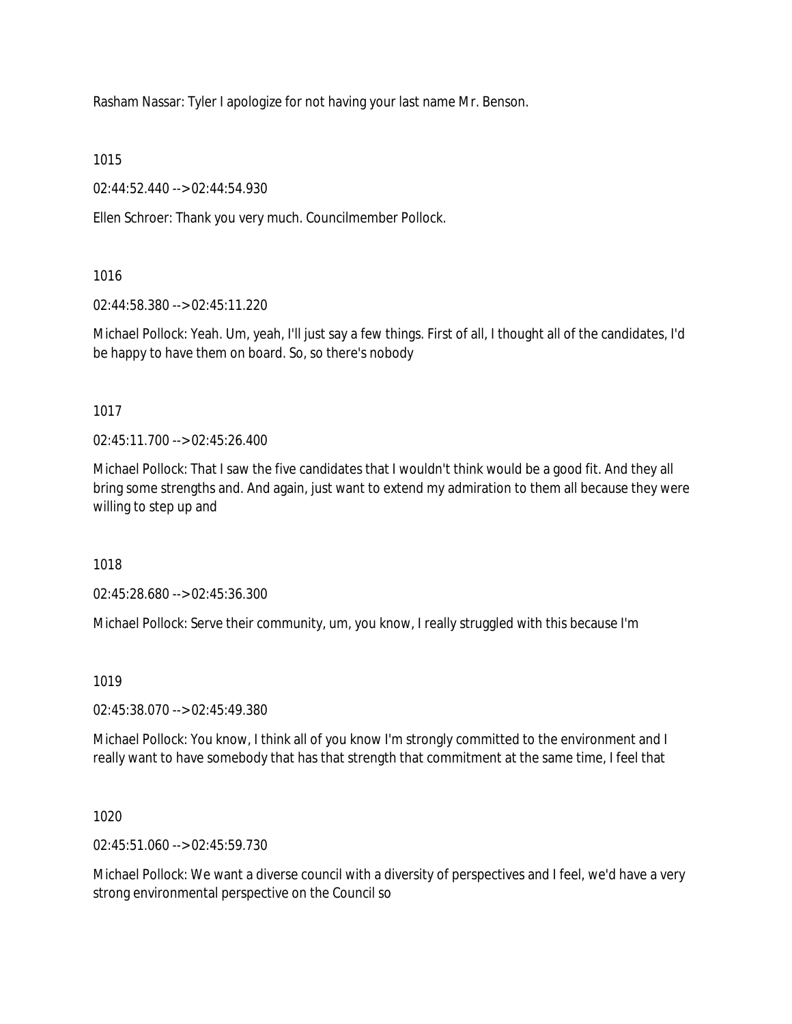Rasham Nassar: Tyler I apologize for not having your last name Mr. Benson.

1015

02:44:52.440 --> 02:44:54.930

Ellen Schroer: Thank you very much. Councilmember Pollock.

# 1016

02:44:58.380 --> 02:45:11.220

Michael Pollock: Yeah. Um, yeah, I'll just say a few things. First of all, I thought all of the candidates, I'd be happy to have them on board. So, so there's nobody

# 1017

02:45:11.700 --> 02:45:26.400

Michael Pollock: That I saw the five candidates that I wouldn't think would be a good fit. And they all bring some strengths and. And again, just want to extend my admiration to them all because they were willing to step up and

# 1018

02:45:28.680 --> 02:45:36.300

Michael Pollock: Serve their community, um, you know, I really struggled with this because I'm

### 1019

02:45:38.070 --> 02:45:49.380

Michael Pollock: You know, I think all of you know I'm strongly committed to the environment and I really want to have somebody that has that strength that commitment at the same time, I feel that

1020

02:45:51.060 --> 02:45:59.730

Michael Pollock: We want a diverse council with a diversity of perspectives and I feel, we'd have a very strong environmental perspective on the Council so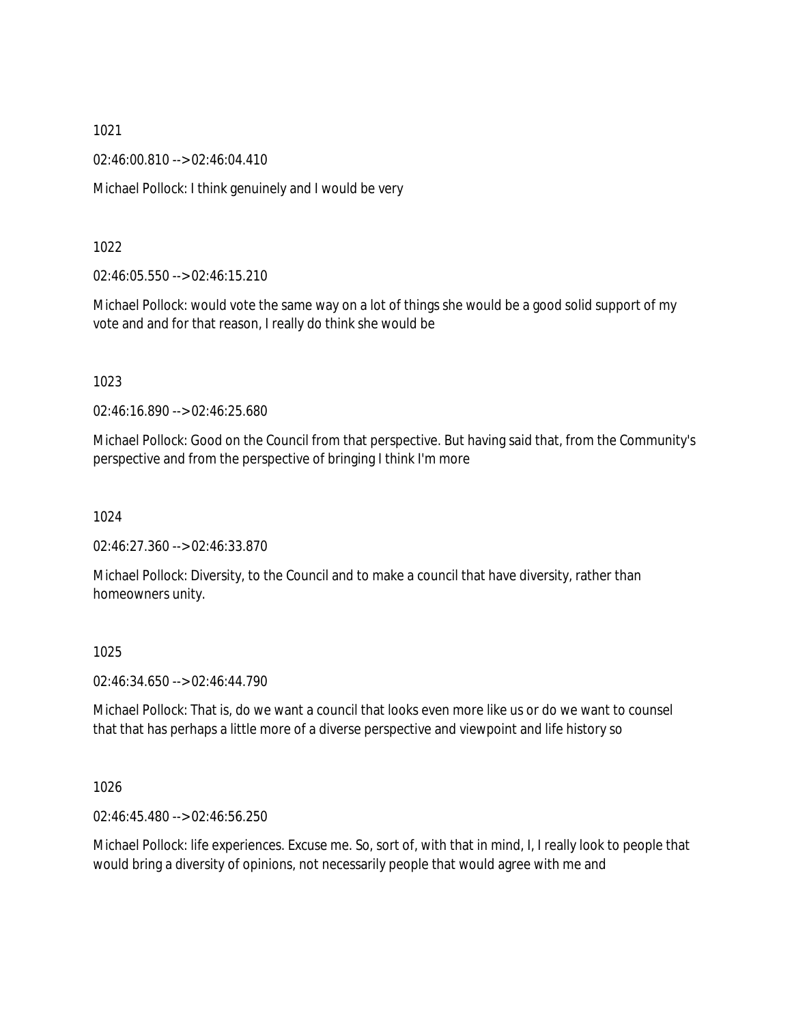02:46:00.810 --> 02:46:04.410

Michael Pollock: I think genuinely and I would be very

1022

02:46:05.550 --> 02:46:15.210

Michael Pollock: would vote the same way on a lot of things she would be a good solid support of my vote and and for that reason, I really do think she would be

1023

02:46:16.890 --> 02:46:25.680

Michael Pollock: Good on the Council from that perspective. But having said that, from the Community's perspective and from the perspective of bringing I think I'm more

1024

02:46:27.360 --> 02:46:33.870

Michael Pollock: Diversity, to the Council and to make a council that have diversity, rather than homeowners unity.

1025

02:46:34.650 --> 02:46:44.790

Michael Pollock: That is, do we want a council that looks even more like us or do we want to counsel that that has perhaps a little more of a diverse perspective and viewpoint and life history so

1026

02:46:45.480 --> 02:46:56.250

Michael Pollock: life experiences. Excuse me. So, sort of, with that in mind, I, I really look to people that would bring a diversity of opinions, not necessarily people that would agree with me and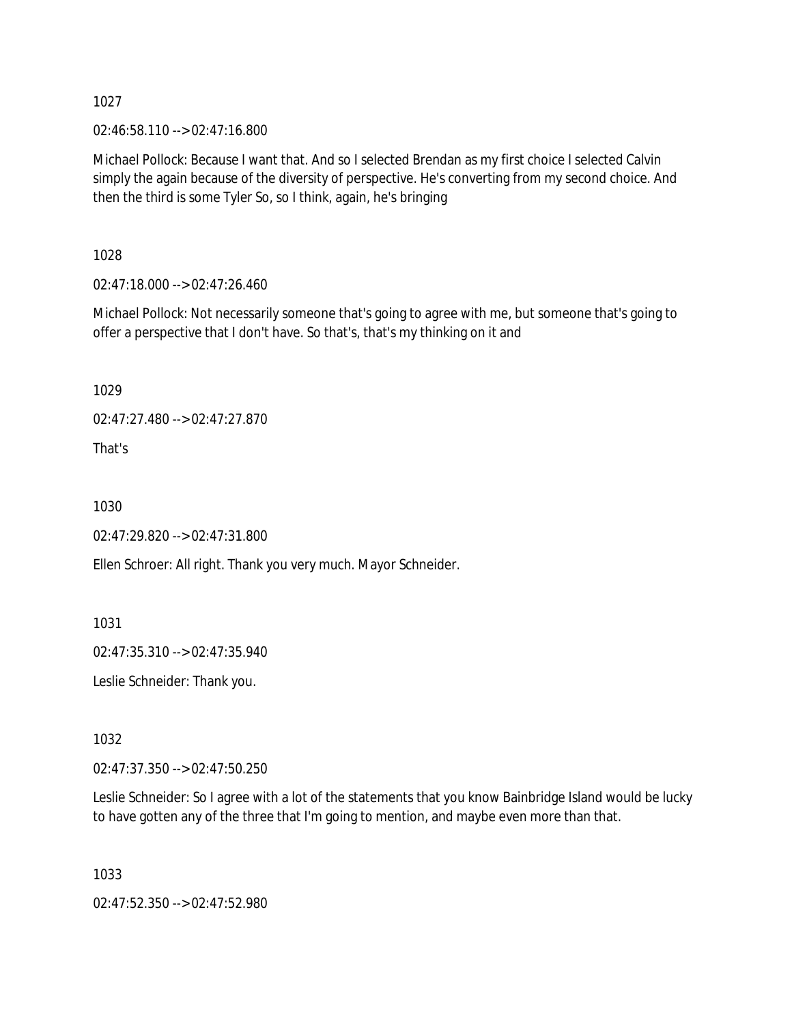02:46:58.110 --> 02:47:16.800

Michael Pollock: Because I want that. And so I selected Brendan as my first choice I selected Calvin simply the again because of the diversity of perspective. He's converting from my second choice. And then the third is some Tyler So, so I think, again, he's bringing

1028

02:47:18.000 --> 02:47:26.460

Michael Pollock: Not necessarily someone that's going to agree with me, but someone that's going to offer a perspective that I don't have. So that's, that's my thinking on it and

1029

02:47:27.480 --> 02:47:27.870

That's

1030

02:47:29.820 --> 02:47:31.800

Ellen Schroer: All right. Thank you very much. Mayor Schneider.

1031

02:47:35.310 --> 02:47:35.940

Leslie Schneider: Thank you.

1032

02:47:37.350 --> 02:47:50.250

Leslie Schneider: So I agree with a lot of the statements that you know Bainbridge Island would be lucky to have gotten any of the three that I'm going to mention, and maybe even more than that.

1033

02:47:52.350 --> 02:47:52.980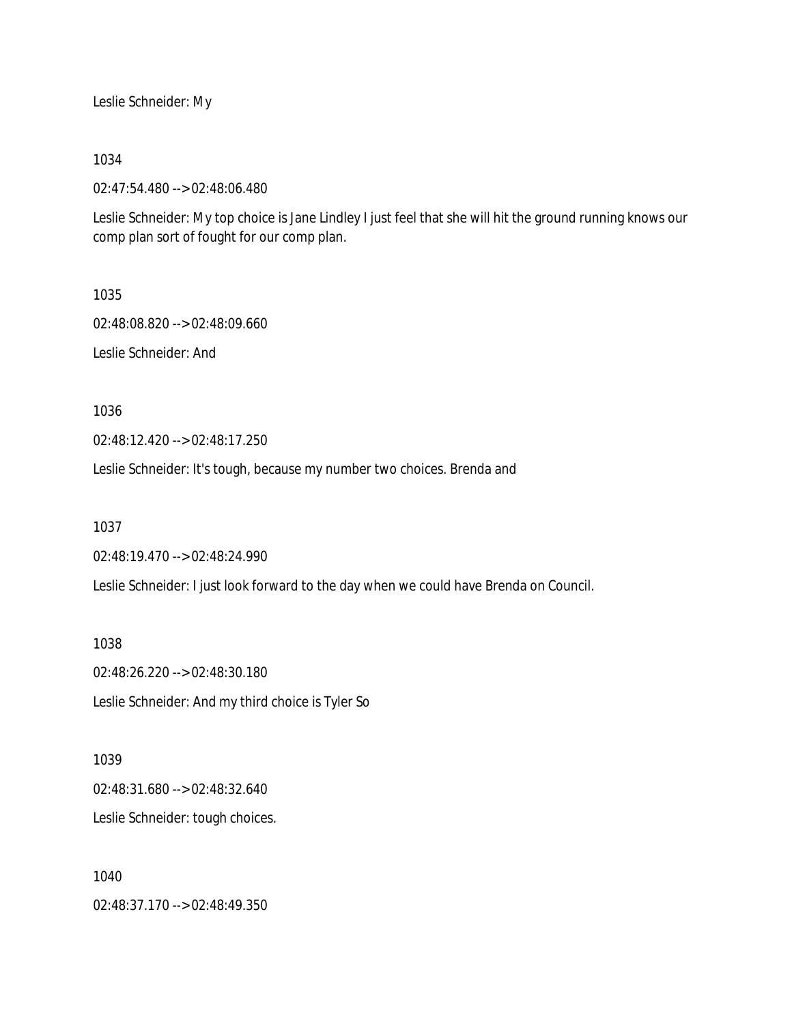Leslie Schneider: My

1034

02:47:54.480 --> 02:48:06.480

Leslie Schneider: My top choice is Jane Lindley I just feel that she will hit the ground running knows our comp plan sort of fought for our comp plan.

1035

02:48:08.820 --> 02:48:09.660 Leslie Schneider: And

1036

02:48:12.420 --> 02:48:17.250

Leslie Schneider: It's tough, because my number two choices. Brenda and

1037

02:48:19.470 --> 02:48:24.990

Leslie Schneider: I just look forward to the day when we could have Brenda on Council.

1038 02:48:26.220 --> 02:48:30.180 Leslie Schneider: And my third choice is Tyler So

1039 02:48:31.680 --> 02:48:32.640 Leslie Schneider: tough choices.

1040 02:48:37.170 --> 02:48:49.350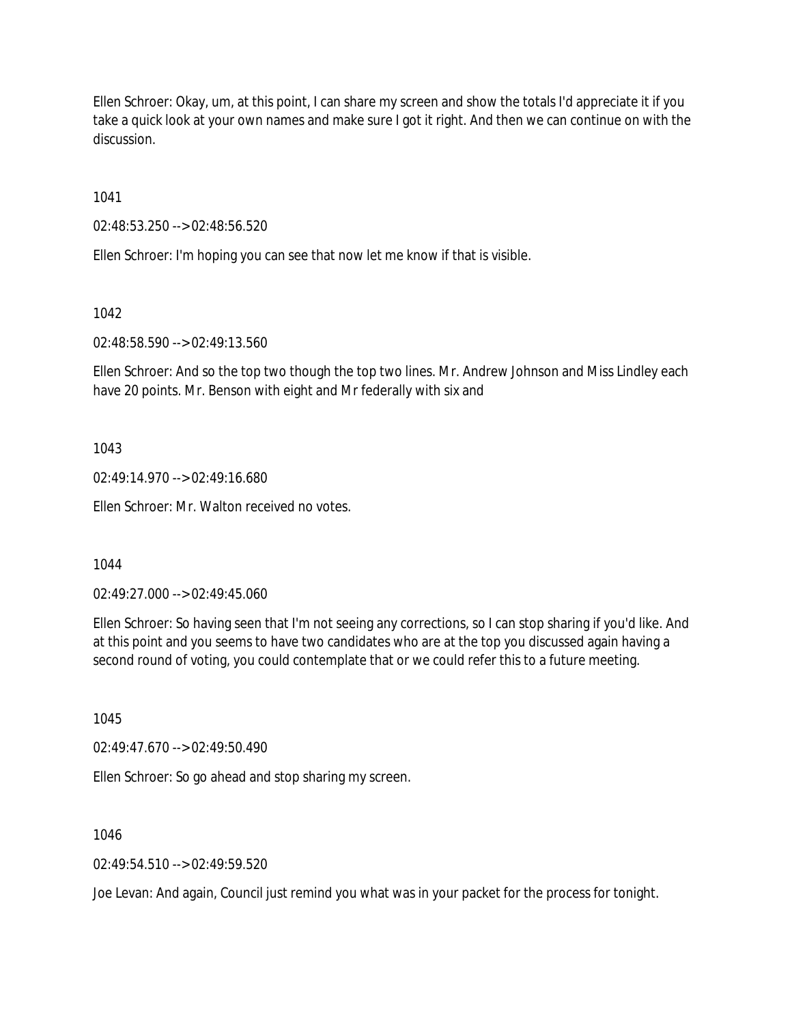Ellen Schroer: Okay, um, at this point, I can share my screen and show the totals I'd appreciate it if you take a quick look at your own names and make sure I got it right. And then we can continue on with the discussion.

1041

02:48:53.250 --> 02:48:56.520

Ellen Schroer: I'm hoping you can see that now let me know if that is visible.

1042

02:48:58.590 --> 02:49:13.560

Ellen Schroer: And so the top two though the top two lines. Mr. Andrew Johnson and Miss Lindley each have 20 points. Mr. Benson with eight and Mr federally with six and

1043

02:49:14.970 --> 02:49:16.680

Ellen Schroer: Mr. Walton received no votes.

1044

02:49:27.000 --> 02:49:45.060

Ellen Schroer: So having seen that I'm not seeing any corrections, so I can stop sharing if you'd like. And at this point and you seems to have two candidates who are at the top you discussed again having a second round of voting, you could contemplate that or we could refer this to a future meeting.

1045

02:49:47.670 --> 02:49:50.490

Ellen Schroer: So go ahead and stop sharing my screen.

1046

 $02.49.54.510 -> 02.49.59.520$ 

Joe Levan: And again, Council just remind you what was in your packet for the process for tonight.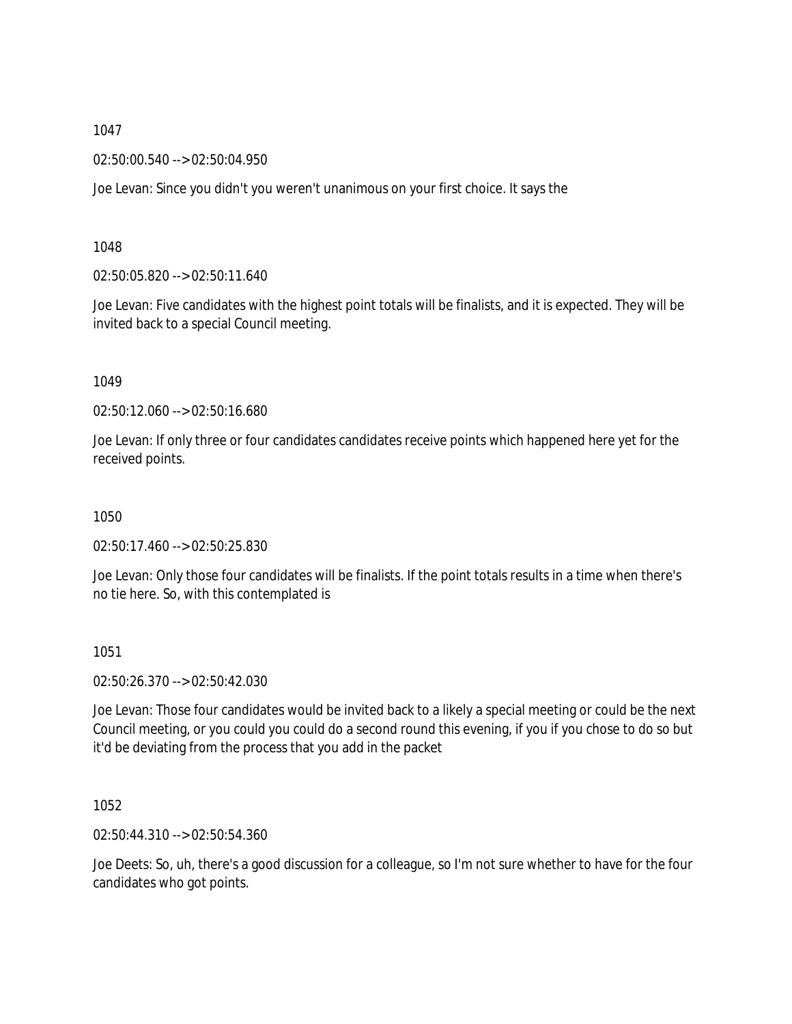02:50:00.540 --> 02:50:04.950

Joe Levan: Since you didn't you weren't unanimous on your first choice. It says the

### 1048

02:50:05.820 --> 02:50:11.640

Joe Levan: Five candidates with the highest point totals will be finalists, and it is expected. They will be invited back to a special Council meeting.

#### 1049

02:50:12.060 --> 02:50:16.680

Joe Levan: If only three or four candidates candidates receive points which happened here yet for the received points.

1050

02:50:17.460 --> 02:50:25.830

Joe Levan: Only those four candidates will be finalists. If the point totals results in a time when there's no tie here. So, with this contemplated is

1051

02:50:26.370 --> 02:50:42.030

Joe Levan: Those four candidates would be invited back to a likely a special meeting or could be the next Council meeting, or you could you could do a second round this evening, if you if you chose to do so but it'd be deviating from the process that you add in the packet

1052

02:50:44.310 --> 02:50:54.360

Joe Deets: So, uh, there's a good discussion for a colleague, so I'm not sure whether to have for the four candidates who got points.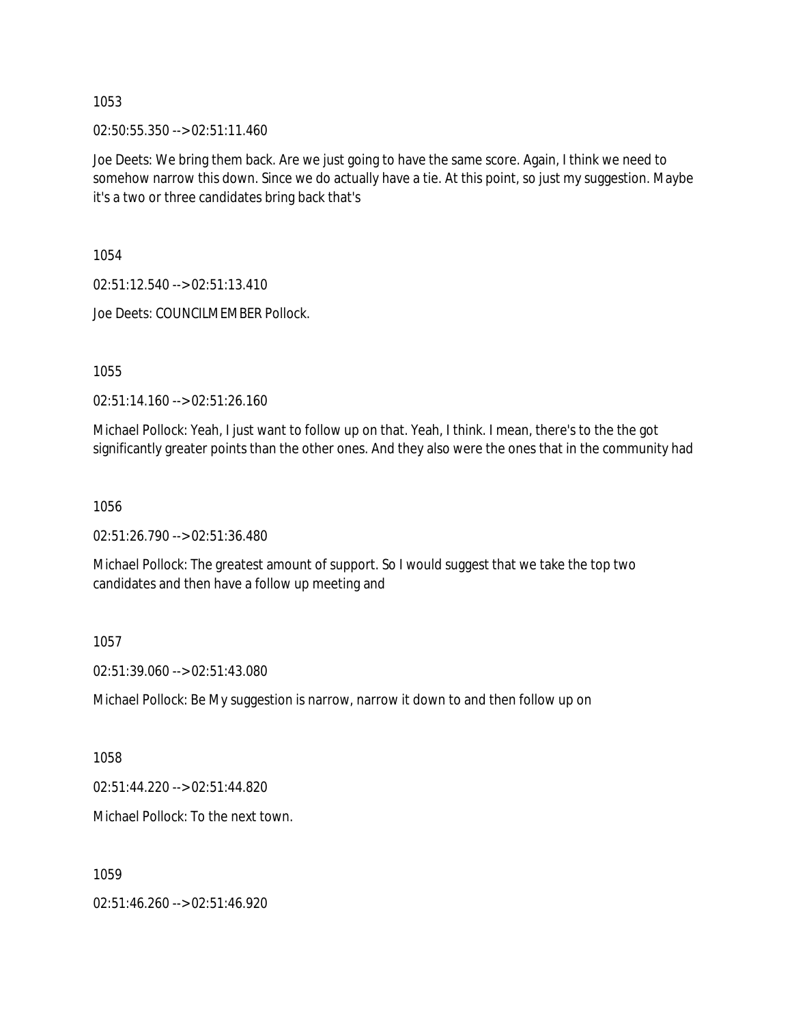02:50:55.350 --> 02:51:11.460

Joe Deets: We bring them back. Are we just going to have the same score. Again, I think we need to somehow narrow this down. Since we do actually have a tie. At this point, so just my suggestion. Maybe it's a two or three candidates bring back that's

1054

02:51:12.540 --> 02:51:13.410

Joe Deets: COUNCILMEMBER Pollock.

1055

02:51:14.160 --> 02:51:26.160

Michael Pollock: Yeah, I just want to follow up on that. Yeah, I think. I mean, there's to the the got significantly greater points than the other ones. And they also were the ones that in the community had

1056

02:51:26.790 --> 02:51:36.480

Michael Pollock: The greatest amount of support. So I would suggest that we take the top two candidates and then have a follow up meeting and

1057

02:51:39.060 --> 02:51:43.080

Michael Pollock: Be My suggestion is narrow, narrow it down to and then follow up on

1058

02:51:44.220 --> 02:51:44.820

Michael Pollock: To the next town.

1059

02:51:46.260 --> 02:51:46.920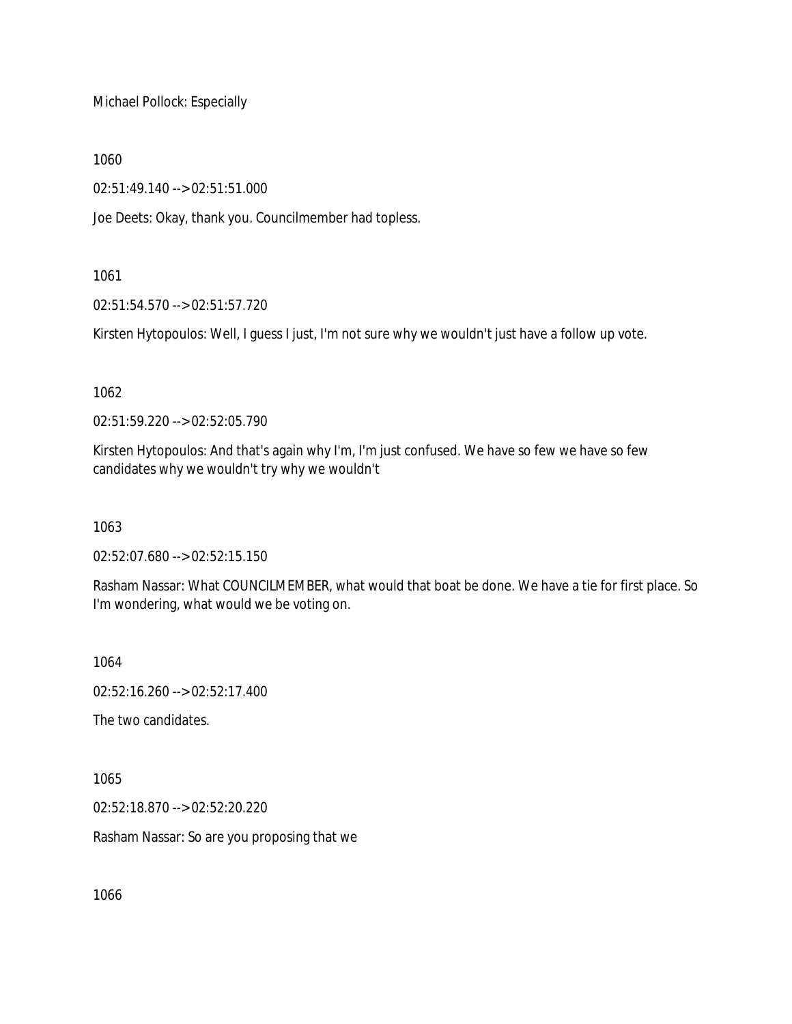Michael Pollock: Especially

1060

02:51:49.140 --> 02:51:51.000

Joe Deets: Okay, thank you. Councilmember had topless.

# 1061

02:51:54.570 --> 02:51:57.720

Kirsten Hytopoulos: Well, I guess I just, I'm not sure why we wouldn't just have a follow up vote.

# 1062

02:51:59.220 --> 02:52:05.790

Kirsten Hytopoulos: And that's again why I'm, I'm just confused. We have so few we have so few candidates why we wouldn't try why we wouldn't

1063

02:52:07.680 --> 02:52:15.150

Rasham Nassar: What COUNCILMEMBER, what would that boat be done. We have a tie for first place. So I'm wondering, what would we be voting on.

1064

02:52:16.260 --> 02:52:17.400

The two candidates.

1065

02:52:18.870 --> 02:52:20.220

Rasham Nassar: So are you proposing that we

1066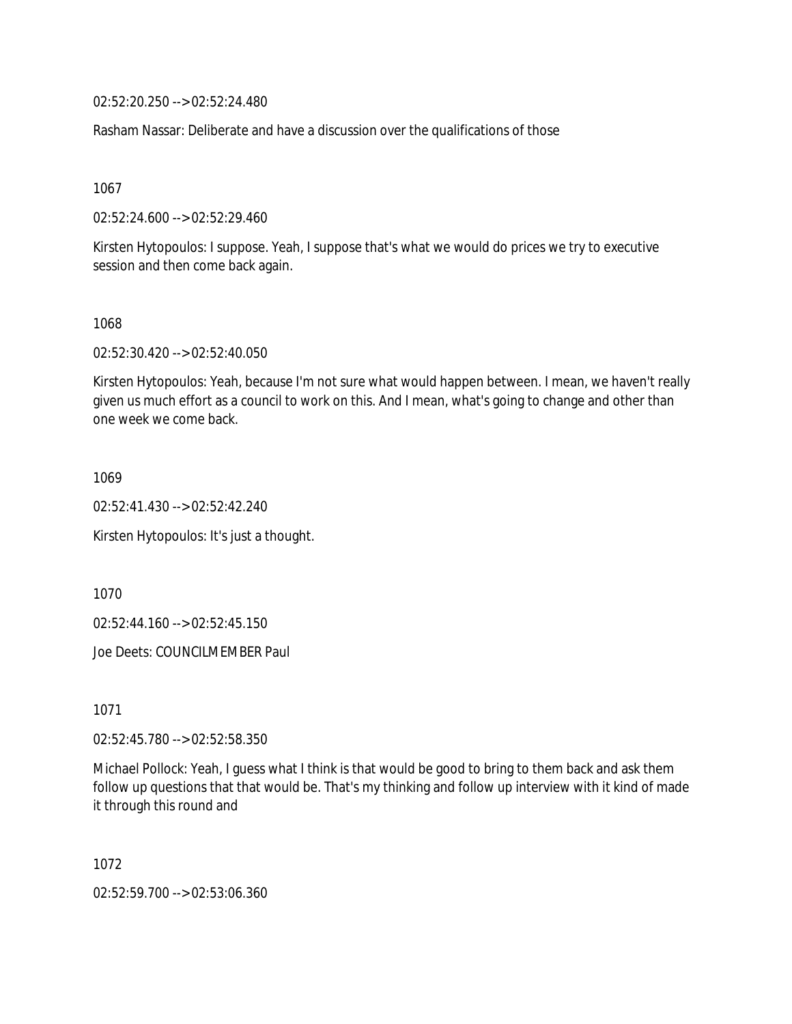02:52:20.250 --> 02:52:24.480

Rasham Nassar: Deliberate and have a discussion over the qualifications of those

1067

02:52:24.600 --> 02:52:29.460

Kirsten Hytopoulos: I suppose. Yeah, I suppose that's what we would do prices we try to executive session and then come back again.

1068

02:52:30.420 --> 02:52:40.050

Kirsten Hytopoulos: Yeah, because I'm not sure what would happen between. I mean, we haven't really given us much effort as a council to work on this. And I mean, what's going to change and other than one week we come back.

1069

02:52:41.430 --> 02:52:42.240

Kirsten Hytopoulos: It's just a thought.

1070

02:52:44.160 --> 02:52:45.150

Joe Deets: COUNCILMEMBER Paul

1071

02:52:45.780 --> 02:52:58.350

Michael Pollock: Yeah, I guess what I think is that would be good to bring to them back and ask them follow up questions that that would be. That's my thinking and follow up interview with it kind of made it through this round and

1072

02:52:59.700 --> 02:53:06.360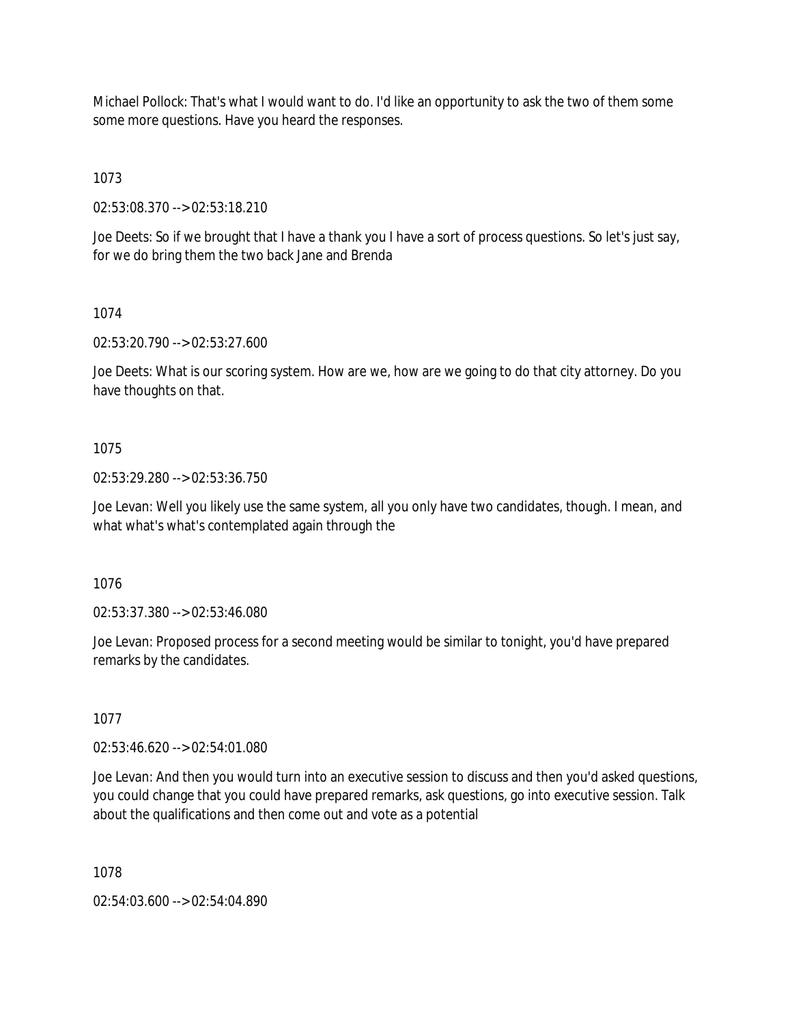Michael Pollock: That's what I would want to do. I'd like an opportunity to ask the two of them some some more questions. Have you heard the responses.

1073

02:53:08.370 --> 02:53:18.210

Joe Deets: So if we brought that I have a thank you I have a sort of process questions. So let's just say, for we do bring them the two back Jane and Brenda

# 1074

02:53:20.790 --> 02:53:27.600

Joe Deets: What is our scoring system. How are we, how are we going to do that city attorney. Do you have thoughts on that.

# 1075

02:53:29.280 --> 02:53:36.750

Joe Levan: Well you likely use the same system, all you only have two candidates, though. I mean, and what what's what's contemplated again through the

1076

02:53:37.380 --> 02:53:46.080

Joe Levan: Proposed process for a second meeting would be similar to tonight, you'd have prepared remarks by the candidates.

# 1077

02:53:46.620 --> 02:54:01.080

Joe Levan: And then you would turn into an executive session to discuss and then you'd asked questions, you could change that you could have prepared remarks, ask questions, go into executive session. Talk about the qualifications and then come out and vote as a potential

1078

02:54:03.600 --> 02:54:04.890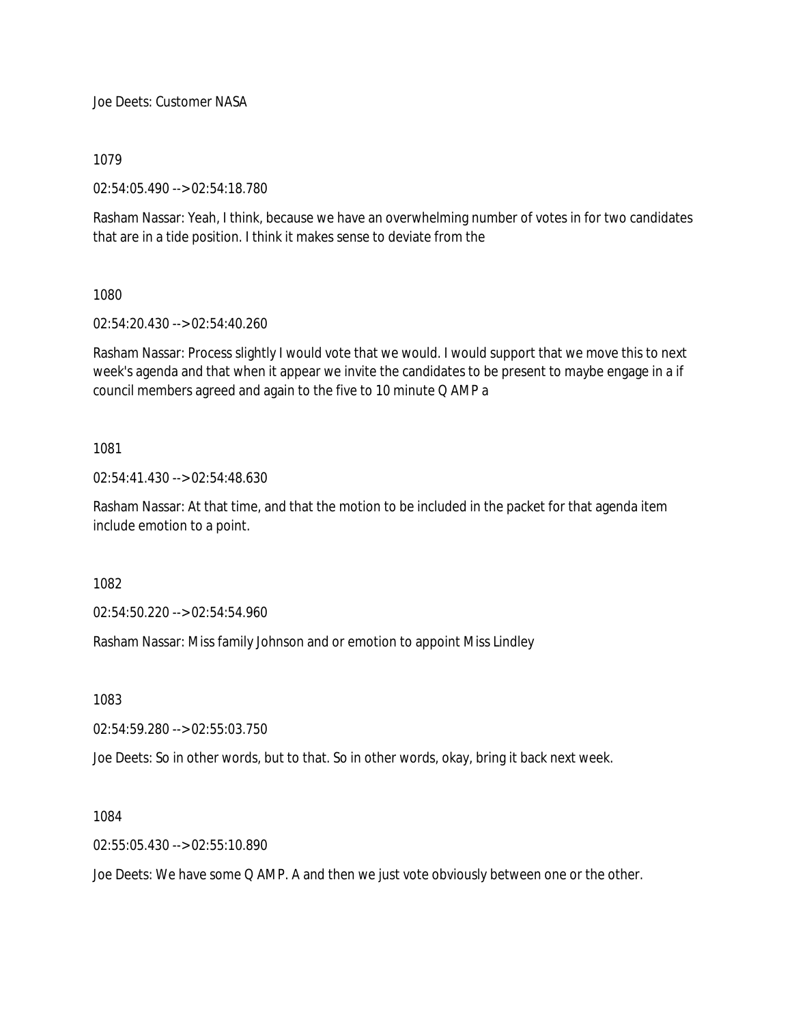Joe Deets: Customer NASA

1079

02:54:05.490 --> 02:54:18.780

Rasham Nassar: Yeah, I think, because we have an overwhelming number of votes in for two candidates that are in a tide position. I think it makes sense to deviate from the

1080

02:54:20.430 --> 02:54:40.260

Rasham Nassar: Process slightly I would vote that we would. I would support that we move this to next week's agenda and that when it appear we invite the candidates to be present to maybe engage in a if council members agreed and again to the five to 10 minute Q AMP a

1081

02:54:41.430 --> 02:54:48.630

Rasham Nassar: At that time, and that the motion to be included in the packet for that agenda item include emotion to a point.

1082

02:54:50.220 --> 02:54:54.960

Rasham Nassar: Miss family Johnson and or emotion to appoint Miss Lindley

1083

02:54:59.280 --> 02:55:03.750

Joe Deets: So in other words, but to that. So in other words, okay, bring it back next week.

1084

02:55:05.430 --> 02:55:10.890

Joe Deets: We have some Q AMP. A and then we just vote obviously between one or the other.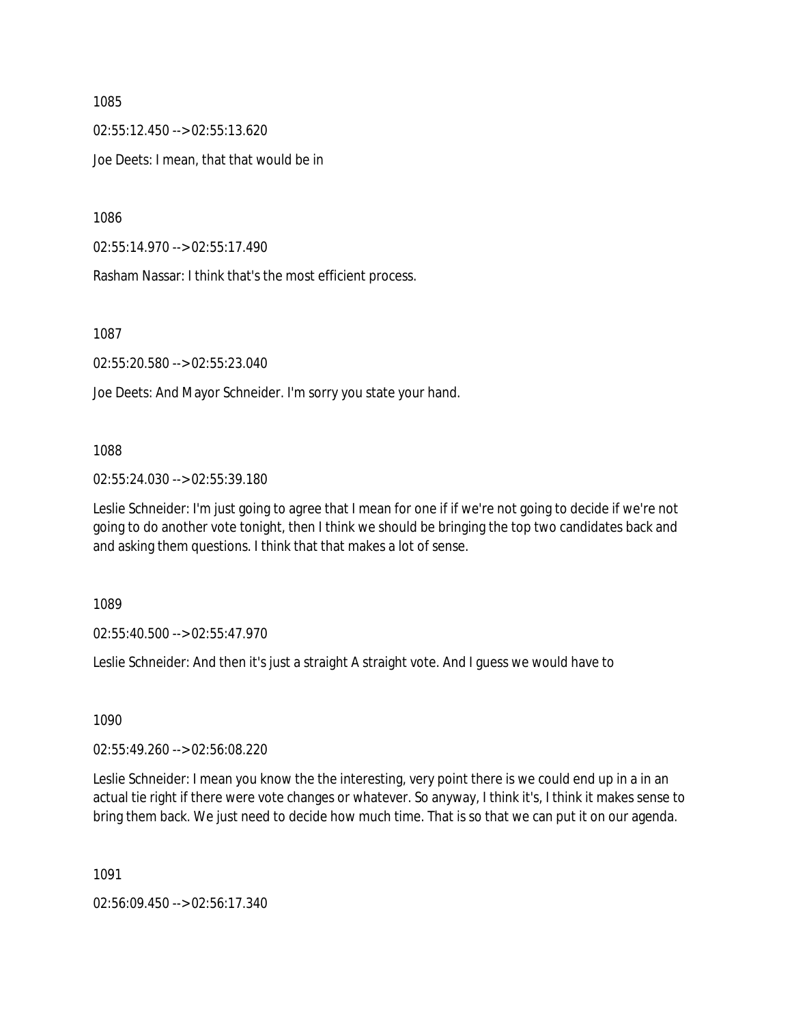02:55:12.450 --> 02:55:13.620 Joe Deets: I mean, that that would be in

1086

02:55:14.970 --> 02:55:17.490

Rasham Nassar: I think that's the most efficient process.

1087

02:55:20.580 --> 02:55:23.040

Joe Deets: And Mayor Schneider. I'm sorry you state your hand.

#### 1088

02:55:24.030 --> 02:55:39.180

Leslie Schneider: I'm just going to agree that I mean for one if if we're not going to decide if we're not going to do another vote tonight, then I think we should be bringing the top two candidates back and and asking them questions. I think that that makes a lot of sense.

1089

02:55:40.500 --> 02:55:47.970

Leslie Schneider: And then it's just a straight A straight vote. And I guess we would have to

1090

02:55:49.260 --> 02:56:08.220

Leslie Schneider: I mean you know the the interesting, very point there is we could end up in a in an actual tie right if there were vote changes or whatever. So anyway, I think it's, I think it makes sense to bring them back. We just need to decide how much time. That is so that we can put it on our agenda.

1091

02:56:09.450 --> 02:56:17.340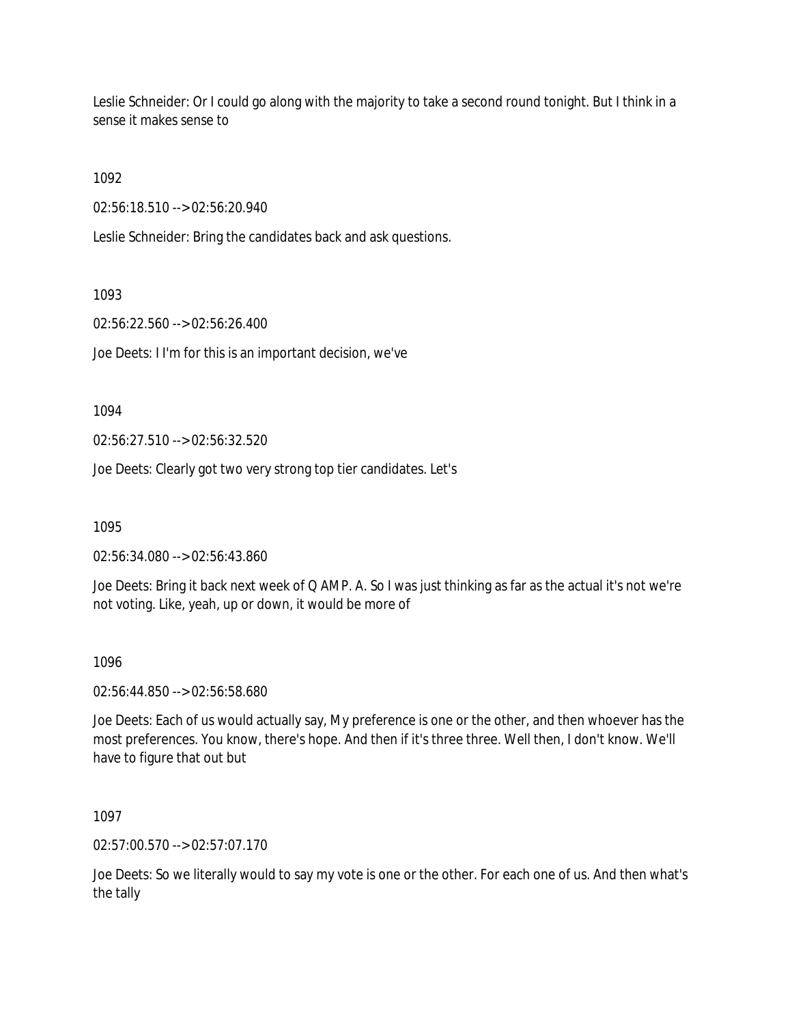Leslie Schneider: Or I could go along with the majority to take a second round tonight. But I think in a sense it makes sense to

1092

02:56:18.510 --> 02:56:20.940

Leslie Schneider: Bring the candidates back and ask questions.

1093

02:56:22.560 --> 02:56:26.400

Joe Deets: I I'm for this is an important decision, we've

1094

02:56:27.510 --> 02:56:32.520

Joe Deets: Clearly got two very strong top tier candidates. Let's

1095

02:56:34.080 --> 02:56:43.860

Joe Deets: Bring it back next week of Q AMP. A. So I was just thinking as far as the actual it's not we're not voting. Like, yeah, up or down, it would be more of

### 1096

02:56:44.850 --> 02:56:58.680

Joe Deets: Each of us would actually say, My preference is one or the other, and then whoever has the most preferences. You know, there's hope. And then if it's three three. Well then, I don't know. We'll have to figure that out but

1097

02:57:00.570 --> 02:57:07.170

Joe Deets: So we literally would to say my vote is one or the other. For each one of us. And then what's the tally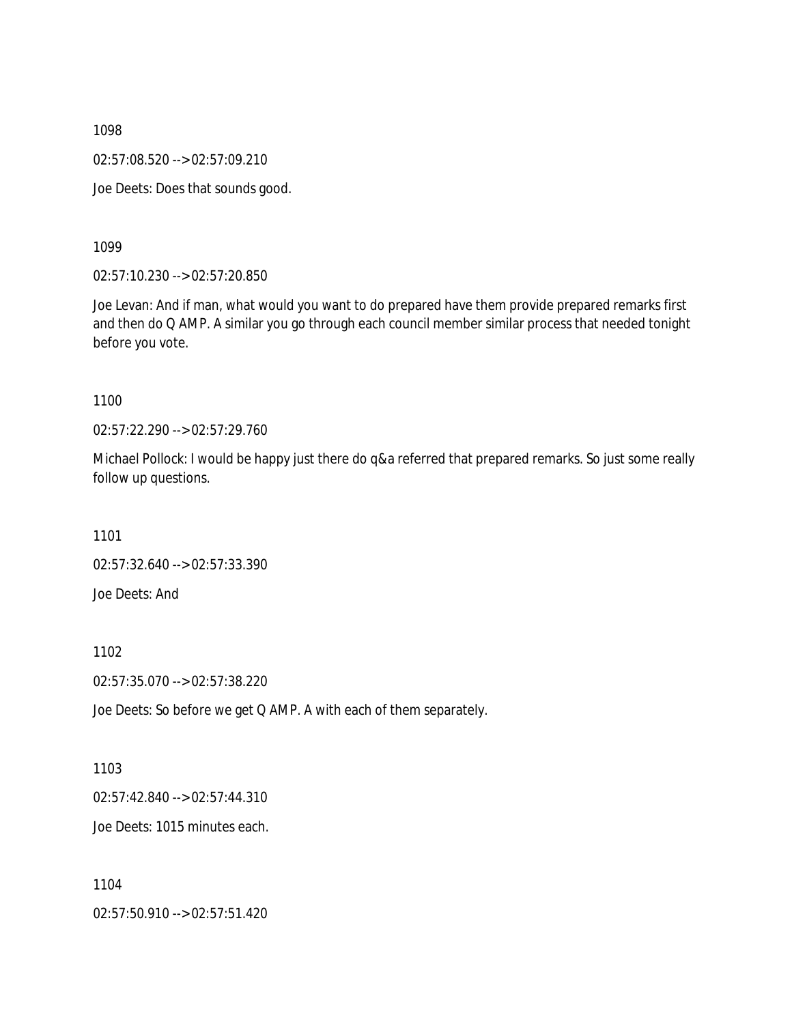02:57:08.520 --> 02:57:09.210

Joe Deets: Does that sounds good.

1099

02:57:10.230 --> 02:57:20.850

Joe Levan: And if man, what would you want to do prepared have them provide prepared remarks first and then do Q AMP. A similar you go through each council member similar process that needed tonight before you vote.

1100

02:57:22.290 --> 02:57:29.760

Michael Pollock: I would be happy just there do q&a referred that prepared remarks. So just some really follow up questions.

1101

02:57:32.640 --> 02:57:33.390 Joe Deets: And

1102

02:57:35.070 --> 02:57:38.220

Joe Deets: So before we get Q AMP. A with each of them separately.

1103

02:57:42.840 --> 02:57:44.310

Joe Deets: 1015 minutes each.

1104 02:57:50.910 --> 02:57:51.420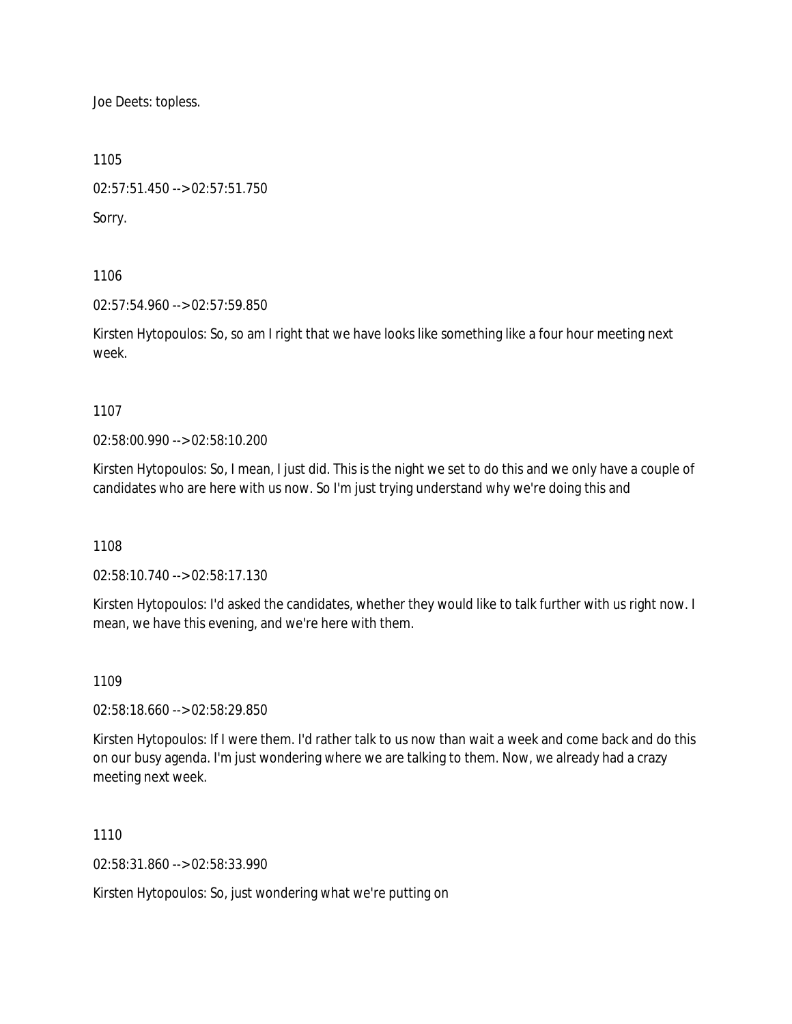Joe Deets: topless.

1105

02:57:51.450 --> 02:57:51.750

Sorry.

1106

02:57:54.960 --> 02:57:59.850

Kirsten Hytopoulos: So, so am I right that we have looks like something like a four hour meeting next week.

1107

02:58:00.990 --> 02:58:10.200

Kirsten Hytopoulos: So, I mean, I just did. This is the night we set to do this and we only have a couple of candidates who are here with us now. So I'm just trying understand why we're doing this and

1108

02:58:10.740 --> 02:58:17.130

Kirsten Hytopoulos: I'd asked the candidates, whether they would like to talk further with us right now. I mean, we have this evening, and we're here with them.

1109

02:58:18.660 --> 02:58:29.850

Kirsten Hytopoulos: If I were them. I'd rather talk to us now than wait a week and come back and do this on our busy agenda. I'm just wondering where we are talking to them. Now, we already had a crazy meeting next week.

1110

02:58:31.860 --> 02:58:33.990

Kirsten Hytopoulos: So, just wondering what we're putting on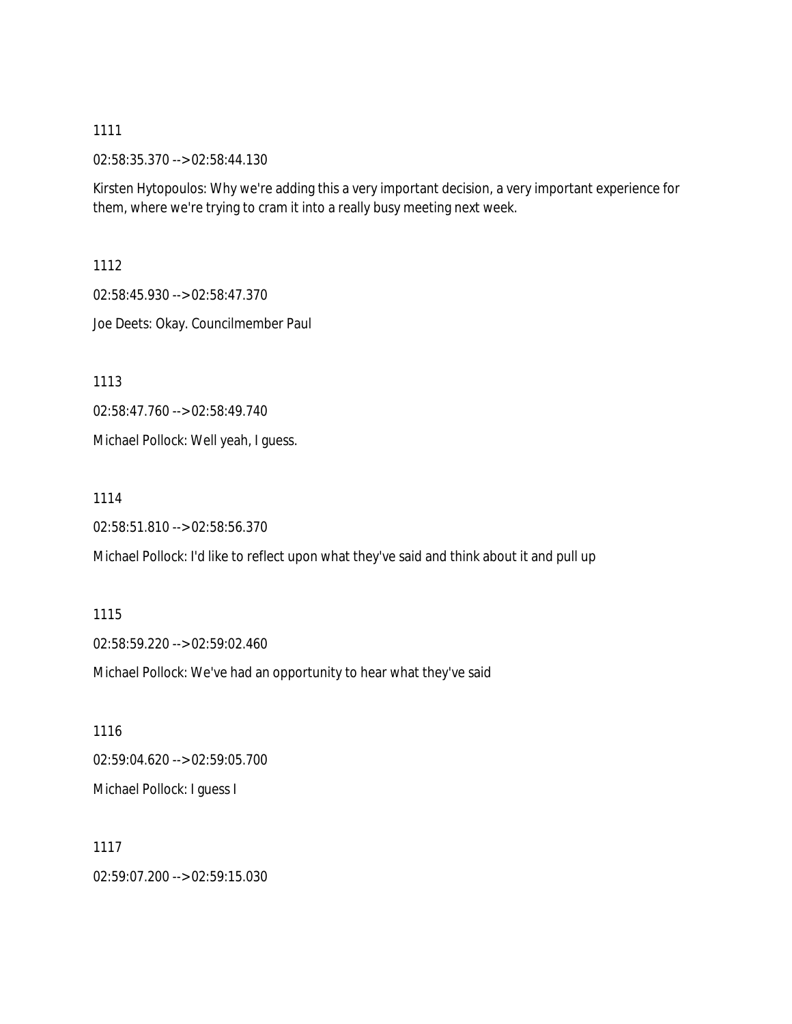02:58:35.370 --> 02:58:44.130

Kirsten Hytopoulos: Why we're adding this a very important decision, a very important experience for them, where we're trying to cram it into a really busy meeting next week.

1112

02:58:45.930 --> 02:58:47.370

Joe Deets: Okay. Councilmember Paul

1113

02:58:47.760 --> 02:58:49.740

Michael Pollock: Well yeah, I guess.

1114

02:58:51.810 --> 02:58:56.370

Michael Pollock: I'd like to reflect upon what they've said and think about it and pull up

1115 02:58:59.220 --> 02:59:02.460

Michael Pollock: We've had an opportunity to hear what they've said

1116 02:59:04.620 --> 02:59:05.700 Michael Pollock: I guess I

1117 02:59:07.200 --> 02:59:15.030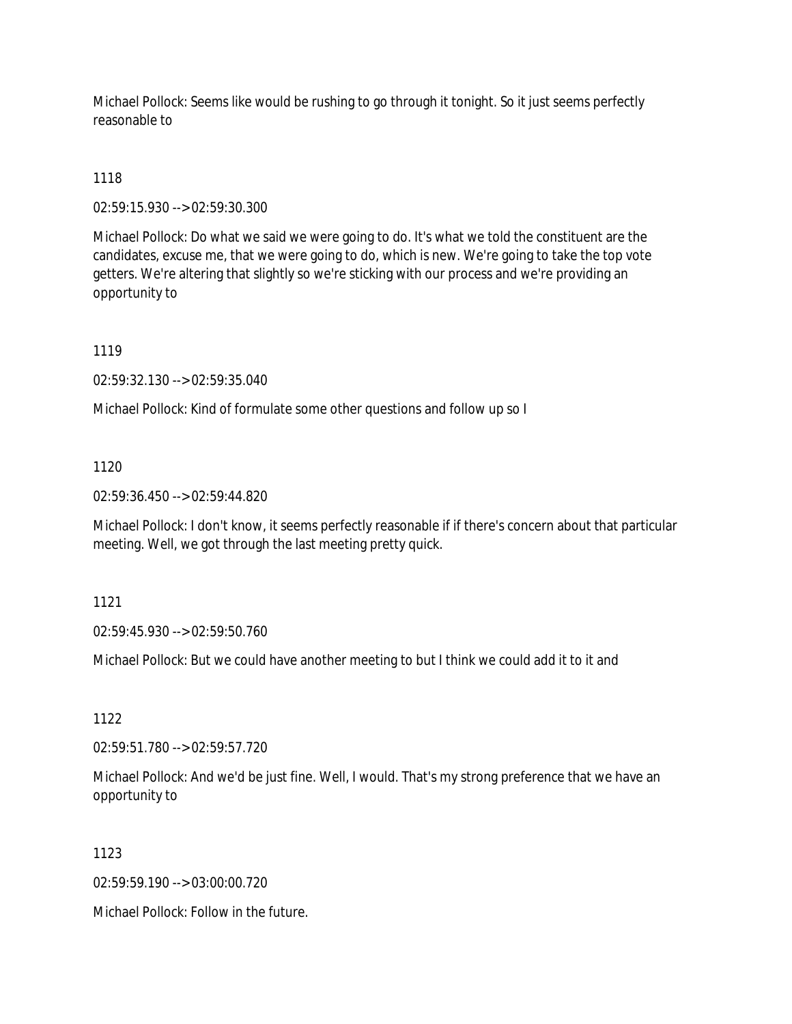Michael Pollock: Seems like would be rushing to go through it tonight. So it just seems perfectly reasonable to

# 1118

02:59:15.930 --> 02:59:30.300

Michael Pollock: Do what we said we were going to do. It's what we told the constituent are the candidates, excuse me, that we were going to do, which is new. We're going to take the top vote getters. We're altering that slightly so we're sticking with our process and we're providing an opportunity to

1119

02:59:32.130 --> 02:59:35.040

Michael Pollock: Kind of formulate some other questions and follow up so I

1120

02:59:36.450 --> 02:59:44.820

Michael Pollock: I don't know, it seems perfectly reasonable if if there's concern about that particular meeting. Well, we got through the last meeting pretty quick.

1121

02:59:45.930 --> 02:59:50.760

Michael Pollock: But we could have another meeting to but I think we could add it to it and

1122

02:59:51.780 --> 02:59:57.720

Michael Pollock: And we'd be just fine. Well, I would. That's my strong preference that we have an opportunity to

1123

02:59:59.190 --> 03:00:00.720

Michael Pollock: Follow in the future.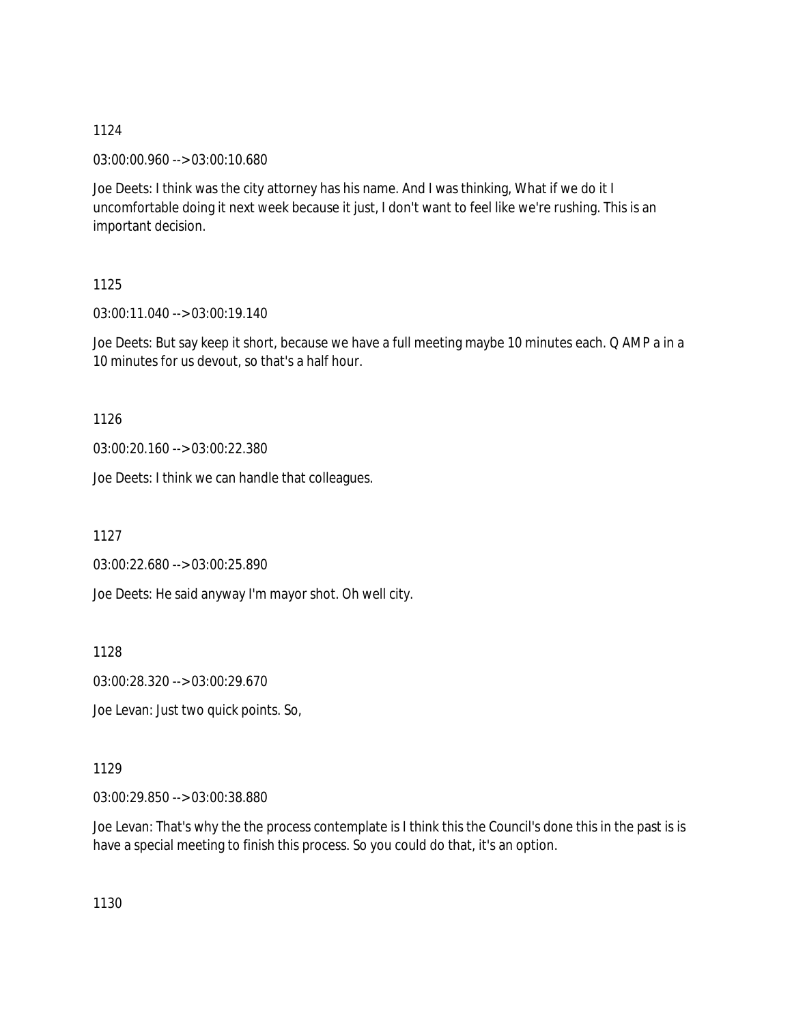03:00:00.960 --> 03:00:10.680

Joe Deets: I think was the city attorney has his name. And I was thinking, What if we do it I uncomfortable doing it next week because it just, I don't want to feel like we're rushing. This is an important decision.

# 1125

03:00:11.040 --> 03:00:19.140

Joe Deets: But say keep it short, because we have a full meeting maybe 10 minutes each. Q AMP a in a 10 minutes for us devout, so that's a half hour.

1126

03:00:20.160 --> 03:00:22.380

Joe Deets: I think we can handle that colleagues.

1127

03:00:22.680 --> 03:00:25.890

Joe Deets: He said anyway I'm mayor shot. Oh well city.

1128

03:00:28.320 --> 03:00:29.670

Joe Levan: Just two quick points. So,

# 1129

03:00:29.850 --> 03:00:38.880

Joe Levan: That's why the the process contemplate is I think this the Council's done this in the past is is have a special meeting to finish this process. So you could do that, it's an option.

1130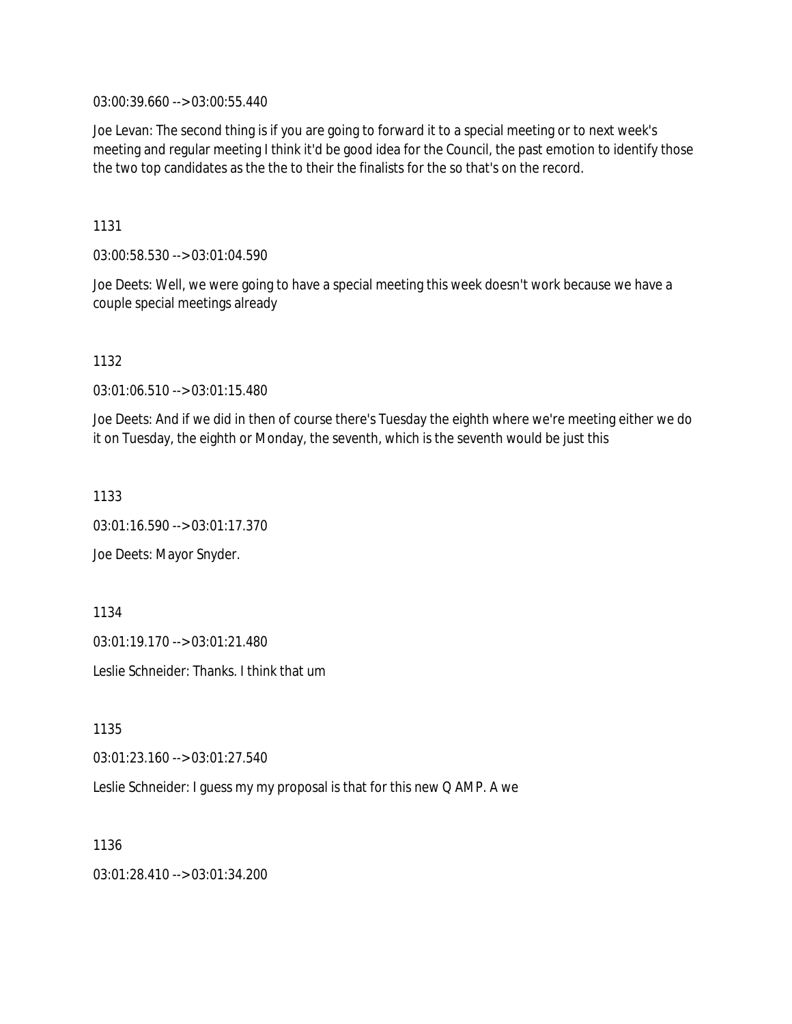03:00:39.660 --> 03:00:55.440

Joe Levan: The second thing is if you are going to forward it to a special meeting or to next week's meeting and regular meeting I think it'd be good idea for the Council, the past emotion to identify those the two top candidates as the the to their the finalists for the so that's on the record.

1131

03:00:58.530 --> 03:01:04.590

Joe Deets: Well, we were going to have a special meeting this week doesn't work because we have a couple special meetings already

1132

03:01:06.510 --> 03:01:15.480

Joe Deets: And if we did in then of course there's Tuesday the eighth where we're meeting either we do it on Tuesday, the eighth or Monday, the seventh, which is the seventh would be just this

1133

03:01:16.590 --> 03:01:17.370

Joe Deets: Mayor Snyder.

1134

03:01:19.170 --> 03:01:21.480

Leslie Schneider: Thanks. I think that um

1135

03:01:23.160 --> 03:01:27.540

Leslie Schneider: I guess my my proposal is that for this new Q AMP. A we

1136

03:01:28.410 --> 03:01:34.200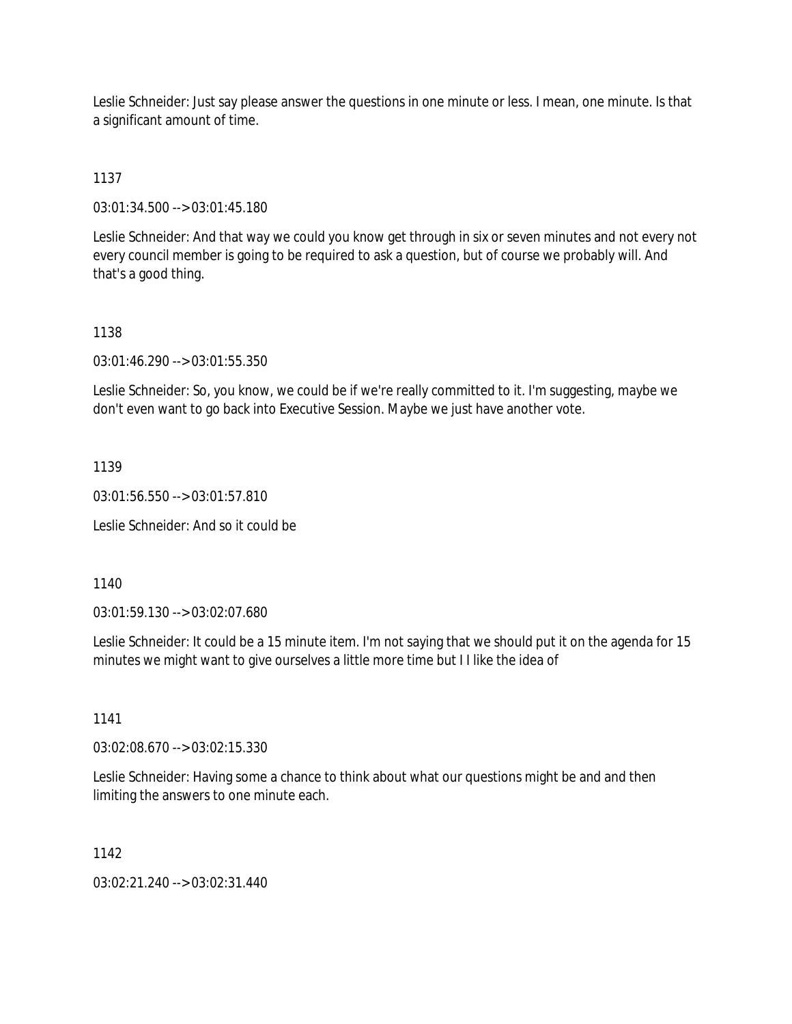Leslie Schneider: Just say please answer the questions in one minute or less. I mean, one minute. Is that a significant amount of time.

1137

03:01:34.500 --> 03:01:45.180

Leslie Schneider: And that way we could you know get through in six or seven minutes and not every not every council member is going to be required to ask a question, but of course we probably will. And that's a good thing.

#### 1138

03:01:46.290 --> 03:01:55.350

Leslie Schneider: So, you know, we could be if we're really committed to it. I'm suggesting, maybe we don't even want to go back into Executive Session. Maybe we just have another vote.

1139

03:01:56.550 --> 03:01:57.810

Leslie Schneider: And so it could be

1140

03:01:59.130 --> 03:02:07.680

Leslie Schneider: It could be a 15 minute item. I'm not saying that we should put it on the agenda for 15 minutes we might want to give ourselves a little more time but I I like the idea of

1141

03:02:08.670 --> 03:02:15.330

Leslie Schneider: Having some a chance to think about what our questions might be and and then limiting the answers to one minute each.

1142

03:02:21.240 --> 03:02:31.440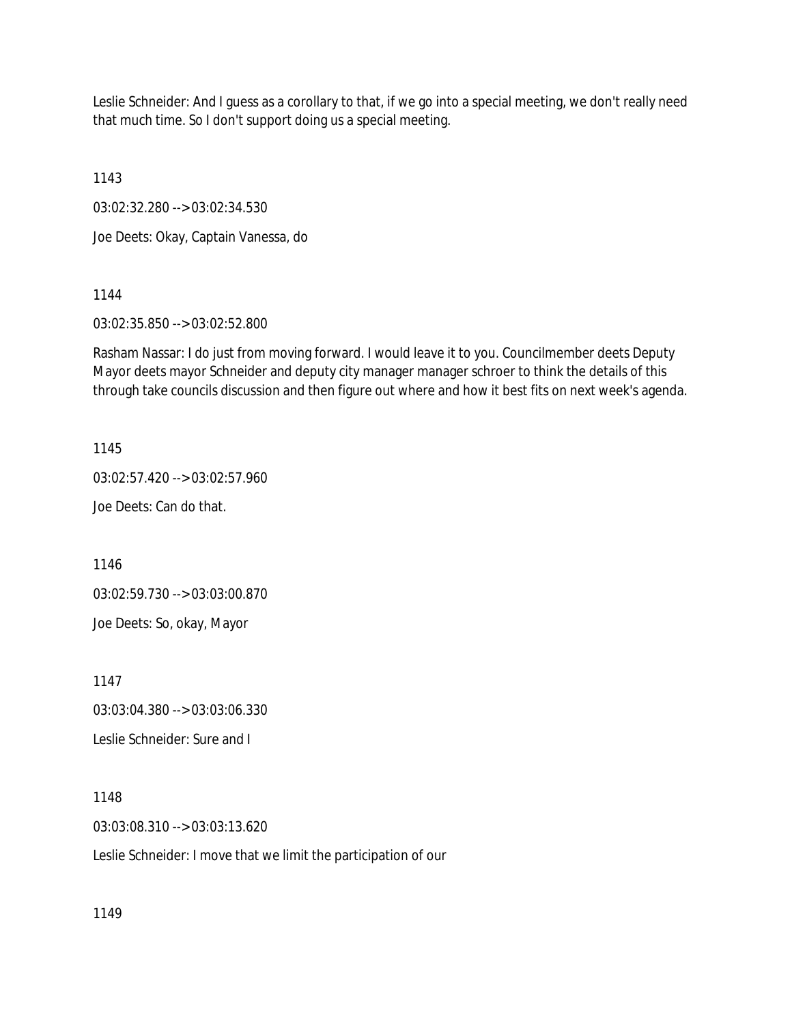Leslie Schneider: And I guess as a corollary to that, if we go into a special meeting, we don't really need that much time. So I don't support doing us a special meeting.

1143

03:02:32.280 --> 03:02:34.530

Joe Deets: Okay, Captain Vanessa, do

1144

03:02:35.850 --> 03:02:52.800

Rasham Nassar: I do just from moving forward. I would leave it to you. Councilmember deets Deputy Mayor deets mayor Schneider and deputy city manager manager schroer to think the details of this through take councils discussion and then figure out where and how it best fits on next week's agenda.

1145

03:02:57.420 --> 03:02:57.960

Joe Deets: Can do that.

1146

03:02:59.730 --> 03:03:00.870

Joe Deets: So, okay, Mayor

1147

03:03:04.380 --> 03:03:06.330

Leslie Schneider: Sure and I

1148

03:03:08.310 --> 03:03:13.620

Leslie Schneider: I move that we limit the participation of our

1149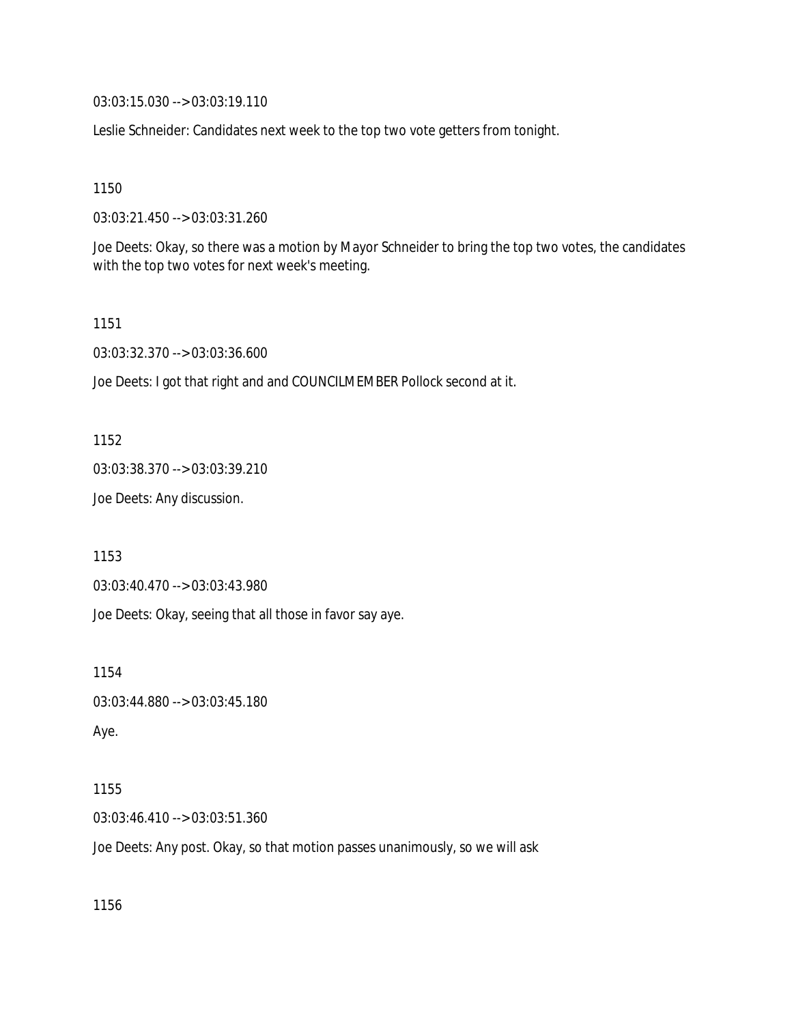03:03:15.030 --> 03:03:19.110

Leslie Schneider: Candidates next week to the top two vote getters from tonight.

1150

03:03:21.450 --> 03:03:31.260

Joe Deets: Okay, so there was a motion by Mayor Schneider to bring the top two votes, the candidates with the top two votes for next week's meeting.

1151

03:03:32.370 --> 03:03:36.600

Joe Deets: I got that right and and COUNCILMEMBER Pollock second at it.

1152

03:03:38.370 --> 03:03:39.210

Joe Deets: Any discussion.

1153

03:03:40.470 --> 03:03:43.980

Joe Deets: Okay, seeing that all those in favor say aye.

1154

03:03:44.880 --> 03:03:45.180

Aye.

1155

03:03:46.410 --> 03:03:51.360

Joe Deets: Any post. Okay, so that motion passes unanimously, so we will ask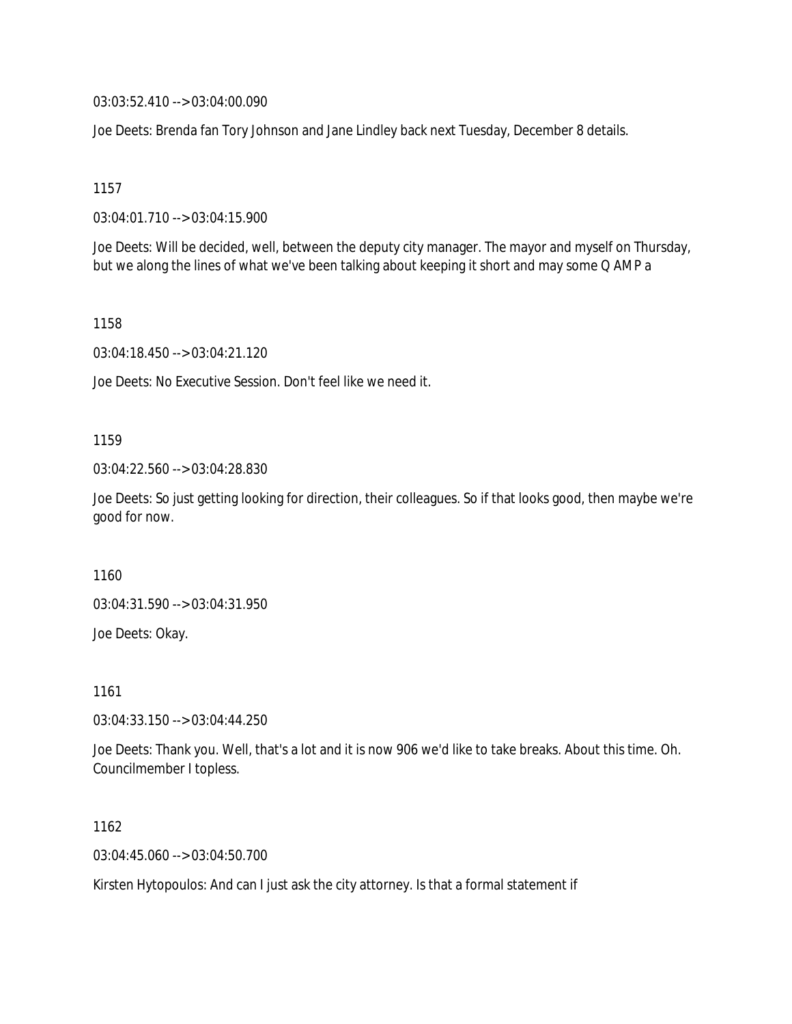03:03:52.410 --> 03:04:00.090

Joe Deets: Brenda fan Tory Johnson and Jane Lindley back next Tuesday, December 8 details.

1157

03:04:01.710 --> 03:04:15.900

Joe Deets: Will be decided, well, between the deputy city manager. The mayor and myself on Thursday, but we along the lines of what we've been talking about keeping it short and may some Q AMP a

1158

03:04:18.450 --> 03:04:21.120

Joe Deets: No Executive Session. Don't feel like we need it.

1159

03:04:22.560 --> 03:04:28.830

Joe Deets: So just getting looking for direction, their colleagues. So if that looks good, then maybe we're good for now.

1160

03:04:31.590 --> 03:04:31.950

Joe Deets: Okay.

1161

03:04:33.150 --> 03:04:44.250

Joe Deets: Thank you. Well, that's a lot and it is now 906 we'd like to take breaks. About this time. Oh. Councilmember I topless.

1162

03:04:45.060 --> 03:04:50.700

Kirsten Hytopoulos: And can I just ask the city attorney. Is that a formal statement if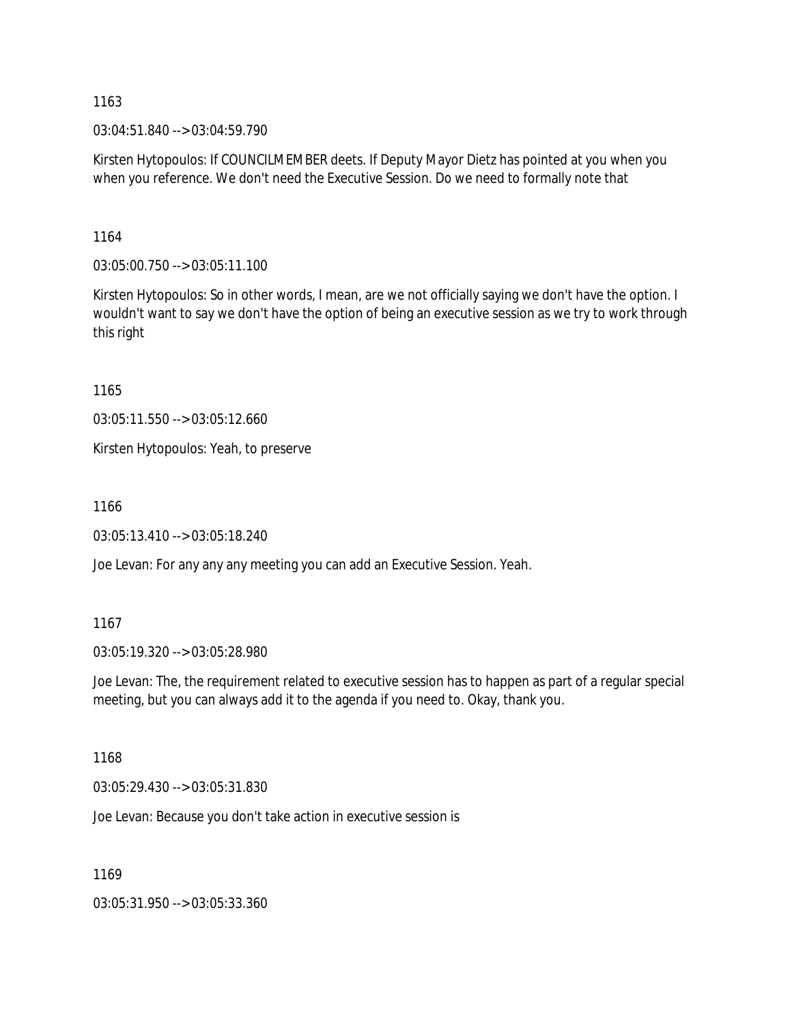03:04:51.840 --> 03:04:59.790

Kirsten Hytopoulos: If COUNCILMEMBER deets. If Deputy Mayor Dietz has pointed at you when you when you reference. We don't need the Executive Session. Do we need to formally note that

1164

03:05:00.750 --> 03:05:11.100

Kirsten Hytopoulos: So in other words, I mean, are we not officially saying we don't have the option. I wouldn't want to say we don't have the option of being an executive session as we try to work through this right

1165

03:05:11.550 --> 03:05:12.660

Kirsten Hytopoulos: Yeah, to preserve

1166

03:05:13.410 --> 03:05:18.240

Joe Levan: For any any any meeting you can add an Executive Session. Yeah.

1167

03:05:19.320 --> 03:05:28.980

Joe Levan: The, the requirement related to executive session has to happen as part of a regular special meeting, but you can always add it to the agenda if you need to. Okay, thank you.

1168

03:05:29.430 --> 03:05:31.830

Joe Levan: Because you don't take action in executive session is

1169

03:05:31.950 --> 03:05:33.360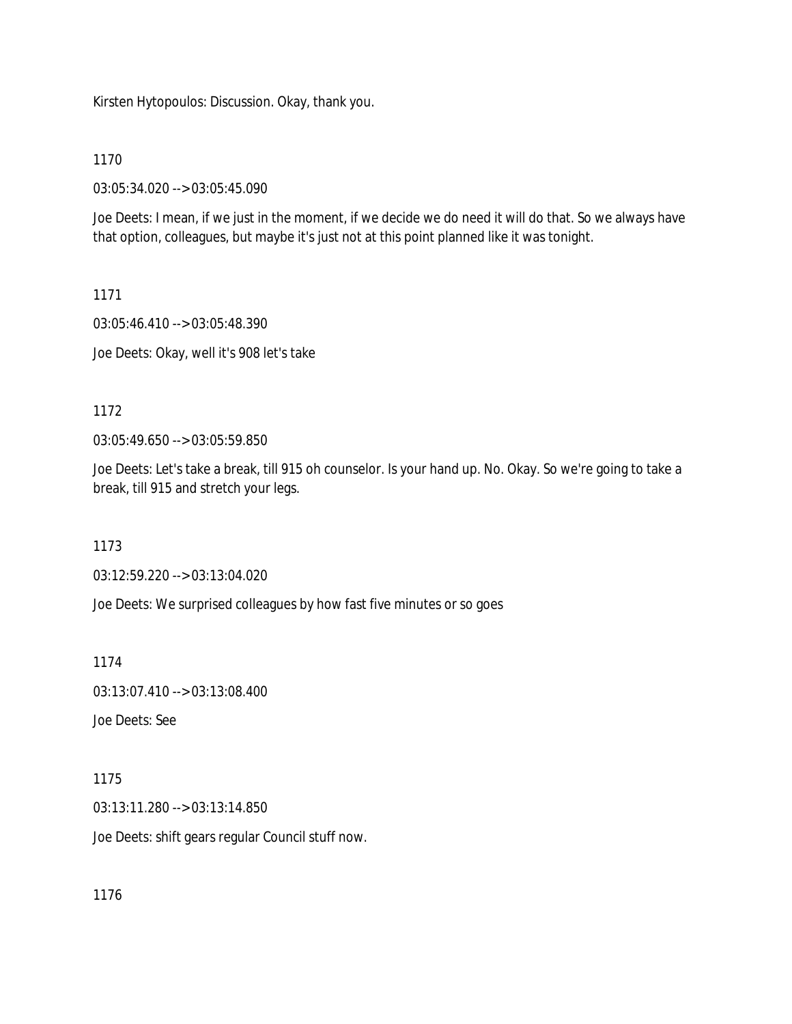Kirsten Hytopoulos: Discussion. Okay, thank you.

1170

03:05:34.020 --> 03:05:45.090

Joe Deets: I mean, if we just in the moment, if we decide we do need it will do that. So we always have that option, colleagues, but maybe it's just not at this point planned like it was tonight.

1171

03:05:46.410 --> 03:05:48.390

Joe Deets: Okay, well it's 908 let's take

1172

03:05:49.650 --> 03:05:59.850

Joe Deets: Let's take a break, till 915 oh counselor. Is your hand up. No. Okay. So we're going to take a break, till 915 and stretch your legs.

1173

03:12:59.220 --> 03:13:04.020

Joe Deets: We surprised colleagues by how fast five minutes or so goes

1174

03:13:07.410 --> 03:13:08.400

Joe Deets: See

1175

03:13:11.280 --> 03:13:14.850

Joe Deets: shift gears regular Council stuff now.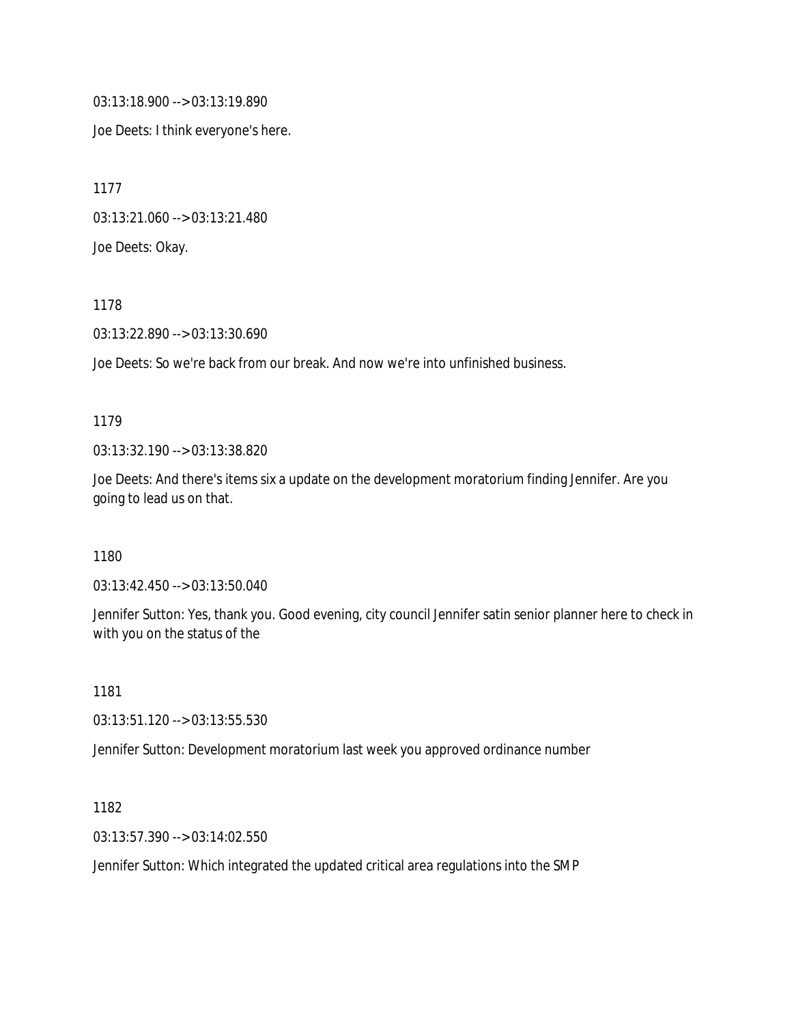03:13:18.900 --> 03:13:19.890

Joe Deets: I think everyone's here.

1177

03:13:21.060 --> 03:13:21.480

Joe Deets: Okay.

1178

03:13:22.890 --> 03:13:30.690

Joe Deets: So we're back from our break. And now we're into unfinished business.

### 1179

03:13:32.190 --> 03:13:38.820

Joe Deets: And there's items six a update on the development moratorium finding Jennifer. Are you going to lead us on that.

1180

03:13:42.450 --> 03:13:50.040

Jennifer Sutton: Yes, thank you. Good evening, city council Jennifer satin senior planner here to check in with you on the status of the

1181

03:13:51.120 --> 03:13:55.530

Jennifer Sutton: Development moratorium last week you approved ordinance number

1182

03:13:57.390 --> 03:14:02.550

Jennifer Sutton: Which integrated the updated critical area regulations into the SMP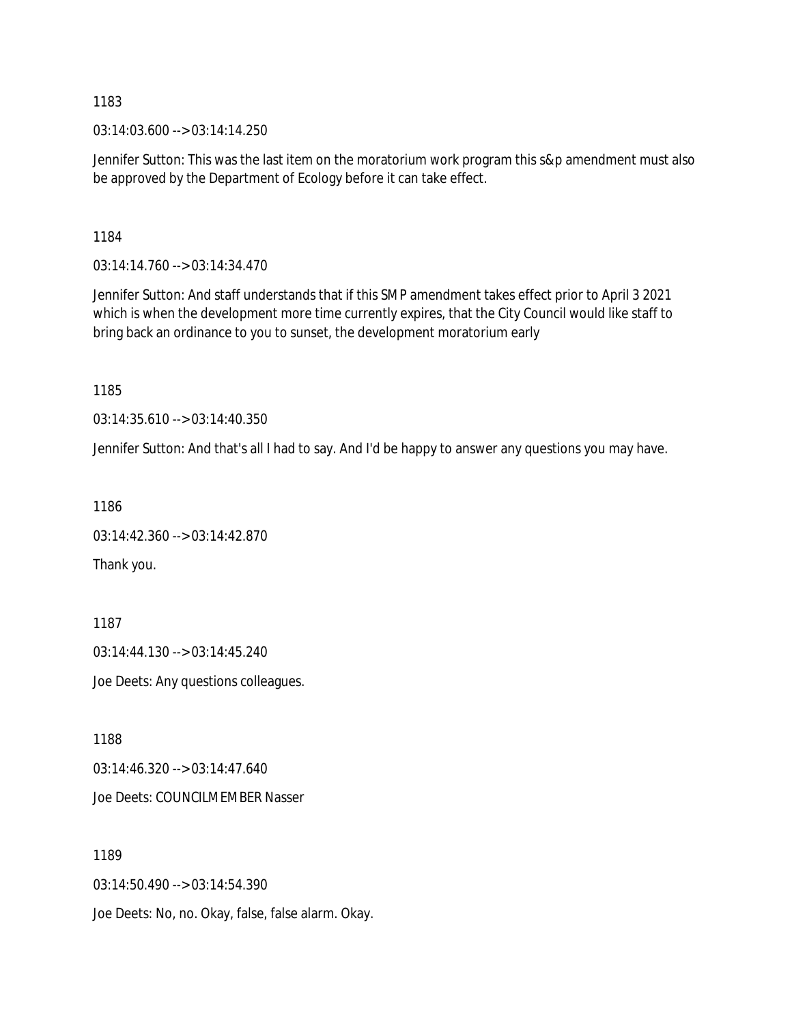03:14:03.600 --> 03:14:14.250

Jennifer Sutton: This was the last item on the moratorium work program this s&p amendment must also be approved by the Department of Ecology before it can take effect.

1184

03:14:14.760 --> 03:14:34.470

Jennifer Sutton: And staff understands that if this SMP amendment takes effect prior to April 3 2021 which is when the development more time currently expires, that the City Council would like staff to bring back an ordinance to you to sunset, the development moratorium early

1185

03:14:35.610 --> 03:14:40.350

Jennifer Sutton: And that's all I had to say. And I'd be happy to answer any questions you may have.

1186

```
03:14:42.360 --> 03:14:42.870
```
Thank you.

1187 03:14:44.130 --> 03:14:45.240 Joe Deets: Any questions colleagues.

1188

03:14:46.320 --> 03:14:47.640

Joe Deets: COUNCILMEMBER Nasser

1189 03:14:50.490 --> 03:14:54.390 Joe Deets: No, no. Okay, false, false alarm. Okay.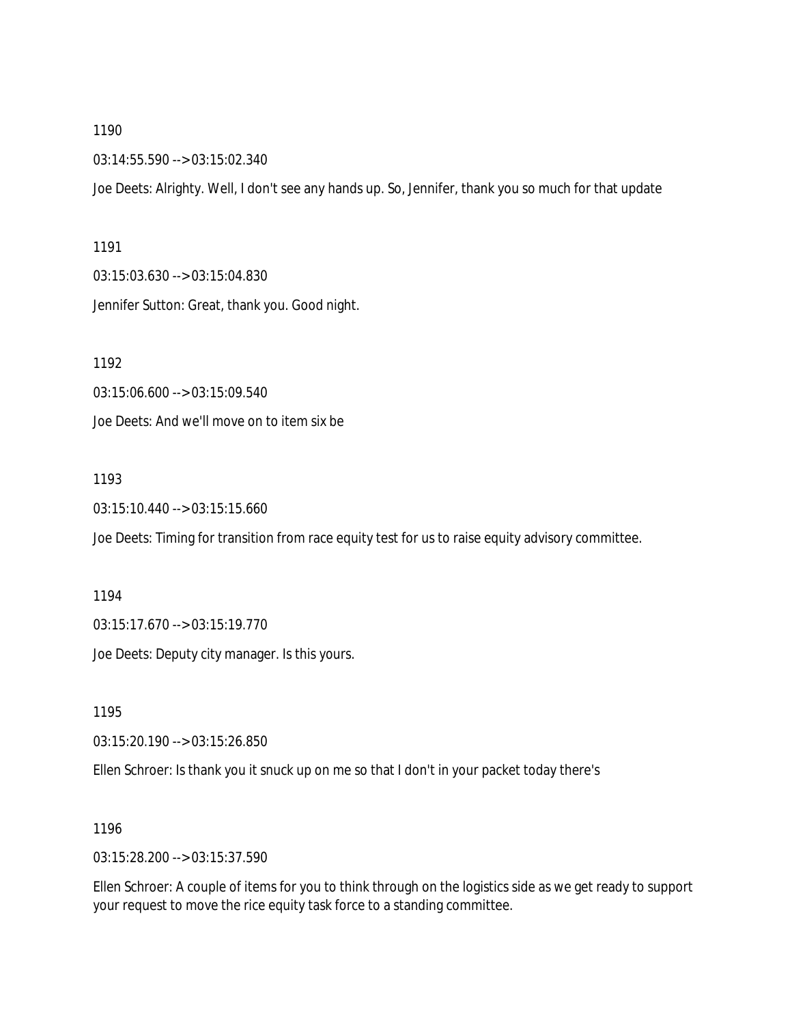03:14:55.590 --> 03:15:02.340

Joe Deets: Alrighty. Well, I don't see any hands up. So, Jennifer, thank you so much for that update

#### 1191

03:15:03.630 --> 03:15:04.830 Jennifer Sutton: Great, thank you. Good night.

1192

03:15:06.600 --> 03:15:09.540 Joe Deets: And we'll move on to item six be

### 1193

03:15:10.440 --> 03:15:15.660

Joe Deets: Timing for transition from race equity test for us to raise equity advisory committee.

#### 1194

03:15:17.670 --> 03:15:19.770

Joe Deets: Deputy city manager. Is this yours.

1195

03:15:20.190 --> 03:15:26.850

Ellen Schroer: Is thank you it snuck up on me so that I don't in your packet today there's

### 1196

03:15:28.200 --> 03:15:37.590

Ellen Schroer: A couple of items for you to think through on the logistics side as we get ready to support your request to move the rice equity task force to a standing committee.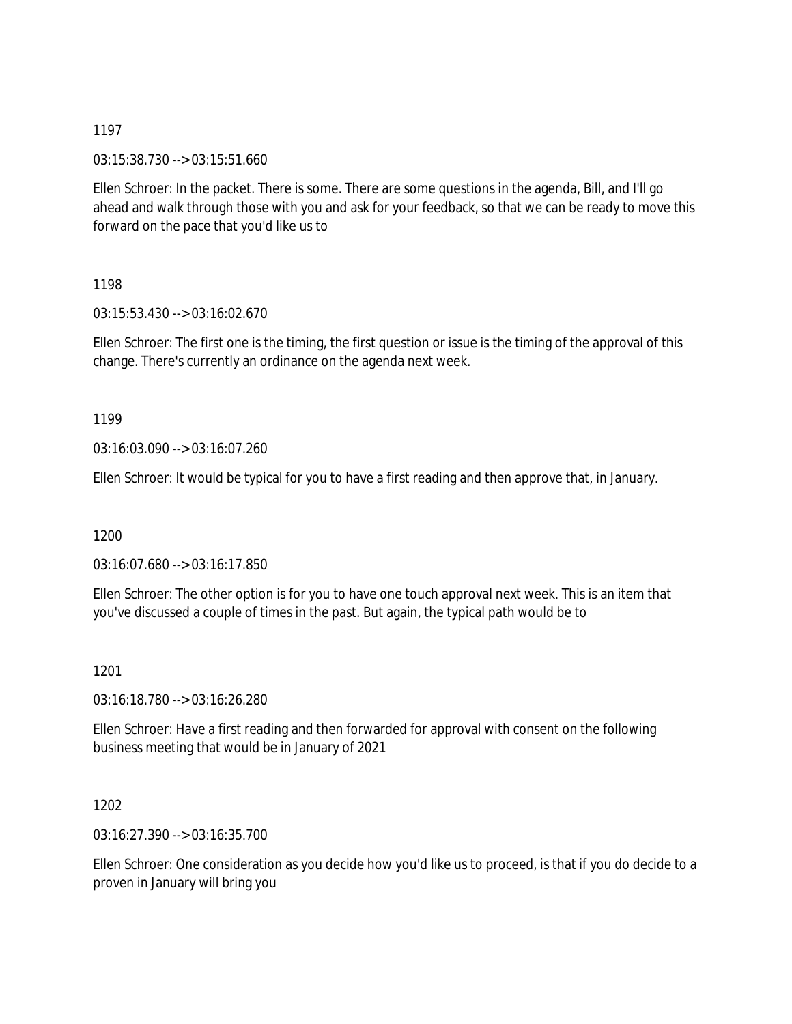03:15:38.730 --> 03:15:51.660

Ellen Schroer: In the packet. There is some. There are some questions in the agenda, Bill, and I'll go ahead and walk through those with you and ask for your feedback, so that we can be ready to move this forward on the pace that you'd like us to

1198

03:15:53.430 --> 03:16:02.670

Ellen Schroer: The first one is the timing, the first question or issue is the timing of the approval of this change. There's currently an ordinance on the agenda next week.

1199

03:16:03.090 --> 03:16:07.260

Ellen Schroer: It would be typical for you to have a first reading and then approve that, in January.

1200

03:16:07.680 --> 03:16:17.850

Ellen Schroer: The other option is for you to have one touch approval next week. This is an item that you've discussed a couple of times in the past. But again, the typical path would be to

1201

03:16:18.780 --> 03:16:26.280

Ellen Schroer: Have a first reading and then forwarded for approval with consent on the following business meeting that would be in January of 2021

1202

03:16:27.390 --> 03:16:35.700

Ellen Schroer: One consideration as you decide how you'd like us to proceed, is that if you do decide to a proven in January will bring you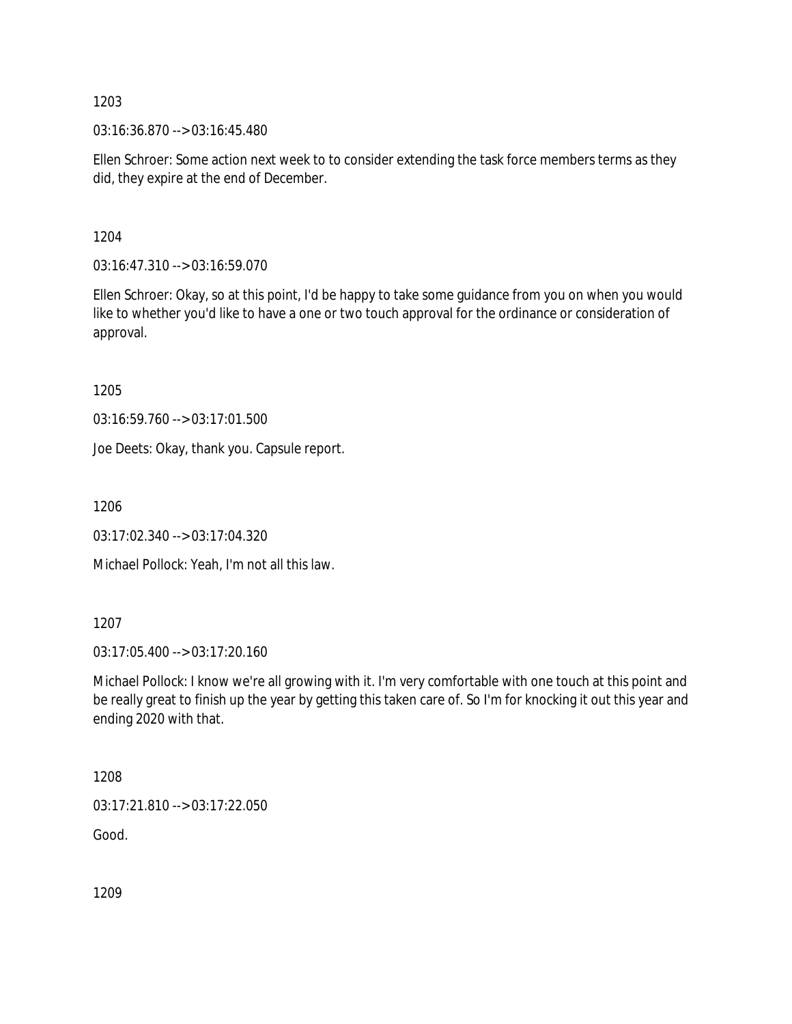03:16:36.870 --> 03:16:45.480

Ellen Schroer: Some action next week to to consider extending the task force members terms as they did, they expire at the end of December.

1204

03:16:47.310 --> 03:16:59.070

Ellen Schroer: Okay, so at this point, I'd be happy to take some guidance from you on when you would like to whether you'd like to have a one or two touch approval for the ordinance or consideration of approval.

1205

03:16:59.760 --> 03:17:01.500

Joe Deets: Okay, thank you. Capsule report.

1206

03:17:02.340 --> 03:17:04.320

Michael Pollock: Yeah, I'm not all this law.

1207

03:17:05.400 --> 03:17:20.160

Michael Pollock: I know we're all growing with it. I'm very comfortable with one touch at this point and be really great to finish up the year by getting this taken care of. So I'm for knocking it out this year and ending 2020 with that.

1208

03:17:21.810 --> 03:17:22.050

Good.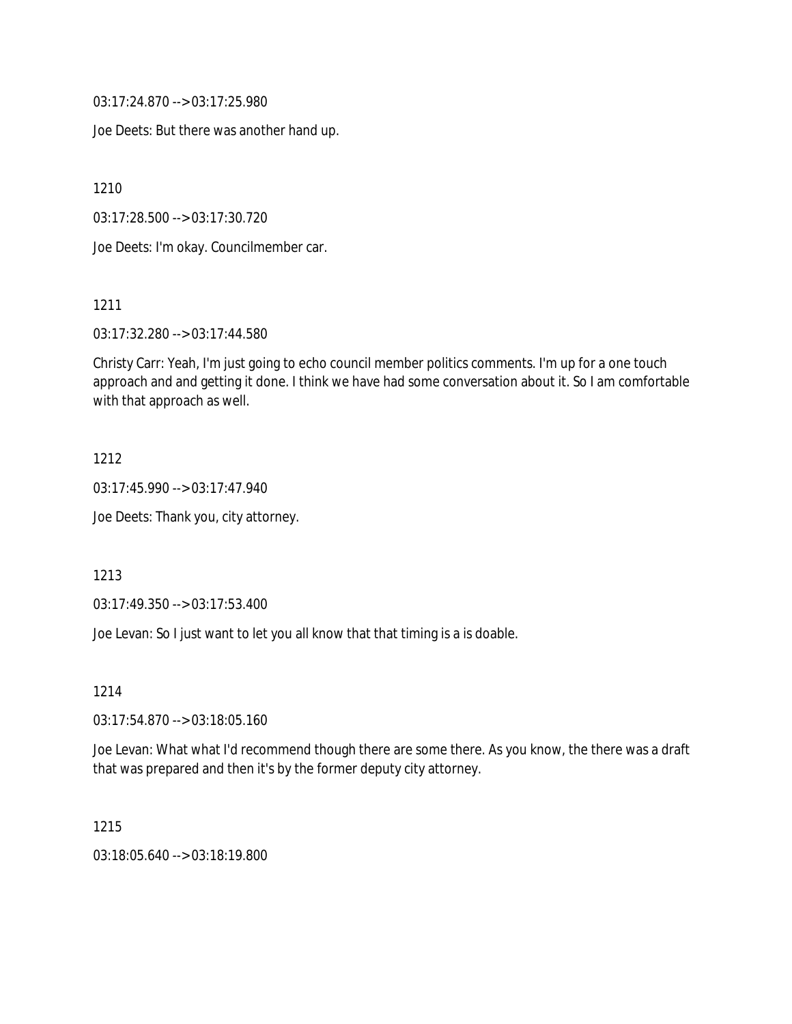03:17:24.870 --> 03:17:25.980

Joe Deets: But there was another hand up.

1210

03:17:28.500 --> 03:17:30.720

Joe Deets: I'm okay. Councilmember car.

1211

03:17:32.280 --> 03:17:44.580

Christy Carr: Yeah, I'm just going to echo council member politics comments. I'm up for a one touch approach and and getting it done. I think we have had some conversation about it. So I am comfortable with that approach as well.

### 1212

03:17:45.990 --> 03:17:47.940

Joe Deets: Thank you, city attorney.

#### 1213

03:17:49.350 --> 03:17:53.400

Joe Levan: So I just want to let you all know that that timing is a is doable.

1214

03:17:54.870 --> 03:18:05.160

Joe Levan: What what I'd recommend though there are some there. As you know, the there was a draft that was prepared and then it's by the former deputy city attorney.

# 1215

03:18:05.640 --> 03:18:19.800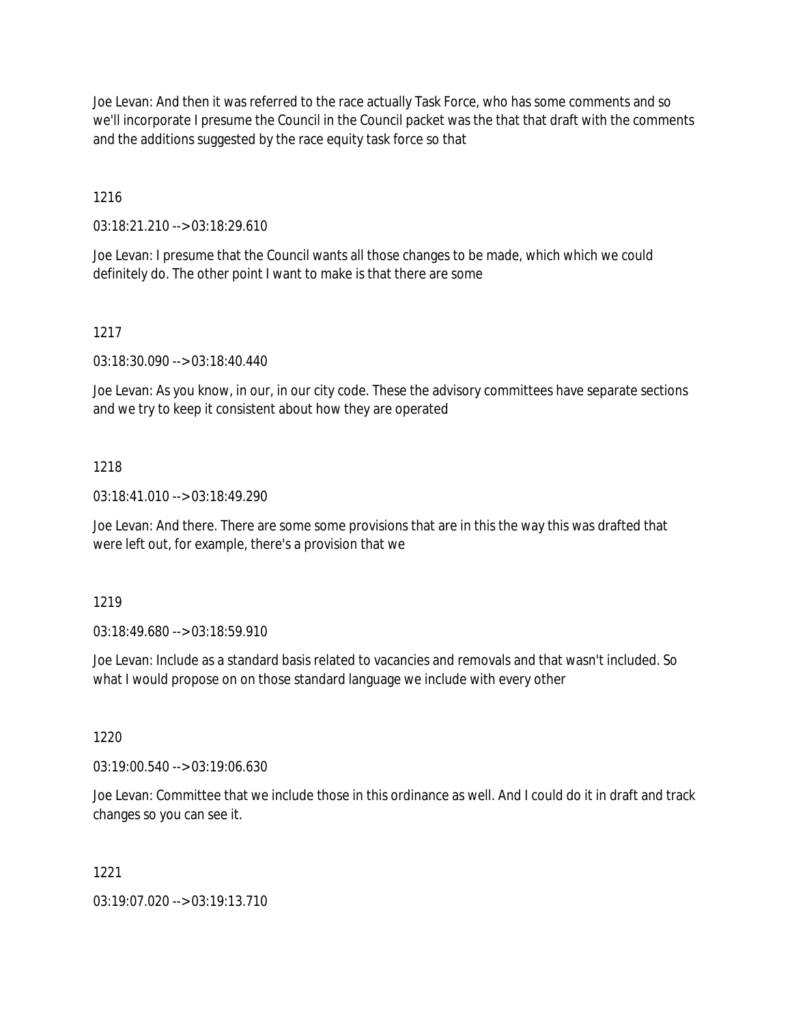Joe Levan: And then it was referred to the race actually Task Force, who has some comments and so we'll incorporate I presume the Council in the Council packet was the that that draft with the comments and the additions suggested by the race equity task force so that

1216

03:18:21.210 --> 03:18:29.610

Joe Levan: I presume that the Council wants all those changes to be made, which which we could definitely do. The other point I want to make is that there are some

1217

03:18:30.090 --> 03:18:40.440

Joe Levan: As you know, in our, in our city code. These the advisory committees have separate sections and we try to keep it consistent about how they are operated

## 1218

03:18:41.010 --> 03:18:49.290

Joe Levan: And there. There are some some provisions that are in this the way this was drafted that were left out, for example, there's a provision that we

1219

03:18:49.680 --> 03:18:59.910

Joe Levan: Include as a standard basis related to vacancies and removals and that wasn't included. So what I would propose on on those standard language we include with every other

1220

03:19:00.540 --> 03:19:06.630

Joe Levan: Committee that we include those in this ordinance as well. And I could do it in draft and track changes so you can see it.

1221

03:19:07.020 --> 03:19:13.710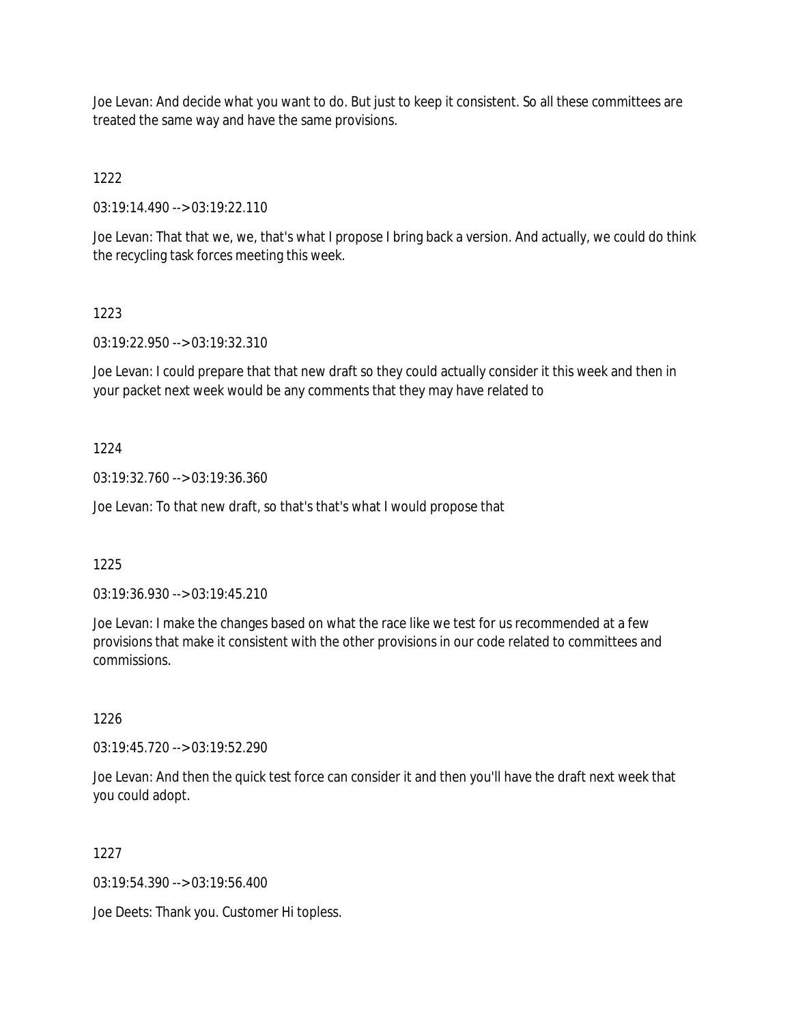Joe Levan: And decide what you want to do. But just to keep it consistent. So all these committees are treated the same way and have the same provisions.

1222

03:19:14.490 --> 03:19:22.110

Joe Levan: That that we, we, that's what I propose I bring back a version. And actually, we could do think the recycling task forces meeting this week.

## 1223

03:19:22.950 --> 03:19:32.310

Joe Levan: I could prepare that that new draft so they could actually consider it this week and then in your packet next week would be any comments that they may have related to

## 1224

03:19:32.760 --> 03:19:36.360

Joe Levan: To that new draft, so that's that's what I would propose that

## 1225

03:19:36.930 --> 03:19:45.210

Joe Levan: I make the changes based on what the race like we test for us recommended at a few provisions that make it consistent with the other provisions in our code related to committees and commissions.

## 1226

03:19:45.720 --> 03:19:52.290

Joe Levan: And then the quick test force can consider it and then you'll have the draft next week that you could adopt.

## 1227

03:19:54.390 --> 03:19:56.400

Joe Deets: Thank you. Customer Hi topless.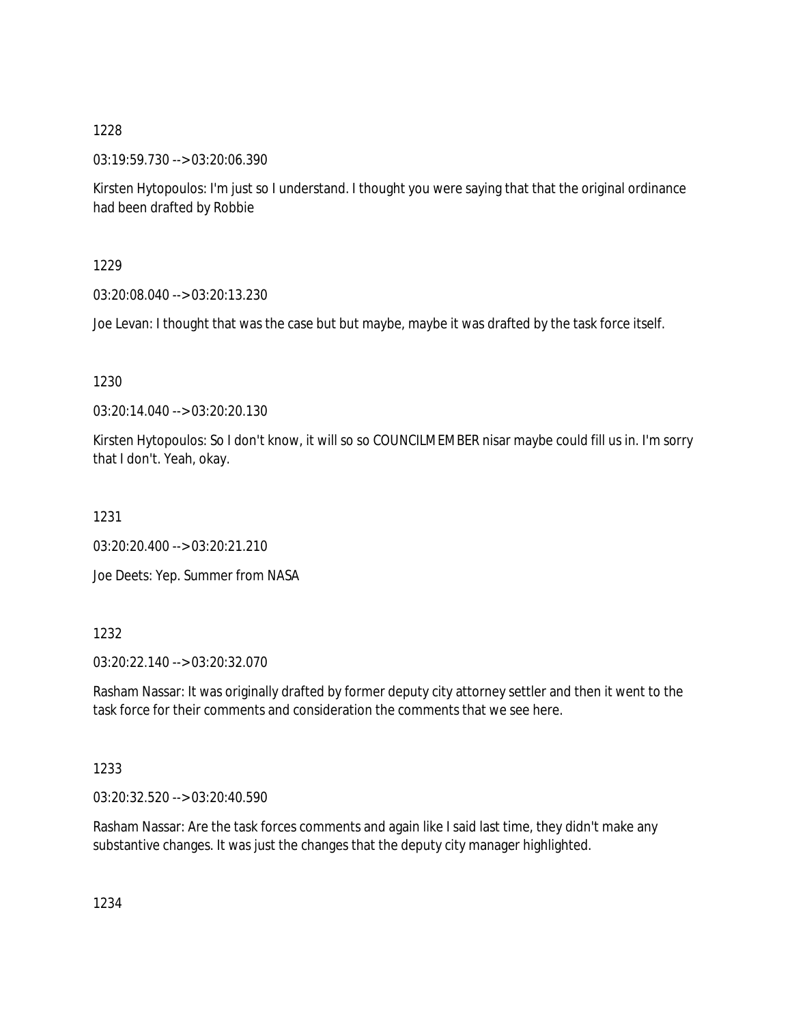03:19:59.730 --> 03:20:06.390

Kirsten Hytopoulos: I'm just so I understand. I thought you were saying that that the original ordinance had been drafted by Robbie

1229

03:20:08.040 --> 03:20:13.230

Joe Levan: I thought that was the case but but maybe, maybe it was drafted by the task force itself.

1230

03:20:14.040 --> 03:20:20.130

Kirsten Hytopoulos: So I don't know, it will so so COUNCILMEMBER nisar maybe could fill us in. I'm sorry that I don't. Yeah, okay.

1231

03:20:20.400 --> 03:20:21.210

Joe Deets: Yep. Summer from NASA

1232

03:20:22.140 --> 03:20:32.070

Rasham Nassar: It was originally drafted by former deputy city attorney settler and then it went to the task force for their comments and consideration the comments that we see here.

1233

03:20:32.520 --> 03:20:40.590

Rasham Nassar: Are the task forces comments and again like I said last time, they didn't make any substantive changes. It was just the changes that the deputy city manager highlighted.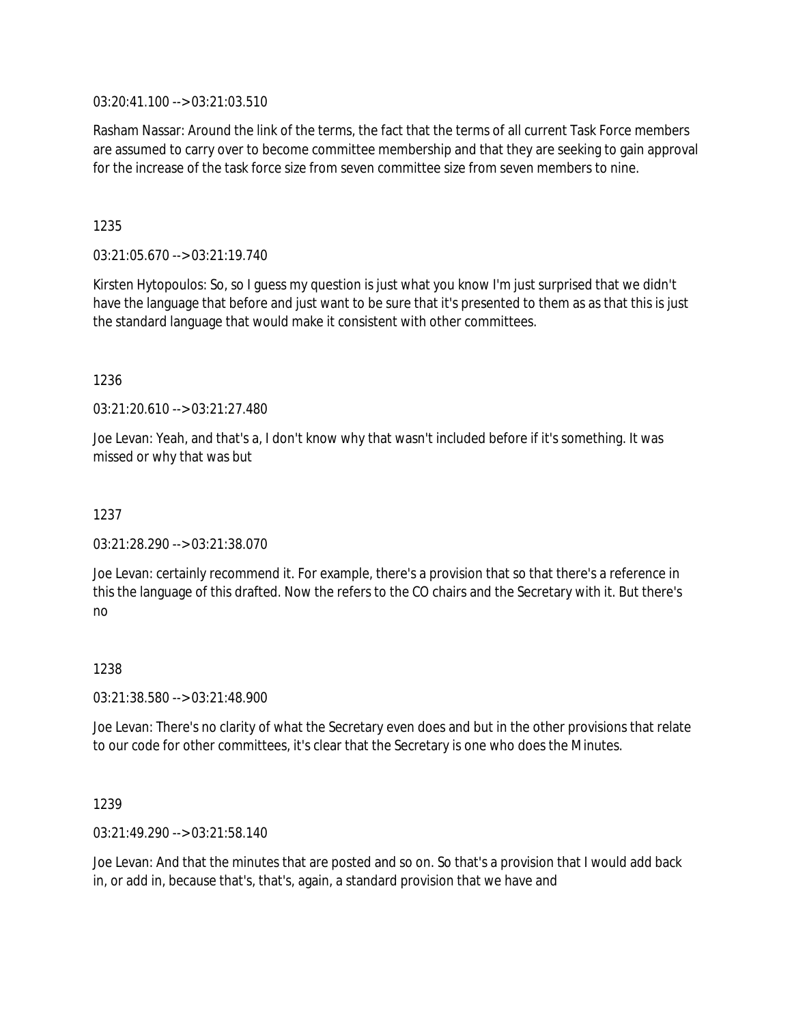03:20:41.100 --> 03:21:03.510

Rasham Nassar: Around the link of the terms, the fact that the terms of all current Task Force members are assumed to carry over to become committee membership and that they are seeking to gain approval for the increase of the task force size from seven committee size from seven members to nine.

1235

03:21:05.670 --> 03:21:19.740

Kirsten Hytopoulos: So, so I guess my question is just what you know I'm just surprised that we didn't have the language that before and just want to be sure that it's presented to them as as that this is just the standard language that would make it consistent with other committees.

1236

03:21:20.610 --> 03:21:27.480

Joe Levan: Yeah, and that's a, I don't know why that wasn't included before if it's something. It was missed or why that was but

1237

03:21:28.290 --> 03:21:38.070

Joe Levan: certainly recommend it. For example, there's a provision that so that there's a reference in this the language of this drafted. Now the refers to the CO chairs and the Secretary with it. But there's no

1238

03:21:38.580 --> 03:21:48.900

Joe Levan: There's no clarity of what the Secretary even does and but in the other provisions that relate to our code for other committees, it's clear that the Secretary is one who does the Minutes.

1239

03:21:49.290 --> 03:21:58.140

Joe Levan: And that the minutes that are posted and so on. So that's a provision that I would add back in, or add in, because that's, that's, again, a standard provision that we have and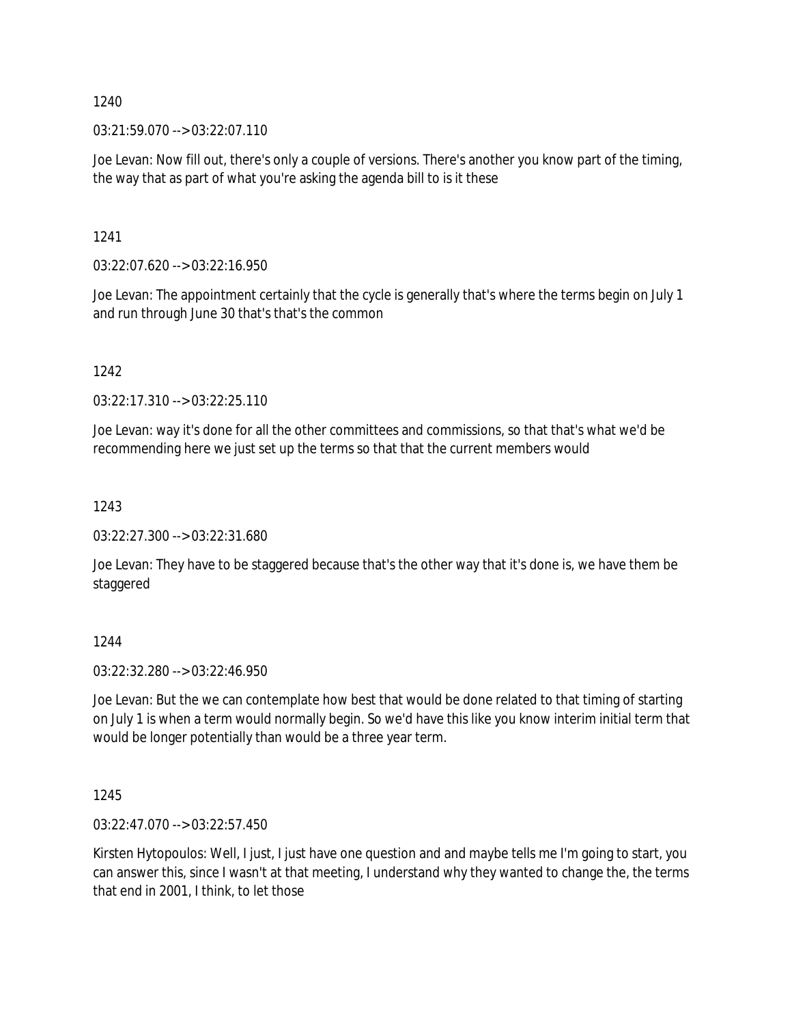$03:21:59.070 \rightarrow 03:22:07.110$ 

Joe Levan: Now fill out, there's only a couple of versions. There's another you know part of the timing, the way that as part of what you're asking the agenda bill to is it these

1241

 $03:22:07.620 \rightarrow 03:22:16.950$ 

Joe Levan: The appointment certainly that the cycle is generally that's where the terms begin on July 1 and run through June 30 that's that's the common

1242

03:22:17.310 --> 03:22:25.110

Joe Levan: way it's done for all the other committees and commissions, so that that's what we'd be recommending here we just set up the terms so that that the current members would

1243

03:22:27.300 --> 03:22:31.680

Joe Levan: They have to be staggered because that's the other way that it's done is, we have them be staggered

1244

03:22:32.280 --> 03:22:46.950

Joe Levan: But the we can contemplate how best that would be done related to that timing of starting on July 1 is when a term would normally begin. So we'd have this like you know interim initial term that would be longer potentially than would be a three year term.

1245

03:22:47.070 --> 03:22:57.450

Kirsten Hytopoulos: Well, I just, I just have one question and and maybe tells me I'm going to start, you can answer this, since I wasn't at that meeting, I understand why they wanted to change the, the terms that end in 2001, I think, to let those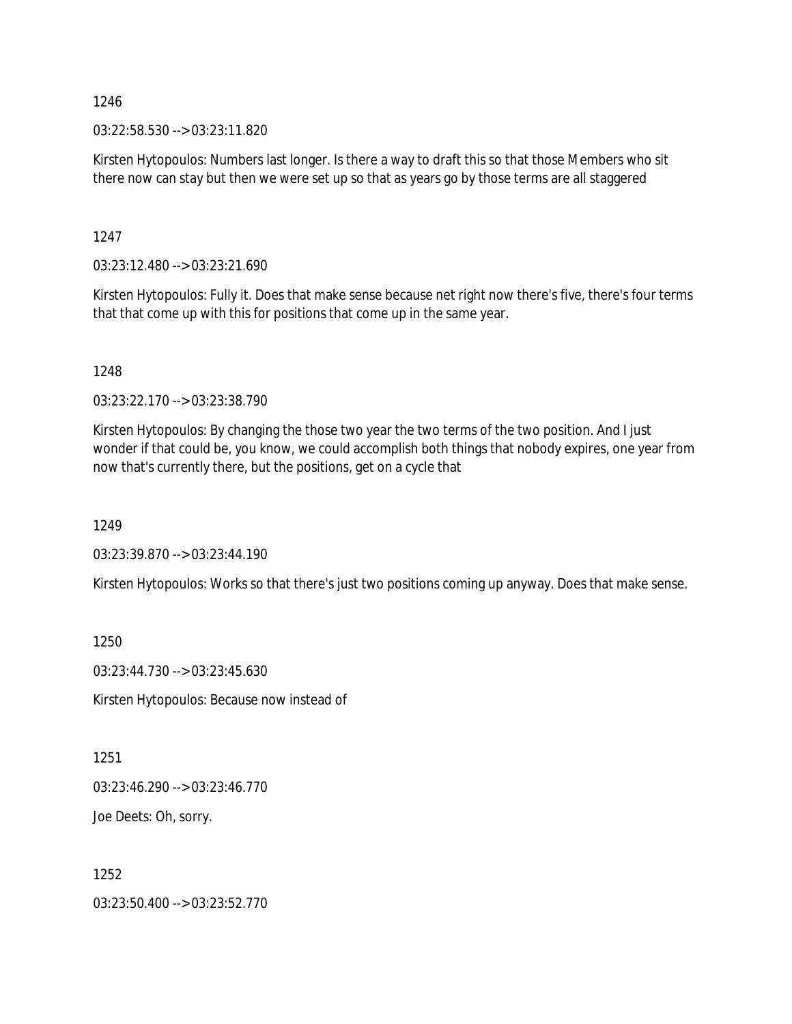03:22:58.530 --> 03:23:11.820

Kirsten Hytopoulos: Numbers last longer. Is there a way to draft this so that those Members who sit there now can stay but then we were set up so that as years go by those terms are all staggered

1247

03:23:12.480 --> 03:23:21.690

Kirsten Hytopoulos: Fully it. Does that make sense because net right now there's five, there's four terms that that come up with this for positions that come up in the same year.

1248

03:23:22.170 --> 03:23:38.790

Kirsten Hytopoulos: By changing the those two year the two terms of the two position. And I just wonder if that could be, you know, we could accomplish both things that nobody expires, one year from now that's currently there, but the positions, get on a cycle that

1249

03:23:39.870 --> 03:23:44.190

Kirsten Hytopoulos: Works so that there's just two positions coming up anyway. Does that make sense.

1250

03:23:44.730 --> 03:23:45.630

Kirsten Hytopoulos: Because now instead of

1251

03:23:46.290 --> 03:23:46.770

Joe Deets: Oh, sorry.

1252

03:23:50.400 --> 03:23:52.770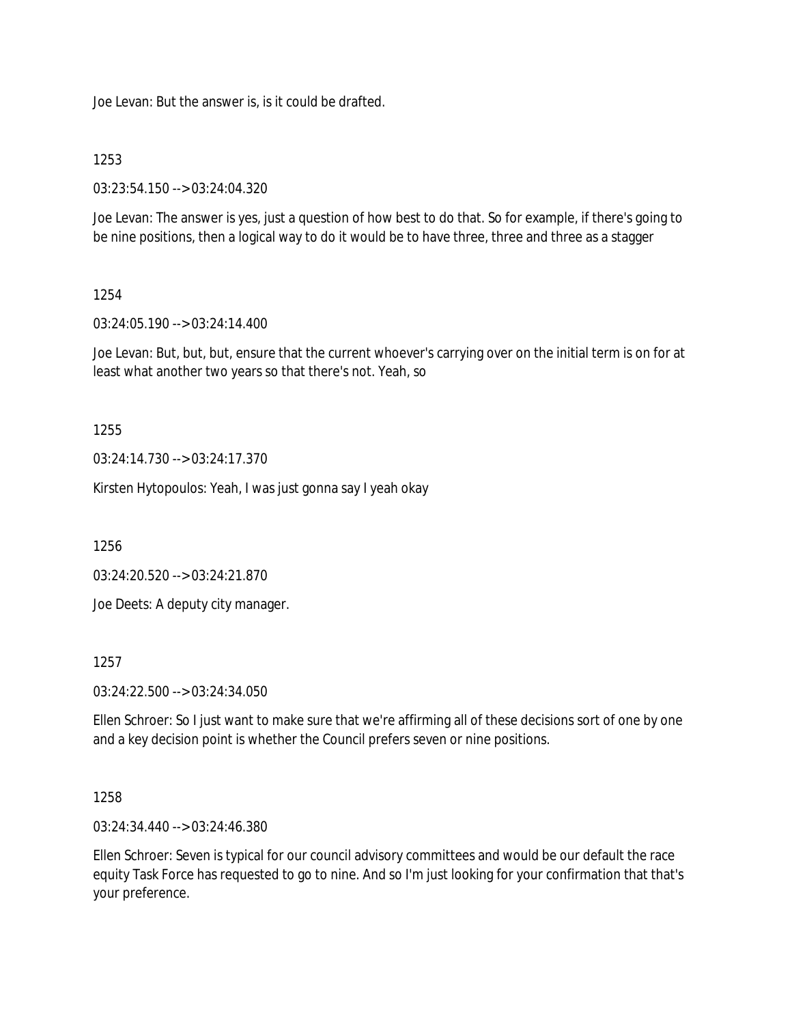Joe Levan: But the answer is, is it could be drafted.

## 1253

03:23:54.150 --> 03:24:04.320

Joe Levan: The answer is yes, just a question of how best to do that. So for example, if there's going to be nine positions, then a logical way to do it would be to have three, three and three as a stagger

## 1254

03:24:05.190 --> 03:24:14.400

Joe Levan: But, but, but, ensure that the current whoever's carrying over on the initial term is on for at least what another two years so that there's not. Yeah, so

## 1255

03:24:14.730 --> 03:24:17.370

Kirsten Hytopoulos: Yeah, I was just gonna say I yeah okay

1256

03:24:20.520 --> 03:24:21.870

Joe Deets: A deputy city manager.

#### 1257

03:24:22.500 --> 03:24:34.050

Ellen Schroer: So I just want to make sure that we're affirming all of these decisions sort of one by one and a key decision point is whether the Council prefers seven or nine positions.

## 1258

03:24:34.440 --> 03:24:46.380

Ellen Schroer: Seven is typical for our council advisory committees and would be our default the race equity Task Force has requested to go to nine. And so I'm just looking for your confirmation that that's your preference.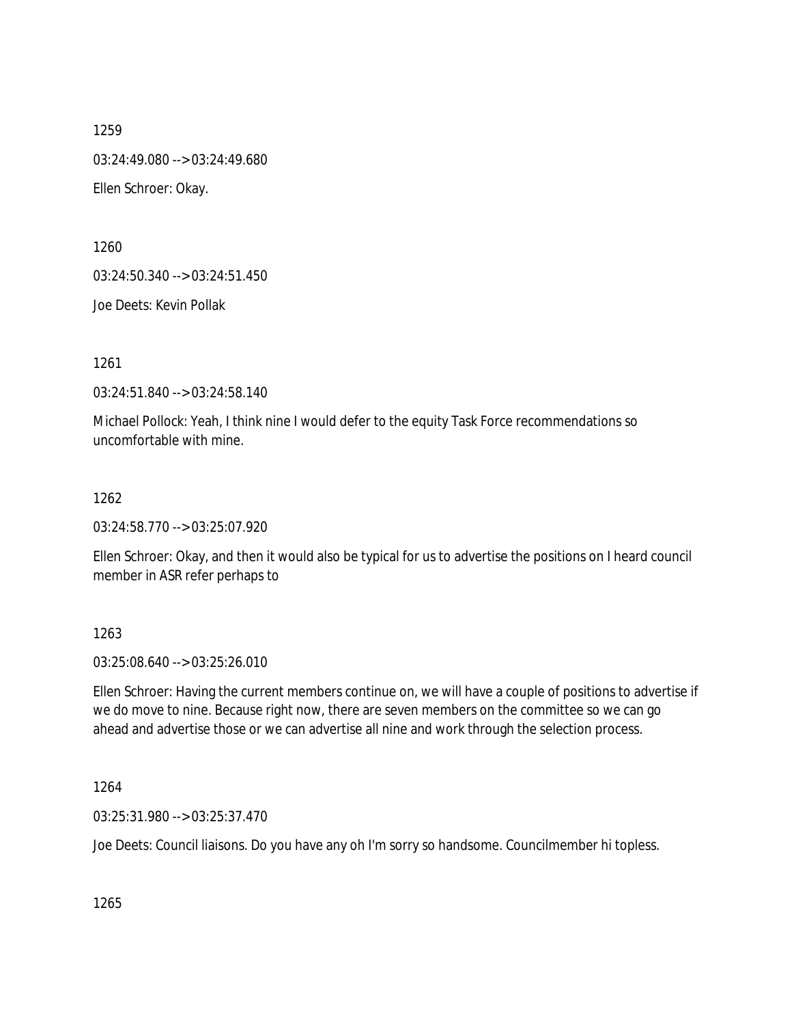1259 03:24:49.080 --> 03:24:49.680 Ellen Schroer: Okay.

1260

03:24:50.340 --> 03:24:51.450

Joe Deets: Kevin Pollak

1261

03:24:51.840 --> 03:24:58.140

Michael Pollock: Yeah, I think nine I would defer to the equity Task Force recommendations so uncomfortable with mine.

1262

03:24:58.770 --> 03:25:07.920

Ellen Schroer: Okay, and then it would also be typical for us to advertise the positions on I heard council member in ASR refer perhaps to

## 1263

03:25:08.640 --> 03:25:26.010

Ellen Schroer: Having the current members continue on, we will have a couple of positions to advertise if we do move to nine. Because right now, there are seven members on the committee so we can go ahead and advertise those or we can advertise all nine and work through the selection process.

1264

03:25:31.980 --> 03:25:37.470

Joe Deets: Council liaisons. Do you have any oh I'm sorry so handsome. Councilmember hi topless.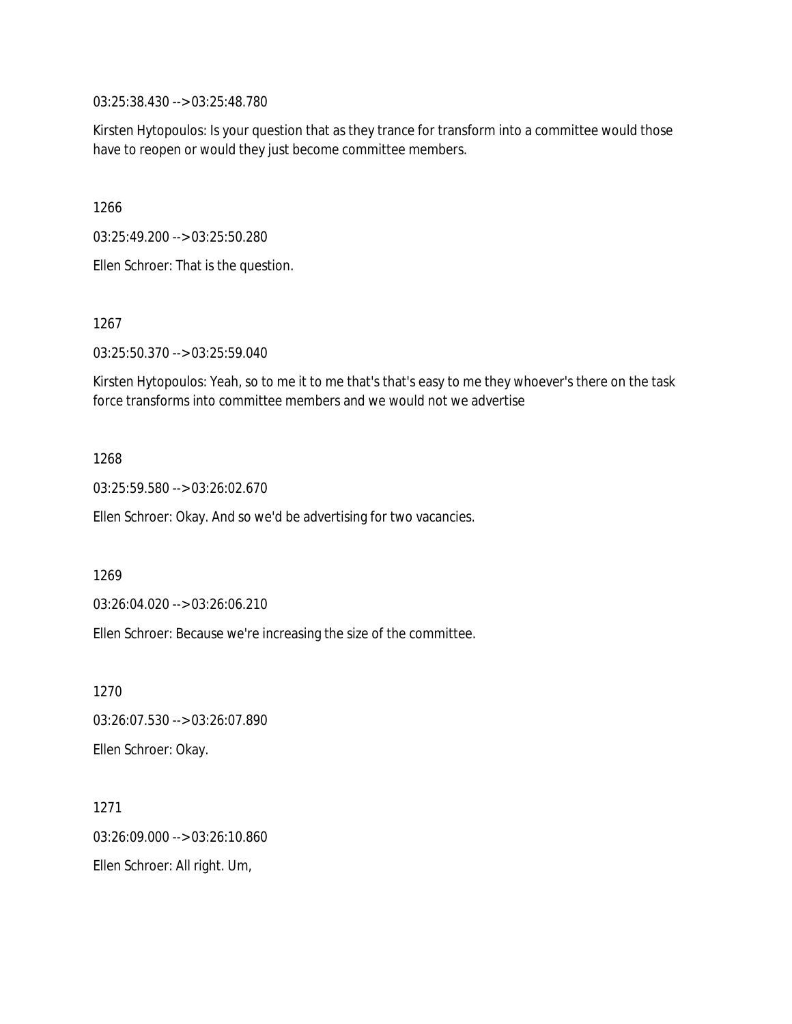03:25:38.430 --> 03:25:48.780

Kirsten Hytopoulos: Is your question that as they trance for transform into a committee would those have to reopen or would they just become committee members.

1266

03:25:49.200 --> 03:25:50.280

Ellen Schroer: That is the question.

1267

03:25:50.370 --> 03:25:59.040

Kirsten Hytopoulos: Yeah, so to me it to me that's that's easy to me they whoever's there on the task force transforms into committee members and we would not we advertise

1268

03:25:59.580 --> 03:26:02.670

Ellen Schroer: Okay. And so we'd be advertising for two vacancies.

1269

03:26:04.020 --> 03:26:06.210

Ellen Schroer: Because we're increasing the size of the committee.

1270 03:26:07.530 --> 03:26:07.890 Ellen Schroer: Okay.

1271 03:26:09.000 --> 03:26:10.860 Ellen Schroer: All right. Um,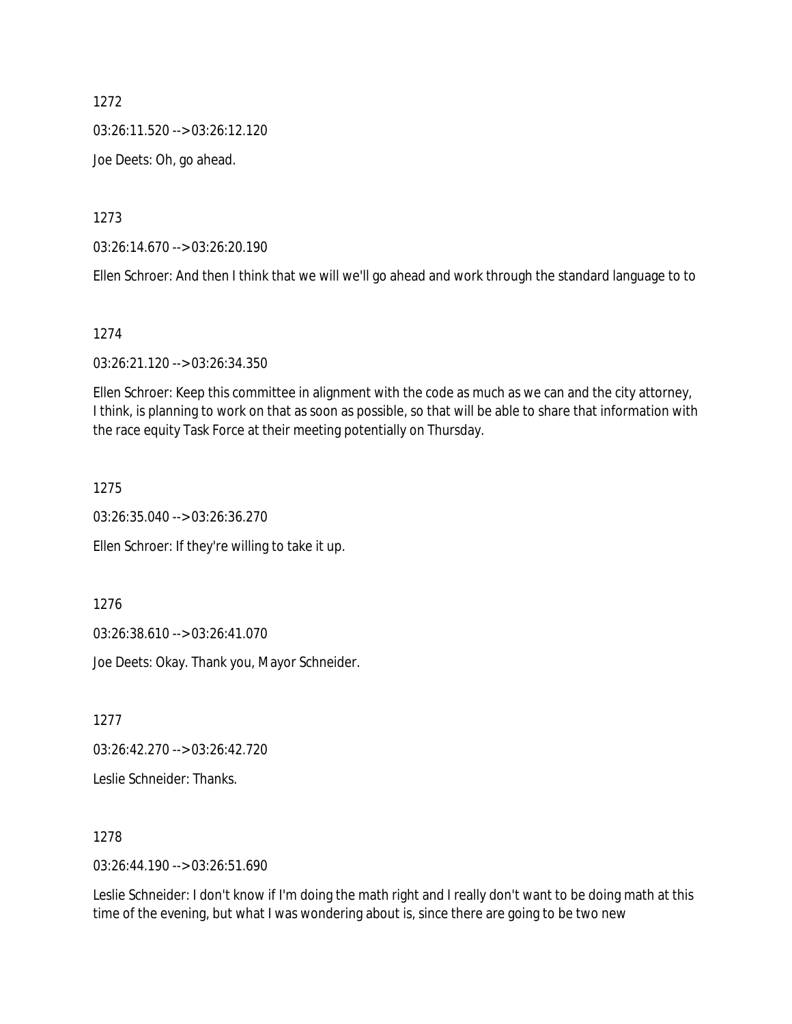03:26:11.520 --> 03:26:12.120

Joe Deets: Oh, go ahead.

1273

03:26:14.670 --> 03:26:20.190

Ellen Schroer: And then I think that we will we'll go ahead and work through the standard language to to

1274

03:26:21.120 --> 03:26:34.350

Ellen Schroer: Keep this committee in alignment with the code as much as we can and the city attorney, I think, is planning to work on that as soon as possible, so that will be able to share that information with the race equity Task Force at their meeting potentially on Thursday.

1275

03:26:35.040 --> 03:26:36.270

Ellen Schroer: If they're willing to take it up.

1276

03:26:38.610 --> 03:26:41.070

Joe Deets: Okay. Thank you, Mayor Schneider.

1277

03:26:42.270 --> 03:26:42.720

Leslie Schneider: Thanks.

1278

03:26:44.190 --> 03:26:51.690

Leslie Schneider: I don't know if I'm doing the math right and I really don't want to be doing math at this time of the evening, but what I was wondering about is, since there are going to be two new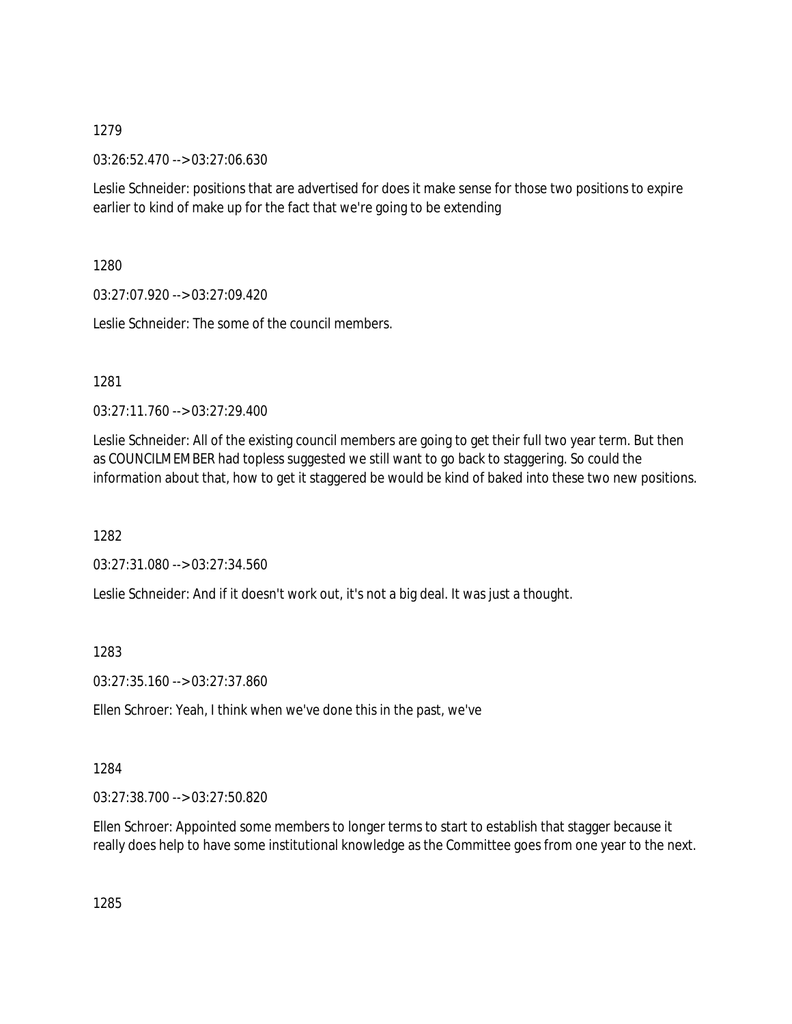03:26:52.470 --> 03:27:06.630

Leslie Schneider: positions that are advertised for does it make sense for those two positions to expire earlier to kind of make up for the fact that we're going to be extending

1280

03:27:07.920 --> 03:27:09.420

Leslie Schneider: The some of the council members.

1281

03:27:11.760 --> 03:27:29.400

Leslie Schneider: All of the existing council members are going to get their full two year term. But then as COUNCILMEMBER had topless suggested we still want to go back to staggering. So could the information about that, how to get it staggered be would be kind of baked into these two new positions.

1282

03:27:31.080 --> 03:27:34.560

Leslie Schneider: And if it doesn't work out, it's not a big deal. It was just a thought.

1283

03:27:35.160 --> 03:27:37.860

Ellen Schroer: Yeah, I think when we've done this in the past, we've

1284

03:27:38.700 --> 03:27:50.820

Ellen Schroer: Appointed some members to longer terms to start to establish that stagger because it really does help to have some institutional knowledge as the Committee goes from one year to the next.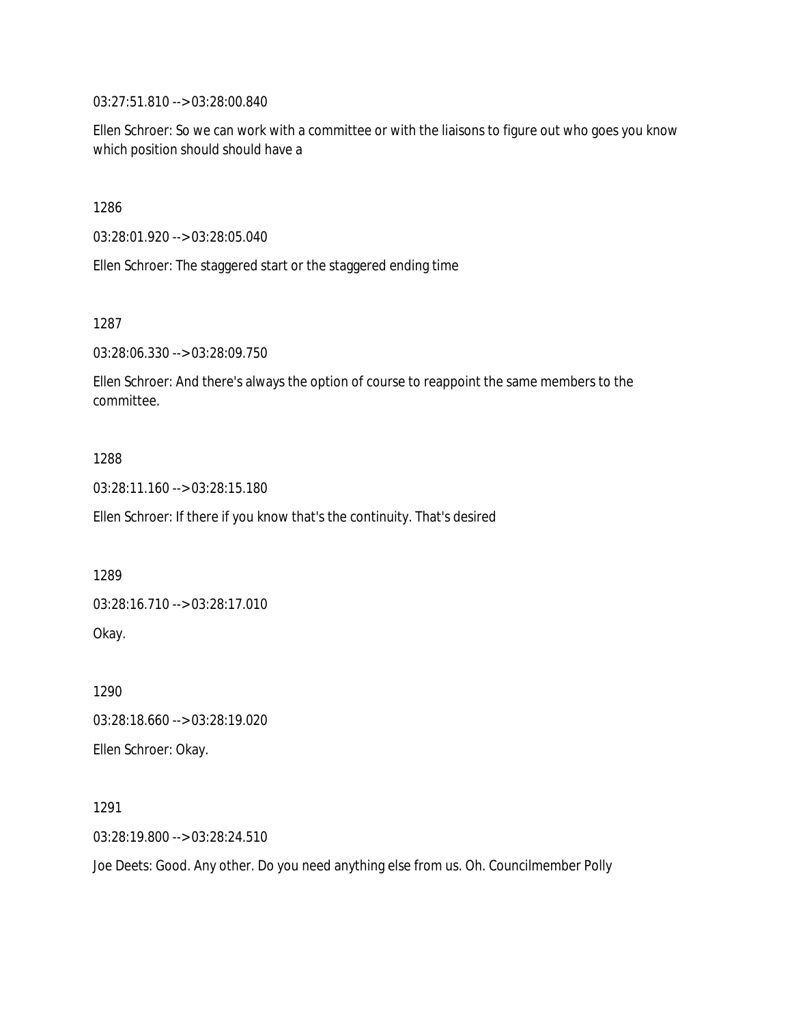03:27:51.810 --> 03:28:00.840

Ellen Schroer: So we can work with a committee or with the liaisons to figure out who goes you know which position should should have a

1286

03:28:01.920 --> 03:28:05.040

Ellen Schroer: The staggered start or the staggered ending time

1287

03:28:06.330 --> 03:28:09.750

Ellen Schroer: And there's always the option of course to reappoint the same members to the committee.

1288

03:28:11.160 --> 03:28:15.180

Ellen Schroer: If there if you know that's the continuity. That's desired

1289

03:28:16.710 --> 03:28:17.010

Okay.

1290 03:28:18.660 --> 03:28:19.020

Ellen Schroer: Okay.

1291

03:28:19.800 --> 03:28:24.510

Joe Deets: Good. Any other. Do you need anything else from us. Oh. Councilmember Polly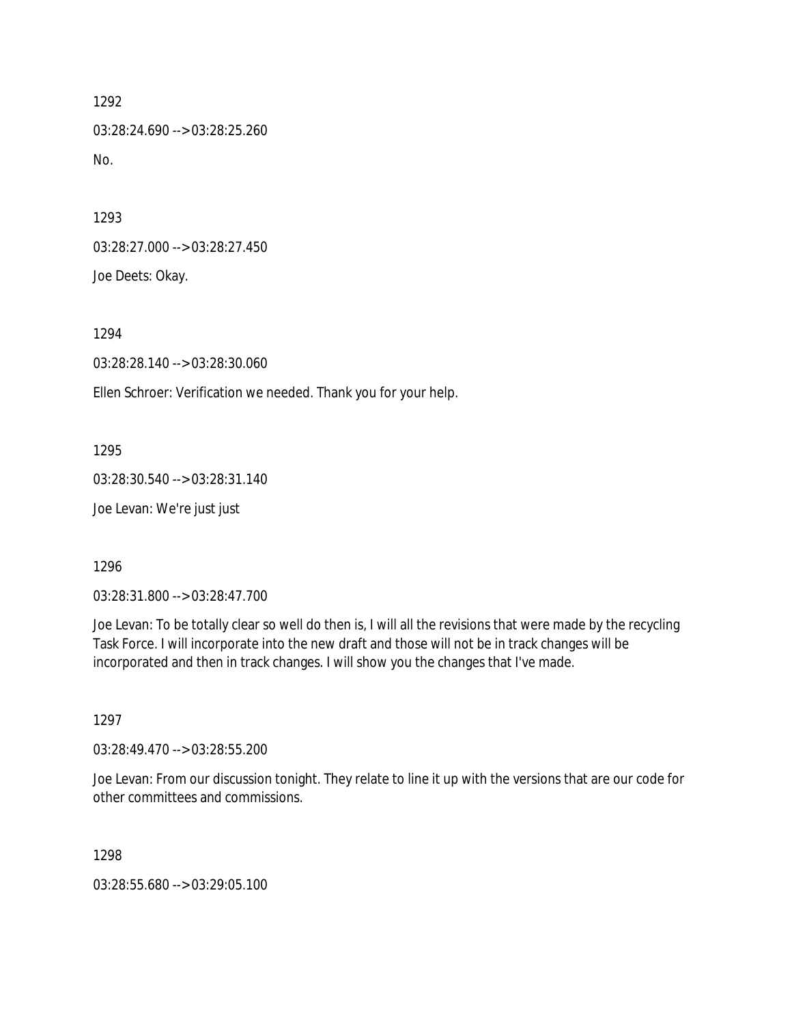1292 03:28:24.690 --> 03:28:25.260 No.

1293 03:28:27.000 --> 03:28:27.450 Joe Deets: Okay.

1294

03:28:28.140 --> 03:28:30.060

Ellen Schroer: Verification we needed. Thank you for your help.

1295 03:28:30.540 --> 03:28:31.140 Joe Levan: We're just just

1296

03:28:31.800 --> 03:28:47.700

Joe Levan: To be totally clear so well do then is, I will all the revisions that were made by the recycling Task Force. I will incorporate into the new draft and those will not be in track changes will be incorporated and then in track changes. I will show you the changes that I've made.

1297

03:28:49.470 --> 03:28:55.200

Joe Levan: From our discussion tonight. They relate to line it up with the versions that are our code for other committees and commissions.

1298

03:28:55.680 --> 03:29:05.100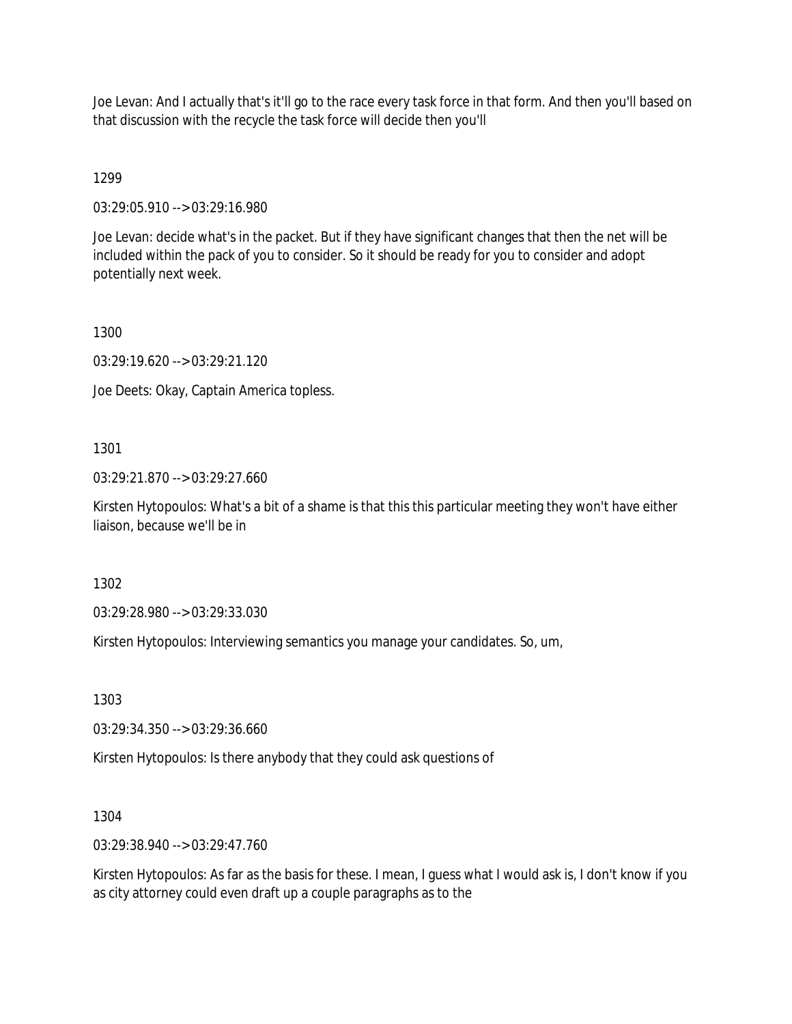Joe Levan: And I actually that's it'll go to the race every task force in that form. And then you'll based on that discussion with the recycle the task force will decide then you'll

1299

03:29:05.910 --> 03:29:16.980

Joe Levan: decide what's in the packet. But if they have significant changes that then the net will be included within the pack of you to consider. So it should be ready for you to consider and adopt potentially next week.

1300

03:29:19.620 --> 03:29:21.120

Joe Deets: Okay, Captain America topless.

1301

03:29:21.870 --> 03:29:27.660

Kirsten Hytopoulos: What's a bit of a shame is that this this particular meeting they won't have either liaison, because we'll be in

1302

03:29:28.980 --> 03:29:33.030

Kirsten Hytopoulos: Interviewing semantics you manage your candidates. So, um,

1303

03:29:34.350 --> 03:29:36.660

Kirsten Hytopoulos: Is there anybody that they could ask questions of

1304

03:29:38.940 --> 03:29:47.760

Kirsten Hytopoulos: As far as the basis for these. I mean, I guess what I would ask is, I don't know if you as city attorney could even draft up a couple paragraphs as to the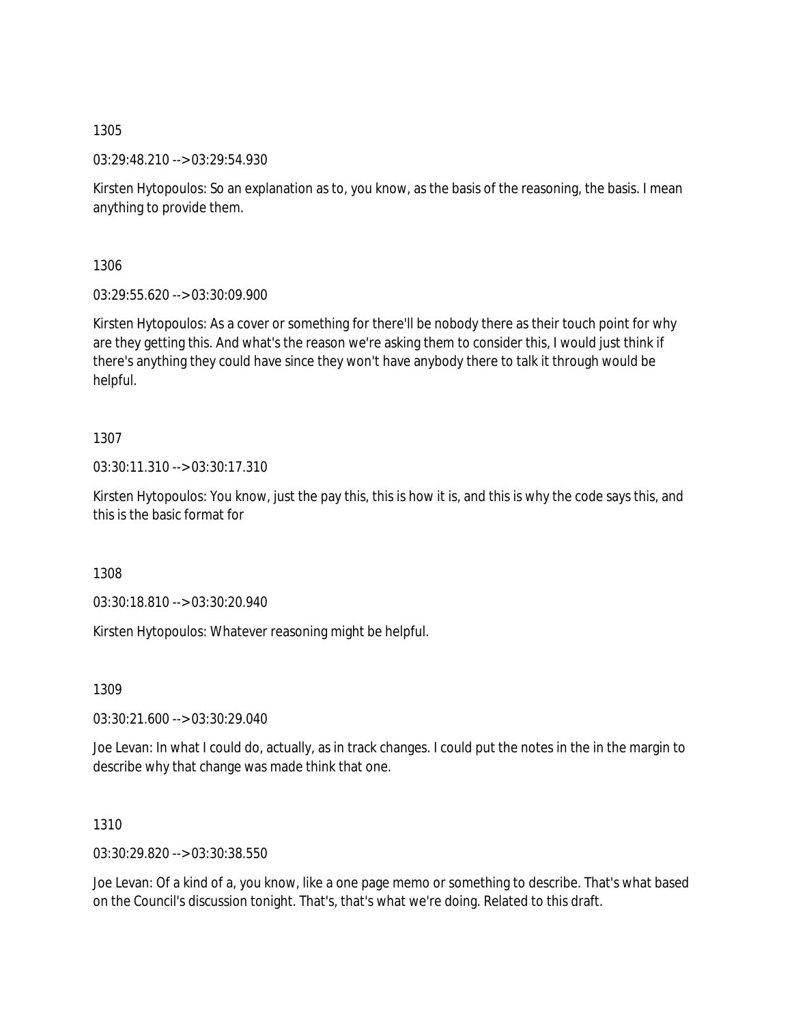03:29:48.210 --> 03:29:54.930

Kirsten Hytopoulos: So an explanation as to, you know, as the basis of the reasoning, the basis. I mean anything to provide them.

1306

03:29:55.620 --> 03:30:09.900

Kirsten Hytopoulos: As a cover or something for there'll be nobody there as their touch point for why are they getting this. And what's the reason we're asking them to consider this, I would just think if there's anything they could have since they won't have anybody there to talk it through would be helpful.

1307

03:30:11.310 --> 03:30:17.310

Kirsten Hytopoulos: You know, just the pay this, this is how it is, and this is why the code says this, and this is the basic format for

1308

03:30:18.810 --> 03:30:20.940

Kirsten Hytopoulos: Whatever reasoning might be helpful.

1309

03:30:21.600 --> 03:30:29.040

Joe Levan: In what I could do, actually, as in track changes. I could put the notes in the in the margin to describe why that change was made think that one.

1310

03:30:29.820 --> 03:30:38.550

Joe Levan: Of a kind of a, you know, like a one page memo or something to describe. That's what based on the Council's discussion tonight. That's, that's what we're doing. Related to this draft.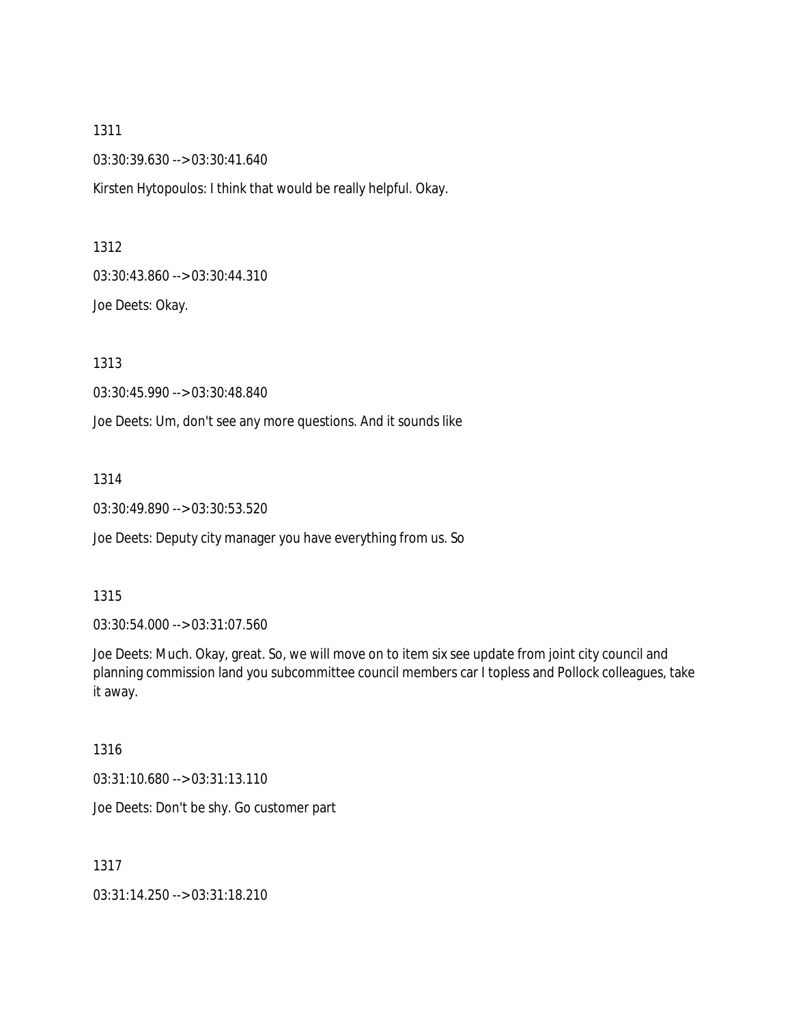03:30:39.630 --> 03:30:41.640

Kirsten Hytopoulos: I think that would be really helpful. Okay.

1312

03:30:43.860 --> 03:30:44.310

Joe Deets: Okay.

1313

03:30:45.990 --> 03:30:48.840

Joe Deets: Um, don't see any more questions. And it sounds like

1314

03:30:49.890 --> 03:30:53.520

Joe Deets: Deputy city manager you have everything from us. So

#### 1315

03:30:54.000 --> 03:31:07.560

Joe Deets: Much. Okay, great. So, we will move on to item six see update from joint city council and planning commission land you subcommittee council members car I topless and Pollock colleagues, take it away.

## 1316

03:31:10.680 --> 03:31:13.110

Joe Deets: Don't be shy. Go customer part

1317

03:31:14.250 --> 03:31:18.210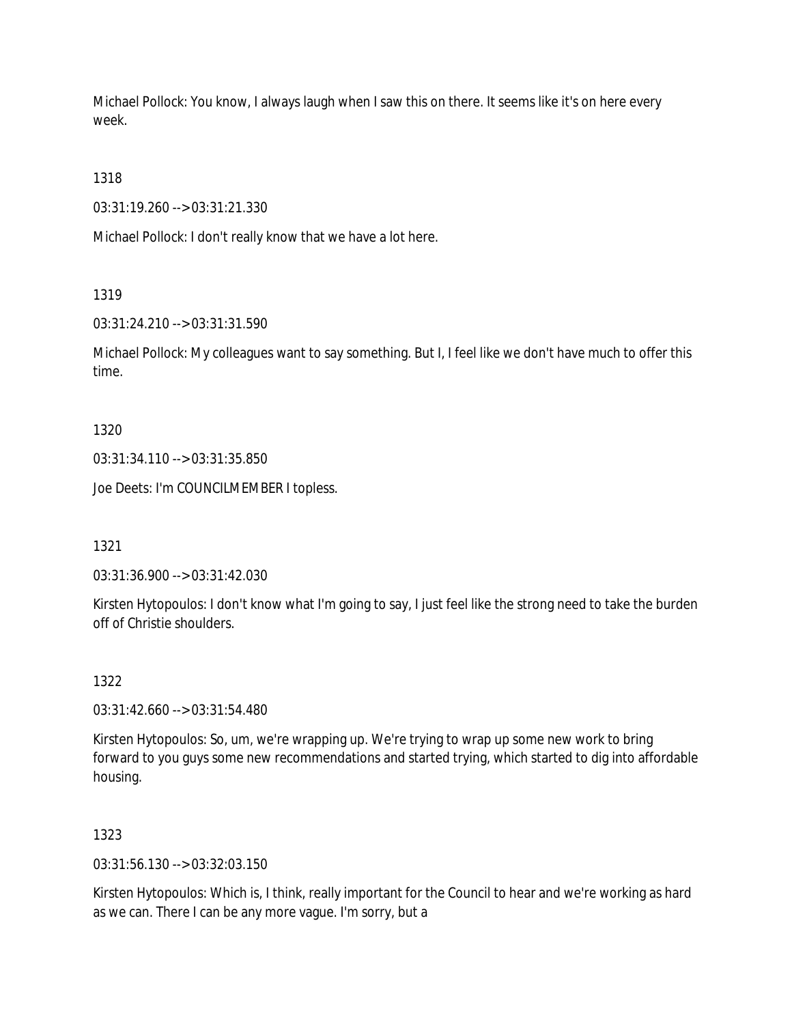Michael Pollock: You know, I always laugh when I saw this on there. It seems like it's on here every week.

1318

03:31:19.260 --> 03:31:21.330

Michael Pollock: I don't really know that we have a lot here.

1319

03:31:24.210 --> 03:31:31.590

Michael Pollock: My colleagues want to say something. But I, I feel like we don't have much to offer this time.

1320

03:31:34.110 --> 03:31:35.850

Joe Deets: I'm COUNCILMEMBER I topless.

1321

03:31:36.900 --> 03:31:42.030

Kirsten Hytopoulos: I don't know what I'm going to say, I just feel like the strong need to take the burden off of Christie shoulders.

1322

03:31:42.660 --> 03:31:54.480

Kirsten Hytopoulos: So, um, we're wrapping up. We're trying to wrap up some new work to bring forward to you guys some new recommendations and started trying, which started to dig into affordable housing.

1323

03:31:56.130 --> 03:32:03.150

Kirsten Hytopoulos: Which is, I think, really important for the Council to hear and we're working as hard as we can. There I can be any more vague. I'm sorry, but a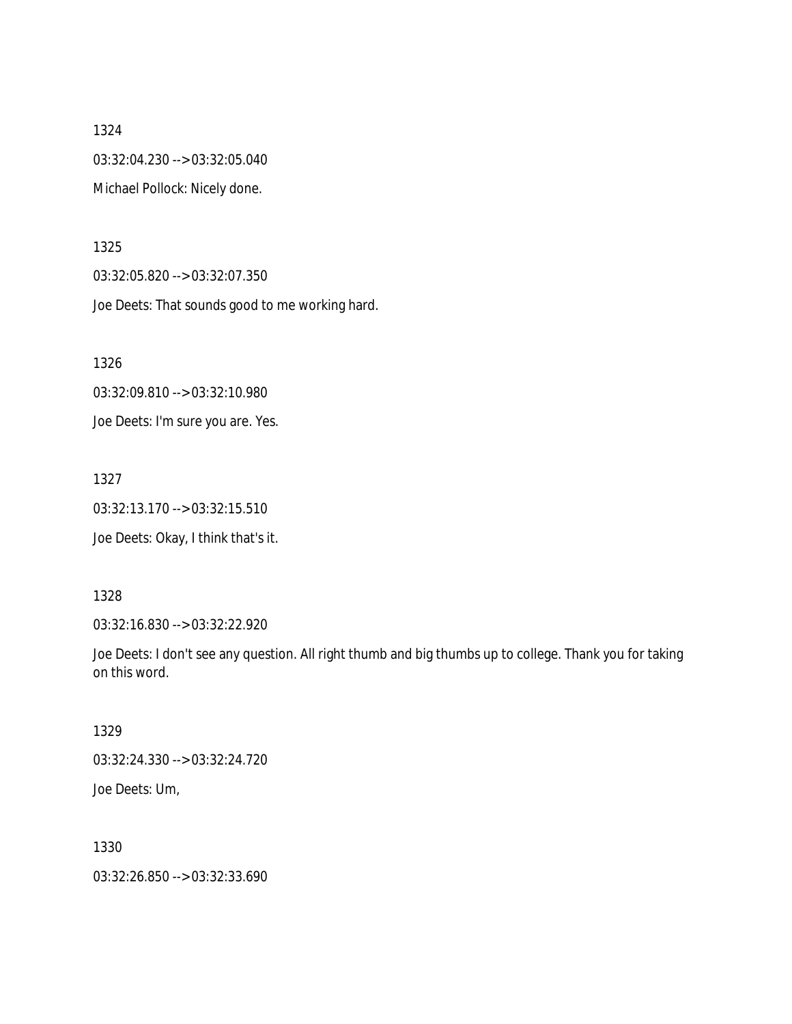1324 03:32:04.230 --> 03:32:05.040 Michael Pollock: Nicely done.

1325

03:32:05.820 --> 03:32:07.350

Joe Deets: That sounds good to me working hard.

1326

03:32:09.810 --> 03:32:10.980 Joe Deets: I'm sure you are. Yes.

1327

03:32:13.170 --> 03:32:15.510

Joe Deets: Okay, I think that's it.

1328

03:32:16.830 --> 03:32:22.920

Joe Deets: I don't see any question. All right thumb and big thumbs up to college. Thank you for taking on this word.

1329

03:32:24.330 --> 03:32:24.720 Joe Deets: Um,

1330

03:32:26.850 --> 03:32:33.690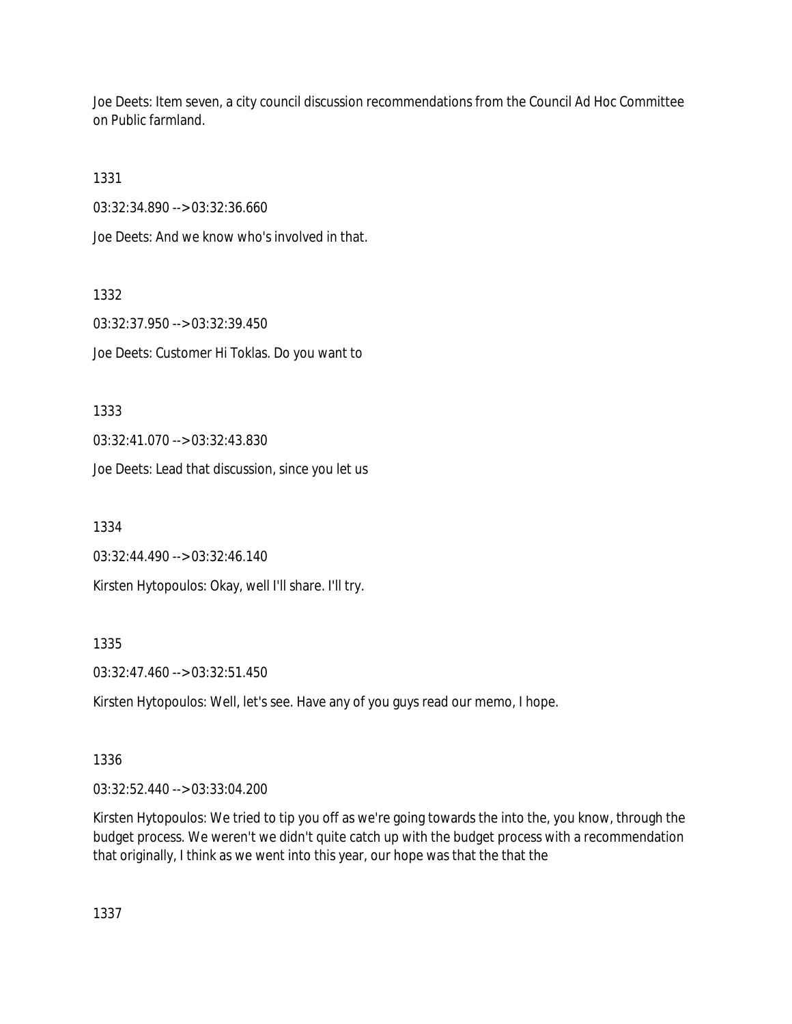Joe Deets: Item seven, a city council discussion recommendations from the Council Ad Hoc Committee on Public farmland.

1331

03:32:34.890 --> 03:32:36.660

Joe Deets: And we know who's involved in that.

1332 03:32:37.950 --> 03:32:39.450 Joe Deets: Customer Hi Toklas. Do you want to

1333

03:32:41.070 --> 03:32:43.830

Joe Deets: Lead that discussion, since you let us

1334

03:32:44.490 --> 03:32:46.140

Kirsten Hytopoulos: Okay, well I'll share. I'll try.

1335

03:32:47.460 --> 03:32:51.450

Kirsten Hytopoulos: Well, let's see. Have any of you guys read our memo, I hope.

#### 1336

03:32:52.440 --> 03:33:04.200

Kirsten Hytopoulos: We tried to tip you off as we're going towards the into the, you know, through the budget process. We weren't we didn't quite catch up with the budget process with a recommendation that originally, I think as we went into this year, our hope was that the that the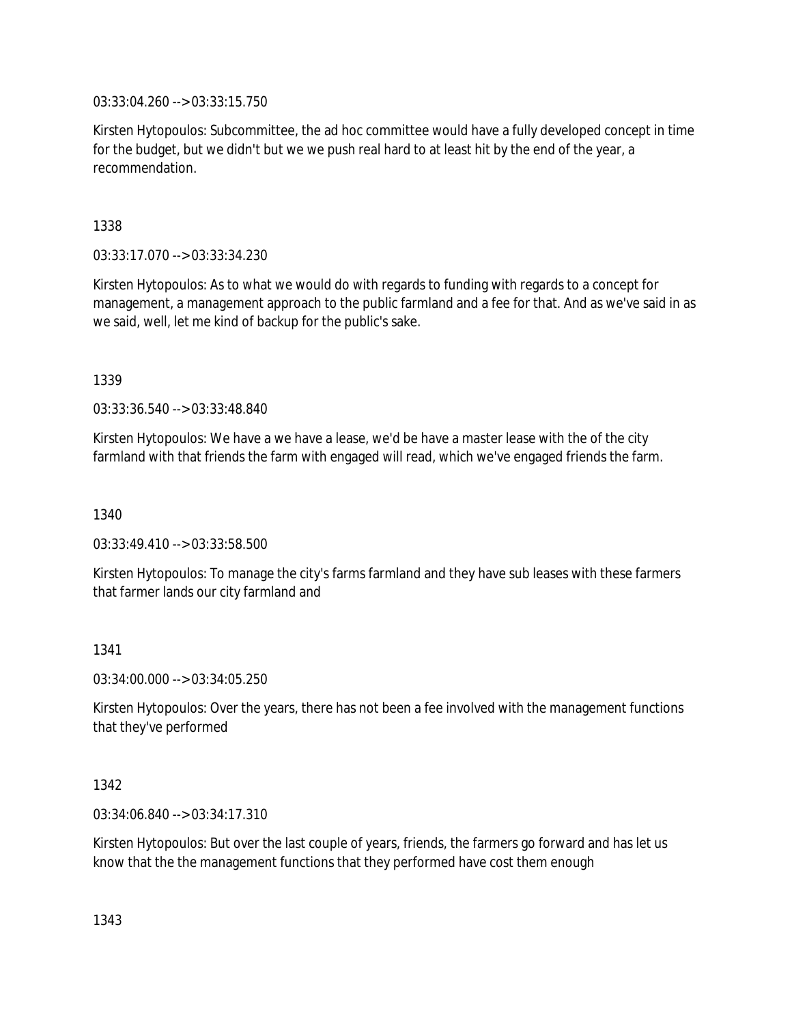03:33:04.260 --> 03:33:15.750

Kirsten Hytopoulos: Subcommittee, the ad hoc committee would have a fully developed concept in time for the budget, but we didn't but we we push real hard to at least hit by the end of the year, a recommendation.

1338

03:33:17.070 --> 03:33:34.230

Kirsten Hytopoulos: As to what we would do with regards to funding with regards to a concept for management, a management approach to the public farmland and a fee for that. And as we've said in as we said, well, let me kind of backup for the public's sake.

1339

03:33:36.540 --> 03:33:48.840

Kirsten Hytopoulos: We have a we have a lease, we'd be have a master lease with the of the city farmland with that friends the farm with engaged will read, which we've engaged friends the farm.

1340

03:33:49.410 --> 03:33:58.500

Kirsten Hytopoulos: To manage the city's farms farmland and they have sub leases with these farmers that farmer lands our city farmland and

1341

03:34:00.000 --> 03:34:05.250

Kirsten Hytopoulos: Over the years, there has not been a fee involved with the management functions that they've performed

1342

03:34:06.840 --> 03:34:17.310

Kirsten Hytopoulos: But over the last couple of years, friends, the farmers go forward and has let us know that the the management functions that they performed have cost them enough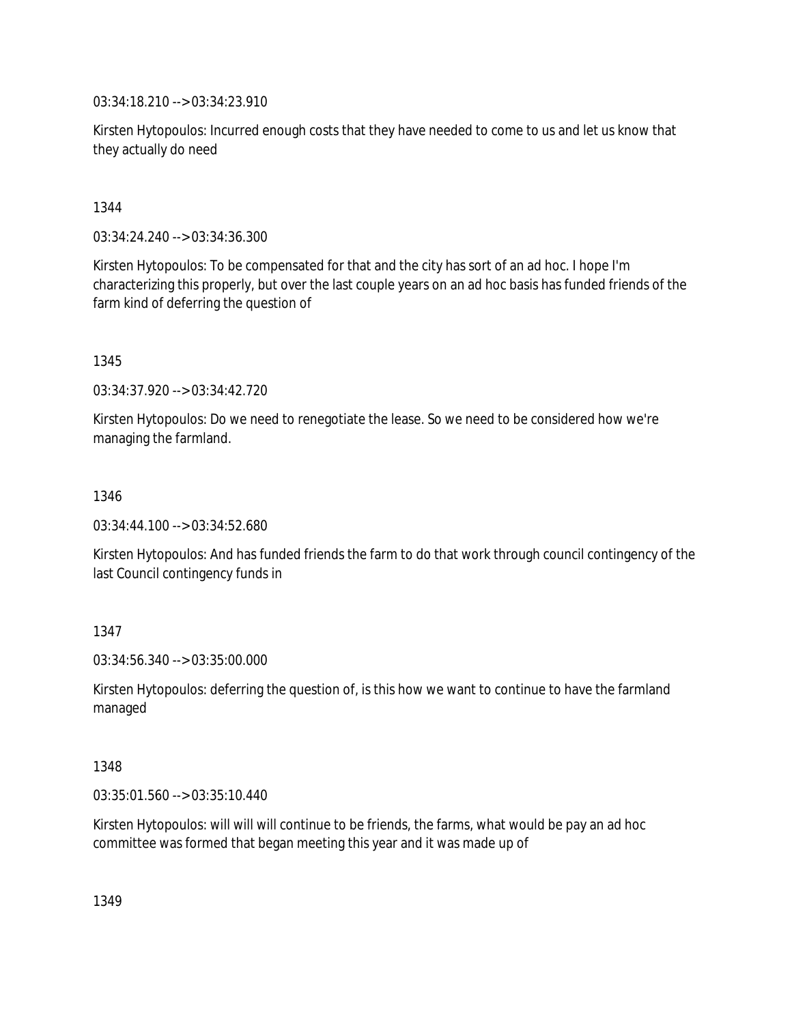03:34:18.210 --> 03:34:23.910

Kirsten Hytopoulos: Incurred enough costs that they have needed to come to us and let us know that they actually do need

1344

03:34:24.240 --> 03:34:36.300

Kirsten Hytopoulos: To be compensated for that and the city has sort of an ad hoc. I hope I'm characterizing this properly, but over the last couple years on an ad hoc basis has funded friends of the farm kind of deferring the question of

1345

03:34:37.920 --> 03:34:42.720

Kirsten Hytopoulos: Do we need to renegotiate the lease. So we need to be considered how we're managing the farmland.

1346

03:34:44.100 --> 03:34:52.680

Kirsten Hytopoulos: And has funded friends the farm to do that work through council contingency of the last Council contingency funds in

1347

03:34:56.340 --> 03:35:00.000

Kirsten Hytopoulos: deferring the question of, is this how we want to continue to have the farmland managed

1348

03:35:01.560 --> 03:35:10.440

Kirsten Hytopoulos: will will will continue to be friends, the farms, what would be pay an ad hoc committee was formed that began meeting this year and it was made up of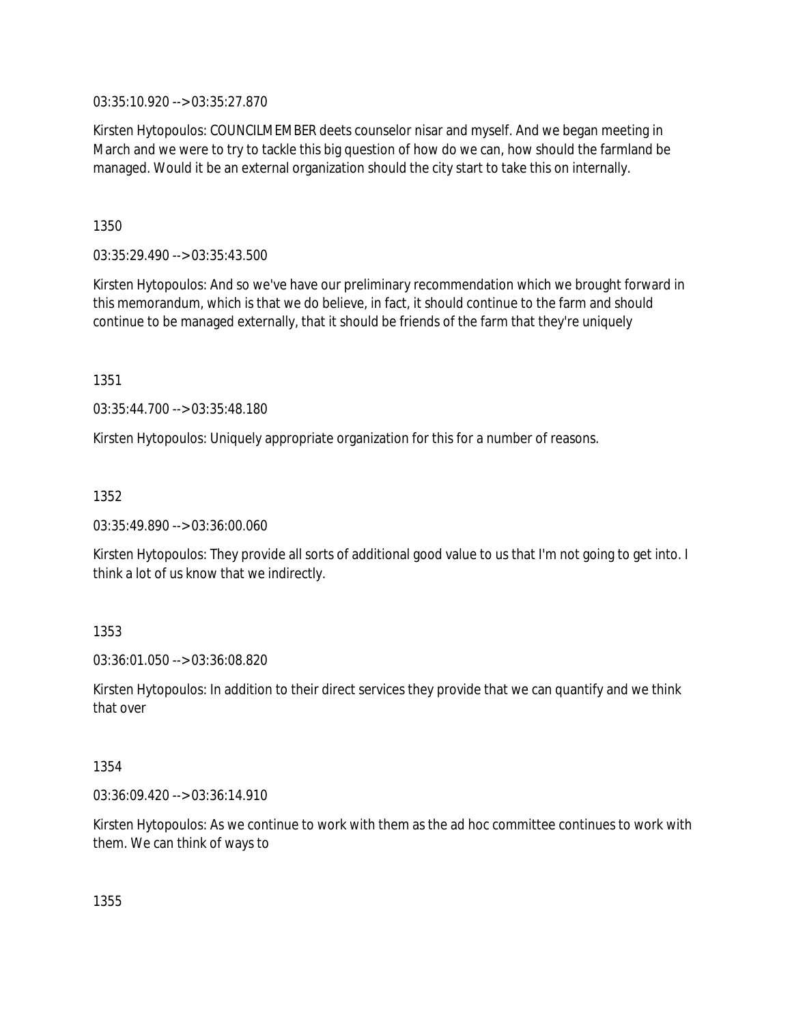03:35:10.920 --> 03:35:27.870

Kirsten Hytopoulos: COUNCILMEMBER deets counselor nisar and myself. And we began meeting in March and we were to try to tackle this big question of how do we can, how should the farmland be managed. Would it be an external organization should the city start to take this on internally.

1350

03:35:29.490 --> 03:35:43.500

Kirsten Hytopoulos: And so we've have our preliminary recommendation which we brought forward in this memorandum, which is that we do believe, in fact, it should continue to the farm and should continue to be managed externally, that it should be friends of the farm that they're uniquely

1351

03:35:44.700 --> 03:35:48.180

Kirsten Hytopoulos: Uniquely appropriate organization for this for a number of reasons.

1352

03:35:49.890 --> 03:36:00.060

Kirsten Hytopoulos: They provide all sorts of additional good value to us that I'm not going to get into. I think a lot of us know that we indirectly.

1353

03:36:01.050 --> 03:36:08.820

Kirsten Hytopoulos: In addition to their direct services they provide that we can quantify and we think that over

1354

03:36:09.420 --> 03:36:14.910

Kirsten Hytopoulos: As we continue to work with them as the ad hoc committee continues to work with them. We can think of ways to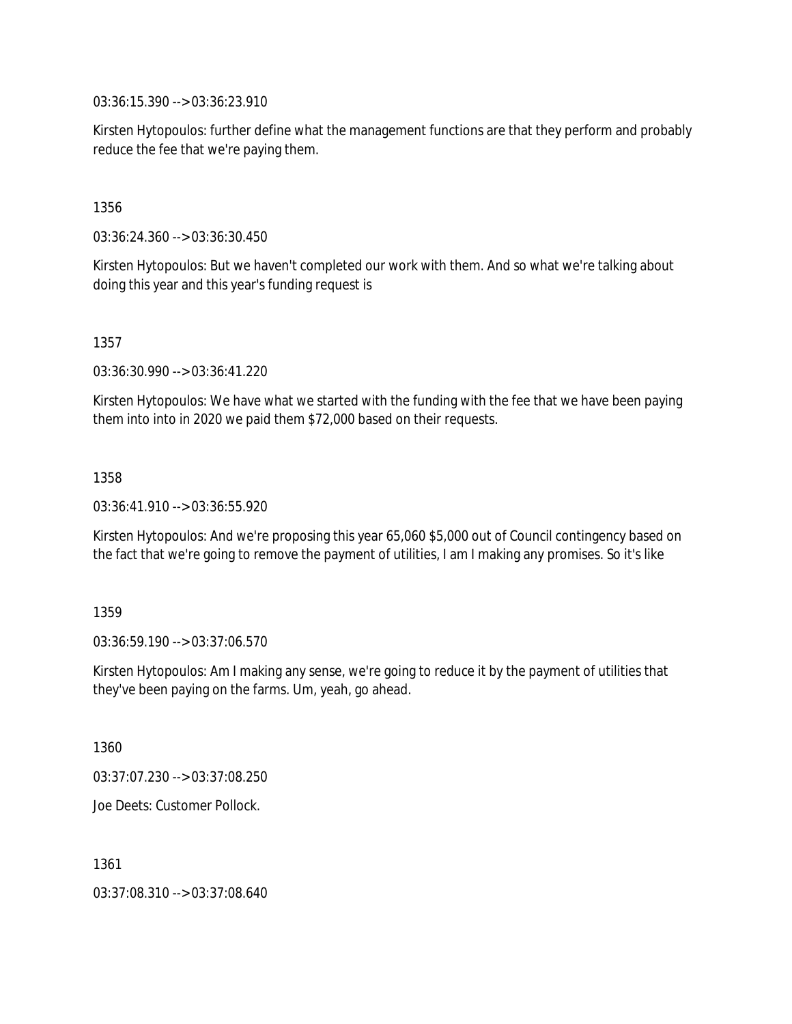03:36:15.390 --> 03:36:23.910

Kirsten Hytopoulos: further define what the management functions are that they perform and probably reduce the fee that we're paying them.

1356

03:36:24.360 --> 03:36:30.450

Kirsten Hytopoulos: But we haven't completed our work with them. And so what we're talking about doing this year and this year's funding request is

1357

03:36:30.990 --> 03:36:41.220

Kirsten Hytopoulos: We have what we started with the funding with the fee that we have been paying them into into in 2020 we paid them \$72,000 based on their requests.

1358

03:36:41.910 --> 03:36:55.920

Kirsten Hytopoulos: And we're proposing this year 65,060 \$5,000 out of Council contingency based on the fact that we're going to remove the payment of utilities, I am I making any promises. So it's like

1359

03:36:59.190 --> 03:37:06.570

Kirsten Hytopoulos: Am I making any sense, we're going to reduce it by the payment of utilities that they've been paying on the farms. Um, yeah, go ahead.

1360

03:37:07.230 --> 03:37:08.250

Joe Deets: Customer Pollock.

1361

03:37:08.310 --> 03:37:08.640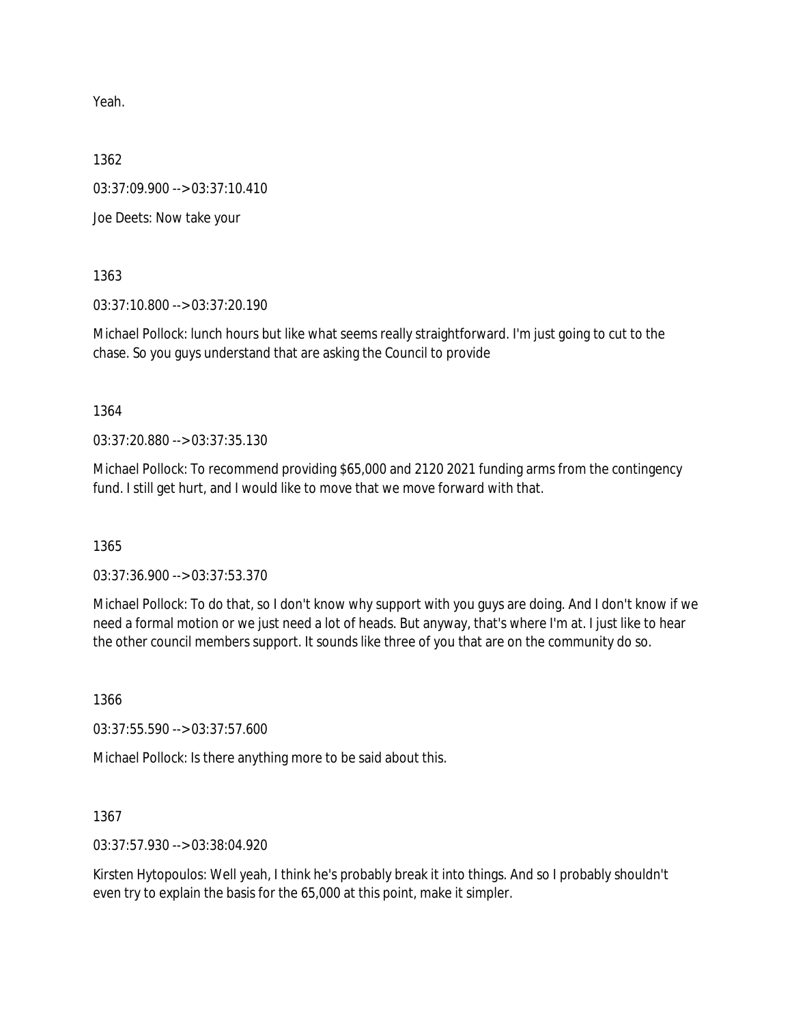Yeah.

1362

03:37:09.900 --> 03:37:10.410

Joe Deets: Now take your

1363

03:37:10.800 --> 03:37:20.190

Michael Pollock: lunch hours but like what seems really straightforward. I'm just going to cut to the chase. So you guys understand that are asking the Council to provide

1364

03:37:20.880 --> 03:37:35.130

Michael Pollock: To recommend providing \$65,000 and 2120 2021 funding arms from the contingency fund. I still get hurt, and I would like to move that we move forward with that.

1365

03:37:36.900 --> 03:37:53.370

Michael Pollock: To do that, so I don't know why support with you guys are doing. And I don't know if we need a formal motion or we just need a lot of heads. But anyway, that's where I'm at. I just like to hear the other council members support. It sounds like three of you that are on the community do so.

1366

03:37:55.590 --> 03:37:57.600

Michael Pollock: Is there anything more to be said about this.

1367

03:37:57.930 --> 03:38:04.920

Kirsten Hytopoulos: Well yeah, I think he's probably break it into things. And so I probably shouldn't even try to explain the basis for the 65,000 at this point, make it simpler.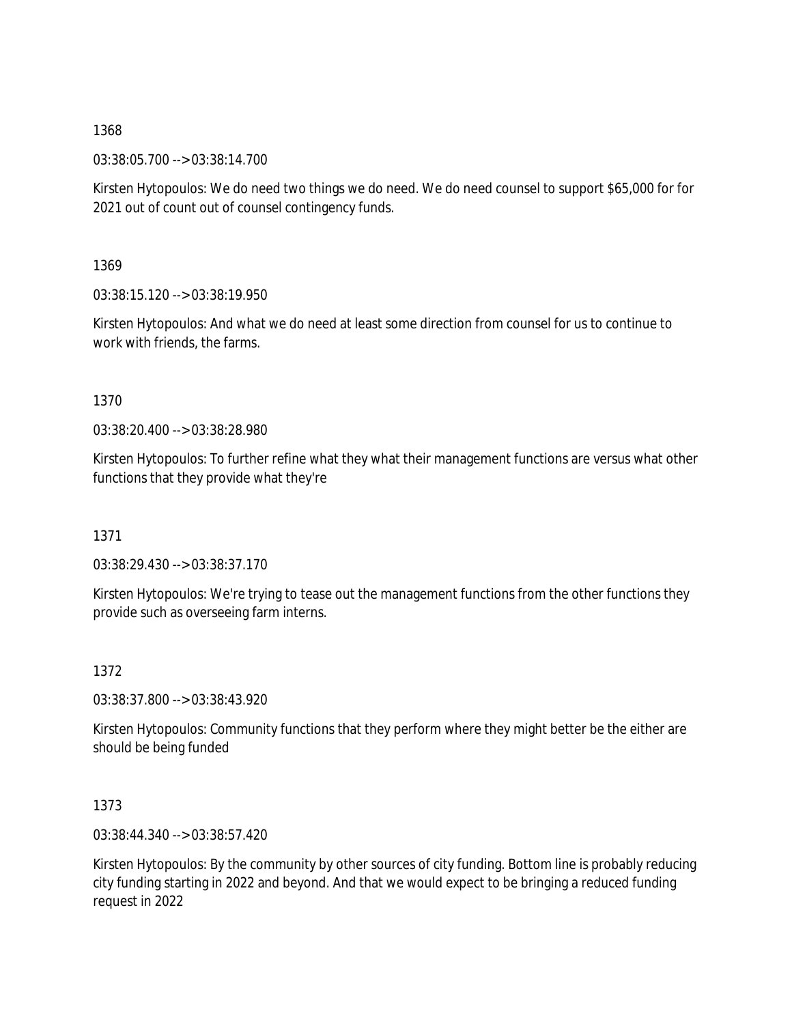03:38:05.700 --> 03:38:14.700

Kirsten Hytopoulos: We do need two things we do need. We do need counsel to support \$65,000 for for 2021 out of count out of counsel contingency funds.

1369

03:38:15.120 --> 03:38:19.950

Kirsten Hytopoulos: And what we do need at least some direction from counsel for us to continue to work with friends, the farms.

1370

03:38:20.400 --> 03:38:28.980

Kirsten Hytopoulos: To further refine what they what their management functions are versus what other functions that they provide what they're

1371

03:38:29.430 --> 03:38:37.170

Kirsten Hytopoulos: We're trying to tease out the management functions from the other functions they provide such as overseeing farm interns.

1372

03:38:37.800 --> 03:38:43.920

Kirsten Hytopoulos: Community functions that they perform where they might better be the either are should be being funded

1373

03:38:44.340 --> 03:38:57.420

Kirsten Hytopoulos: By the community by other sources of city funding. Bottom line is probably reducing city funding starting in 2022 and beyond. And that we would expect to be bringing a reduced funding request in 2022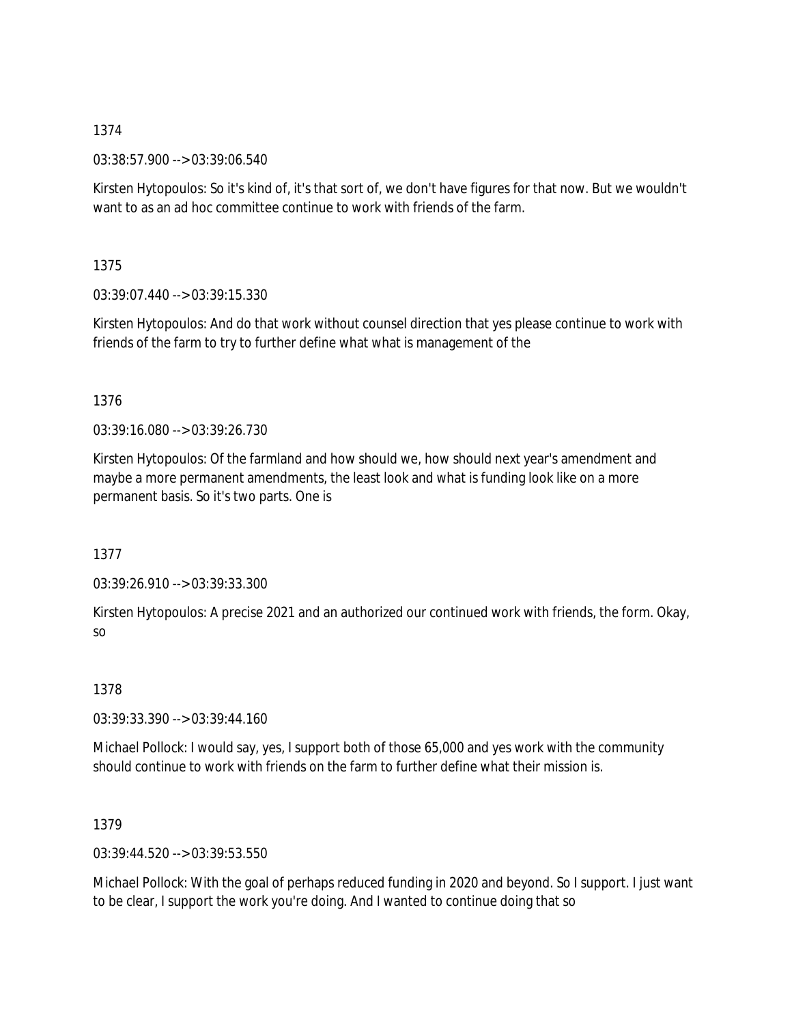03:38:57.900 --> 03:39:06.540

Kirsten Hytopoulos: So it's kind of, it's that sort of, we don't have figures for that now. But we wouldn't want to as an ad hoc committee continue to work with friends of the farm.

1375

03:39:07.440 --> 03:39:15.330

Kirsten Hytopoulos: And do that work without counsel direction that yes please continue to work with friends of the farm to try to further define what what is management of the

## 1376

03:39:16.080 --> 03:39:26.730

Kirsten Hytopoulos: Of the farmland and how should we, how should next year's amendment and maybe a more permanent amendments, the least look and what is funding look like on a more permanent basis. So it's two parts. One is

1377

03:39:26.910 --> 03:39:33.300

Kirsten Hytopoulos: A precise 2021 and an authorized our continued work with friends, the form. Okay, so

1378

03:39:33.390 --> 03:39:44.160

Michael Pollock: I would say, yes, I support both of those 65,000 and yes work with the community should continue to work with friends on the farm to further define what their mission is.

1379

03:39:44.520 --> 03:39:53.550

Michael Pollock: With the goal of perhaps reduced funding in 2020 and beyond. So I support. I just want to be clear, I support the work you're doing. And I wanted to continue doing that so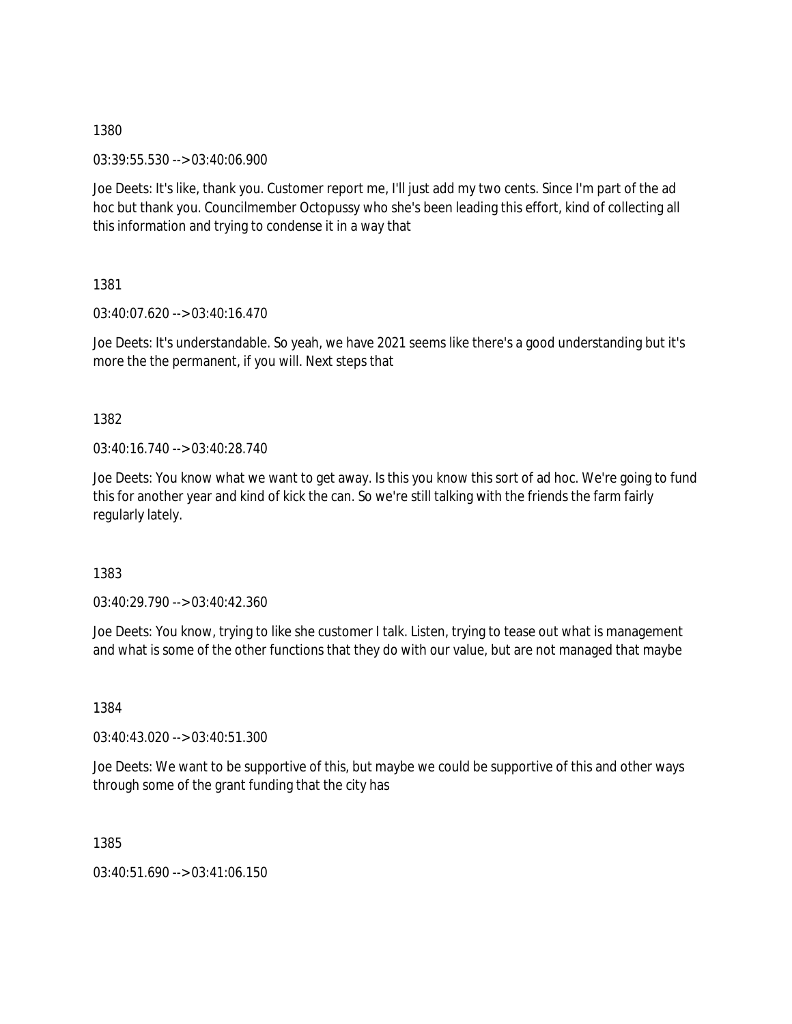03:39:55.530 --> 03:40:06.900

Joe Deets: It's like, thank you. Customer report me, I'll just add my two cents. Since I'm part of the ad hoc but thank you. Councilmember Octopussy who she's been leading this effort, kind of collecting all this information and trying to condense it in a way that

1381

03:40:07.620 --> 03:40:16.470

Joe Deets: It's understandable. So yeah, we have 2021 seems like there's a good understanding but it's more the the permanent, if you will. Next steps that

1382

03:40:16.740 --> 03:40:28.740

Joe Deets: You know what we want to get away. Is this you know this sort of ad hoc. We're going to fund this for another year and kind of kick the can. So we're still talking with the friends the farm fairly regularly lately.

1383

03:40:29.790 --> 03:40:42.360

Joe Deets: You know, trying to like she customer I talk. Listen, trying to tease out what is management and what is some of the other functions that they do with our value, but are not managed that maybe

1384

03:40:43.020 --> 03:40:51.300

Joe Deets: We want to be supportive of this, but maybe we could be supportive of this and other ways through some of the grant funding that the city has

1385

03:40:51.690 --> 03:41:06.150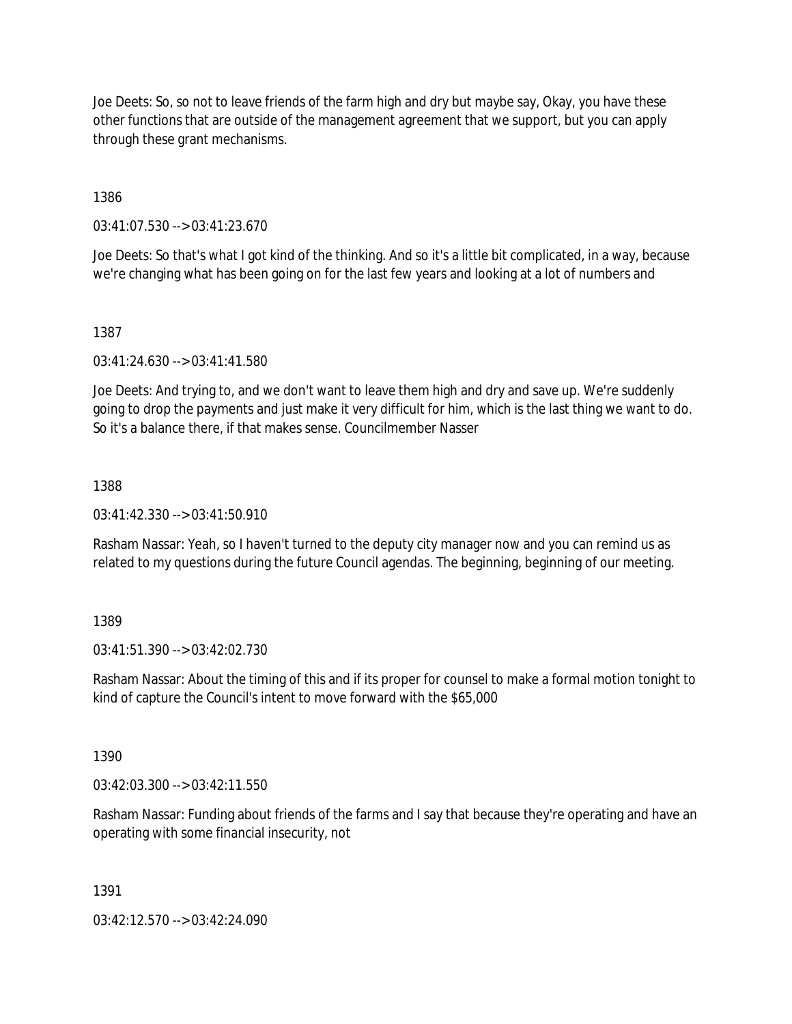Joe Deets: So, so not to leave friends of the farm high and dry but maybe say, Okay, you have these other functions that are outside of the management agreement that we support, but you can apply through these grant mechanisms.

1386

03:41:07.530 --> 03:41:23.670

Joe Deets: So that's what I got kind of the thinking. And so it's a little bit complicated, in a way, because we're changing what has been going on for the last few years and looking at a lot of numbers and

1387

03:41:24.630 --> 03:41:41.580

Joe Deets: And trying to, and we don't want to leave them high and dry and save up. We're suddenly going to drop the payments and just make it very difficult for him, which is the last thing we want to do. So it's a balance there, if that makes sense. Councilmember Nasser

1388

03:41:42.330 --> 03:41:50.910

Rasham Nassar: Yeah, so I haven't turned to the deputy city manager now and you can remind us as related to my questions during the future Council agendas. The beginning, beginning of our meeting.

1389

03:41:51.390 --> 03:42:02.730

Rasham Nassar: About the timing of this and if its proper for counsel to make a formal motion tonight to kind of capture the Council's intent to move forward with the \$65,000

1390

03:42:03.300 --> 03:42:11.550

Rasham Nassar: Funding about friends of the farms and I say that because they're operating and have an operating with some financial insecurity, not

1391

03:42:12.570 --> 03:42:24.090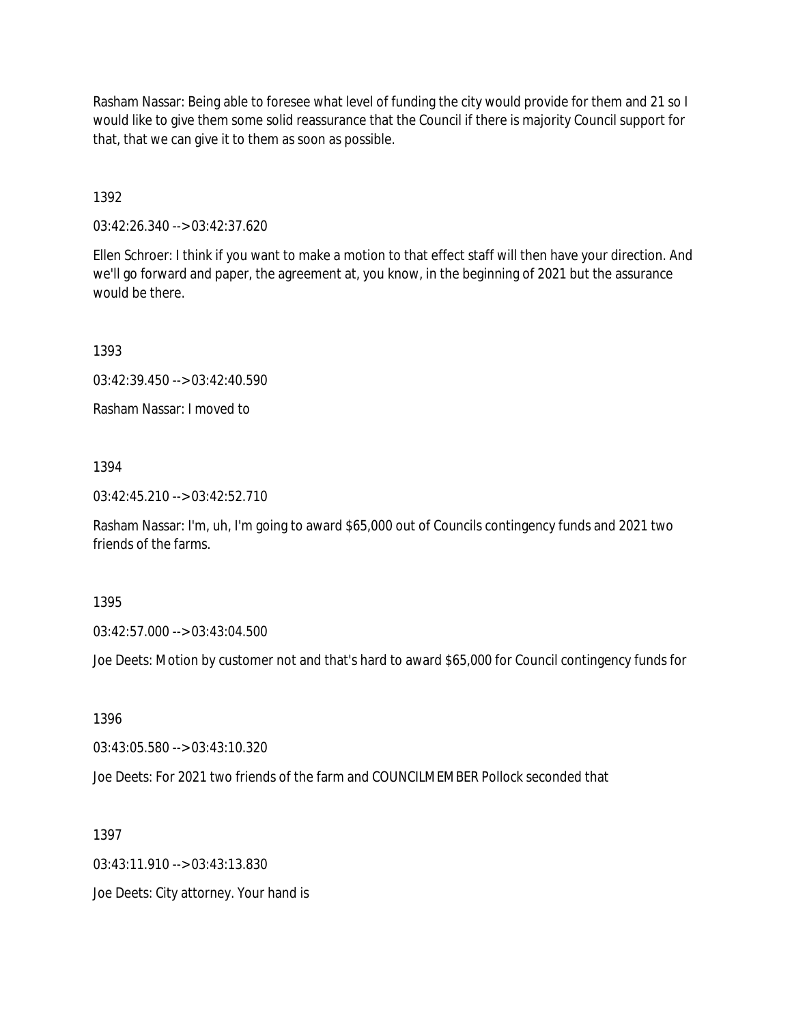Rasham Nassar: Being able to foresee what level of funding the city would provide for them and 21 so I would like to give them some solid reassurance that the Council if there is majority Council support for that, that we can give it to them as soon as possible.

1392

03:42:26.340 --> 03:42:37.620

Ellen Schroer: I think if you want to make a motion to that effect staff will then have your direction. And we'll go forward and paper, the agreement at, you know, in the beginning of 2021 but the assurance would be there.

1393

03:42:39.450 --> 03:42:40.590

Rasham Nassar: I moved to

1394

03:42:45.210 --> 03:42:52.710

Rasham Nassar: I'm, uh, I'm going to award \$65,000 out of Councils contingency funds and 2021 two friends of the farms.

1395

03:42:57.000 --> 03:43:04.500

Joe Deets: Motion by customer not and that's hard to award \$65,000 for Council contingency funds for

1396

03:43:05.580 --> 03:43:10.320

Joe Deets: For 2021 two friends of the farm and COUNCILMEMBER Pollock seconded that

1397

03:43:11.910 --> 03:43:13.830

Joe Deets: City attorney. Your hand is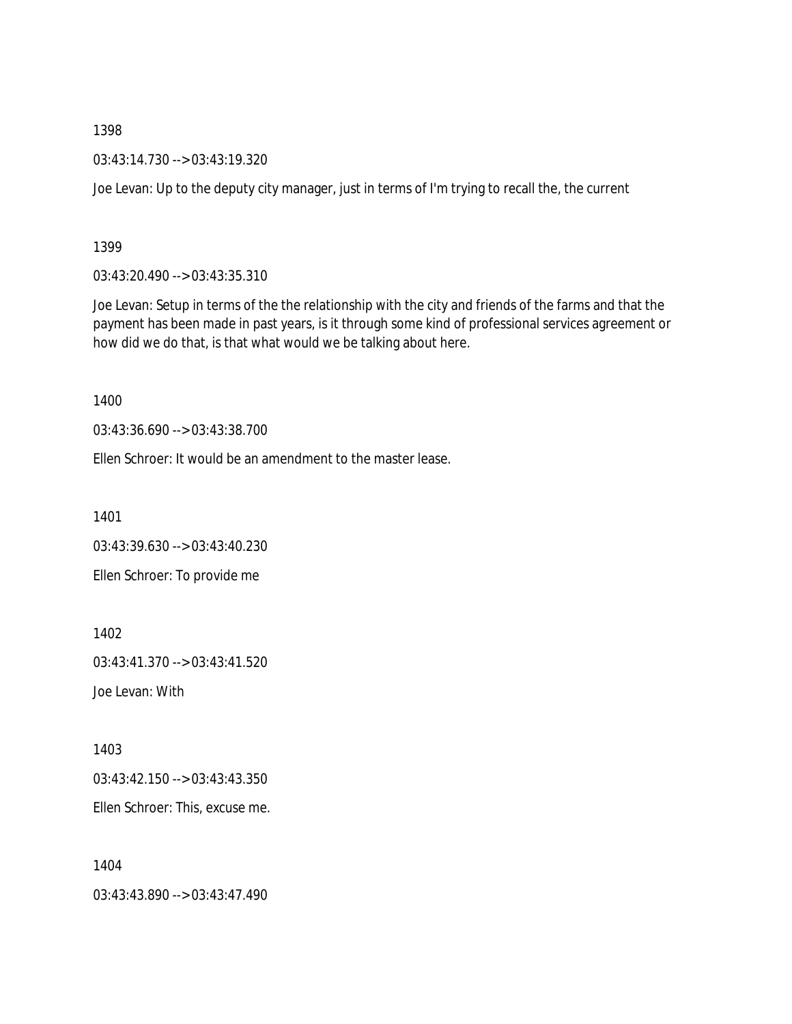03:43:14.730 --> 03:43:19.320

Joe Levan: Up to the deputy city manager, just in terms of I'm trying to recall the, the current

1399

03:43:20.490 --> 03:43:35.310

Joe Levan: Setup in terms of the the relationship with the city and friends of the farms and that the payment has been made in past years, is it through some kind of professional services agreement or how did we do that, is that what would we be talking about here.

1400

03:43:36.690 --> 03:43:38.700

Ellen Schroer: It would be an amendment to the master lease.

1401

03:43:39.630 --> 03:43:40.230 Ellen Schroer: To provide me

1402

03:43:41.370 --> 03:43:41.520

Joe Levan: With

1403

03:43:42.150 --> 03:43:43.350

Ellen Schroer: This, excuse me.

1404

03:43:43.890 --> 03:43:47.490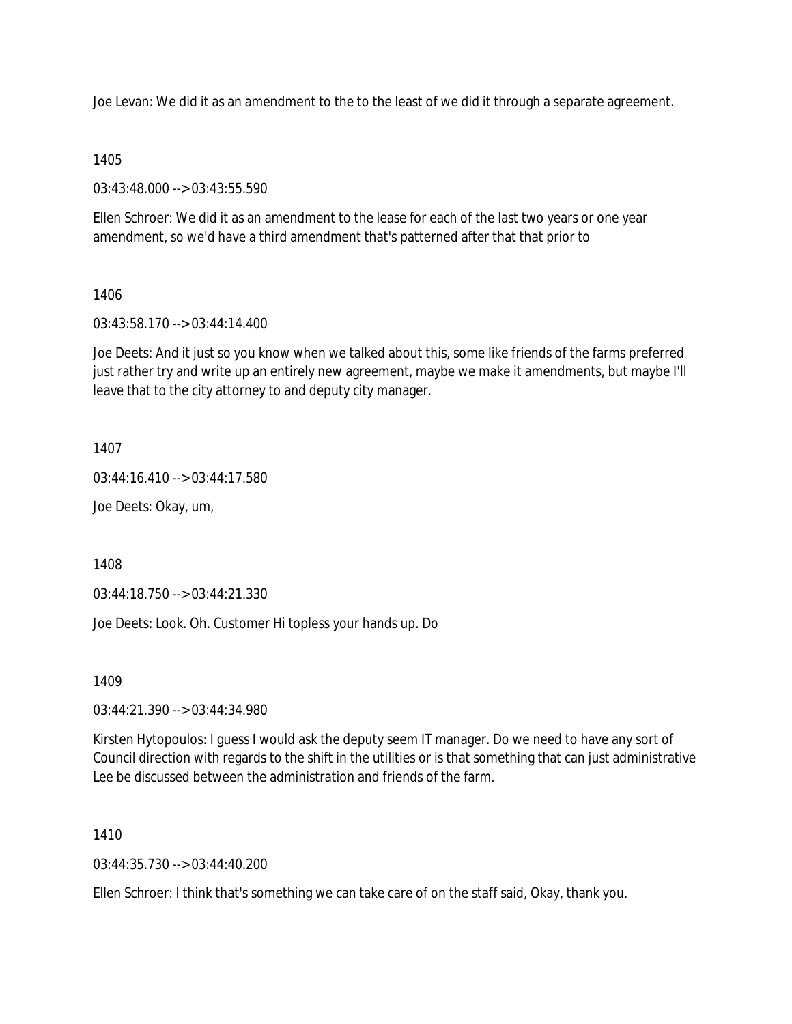Joe Levan: We did it as an amendment to the to the least of we did it through a separate agreement.

## 1405

03:43:48.000 --> 03:43:55.590

Ellen Schroer: We did it as an amendment to the lease for each of the last two years or one year amendment, so we'd have a third amendment that's patterned after that that prior to

## 1406

03:43:58.170 --> 03:44:14.400

Joe Deets: And it just so you know when we talked about this, some like friends of the farms preferred just rather try and write up an entirely new agreement, maybe we make it amendments, but maybe I'll leave that to the city attorney to and deputy city manager.

## 1407

03:44:16.410 --> 03:44:17.580

Joe Deets: Okay, um,

1408

03:44:18.750 --> 03:44:21.330

Joe Deets: Look. Oh. Customer Hi topless your hands up. Do

1409

03:44:21.390 --> 03:44:34.980

Kirsten Hytopoulos: I guess I would ask the deputy seem IT manager. Do we need to have any sort of Council direction with regards to the shift in the utilities or is that something that can just administrative Lee be discussed between the administration and friends of the farm.

1410

 $03:44:35.730 \rightarrow 03:44:40.200$ 

Ellen Schroer: I think that's something we can take care of on the staff said, Okay, thank you.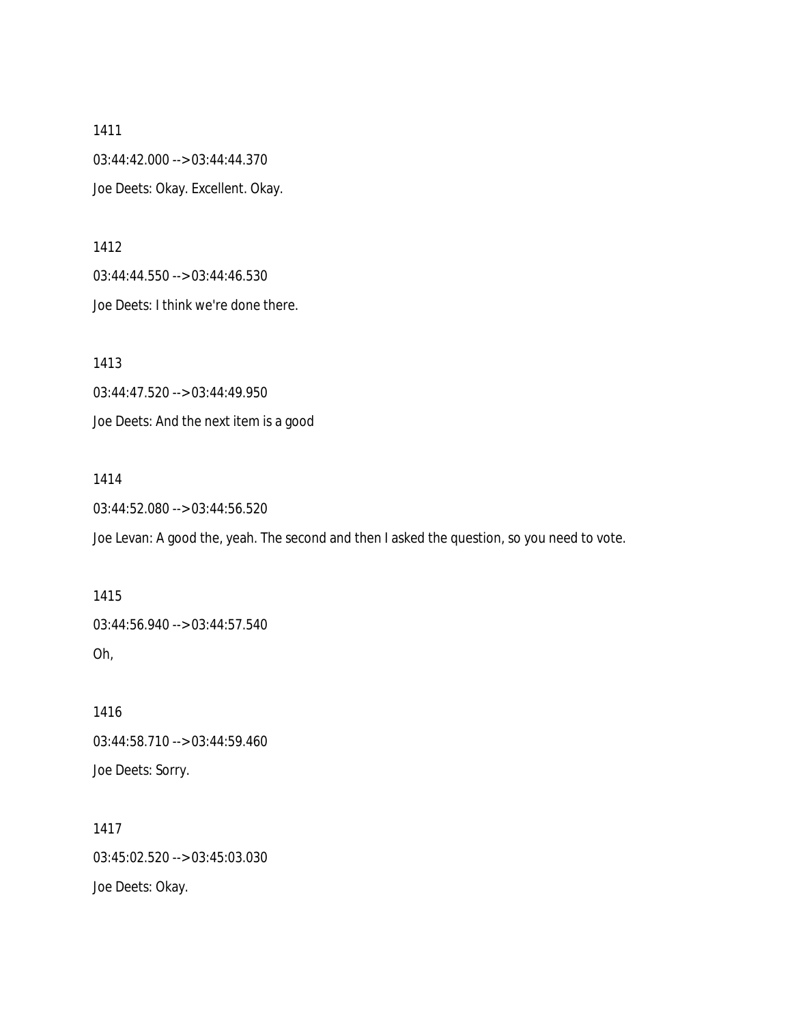03:44:42.000 --> 03:44:44.370 Joe Deets: Okay. Excellent. Okay.

1412

03:44:44.550 --> 03:44:46.530 Joe Deets: I think we're done there.

1413

03:44:47.520 --> 03:44:49.950 Joe Deets: And the next item is a good

1414

03:44:52.080 --> 03:44:56.520

Joe Levan: A good the, yeah. The second and then I asked the question, so you need to vote.

1415 03:44:56.940 --> 03:44:57.540 Oh,

1416 03:44:58.710 --> 03:44:59.460 Joe Deets: Sorry.

1417 03:45:02.520 --> 03:45:03.030 Joe Deets: Okay.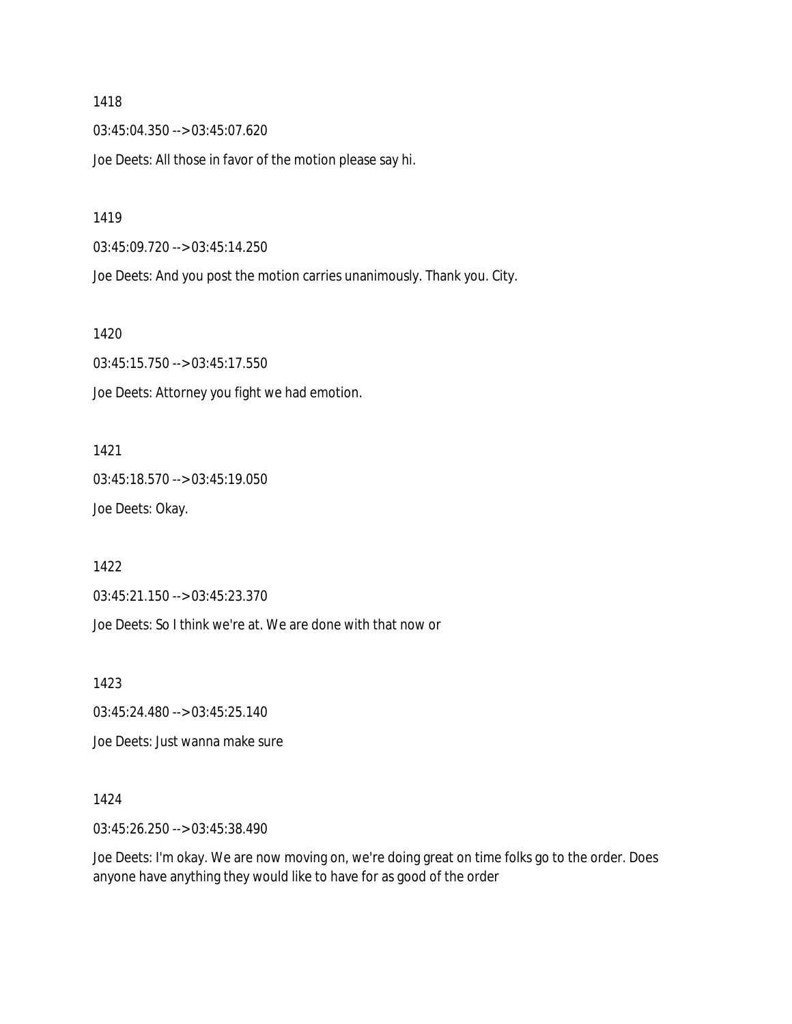03:45:04.350 --> 03:45:07.620

Joe Deets: All those in favor of the motion please say hi.

1419

03:45:09.720 --> 03:45:14.250

Joe Deets: And you post the motion carries unanimously. Thank you. City.

1420

03:45:15.750 --> 03:45:17.550 Joe Deets: Attorney you fight we had emotion.

1421

03:45:18.570 --> 03:45:19.050 Joe Deets: Okay.

1422

03:45:21.150 --> 03:45:23.370

Joe Deets: So I think we're at. We are done with that now or

1423

03:45:24.480 --> 03:45:25.140

Joe Deets: Just wanna make sure

1424

03:45:26.250 --> 03:45:38.490

Joe Deets: I'm okay. We are now moving on, we're doing great on time folks go to the order. Does anyone have anything they would like to have for as good of the order